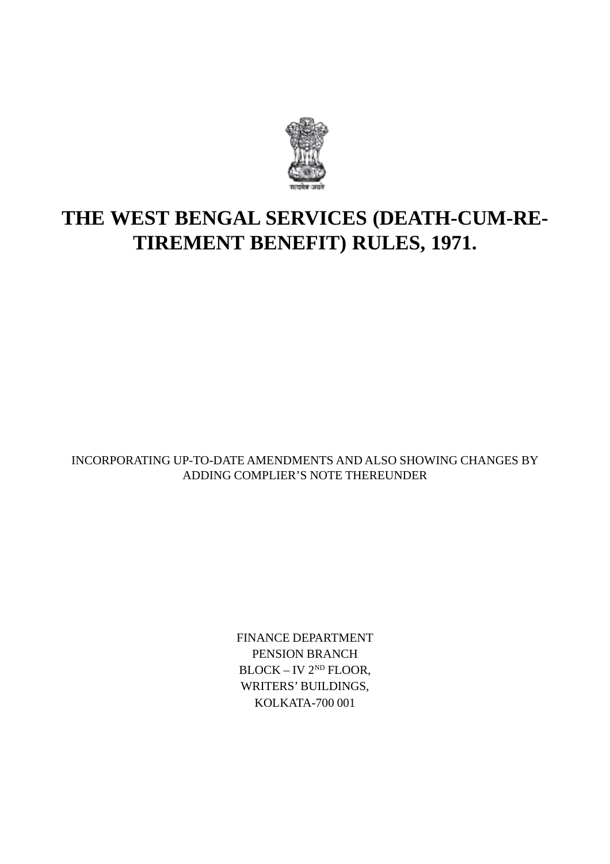

# **THE WEST BENGAL SERVICES (DEATH-CUM-RE-TIREMENT BENEFIT) RULES, 1971.**

INCORPORATING UP-TO-DATE AMENDMENTS AND ALSO SHOWING CHANGES BY ADDING COMPLIER'S NOTE THEREUNDER

> FINANCE DEPARTMENT PENSION BRANCH BLOCK – IV 2<sup>ND</sup> FLOOR, WRITERS' BUILDINGS, KOLKATA-700 001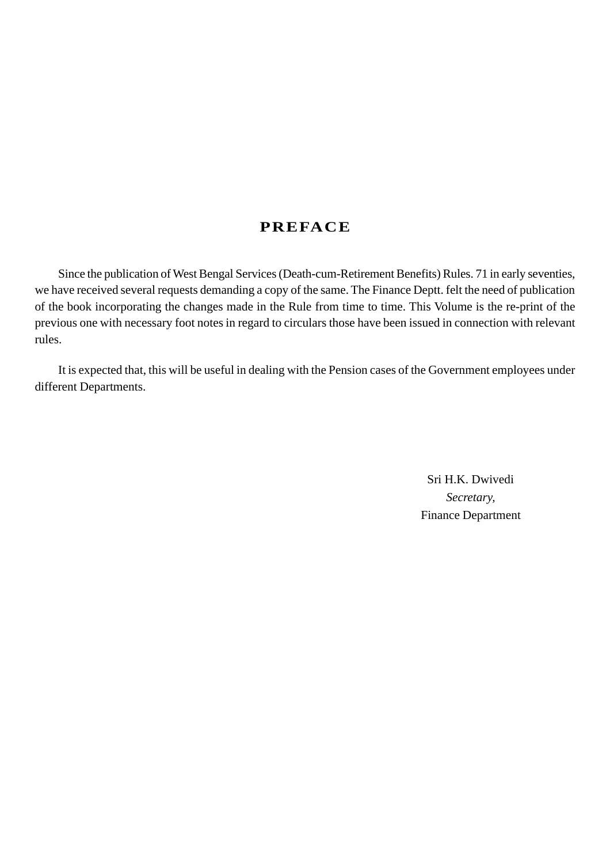### **PREFACE**

Since the publication of West Bengal Services (Death-cum-Retirement Benefits) Rules. 71 in early seventies, we have received several requests demanding a copy of the same. The Finance Deptt. felt the need of publication of the book incorporating the changes made in the Rule from time to time. This Volume is the re-print of the previous one with necessary foot notes in regard to circulars those have been issued in connection with relevant rules.

It is expected that, this will be useful in dealing with the Pension cases of the Government employees under different Departments.

> Sri H.K. Dwivedi *Secretary,* Finance Department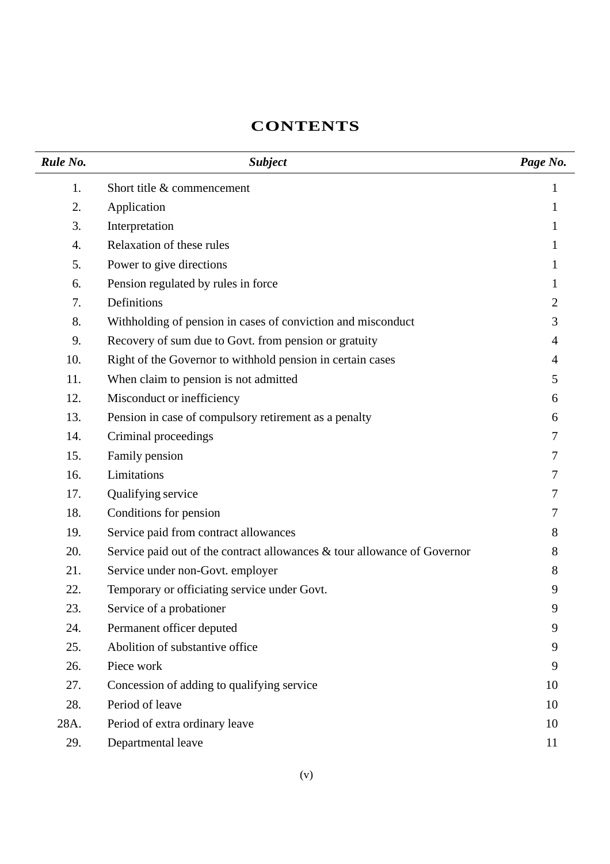# **CONTENTS**

| Rule No. | <b>Subject</b>                                                           | Page No.     |
|----------|--------------------------------------------------------------------------|--------------|
| 1.       | Short title & commencement                                               | 1            |
| 2.       | Application                                                              | 1            |
| 3.       | Interpretation                                                           |              |
| 4.       | Relaxation of these rules                                                |              |
| 5.       | Power to give directions                                                 |              |
| 6.       | Pension regulated by rules in force                                      | $\mathbf{I}$ |
| 7.       | Definitions                                                              | 2            |
| 8.       | Withholding of pension in cases of conviction and misconduct             | 3            |
| 9.       | Recovery of sum due to Govt. from pension or gratuity                    | 4            |
| 10.      | Right of the Governor to withhold pension in certain cases               | 4            |
| 11.      | When claim to pension is not admitted                                    | 5.           |
| 12.      | Misconduct or inefficiency                                               | 6            |
| 13.      | Pension in case of compulsory retirement as a penalty                    | 6            |
| 14.      | Criminal proceedings                                                     |              |
| 15.      | Family pension                                                           |              |
| 16.      | Limitations                                                              |              |
| 17.      | Qualifying service                                                       | 7            |
| 18.      | Conditions for pension                                                   |              |
| 19.      | Service paid from contract allowances                                    | 8            |
| 20.      | Service paid out of the contract allowances & tour allowance of Governor | 8            |
| 21.      | Service under non-Govt. employer                                         | 8            |
| 22.      | Temporary or officiating service under Govt.                             | 9            |
| 23.      | Service of a probationer                                                 | 9            |
| 24.      | Permanent officer deputed                                                | 9            |
| 25.      | Abolition of substantive office                                          | 9            |
| 26.      | Piece work                                                               | 9            |
| 27.      | Concession of adding to qualifying service                               | 10           |
| 28.      | Period of leave                                                          | 10           |
| 28A.     | Period of extra ordinary leave                                           | 10           |
| 29.      | Departmental leave                                                       | 11           |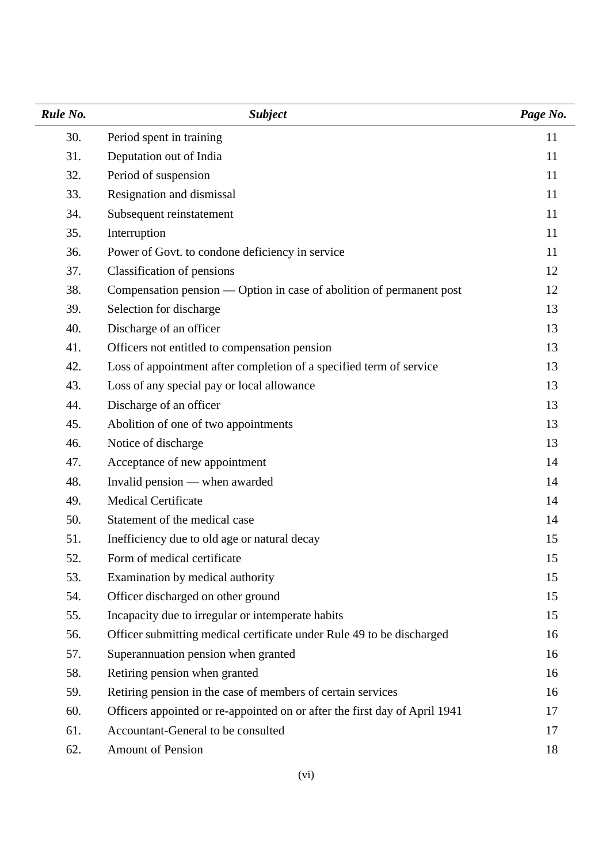| Rule No. | <b>Subject</b>                                                             | Page No. |
|----------|----------------------------------------------------------------------------|----------|
| 30.      | Period spent in training                                                   | 11       |
| 31.      | Deputation out of India                                                    | 11       |
| 32.      | Period of suspension                                                       | 11       |
| 33.      | Resignation and dismissal                                                  | 11       |
| 34.      | Subsequent reinstatement                                                   | 11       |
| 35.      | Interruption                                                               | 11       |
| 36.      | Power of Govt. to condone deficiency in service                            | 11       |
| 37.      | Classification of pensions                                                 | 12       |
| 38.      | Compensation pension — Option in case of abolition of permanent post       | 12       |
| 39.      | Selection for discharge                                                    | 13       |
| 40.      | Discharge of an officer                                                    | 13       |
| 41.      | Officers not entitled to compensation pension                              | 13       |
| 42.      | Loss of appointment after completion of a specified term of service        | 13       |
| 43.      | Loss of any special pay or local allowance                                 | 13       |
| 44.      | Discharge of an officer                                                    | 13       |
| 45.      | Abolition of one of two appointments                                       | 13       |
| 46.      | Notice of discharge                                                        | 13       |
| 47.      | Acceptance of new appointment                                              | 14       |
| 48.      | Invalid pension — when awarded                                             | 14       |
| 49.      | <b>Medical Certificate</b>                                                 | 14       |
| 50.      | Statement of the medical case                                              | 14       |
| 51.      | Inefficiency due to old age or natural decay                               | 15       |
| 52.      | Form of medical certificate                                                | 15       |
| 53.      | Examination by medical authority                                           | 15       |
| 54.      | Officer discharged on other ground                                         | 15       |
| 55.      | Incapacity due to irregular or intemperate habits                          | 15       |
| 56.      | Officer submitting medical certificate under Rule 49 to be discharged      | 16       |
| 57.      | Superannuation pension when granted                                        | 16       |
| 58.      | Retiring pension when granted                                              | 16       |
| 59.      | Retiring pension in the case of members of certain services                | 16       |
| 60.      | Officers appointed or re-appointed on or after the first day of April 1941 | 17       |
| 61.      | Accountant-General to be consulted                                         | 17       |
| 62.      | Amount of Pension                                                          | 18       |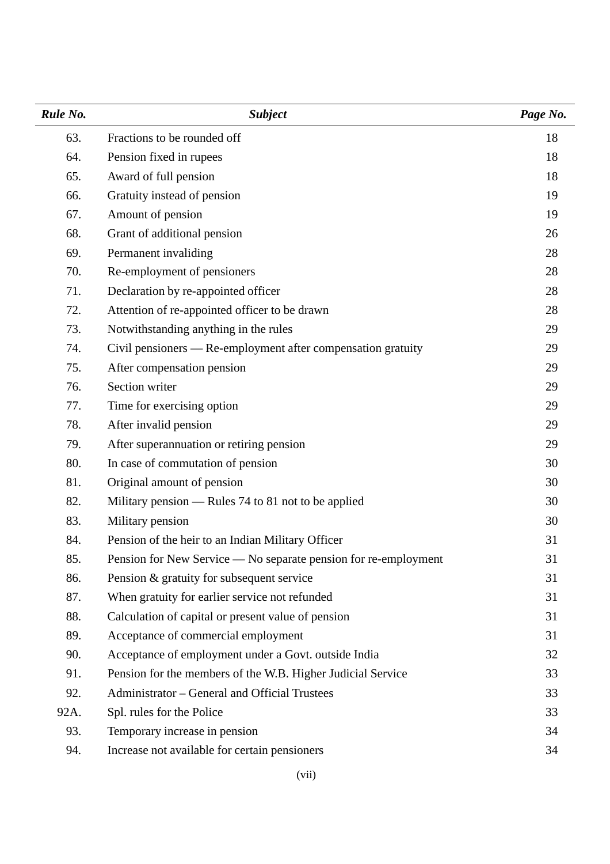| Rule No. | <b>Subject</b>                                                  | Page No. |
|----------|-----------------------------------------------------------------|----------|
| 63.      | Fractions to be rounded off                                     | 18       |
| 64.      | Pension fixed in rupees                                         | 18       |
| 65.      | Award of full pension                                           | 18       |
| 66.      | Gratuity instead of pension                                     | 19       |
| 67.      | Amount of pension                                               | 19       |
| 68.      | Grant of additional pension                                     | 26       |
| 69.      | Permanent invaliding                                            | 28       |
| 70.      | Re-employment of pensioners                                     | 28       |
| 71.      | Declaration by re-appointed officer                             | 28       |
| 72.      | Attention of re-appointed officer to be drawn                   | 28       |
| 73.      | Notwithstanding anything in the rules                           | 29       |
| 74.      | Civil pensioners — Re-employment after compensation gratuity    | 29       |
| 75.      | After compensation pension                                      | 29       |
| 76.      | Section writer                                                  | 29       |
| 77.      | Time for exercising option                                      | 29       |
| 78.      | After invalid pension                                           | 29       |
| 79.      | After superannuation or retiring pension                        | 29       |
| 80.      | In case of commutation of pension                               | 30       |
| 81.      | Original amount of pension                                      | 30       |
| 82.      | Military pension — Rules 74 to 81 not to be applied             | 30       |
| 83.      | Military pension                                                | 30       |
| 84.      | Pension of the heir to an Indian Military Officer               | 31       |
| 85.      | Pension for New Service — No separate pension for re-employment | 31       |
| 86.      | Pension & gratuity for subsequent service                       | 31       |
| 87.      | When gratuity for earlier service not refunded                  | 31       |
| 88.      | Calculation of capital or present value of pension              | 31       |
| 89.      | Acceptance of commercial employment                             | 31       |
| 90.      | Acceptance of employment under a Govt. outside India            | 32       |
| 91.      | Pension for the members of the W.B. Higher Judicial Service     | 33       |
| 92.      | Administrator – General and Official Trustees                   | 33       |
| 92A.     | Spl. rules for the Police                                       | 33       |
| 93.      | Temporary increase in pension                                   | 34       |
| 94.      | Increase not available for certain pensioners                   | 34       |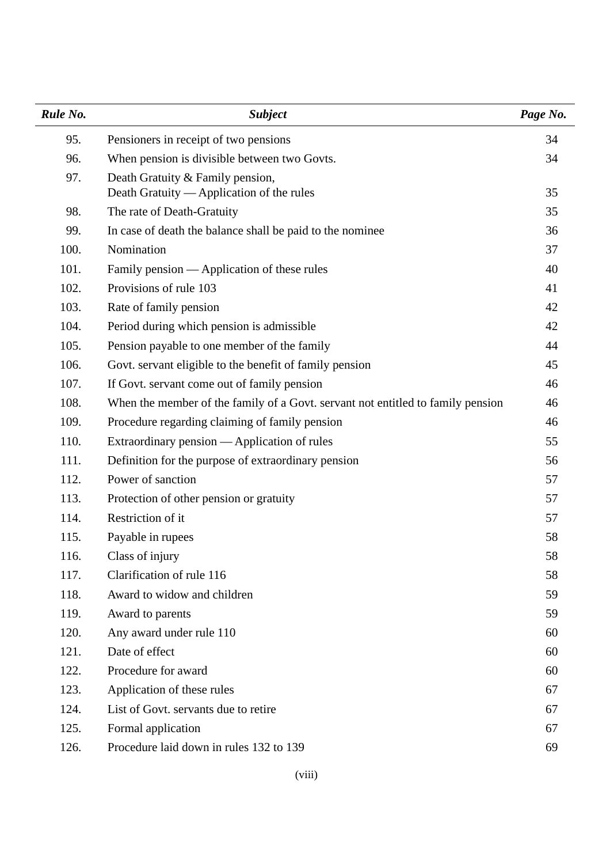| Rule No. | <b>Subject</b>                                                                  | Page No. |
|----------|---------------------------------------------------------------------------------|----------|
| 95.      | Pensioners in receipt of two pensions                                           | 34       |
| 96.      | When pension is divisible between two Govts.                                    | 34       |
| 97.      | Death Gratuity & Family pension,<br>Death Gratuity — Application of the rules   | 35       |
| 98.      | The rate of Death-Gratuity                                                      | 35       |
| 99.      | In case of death the balance shall be paid to the nominee                       | 36       |
| 100.     | Nomination                                                                      | 37       |
| 101.     | Family pension — Application of these rules                                     | 40       |
| 102.     | Provisions of rule 103                                                          | 41       |
| 103.     | Rate of family pension                                                          | 42       |
| 104.     | Period during which pension is admissible                                       | 42       |
| 105.     | Pension payable to one member of the family                                     | 44       |
| 106.     | Govt. servant eligible to the benefit of family pension                         | 45       |
| 107.     | If Govt. servant come out of family pension                                     | 46       |
| 108.     | When the member of the family of a Govt. servant not entitled to family pension | 46       |
| 109.     | Procedure regarding claiming of family pension                                  | 46       |
| 110.     | Extraordinary pension — Application of rules                                    | 55       |
| 111.     | Definition for the purpose of extraordinary pension                             | 56       |
| 112.     | Power of sanction                                                               | 57       |
| 113.     | Protection of other pension or gratuity                                         | 57       |
| 114.     | Restriction of it                                                               | 57       |
| 115.     | Payable in rupees                                                               | 58       |
| 116.     | Class of injury                                                                 | 58       |
| 117.     | Clarification of rule 116                                                       | 58       |
| 118.     | Award to widow and children                                                     | 59       |
| 119.     | Award to parents                                                                | 59       |
| 120.     | Any award under rule 110                                                        | 60       |
| 121.     | Date of effect                                                                  | 60       |
| 122.     | Procedure for award                                                             | 60       |
| 123.     | Application of these rules                                                      | 67       |
| 124.     | List of Govt. servants due to retire                                            | 67       |
| 125.     | Formal application                                                              | 67       |
| 126.     | Procedure laid down in rules 132 to 139                                         | 69       |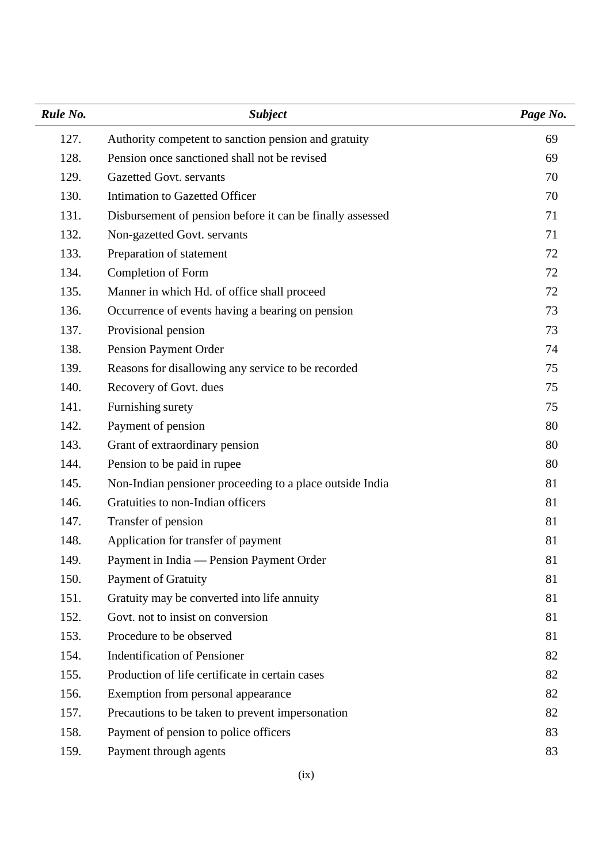| Rule No. | <b>Subject</b>                                            | Page No. |
|----------|-----------------------------------------------------------|----------|
| 127.     | Authority competent to sanction pension and gratuity      | 69       |
| 128.     | Pension once sanctioned shall not be revised              | 69       |
| 129.     | Gazetted Govt. servants                                   | 70       |
| 130.     | Intimation to Gazetted Officer                            | 70       |
| 131.     | Disbursement of pension before it can be finally assessed | 71       |
| 132.     | Non-gazetted Govt. servants                               | 71       |
| 133.     | Preparation of statement                                  | 72       |
| 134.     | Completion of Form                                        | 72       |
| 135.     | Manner in which Hd. of office shall proceed               | 72       |
| 136.     | Occurrence of events having a bearing on pension          | 73       |
| 137.     | Provisional pension                                       | 73       |
| 138.     | Pension Payment Order                                     | 74       |
| 139.     | Reasons for disallowing any service to be recorded        | 75       |
| 140.     | Recovery of Govt. dues                                    | 75       |
| 141.     | Furnishing surety                                         | 75       |
| 142.     | Payment of pension                                        | 80       |
| 143.     | Grant of extraordinary pension                            | 80       |
| 144.     | Pension to be paid in rupee                               | 80       |
| 145.     | Non-Indian pensioner proceeding to a place outside India  | 81       |
| 146.     | Gratuities to non-Indian officers                         | 81       |
| 147.     | Transfer of pension                                       | 81       |
| 148.     | Application for transfer of payment                       | 81       |
| 149.     | Payment in India — Pension Payment Order                  | 81       |
| 150.     | <b>Payment of Gratuity</b>                                | 81       |
| 151.     | Gratuity may be converted into life annuity               | 81       |
| 152.     | Govt. not to insist on conversion                         | 81       |
| 153.     | Procedure to be observed                                  | 81       |
| 154.     | <b>Indentification of Pensioner</b>                       | 82       |
| 155.     | Production of life certificate in certain cases           | 82       |
| 156.     | Exemption from personal appearance                        | 82       |
| 157.     | Precautions to be taken to prevent impersonation          | 82       |
| 158.     | Payment of pension to police officers                     | 83       |
| 159.     | Payment through agents                                    | 83       |
|          |                                                           |          |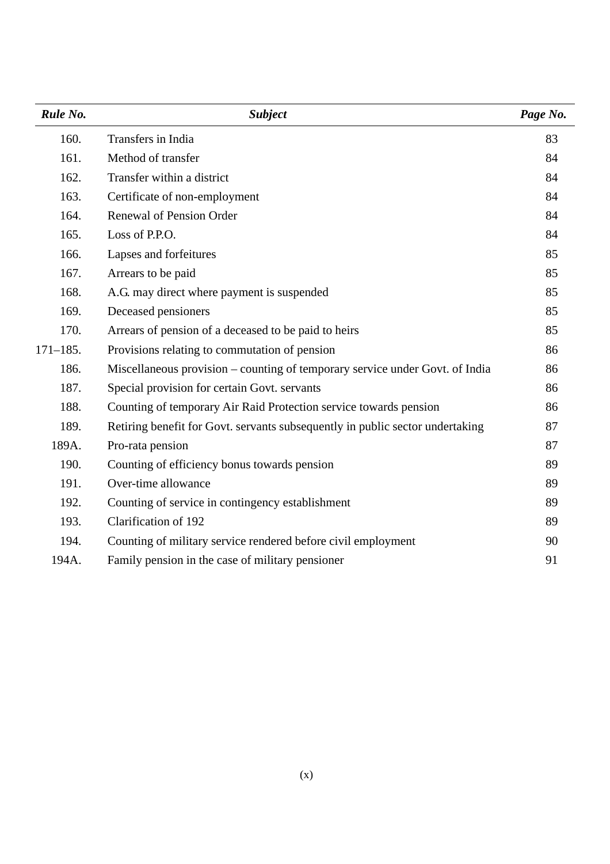| Rule No.     | <b>Subject</b>                                                                | Page No. |
|--------------|-------------------------------------------------------------------------------|----------|
| 160.         | Transfers in India                                                            | 83       |
| 161.         | Method of transfer                                                            | 84       |
| 162.         | Transfer within a district                                                    | 84       |
| 163.         | Certificate of non-employment                                                 | 84       |
| 164.         | <b>Renewal of Pension Order</b>                                               | 84       |
| 165.         | Loss of P.P.O.                                                                | 84       |
| 166.         | Lapses and forfeitures                                                        | 85       |
| 167.         | Arrears to be paid                                                            | 85       |
| 168.         | A.G. may direct where payment is suspended                                    | 85       |
| 169.         | Deceased pensioners                                                           | 85       |
| 170.         | Arrears of pension of a deceased to be paid to heirs                          | 85       |
| $171 - 185.$ | Provisions relating to commutation of pension                                 | 86       |
| 186.         | Miscellaneous provision – counting of temporary service under Govt. of India  | 86       |
| 187.         | Special provision for certain Govt. servants                                  | 86       |
| 188.         | Counting of temporary Air Raid Protection service towards pension             | 86       |
| 189.         | Retiring benefit for Govt. servants subsequently in public sector undertaking | 87       |
| 189A.        | Pro-rata pension                                                              | 87       |
| 190.         | Counting of efficiency bonus towards pension                                  | 89       |
| 191.         | Over-time allowance                                                           | 89       |
| 192.         | Counting of service in contingency establishment                              | 89       |
| 193.         | <b>Clarification of 192</b>                                                   | 89       |
| 194.         | Counting of military service rendered before civil employment                 | 90       |
| 194A.        | Family pension in the case of military pensioner                              | 91       |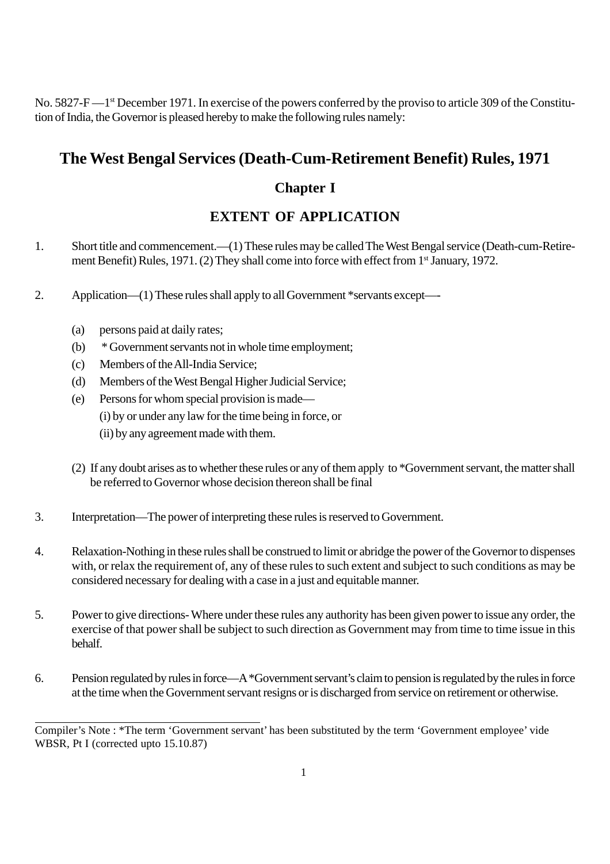No. 5827-F—1<sup>st</sup> December 1971. In exercise of the powers conferred by the proviso to article 309 of the Constitution of India, the Governor is pleased hereby to make the following rules namely:

# **The West Bengal Services (Death-Cum-Retirement Benefit) Rules, 1971**

# **Chapter I**

# **EXTENT OF APPLICATION**

- 1. Short title and commencement.—(1) These rules may be called The West Bengal service (Death-cum-Retirement Benefit) Rules, 1971. (2) They shall come into force with effect from 1<sup>st</sup> January, 1972.
- 2. Application—(1) These rules shall apply to all Government \*servants except—-
	- (a) persons paid at daily rates;
	- (b) \* Government servants not in whole time employment;
	- (c) Members of the All-India Service;
	- (d) Members of the West Bengal Higher Judicial Service;
	- (e) Persons for whom special provision is made— (i) by or under any law for the time being in force, or (ii) by any agreement made with them.
	- (2) If any doubt arises as to whether these rules or any of them apply to \*Government servant, the matter shall be referred to Governor whose decision thereon shall be final
- 3. Interpretation—The power of interpreting these rules is reserved to Government.
- 4. Relaxation-Nothing in these rules shall be construed to limit or abridge the power of the Governor to dispenses with, or relax the requirement of, any of these rules to such extent and subject to such conditions as may be considered necessary for dealing with a case in a just and equitable manner.
- 5. Power to give directions- Where under these rules any authority has been given power to issue any order, the exercise of that power shall be subject to such direction as Government may from time to time issue in this behalf.
- 6. Pension regulated by rules in force—A \*Government servant's claim to pension is regulated by the rules in force at the time when the Government servant resigns or is discharged from service on retirement or otherwise.

Compiler's Note : \*The term 'Government servant' has been substituted by the term 'Government employee' vide WBSR, Pt I (corrected upto 15.10.87)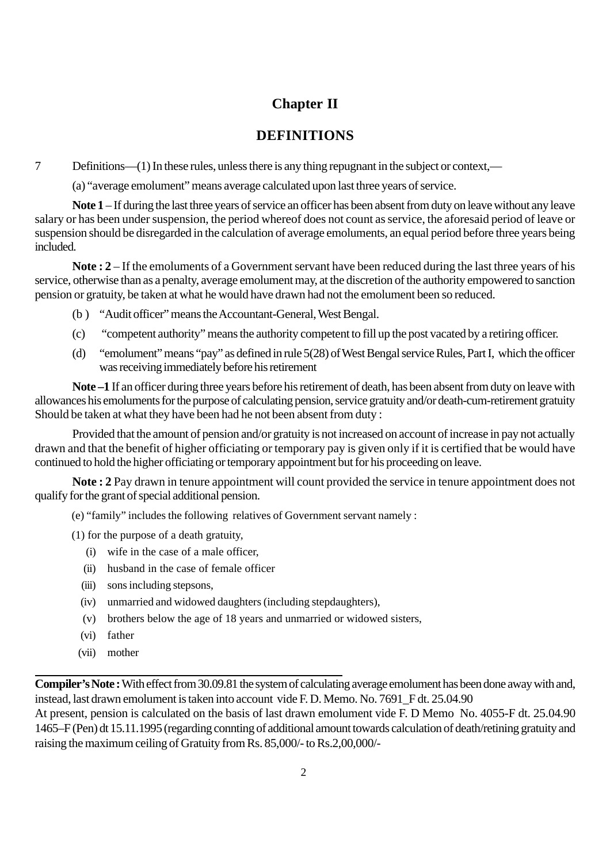## **Chapter II**

### **DEFINITIONS**

7 Definitions—(1) In these rules, unless there is any thing repugnant in the subject or context,—

(a) "average emolument" means average calculated upon last three years of service.

**Note 1** – If during the last three years of service an officer has been absent from duty on leave without any leave salary or has been under suspension, the period whereof does not count as service, the aforesaid period of leave or suspension should be disregarded in the calculation of average emoluments, an equal period before three years being included.

**Note : 2** – If the emoluments of a Government servant have been reduced during the last three years of his service, otherwise than as a penalty, average emolument may, at the discretion of the authority empowered to sanction pension or gratuity, be taken at what he would have drawn had not the emolument been so reduced.

- (b ) "Audit officer" means the Accountant-General, West Bengal.
- (c) "competent authority" means the authority competent to fill up the post vacated by a retiring officer.
- (d) "emolument" means "pay" as defined in rule 5(28) of West Bengal service Rules, Part I, which the officer was receiving immediately before his retirement

**Note –1** If an officer during three years before his retirement of death, has been absent from duty on leave with allowances his emoluments for the purpose of calculating pension, service gratuity and/or death-cum-retirement gratuity Should be taken at what they have been had he not been absent from duty :

Provided that the amount of pension and/or gratuity is not increased on account of increase in pay not actually drawn and that the benefit of higher officiating or temporary pay is given only if it is certified that be would have continued to hold the higher officiating or temporary appointment but for his proceeding on leave.

**Note : 2** Pay drawn in tenure appointment will count provided the service in tenure appointment does not qualify for the grant of special additional pension.

(e) "family" includes the following relatives of Government servant namely :

- (1) for the purpose of a death gratuity,
	- (i) wife in the case of a male officer,
	- (ii) husband in the case of female officer
	- (iii) sons including stepsons,
	- (iv) unmarried and widowed daughters (including stepdaughters),
	- (v) brothers below the age of 18 years and unmarried or widowed sisters,
	- (vi) father
	- (vii) mother

**Compiler's Note :** With effect from 30.09.81 the system of calculating average emolument has been done away with and, instead, last drawn emolument is taken into account vide F. D. Memo. No. 7691\_F dt. 25.04.90

At present, pension is calculated on the basis of last drawn emolument vide F. D Memo No. 4055-F dt. 25.04.90 1465–F (Pen) dt 15.11.1995 (regarding connting of additional amount towards calculation of death/retining gratuity and raising the maximum ceiling of Gratuity from Rs. 85,000/- to Rs.2,00,000/-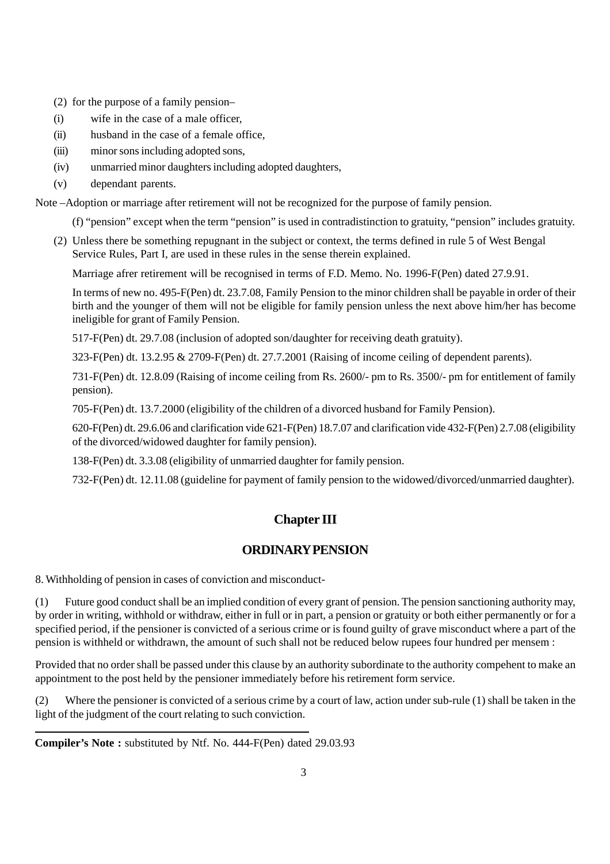- (2) for the purpose of a family pension–
- (i) wife in the case of a male officer,
- (ii) husband in the case of a female office,
- (iii) minor sons including adopted sons,
- (iv) unmarried minor daughters including adopted daughters,
- (v) dependant parents.

Note –Adoption or marriage after retirement will not be recognized for the purpose of family pension.

(f) "pension" except when the term "pension" is used in contradistinction to gratuity, "pension" includes gratuity.

(2) Unless there be something repugnant in the subject or context, the terms defined in rule 5 of West Bengal Service Rules, Part I, are used in these rules in the sense therein explained.

Marriage afrer retirement will be recognised in terms of F.D. Memo. No. 1996-F(Pen) dated 27.9.91.

In terms of new no. 495-F(Pen) dt. 23.7.08, Family Pension to the minor children shall be payable in order of their birth and the younger of them will not be eligible for family pension unless the next above him/her has become ineligible for grant of Family Pension.

517-F(Pen) dt. 29.7.08 (inclusion of adopted son/daughter for receiving death gratuity).

323-F(Pen) dt. 13.2.95 & 2709-F(Pen) dt. 27.7.2001 (Raising of income ceiling of dependent parents).

731-F(Pen) dt. 12.8.09 (Raising of income ceiling from Rs. 2600/- pm to Rs. 3500/- pm for entitlement of family pension).

705-F(Pen) dt. 13.7.2000 (eligibility of the children of a divorced husband for Family Pension).

620-F(Pen) dt. 29.6.06 and clarification vide 621-F(Pen) 18.7.07 and clarification vide 432-F(Pen) 2.7.08 (eligibility of the divorced/widowed daughter for family pension).

138-F(Pen) dt. 3.3.08 (eligibility of unmarried daughter for family pension.

732-F(Pen) dt. 12.11.08 (guideline for payment of family pension to the widowed/divorced/unmarried daughter).

#### **Chapter III**

#### **ORDINARY PENSION**

8. Withholding of pension in cases of conviction and misconduct-

(1) Future good conduct shall be an implied condition of every grant of pension. The pension sanctioning authority may, by order in writing, withhold or withdraw, either in full or in part, a pension or gratuity or both either permanently or for a specified period, if the pensioner is convicted of a serious crime or is found guilty of grave misconduct where a part of the pension is withheld or withdrawn, the amount of such shall not be reduced below rupees four hundred per mensem :

Provided that no order shall be passed under this clause by an authority subordinate to the authority compehent to make an appointment to the post held by the pensioner immediately before his retirement form service.

(2) Where the pensioner is convicted of a serious crime by a court of law, action under sub-rule (1) shall be taken in the light of the judgment of the court relating to such conviction.

**Compiler's Note :** substituted by Ntf. No. 444-F(Pen) dated 29.03.93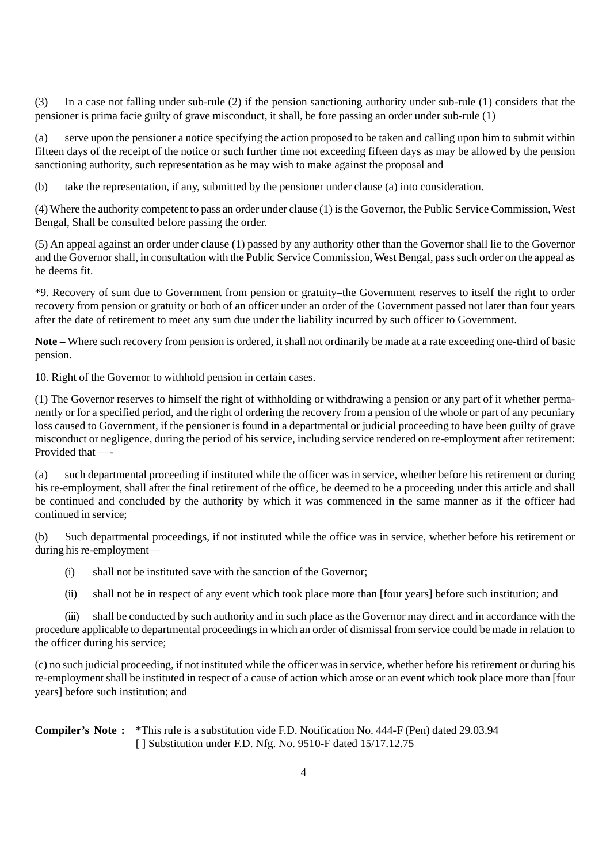(3) In a case not falling under sub-rule (2) if the pension sanctioning authority under sub-rule (1) considers that the pensioner is prima facie guilty of grave misconduct, it shall, be fore passing an order under sub-rule (1)

(a) serve upon the pensioner a notice specifying the action proposed to be taken and calling upon him to submit within fifteen days of the receipt of the notice or such further time not exceeding fifteen days as may be allowed by the pension sanctioning authority, such representation as he may wish to make against the proposal and

(b) take the representation, if any, submitted by the pensioner under clause (a) into consideration.

(4) Where the authority competent to pass an order under clause (1) is the Governor, the Public Service Commission, West Bengal, Shall be consulted before passing the order.

(5) An appeal against an order under clause (1) passed by any authority other than the Governor shall lie to the Governor and the Governor shall, in consultation with the Public Service Commission, West Bengal, pass such order on the appeal as he deems fit.

\*9. Recovery of sum due to Government from pension or gratuity–the Government reserves to itself the right to order recovery from pension or gratuity or both of an officer under an order of the Government passed not later than four years after the date of retirement to meet any sum due under the liability incurred by such officer to Government.

**Note –** Where such recovery from pension is ordered, it shall not ordinarily be made at a rate exceeding one-third of basic pension.

10. Right of the Governor to withhold pension in certain cases.

(1) The Governor reserves to himself the right of withholding or withdrawing a pension or any part of it whether permanently or for a specified period, and the right of ordering the recovery from a pension of the whole or part of any pecuniary loss caused to Government, if the pensioner is found in a departmental or judicial proceeding to have been guilty of grave misconduct or negligence, during the period of his service, including service rendered on re-employment after retirement: Provided that —-

(a) such departmental proceeding if instituted while the officer was in service, whether before his retirement or during his re-employment, shall after the final retirement of the office, be deemed to be a proceeding under this article and shall be continued and concluded by the authority by which it was commenced in the same manner as if the officer had continued in service;

(b) Such departmental proceedings, if not instituted while the office was in service, whether before his retirement or during his re-employment—

- (i) shall not be instituted save with the sanction of the Governor;
- (ii) shall not be in respect of any event which took place more than [four years] before such institution; and

(iii) shall be conducted by such authority and in such place as the Governor may direct and in accordance with the procedure applicable to departmental proceedings in which an order of dismissal from service could be made in relation to the officer during his service;

(c) no such judicial proceeding, if not instituted while the officer was in service, whether before his retirement or during his re-employment shall be instituted in respect of a cause of action which arose or an event which took place more than [four years] before such institution; and

**Compiler's Note :** \*This rule is a substitution vide F.D. Notification No. 444-F (Pen) dated 29.03.94 [ ] Substitution under F.D. Nfg. No. 9510-F dated 15/17.12.75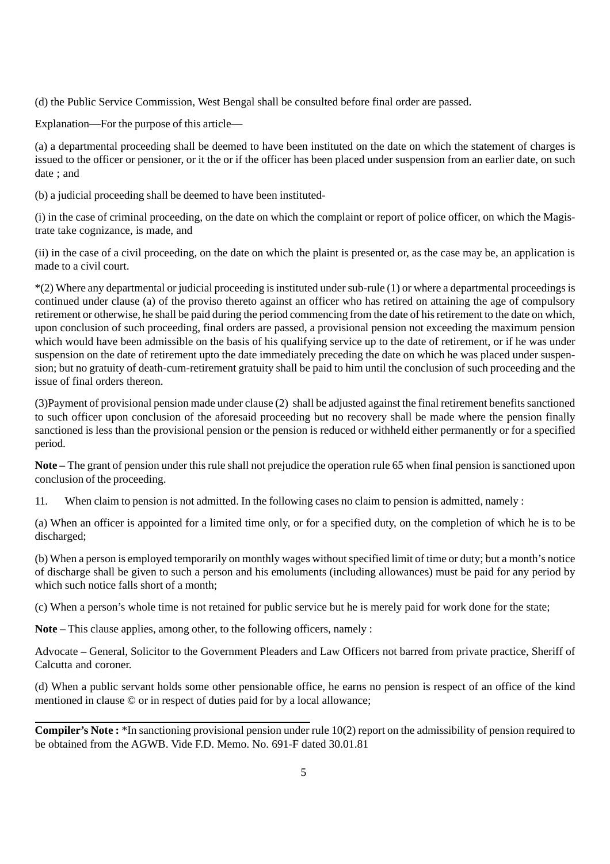(d) the Public Service Commission, West Bengal shall be consulted before final order are passed.

Explanation—For the purpose of this article—

(a) a departmental proceeding shall be deemed to have been instituted on the date on which the statement of charges is issued to the officer or pensioner, or it the or if the officer has been placed under suspension from an earlier date, on such date ; and

(b) a judicial proceeding shall be deemed to have been instituted-

(i) in the case of criminal proceeding, on the date on which the complaint or report of police officer, on which the Magistrate take cognizance, is made, and

(ii) in the case of a civil proceeding, on the date on which the plaint is presented or, as the case may be, an application is made to a civil court.

\*(2) Where any departmental or judicial proceeding is instituted under sub-rule (1) or where a departmental proceedings is continued under clause (a) of the proviso thereto against an officer who has retired on attaining the age of compulsory retirement or otherwise, he shall be paid during the period commencing from the date of his retirement to the date on which, upon conclusion of such proceeding, final orders are passed, a provisional pension not exceeding the maximum pension which would have been admissible on the basis of his qualifying service up to the date of retirement, or if he was under suspension on the date of retirement upto the date immediately preceding the date on which he was placed under suspension; but no gratuity of death-cum-retirement gratuity shall be paid to him until the conclusion of such proceeding and the issue of final orders thereon.

(3)Payment of provisional pension made under clause (2) shall be adjusted against the final retirement benefits sanctioned to such officer upon conclusion of the aforesaid proceeding but no recovery shall be made where the pension finally sanctioned is less than the provisional pension or the pension is reduced or withheld either permanently or for a specified period.

**Note –** The grant of pension under this rule shall not prejudice the operation rule 65 when final pension is sanctioned upon conclusion of the proceeding.

11. When claim to pension is not admitted. In the following cases no claim to pension is admitted, namely :

(a) When an officer is appointed for a limited time only, or for a specified duty, on the completion of which he is to be discharged:

(b) When a person is employed temporarily on monthly wages without specified limit of time or duty; but a month's notice of discharge shall be given to such a person and his emoluments (including allowances) must be paid for any period by which such notice falls short of a month;

(c) When a person's whole time is not retained for public service but he is merely paid for work done for the state;

**Note –** This clause applies, among other, to the following officers, namely :

Advocate – General, Solicitor to the Government Pleaders and Law Officers not barred from private practice, Sheriff of Calcutta and coroner.

(d) When a public servant holds some other pensionable office, he earns no pension is respect of an office of the kind mentioned in clause © or in respect of duties paid for by a local allowance;

**Compiler's Note :** \*In sanctioning provisional pension under rule 10(2) report on the admissibility of pension required to be obtained from the AGWB. Vide F.D. Memo. No. 691-F dated 30.01.81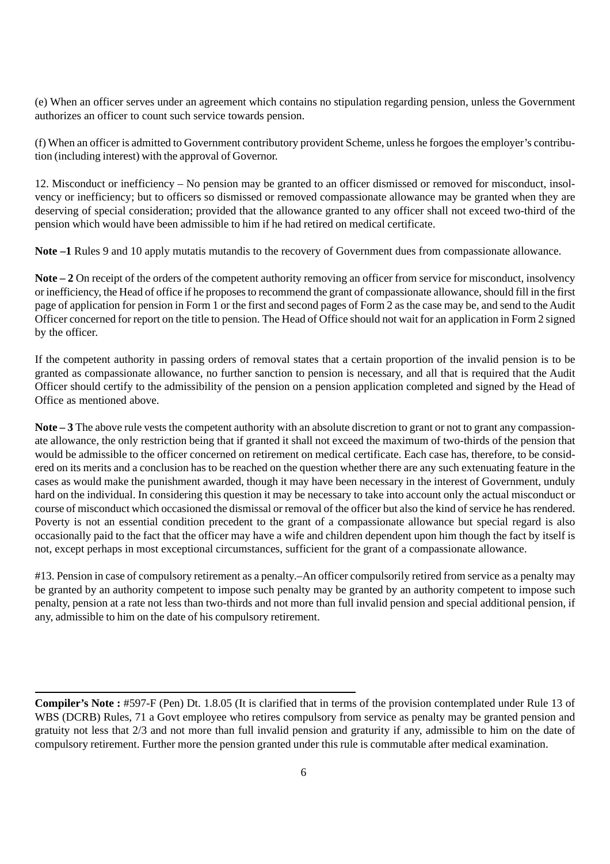(e) When an officer serves under an agreement which contains no stipulation regarding pension, unless the Government authorizes an officer to count such service towards pension.

(f) When an officer is admitted to Government contributory provident Scheme, unless he forgoes the employer's contribution (including interest) with the approval of Governor.

12. Misconduct or inefficiency – No pension may be granted to an officer dismissed or removed for misconduct, insolvency or inefficiency; but to officers so dismissed or removed compassionate allowance may be granted when they are deserving of special consideration; provided that the allowance granted to any officer shall not exceed two-third of the pension which would have been admissible to him if he had retired on medical certificate.

**Note –1** Rules 9 and 10 apply mutatis mutandis to the recovery of Government dues from compassionate allowance.

**Note – 2** On receipt of the orders of the competent authority removing an officer from service for misconduct, insolvency or inefficiency, the Head of office if he proposes to recommend the grant of compassionate allowance, should fill in the first page of application for pension in Form 1 or the first and second pages of Form 2 as the case may be, and send to the Audit Officer concerned for report on the title to pension. The Head of Office should not wait for an application in Form 2 signed by the officer.

If the competent authority in passing orders of removal states that a certain proportion of the invalid pension is to be granted as compassionate allowance, no further sanction to pension is necessary, and all that is required that the Audit Officer should certify to the admissibility of the pension on a pension application completed and signed by the Head of Office as mentioned above.

**Note – 3** The above rule vests the competent authority with an absolute discretion to grant or not to grant any compassionate allowance, the only restriction being that if granted it shall not exceed the maximum of two-thirds of the pension that would be admissible to the officer concerned on retirement on medical certificate. Each case has, therefore, to be considered on its merits and a conclusion has to be reached on the question whether there are any such extenuating feature in the cases as would make the punishment awarded, though it may have been necessary in the interest of Government, unduly hard on the individual. In considering this question it may be necessary to take into account only the actual misconduct or course of misconduct which occasioned the dismissal or removal of the officer but also the kind of service he has rendered. Poverty is not an essential condition precedent to the grant of a compassionate allowance but special regard is also occasionally paid to the fact that the officer may have a wife and children dependent upon him though the fact by itself is not, except perhaps in most exceptional circumstances, sufficient for the grant of a compassionate allowance.

#13. Pension in case of compulsory retirement as a penalty.–An officer compulsorily retired from service as a penalty may be granted by an authority competent to impose such penalty may be granted by an authority competent to impose such penalty, pension at a rate not less than two-thirds and not more than full invalid pension and special additional pension, if any, admissible to him on the date of his compulsory retirement.

**Compiler's Note :** #597-F (Pen) Dt. 1.8.05 (It is clarified that in terms of the provision contemplated under Rule 13 of WBS (DCRB) Rules, 71 a Govt employee who retires compulsory from service as penalty may be granted pension and gratuity not less that 2/3 and not more than full invalid pension and graturity if any, admissible to him on the date of compulsory retirement. Further more the pension granted under this rule is commutable after medical examination.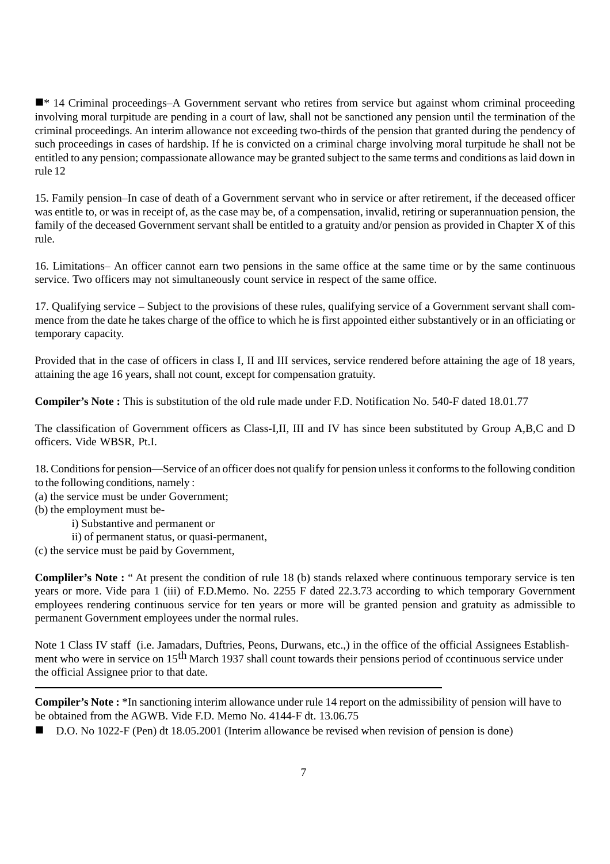■ <sup>\*</sup> 14 Criminal proceedings–A Government servant who retires from service but against whom criminal proceeding involving moral turpitude are pending in a court of law, shall not be sanctioned any pension until the termination of the criminal proceedings. An interim allowance not exceeding two-thirds of the pension that granted during the pendency of such proceedings in cases of hardship. If he is convicted on a criminal charge involving moral turpitude he shall not be entitled to any pension; compassionate allowance may be granted subject to the same terms and conditions as laid down in rule 12

15. Family pension–In case of death of a Government servant who in service or after retirement, if the deceased officer was entitle to, or was in receipt of, as the case may be, of a compensation, invalid, retiring or superannuation pension, the family of the deceased Government servant shall be entitled to a gratuity and/or pension as provided in Chapter X of this rule.

16. Limitations– An officer cannot earn two pensions in the same office at the same time or by the same continuous service. Two officers may not simultaneously count service in respect of the same office.

17. Qualifying service – Subject to the provisions of these rules, qualifying service of a Government servant shall commence from the date he takes charge of the office to which he is first appointed either substantively or in an officiating or temporary capacity.

Provided that in the case of officers in class I, II and III services, service rendered before attaining the age of 18 years, attaining the age 16 years, shall not count, except for compensation gratuity.

**Compiler's Note :** This is substitution of the old rule made under F.D. Notification No. 540-F dated 18.01.77

The classification of Government officers as Class-I,II, III and IV has since been substituted by Group A,B,C and D officers. Vide WBSR, Pt.I.

18. Conditions for pension—Service of an officer does not qualify for pension unless it conforms to the following condition to the following conditions, namely :

- (a) the service must be under Government;
- (b) the employment must be
	- i) Substantive and permanent or
	- ii) of permanent status, or quasi-permanent,
- (c) the service must be paid by Government,

**Compliler's Note :** " At present the condition of rule 18 (b) stands relaxed where continuous temporary service is ten years or more. Vide para 1 (iii) of F.D.Memo. No. 2255 F dated 22.3.73 according to which temporary Government employees rendering continuous service for ten years or more will be granted pension and gratuity as admissible to permanent Government employees under the normal rules.

Note 1 Class IV staff (i.e. Jamadars, Duftries, Peons, Durwans, etc.,) in the office of the official Assignees Establishment who were in service on 15<sup>th</sup> March 1937 shall count towards their pensions period of ccontinuous service under the official Assignee prior to that date.

**Compiler's Note :** \*In sanctioning interim allowance under rule 14 report on the admissibility of pension will have to be obtained from the AGWB. Vide F.D. Memo No. 4144-F dt. 13.06.75

■ D.O. No 1022-F (Pen) dt 18.05.2001 (Interim allowance be revised when revision of pension is done)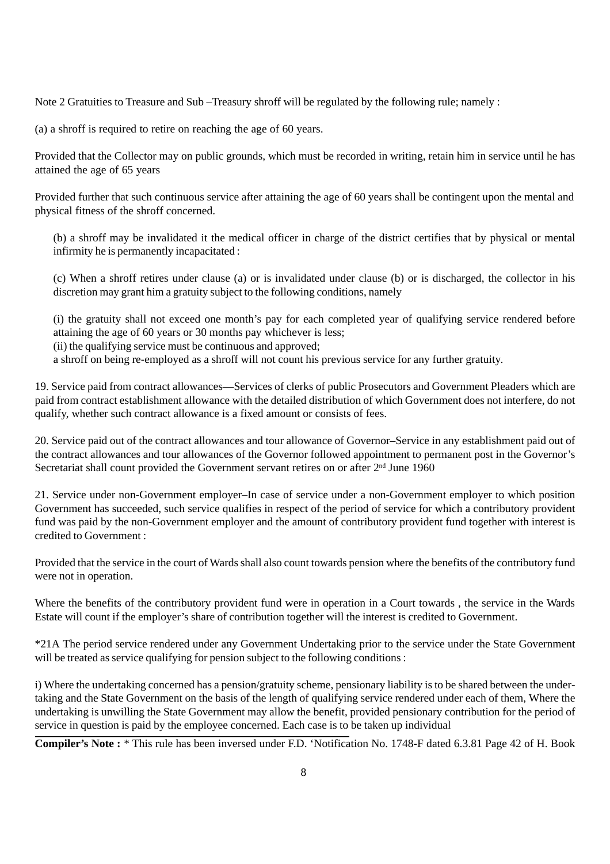Note 2 Gratuities to Treasure and Sub –Treasury shroff will be regulated by the following rule; namely :

(a) a shroff is required to retire on reaching the age of 60 years.

Provided that the Collector may on public grounds, which must be recorded in writing, retain him in service until he has attained the age of 65 years

Provided further that such continuous service after attaining the age of 60 years shall be contingent upon the mental and physical fitness of the shroff concerned.

(b) a shroff may be invalidated it the medical officer in charge of the district certifies that by physical or mental infirmity he is permanently incapacitated :

(c) When a shroff retires under clause (a) or is invalidated under clause (b) or is discharged, the collector in his discretion may grant him a gratuity subject to the following conditions, namely

(i) the gratuity shall not exceed one month's pay for each completed year of qualifying service rendered before attaining the age of 60 years or 30 months pay whichever is less;

(ii) the qualifying service must be continuous and approved;

a shroff on being re-employed as a shroff will not count his previous service for any further gratuity.

19. Service paid from contract allowances—Services of clerks of public Prosecutors and Government Pleaders which are paid from contract establishment allowance with the detailed distribution of which Government does not interfere, do not qualify, whether such contract allowance is a fixed amount or consists of fees.

20. Service paid out of the contract allowances and tour allowance of Governor–Service in any establishment paid out of the contract allowances and tour allowances of the Governor followed appointment to permanent post in the Governor's Secretariat shall count provided the Government servant retires on or after  $2<sup>nd</sup>$  June 1960

21. Service under non-Government employer–In case of service under a non-Government employer to which position Government has succeeded, such service qualifies in respect of the period of service for which a contributory provident fund was paid by the non-Government employer and the amount of contributory provident fund together with interest is credited to Government :

Provided that the service in the court of Wards shall also count towards pension where the benefits of the contributory fund were not in operation.

Where the benefits of the contributory provident fund were in operation in a Court towards , the service in the Wards Estate will count if the employer's share of contribution together will the interest is credited to Government.

\*21A The period service rendered under any Government Undertaking prior to the service under the State Government will be treated as service qualifying for pension subject to the following conditions :

i) Where the undertaking concerned has a pension/gratuity scheme, pensionary liability is to be shared between the undertaking and the State Government on the basis of the length of qualifying service rendered under each of them, Where the undertaking is unwilling the State Government may allow the benefit, provided pensionary contribution for the period of service in question is paid by the employee concerned. Each case is to be taken up individual

**Compiler's Note :** \* This rule has been inversed under F.D. 'Notification No. 1748-F dated 6.3.81 Page 42 of H. Book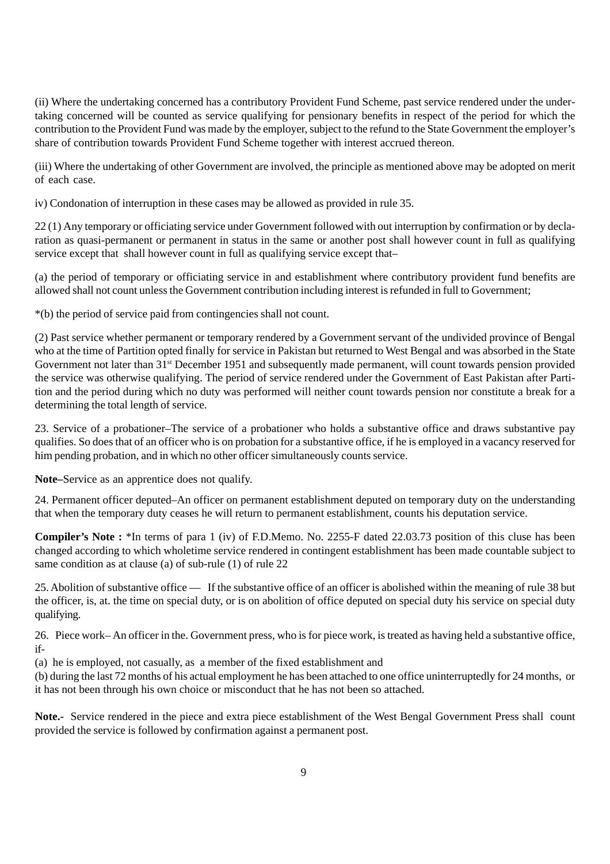(ii) Where the undertaking concerned has a contributory Provident Fund Scheme, past service rendered under the undertaking concerned will be counted as service qualifying for pensionary benefits in respect of the period for which the contribution to the Provident Fund was made by the employer, subject to the refund to the State Government the employer's share of contribution towards Provident Fund Scheme together with interest accrued thereon.

(iii) Where the undertaking of other Government are involved, the principle as mentioned above may be adopted on merit of each case.

iv) Condonation of interruption in these cases may be allowed as provided in rule 35.

22 (1) Any temporary or officiating service under Government followed with out interruption by confirmation or by declaration as quasi-permanent or permanent in status in the same or another post shall however count in full as qualifying service except that shall however count in full as qualifying service except that–

(a) the period of temporary or officiating service in and establishment where contributory provident fund benefits are allowed shall not count unless the Government contribution including interest is refunded in full to Government;

\*(b) the period of service paid from contingencies shall not count.

(2) Past service whether permanent or temporary rendered by a Government servant of the undivided province of Bengal who at the time of Partition opted finally for service in Pakistan but returned to West Bengal and was absorbed in the State Government not later than 31<sup>st</sup> December 1951 and subsequently made permanent, will count towards pension provided the service was otherwise qualifying. The period of service rendered under the Government of East Pakistan after Partition and the period during which no duty was performed will neither count towards pension nor constitute a break for a determining the total length of service.

23. Service of a probationer–The service of a probationer who holds a substantive office and draws substantive pay qualifies. So does that of an officer who is on probation for a substantive office, if he is employed in a vacancy reserved for him pending probation, and in which no other officer simultaneously counts service.

**Note–**Service as an apprentice does not qualify.

24. Permanent officer deputed–An officer on permanent establishment deputed on temporary duty on the understanding that when the temporary duty ceases he will return to permanent establishment, counts his deputation service.

**Compiler's Note :** \*In terms of para 1 (iv) of F.D.Memo. No. 2255-F dated 22.03.73 position of this cluse has been changed according to which wholetime service rendered in contingent establishment has been made countable subject to same condition as at clause (a) of sub-rule (1) of rule 22

25. Abolition of substantive office — If the substantive office of an officer is abolished within the meaning of rule 38 but the officer, is, at. the time on special duty, or is on abolition of office deputed on special duty his service on special duty qualifying.

26. Piece work– An officer in the. Government press, who is for piece work, is treated as having held a substantive office, if-

(a) he is employed, not casually, as a member of the fixed establishment and

(b) during the last 72 months of his actual employment he has been attached to one office uninterruptedly for 24 months, or it has not been through his own choice or misconduct that he has not been so attached.

**Note.-** Service rendered in the piece and extra piece establishment of the West Bengal Government Press shall count provided the service is followed by confirmation against a permanent post.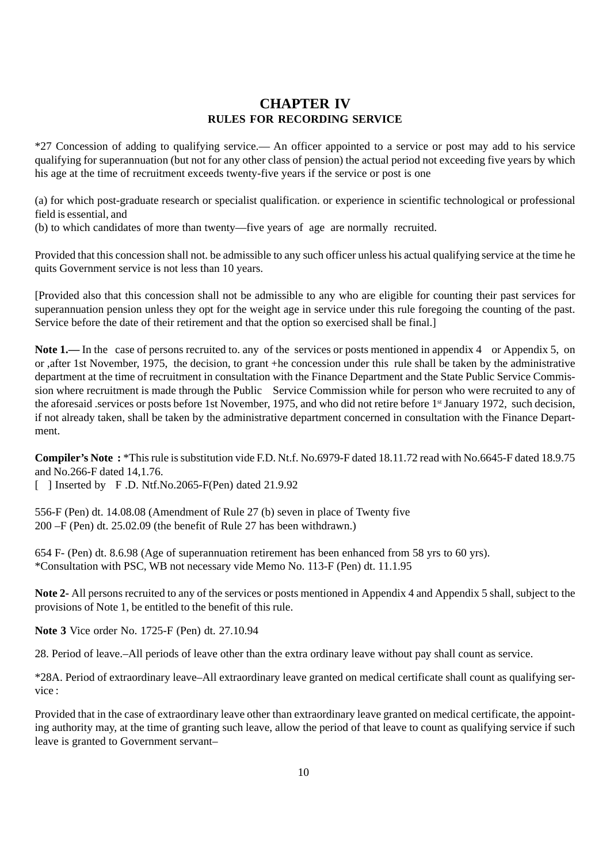#### **CHAPTER IV RULES FOR RECORDING SERVICE**

\*27 Concession of adding to qualifying service.— An officer appointed to a service or post may add to his service qualifying for superannuation (but not for any other class of pension) the actual period not exceeding five years by which his age at the time of recruitment exceeds twenty-five years if the service or post is one

(a) for which post-graduate research or specialist qualification. or experience in scientific technological or professional field is essential, and

(b) to which candidates of more than twenty—five years of age are normally recruited.

Provided that this concession shall not. be admissible to any such officer unless his actual qualifying service at the time he quits Government service is not less than 10 years.

[Provided also that this concession shall not be admissible to any who are eligible for counting their past services for superannuation pension unless they opt for the weight age in service under this rule foregoing the counting of the past. Service before the date of their retirement and that the option so exercised shall be final.]

Note 1.— In the case of persons recruited to. any of the services or posts mentioned in appendix 4 or Appendix 5, on or ,after 1st November, 1975, the decision, to grant +he concession under this rule shall be taken by the administrative department at the time of recruitment in consultation with the Finance Department and the State Public Service Commission where recruitment is made through the Public Service Commission while for person who were recruited to any of the aforesaid .services or posts before 1st November, 1975, and who did not retire before 1st January 1972, such decision, if not already taken, shall be taken by the administrative department concerned in consultation with the Finance Department.

**Compiler's Note :** \*This rule is substitution vide F.D. Nt.f. No.6979-F dated 18.11.72 read with No.6645-F dated 18.9.75 and No.266-F dated 14,1.76.

 $\lceil$  ] Inserted by F.D. Ntf.No.2065-F(Pen) dated 21.9.92

556-F (Pen) dt. 14.08.08 (Amendment of Rule 27 (b) seven in place of Twenty five 200 –F (Pen) dt. 25.02.09 (the benefit of Rule 27 has been withdrawn.)

654 F- (Pen) dt. 8.6.98 (Age of superannuation retirement has been enhanced from 58 yrs to 60 yrs). \*Consultation with PSC, WB not necessary vide Memo No. 113-F (Pen) dt. 11.1.95

**Note 2-** All persons recruited to any of the services or posts mentioned in Appendix 4 and Appendix 5 shall, subject to the provisions of Note 1, be entitled to the benefit of this rule.

**Note 3** Vice order No. 1725-F (Pen) dt. 27.10.94

28. Period of leave.–All periods of leave other than the extra ordinary leave without pay shall count as service.

\*28A. Period of extraordinary leave–All extraordinary leave granted on medical certificate shall count as qualifying service :

Provided that in the case of extraordinary leave other than extraordinary leave granted on medical certificate, the appointing authority may, at the time of granting such leave, allow the period of that leave to count as qualifying service if such leave is granted to Government servant–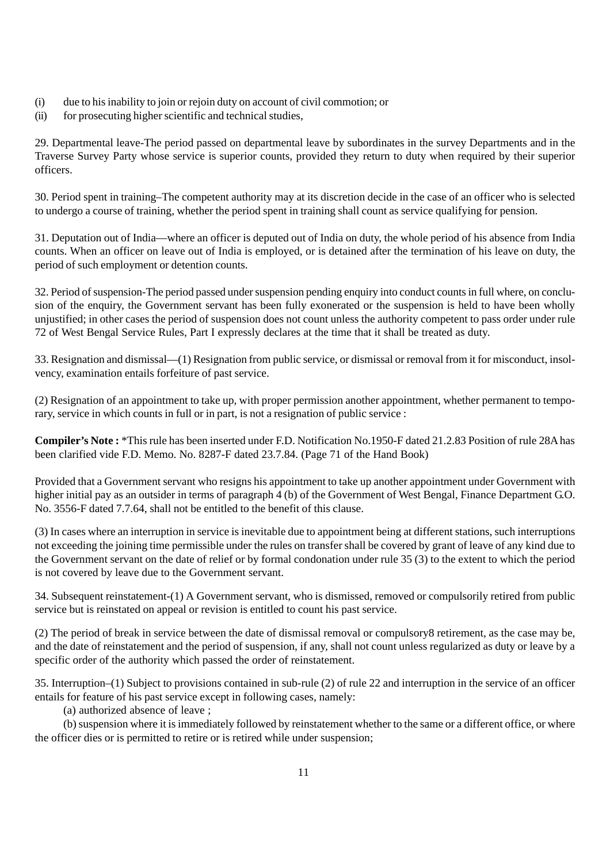- (i) due to his inability to join or rejoin duty on account of civil commotion; or
- (ii) for prosecuting higher scientific and technical studies,

29. Departmental leave-The period passed on departmental leave by subordinates in the survey Departments and in the Traverse Survey Party whose service is superior counts, provided they return to duty when required by their superior officers.

30. Period spent in training–The competent authority may at its discretion decide in the case of an officer who is selected to undergo a course of training, whether the period spent in training shall count as service qualifying for pension.

31. Deputation out of India—where an officer is deputed out of India on duty, the whole period of his absence from India counts. When an officer on leave out of India is employed, or is detained after the termination of his leave on duty, the period of such employment or detention counts.

32. Period of suspension-The period passed under suspension pending enquiry into conduct counts in full where, on conclusion of the enquiry, the Government servant has been fully exonerated or the suspension is held to have been wholly unjustified; in other cases the period of suspension does not count unless the authority competent to pass order under rule 72 of West Bengal Service Rules, Part I expressly declares at the time that it shall be treated as duty.

33. Resignation and dismissal—(1) Resignation from public service, or dismissal or removal from it for misconduct, insolvency, examination entails forfeiture of past service.

(2) Resignation of an appointment to take up, with proper permission another appointment, whether permanent to temporary, service in which counts in full or in part, is not a resignation of public service :

**Compiler's Note :** \*This rule has been inserted under F.D. Notification No.1950-F dated 21.2.83 Position of rule 28A has been clarified vide F.D. Memo. No. 8287-F dated 23.7.84. (Page 71 of the Hand Book)

Provided that a Government servant who resigns his appointment to take up another appointment under Government with higher initial pay as an outsider in terms of paragraph 4 (b) of the Government of West Bengal, Finance Department G.O. No. 3556-F dated 7.7.64, shall not be entitled to the benefit of this clause.

(3) In cases where an interruption in service is inevitable due to appointment being at different stations, such interruptions not exceeding the joining time permissible under the rules on transfer shall be covered by grant of leave of any kind due to the Government servant on the date of relief or by formal condonation under rule 35 (3) to the extent to which the period is not covered by leave due to the Government servant.

34. Subsequent reinstatement-(1) A Government servant, who is dismissed, removed or compulsorily retired from public service but is reinstated on appeal or revision is entitled to count his past service.

(2) The period of break in service between the date of dismissal removal or compulsory8 retirement, as the case may be, and the date of reinstatement and the period of suspension, if any, shall not count unless regularized as duty or leave by a specific order of the authority which passed the order of reinstatement.

35. Interruption–(1) Subject to provisions contained in sub-rule (2) of rule 22 and interruption in the service of an officer entails for feature of his past service except in following cases, namely:

(a) authorized absence of leave ;

(b) suspension where it is immediately followed by reinstatement whether to the same or a different office, or where the officer dies or is permitted to retire or is retired while under suspension;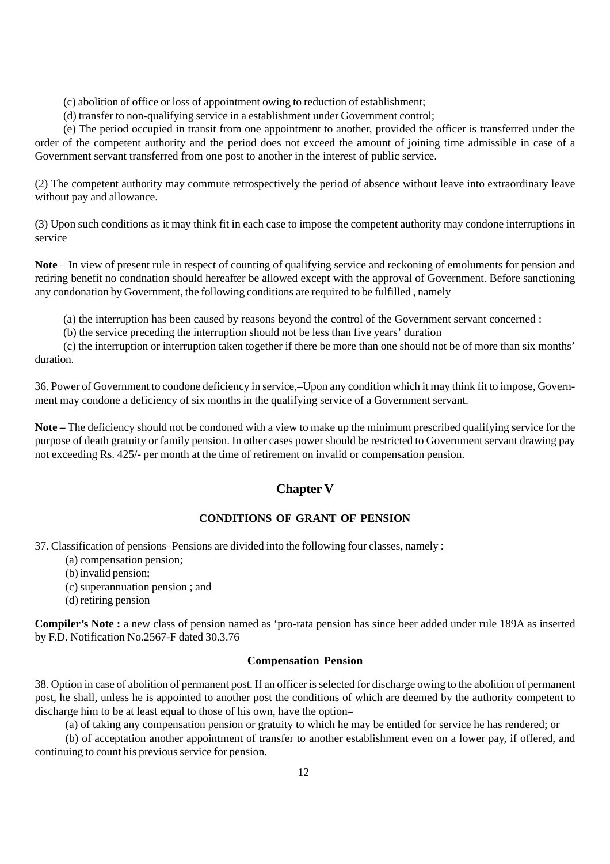(c) abolition of office or loss of appointment owing to reduction of establishment;

(d) transfer to non-qualifying service in a establishment under Government control;

(e) The period occupied in transit from one appointment to another, provided the officer is transferred under the order of the competent authority and the period does not exceed the amount of joining time admissible in case of a Government servant transferred from one post to another in the interest of public service.

(2) The competent authority may commute retrospectively the period of absence without leave into extraordinary leave without pay and allowance.

(3) Upon such conditions as it may think fit in each case to impose the competent authority may condone interruptions in service

**Note** – In view of present rule in respect of counting of qualifying service and reckoning of emoluments for pension and retiring benefit no condnation should hereafter be allowed except with the approval of Government. Before sanctioning any condonation by Government, the following conditions are required to be fulfilled , namely

(a) the interruption has been caused by reasons beyond the control of the Government servant concerned :

(b) the service preceding the interruption should not be less than five years' duration

(c) the interruption or interruption taken together if there be more than one should not be of more than six months' duration.

36. Power of Government to condone deficiency in service,–Upon any condition which it may think fit to impose, Government may condone a deficiency of six months in the qualifying service of a Government servant.

**Note –** The deficiency should not be condoned with a view to make up the minimum prescribed qualifying service for the purpose of death gratuity or family pension. In other cases power should be restricted to Government servant drawing pay not exceeding Rs. 425/- per month at the time of retirement on invalid or compensation pension.

#### **Chapter V**

#### **CONDITIONS OF GRANT OF PENSION**

37. Classification of pensions–Pensions are divided into the following four classes, namely :

- (a) compensation pension;
- (b) invalid pension;
- (c) superannuation pension ; and
- (d) retiring pension

**Compiler's Note :** a new class of pension named as 'pro-rata pension has since beer added under rule 189A as inserted by F.D. Notification No.2567-F dated 30.3.76

#### **Compensation Pension**

38. Option in case of abolition of permanent post. If an officer is selected for discharge owing to the abolition of permanent post, he shall, unless he is appointed to another post the conditions of which are deemed by the authority competent to discharge him to be at least equal to those of his own, have the option–

(a) of taking any compensation pension or gratuity to which he may be entitled for service he has rendered; or

(b) of acceptation another appointment of transfer to another establishment even on a lower pay, if offered, and continuing to count his previous service for pension.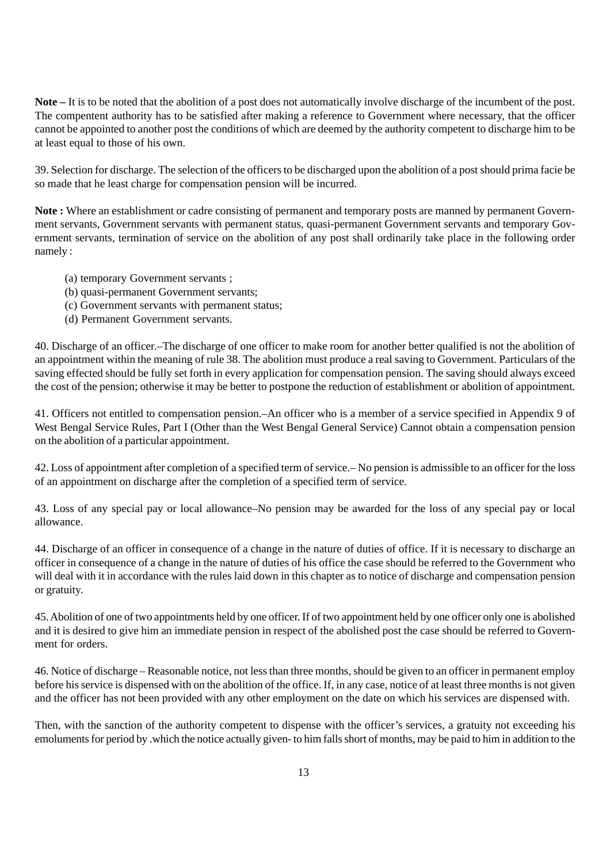**Note –** It is to be noted that the abolition of a post does not automatically involve discharge of the incumbent of the post. The compentent authority has to be satisfied after making a reference to Government where necessary, that the officer cannot be appointed to another post the conditions of which are deemed by the authority competent to discharge him to be at least equal to those of his own.

39. Selection for discharge. The selection of the officers to be discharged upon the abolition of a post should prima facie be so made that he least charge for compensation pension will be incurred.

**Note :** Where an establishment or cadre consisting of permanent and temporary posts are manned by permanent Government servants, Government servants with permanent status, quasi-permanent Government servants and temporary Government servants, termination of service on the abolition of any post shall ordinarily take place in the following order namely :

- (a) temporary Government servants ;
- (b) quasi-permanent Government servants;
- (c) Government servants with permanent status;
- (d) Permanent Government servants.

40. Discharge of an officer.–The discharge of one officer to make room for another better qualified is not the abolition of an appointment within the meaning of rule 38. The abolition must produce a real saving to Government. Particulars of the saving effected should be fully set forth in every application for compensation pension. The saving should always exceed the cost of the pension; otherwise it may be better to postpone the reduction of establishment or abolition of appointment.

41. Officers not entitled to compensation pension.–An officer who is a member of a service specified in Appendix 9 of West Bengal Service Rules, Part I (Other than the West Bengal General Service) Cannot obtain a compensation pension on the abolition of a particular appointment.

42. Loss of appointment after completion of a specified term of service.– No pension is admissible to an officer for the loss of an appointment on discharge after the completion of a specified term of service.

43. Loss of any special pay or local allowance–No pension may be awarded for the loss of any special pay or local allowance.

44. Discharge of an officer in consequence of a change in the nature of duties of office. If it is necessary to discharge an officer in consequence of a change in the nature of duties of his office the case should be referred to the Government who will deal with it in accordance with the rules laid down in this chapter as to notice of discharge and compensation pension or gratuity.

45. Abolition of one of two appointments held by one officer. If of two appointment held by one officer only one is abolished and it is desired to give him an immediate pension in respect of the abolished post the case should be referred to Government for orders.

46. Notice of discharge – Reasonable notice, not less than three months, should be given to an officer in permanent employ before his service is dispensed with on the abolition of the office. If, in any case, notice of at least three months is not given and the officer has not been provided with any other employment on the date on which his services are dispensed with.

Then, with the sanction of the authority competent to dispense with the officer's services, a gratuity not exceeding his emoluments for period by .which the notice actually given- to him falls short of months, may be paid to him in addition to the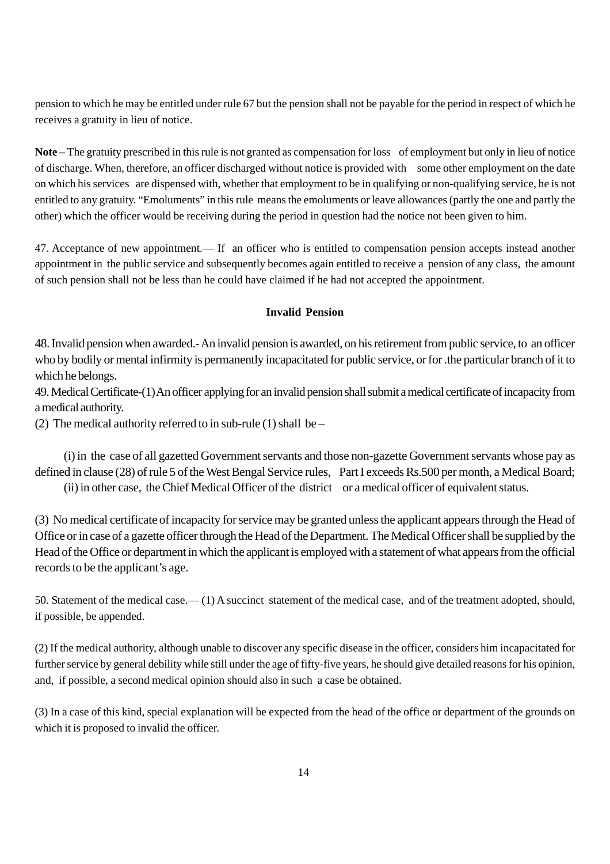pension to which he may be entitled under rule 67 but the pension shall not be payable for the period in respect of which he receives a gratuity in lieu of notice.

**Note –** The gratuity prescribed in this rule is not granted as compensation for loss of employment but only in lieu of notice of discharge. When, therefore, an officer discharged without notice is provided with some other employment on the date on which his services are dispensed with, whether that employment to be in qualifying or non-qualifying service, he is not entitled to any gratuity. "Emoluments" in this rule means the emoluments or leave allowances (partly the one and partly the other) which the officer would be receiving during the period in question had the notice not been given to him.

47. Acceptance of new appointment.— If an officer who is entitled to compensation pension accepts instead another appointment in the public service and subsequently becomes again entitled to receive a pension of any class, the amount of such pension shall not be less than he could have claimed if he had not accepted the appointment.

#### **Invalid Pension**

48. Invalid pension when awarded.- An invalid pension is awarded, on his retirement from public service, to an officer who by bodily or mental infirmity is permanently incapacitated for public service, or for .the particular branch of it to which he belongs.

49. Medical Certificate-(1) An officer applying for an invalid pension shall submit a medical certificate of incapacity from a medical authority.

(2) The medical authority referred to in sub-rule  $(1)$  shall be –

(i) in the case of all gazetted Government servants and those non-gazette Government servants whose pay as defined in clause (28) of rule 5 of the West Bengal Service rules, Part I exceeds Rs.500 per month, a Medical Board; (ii) in other case, the Chief Medical Officer of the district or a medical officer of equivalent status.

(3) No medical certificate of incapacity for service may be granted unless the applicant appears through the Head of Office or in case of a gazette officer through the Head of the Department. The Medical Officer shall be supplied by the Head of the Office or department in which the applicant is employed with a statement of what appears from the official records to be the applicant's age.

50. Statement of the medical case.— (1) A succinct statement of the medical case, and of the treatment adopted, should, if possible, be appended.

(2) If the medical authority, although unable to discover any specific disease in the officer, considers him incapacitated for further service by general debility while still under the age of fifty-five years, he should give detailed reasons for his opinion, and, if possible, a second medical opinion should also in such a case be obtained.

(3) In a case of this kind, special explanation will be expected from the head of the office or department of the grounds on which it is proposed to invalid the officer.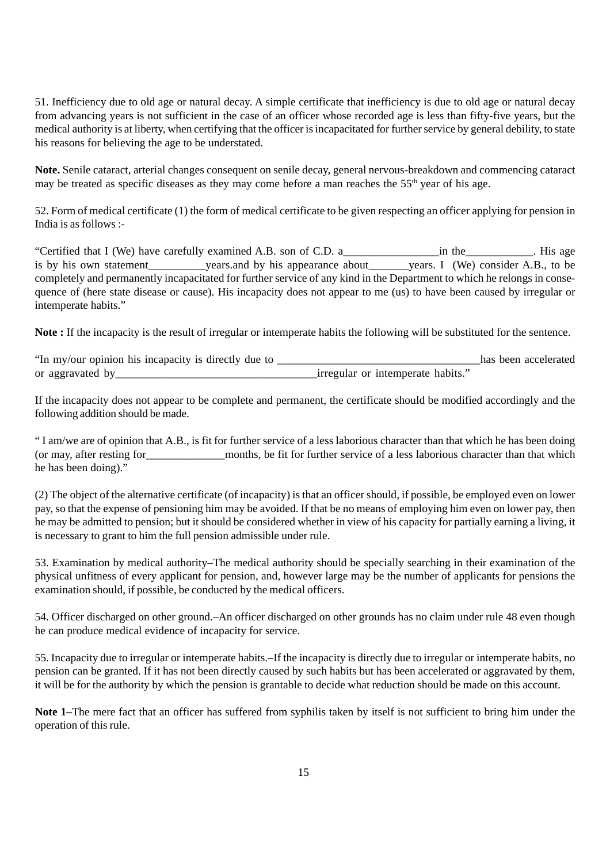51. Inefficiency due to old age or natural decay. A simple certificate that inefficiency is due to old age or natural decay from advancing years is not sufficient in the case of an officer whose recorded age is less than fifty-five years, but the medical authority is at liberty, when certifying that the officer is incapacitated for further service by general debility, to state his reasons for believing the age to be understated.

**Note.** Senile cataract, arterial changes consequent on senile decay, general nervous-breakdown and commencing cataract may be treated as specific diseases as they may come before a man reaches the 55<sup>th</sup> year of his age.

52. Form of medical certificate (1) the form of medical certificate to be given respecting an officer applying for pension in India is as follows :-

"Certified that I (We) have carefully examined A.B. son of C.D. a\_\_\_\_\_\_\_\_\_\_\_\_\_\_\_\_\_in the\_\_\_\_\_\_\_\_\_\_\_\_. His age is by his own statement\_\_\_\_\_\_\_\_\_\_years.and by his appearance about\_\_\_\_\_\_\_years. I (We) consider A.B., to be completely and permanently incapacitated for further service of any kind in the Department to which he relongs in consequence of (here state disease or cause). His incapacity does not appear to me (us) to have been caused by irregular or intemperate habits."

**Note :** If the incapacity is the result of irregular or intemperate habits the following will be substituted for the sentence.

"In my/our opinion his incapacity is directly due to \_\_\_\_\_\_\_\_\_\_\_\_\_\_\_\_\_\_\_\_\_\_\_\_\_\_\_\_\_\_\_\_\_\_\_\_has been accelerated or aggravated by\_\_\_\_\_\_\_\_\_\_\_\_\_\_\_\_\_\_\_\_\_\_\_\_\_\_\_\_\_\_\_\_\_\_\_irregular or intemperate habits."

If the incapacity does not appear to be complete and permanent, the certificate should be modified accordingly and the following addition should be made.

" I am/we are of opinion that A.B., is fit for further service of a less laborious character than that which he has been doing (or may, after resting for\_\_\_\_\_\_\_\_\_\_\_\_\_\_months, be fit for further service of a less laborious character than that which he has been doing)."

(2) The object of the alternative certificate (of incapacity) is that an officer should, if possible, be employed even on lower pay, so that the expense of pensioning him may be avoided. If that be no means of employing him even on lower pay, then he may be admitted to pension; but it should be considered whether in view of his capacity for partially earning a living, it is necessary to grant to him the full pension admissible under rule.

53. Examination by medical authority–The medical authority should be specially searching in their examination of the physical unfitness of every applicant for pension, and, however large may be the number of applicants for pensions the examination should, if possible, be conducted by the medical officers.

54. Officer discharged on other ground.–An officer discharged on other grounds has no claim under rule 48 even though he can produce medical evidence of incapacity for service.

55. Incapacity due to irregular or intemperate habits.–If the incapacity is directly due to irregular or intemperate habits, no pension can be granted. If it has not been directly caused by such habits but has been accelerated or aggravated by them, it will be for the authority by which the pension is grantable to decide what reduction should be made on this account.

**Note 1–**The mere fact that an officer has suffered from syphilis taken by itself is not sufficient to bring him under the operation of this rule.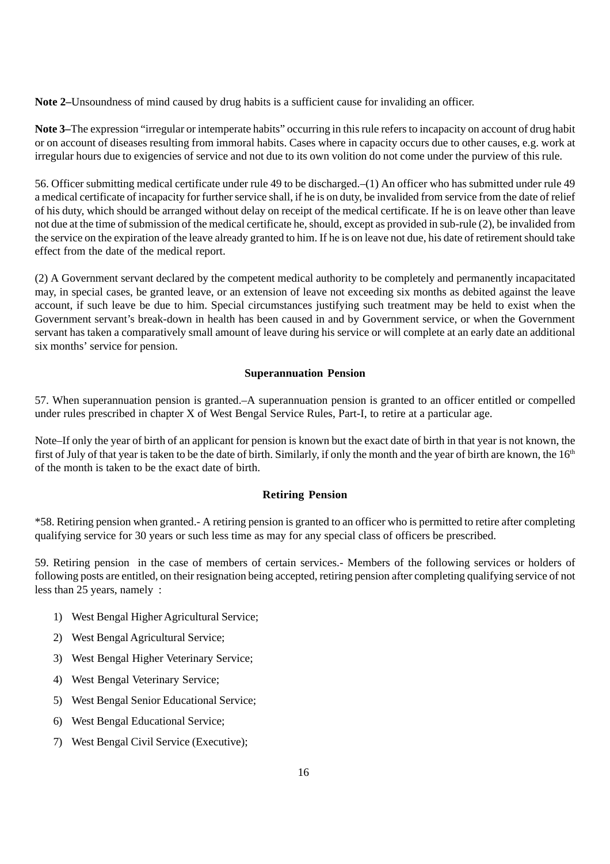**Note 2–**Unsoundness of mind caused by drug habits is a sufficient cause for invaliding an officer.

**Note 3–**The expression "irregular or intemperate habits" occurring in this rule refers to incapacity on account of drug habit or on account of diseases resulting from immoral habits. Cases where in capacity occurs due to other causes, e.g. work at irregular hours due to exigencies of service and not due to its own volition do not come under the purview of this rule.

56. Officer submitting medical certificate under rule 49 to be discharged.–(1) An officer who has submitted under rule 49 a medical certificate of incapacity for further service shall, if he is on duty, be invalided from service from the date of relief of his duty, which should be arranged without delay on receipt of the medical certificate. If he is on leave other than leave not due at the time of submission of the medical certificate he, should, except as provided in sub-rule (2), be invalided from the service on the expiration of the leave already granted to him. If he is on leave not due, his date of retirement should take effect from the date of the medical report.

(2) A Government servant declared by the competent medical authority to be completely and permanently incapacitated may, in special cases, be granted leave, or an extension of leave not exceeding six months as debited against the leave account, if such leave be due to him. Special circumstances justifying such treatment may be held to exist when the Government servant's break-down in health has been caused in and by Government service, or when the Government servant has taken a comparatively small amount of leave during his service or will complete at an early date an additional six months' service for pension.

#### **Superannuation Pension**

57. When superannuation pension is granted.–A superannuation pension is granted to an officer entitled or compelled under rules prescribed in chapter X of West Bengal Service Rules, Part-I, to retire at a particular age.

Note–If only the year of birth of an applicant for pension is known but the exact date of birth in that year is not known, the first of July of that year is taken to be the date of birth. Similarly, if only the month and the year of birth are known, the 16<sup>th</sup> of the month is taken to be the exact date of birth.

#### **Retiring Pension**

\*58. Retiring pension when granted.- A retiring pension is granted to an officer who is permitted to retire after completing qualifying service for 30 years or such less time as may for any special class of officers be prescribed.

59. Retiring pension in the case of members of certain services.- Members of the following services or holders of following posts are entitled, on their resignation being accepted, retiring pension after completing qualifying service of not less than 25 years, namely :

- 1) West Bengal Higher Agricultural Service;
- 2) West Bengal Agricultural Service;
- 3) West Bengal Higher Veterinary Service;
- 4) West Bengal Veterinary Service;
- 5) West Bengal Senior Educational Service;
- 6) West Bengal Educational Service;
- 7) West Bengal Civil Service (Executive);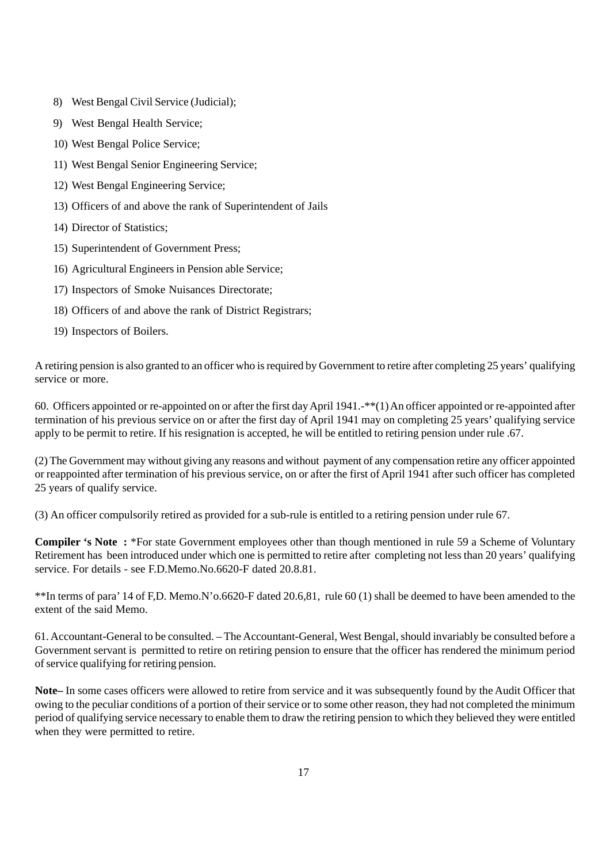- 8) West Bengal Civil Service (Judicial);
- 9) West Bengal Health Service;
- 10) West Bengal Police Service;
- 11) West Bengal Senior Engineering Service;
- 12) West Bengal Engineering Service;
- 13) Officers of and above the rank of Superintendent of Jails
- 14) Director of Statistics;
- 15) Superintendent of Government Press;
- 16) Agricultural Engineers in Pension able Service;
- 17) Inspectors of Smoke Nuisances Directorate;
- 18) Officers of and above the rank of District Registrars;
- 19) Inspectors of Boilers.

A retiring pension is also granted to an officer who is required by Government to retire after completing 25 years' qualifying service or more.

60. Officers appointed or re-appointed on or after the first day April 1941.-\*\*(1) An officer appointed or re-appointed after termination of his previous service on or after the first day of April 1941 may on completing 25 years' qualifying service apply to be permit to retire. If his resignation is accepted, he will be entitled to retiring pension under rule .67.

(2) The Government may without giving any reasons and without payment of any compensation retire any officer appointed or reappointed after termination of his previous service, on or after the first of April 1941 after such officer has completed 25 years of qualify service.

(3) An officer compulsorily retired as provided for a sub-rule is entitled to a retiring pension under rule 67.

**Compiler 's Note :** \*For state Government employees other than though mentioned in rule 59 a Scheme of Voluntary Retirement has been introduced under which one is permitted to retire after completing not less than 20 years' qualifying service. For details - see FD Memo No.6620-F dated 20.8.81.

\*\*In terms of para' 14 of F,D. Memo.N'o.6620-F dated 20.6,81, rule 60 (1) shall be deemed to have been amended to the extent of the said Memo.

61. Accountant-General to be consulted. – The Accountant-General, West Bengal, should invariably be consulted before a Government servant is permitted to retire on retiring pension to ensure that the officer has rendered the minimum period of service qualifying for retiring pension.

**Note–** In some cases officers were allowed to retire from service and it was subsequently found by the Audit Officer that owing to the peculiar conditions of a portion of their service or to some other reason, they had not completed the minimum period of qualifying service necessary to enable them to draw the retiring pension to which they believed they were entitled when they were permitted to retire.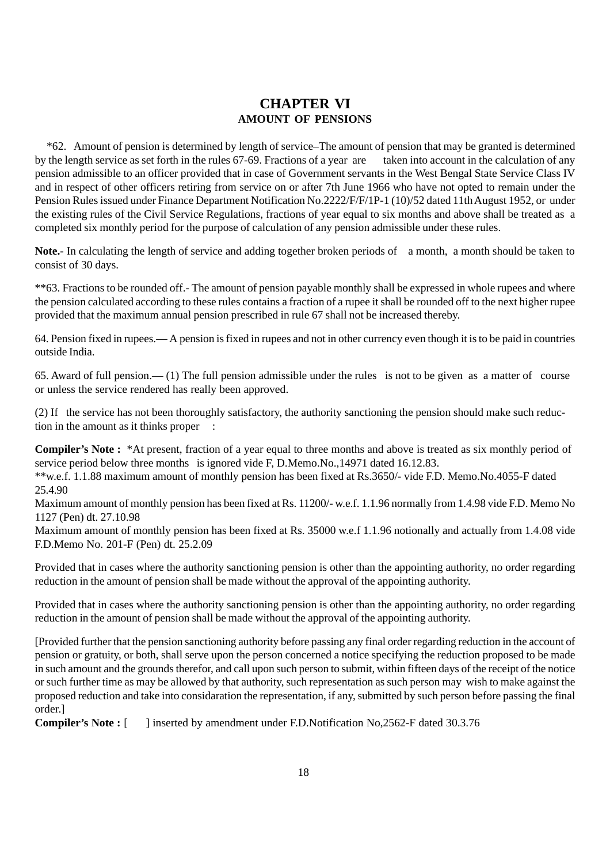### **CHAPTER VI AMOUNT OF PENSIONS**

 \*62. Amount of pension is determined by length of service–The amount of pension that may be granted is determined by the length service as set forth in the rules 67-69. Fractions of a year are taken into account in the calculation of any pension admissible to an officer provided that in case of Government servants in the West Bengal State Service Class IV and in respect of other officers retiring from service on or after 7th June 1966 who have not opted to remain under the Pension Rules issued under Finance Department Notification No.2222/F/F/1P-1 (10)/52 dated 11th August 1952, or under the existing rules of the Civil Service Regulations, fractions of year equal to six months and above shall be treated as a completed six monthly period for the purpose of calculation of any pension admissible under these rules.

**Note.-** In calculating the length of service and adding together broken periods of a month, a month should be taken to consist of 30 days.

\*\*63. Fractions to be rounded off.- The amount of pension payable monthly shall be expressed in whole rupees and where the pension calculated according to these rules contains a fraction of a rupee it shall be rounded off to the next higher rupee provided that the maximum annual pension prescribed in rule 67 shall not be increased thereby.

64. Pension fixed in rupees.— A pension is fixed in rupees and not in other currency even though it is to be paid in countries outside India.

65. Award of full pension.— (1) The full pension admissible under the rules is not to be given as a matter of course or unless the service rendered has really been approved.

(2) If the service has not been thoroughly satisfactory, the authority sanctioning the pension should make such reduction in the amount as it thinks proper :

**Compiler's Note :** \*At present, fraction of a year equal to three months and above is treated as six monthly period of service period below three months is ignored vide F, D.Memo.No.,14971 dated 16.12.83.

\*\*w.e.f. 1.1.88 maximum amount of monthly pension has been fixed at Rs.3650/- vide F.D. Memo.No.4055-F dated 25.4.90

Maximum amount of monthly pension has been fixed at Rs. 11200/- w.e.f. 1.1.96 normally from 1.4.98 vide F.D. Memo No 1127 (Pen) dt. 27.10.98

Maximum amount of monthly pension has been fixed at Rs. 35000 w.e.f 1.1.96 notionally and actually from 1.4.08 vide F.D.Memo No. 201-F (Pen) dt. 25.2.09

Provided that in cases where the authority sanctioning pension is other than the appointing authority, no order regarding reduction in the amount of pension shall be made without the approval of the appointing authority.

Provided that in cases where the authority sanctioning pension is other than the appointing authority, no order regarding reduction in the amount of pension shall be made without the approval of the appointing authority.

[Provided further that the pension sanctioning authority before passing any final order regarding reduction in the account of pension or gratuity, or both, shall serve upon the person concerned a notice specifying the reduction proposed to be made in such amount and the grounds therefor, and call upon such person to submit, within fifteen days of the receipt of the notice or such further time as may be allowed by that authority, such representation as such person may wish to make against the proposed reduction and take into considaration the representation, if any, submitted by such person before passing the final order.]

**Compiler's Note :** [ ] inserted by amendment under F.D.Notification No,2562-F dated 30.3.76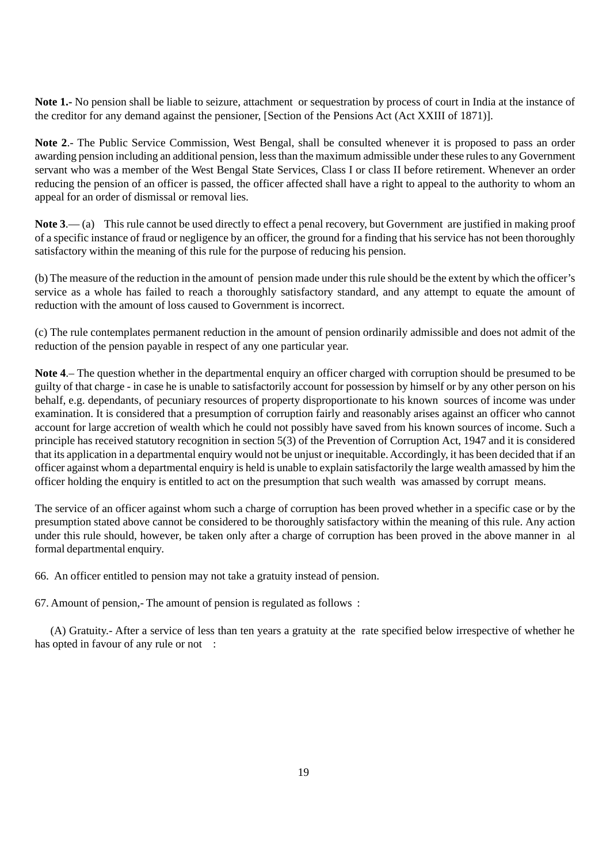**Note 1.-** No pension shall be liable to seizure, attachment or sequestration by process of court in India at the instance of the creditor for any demand against the pensioner, [Section of the Pensions Act (Act XXIII of 1871)].

**Note 2**.- The Public Service Commission, West Bengal, shall be consulted whenever it is proposed to pass an order awarding pension including an additional pension, less than the maximum admissible under these rules to any Government servant who was a member of the West Bengal State Services, Class I or class II before retirement. Whenever an order reducing the pension of an officer is passed, the officer affected shall have a right to appeal to the authority to whom an appeal for an order of dismissal or removal lies.

**Note 3**.— (a) This rule cannot be used directly to effect a penal recovery, but Government are justified in making proof of a specific instance of fraud or negligence by an officer, the ground for a finding that his service has not been thoroughly satisfactory within the meaning of this rule for the purpose of reducing his pension.

(b) The measure of the reduction in the amount of pension made under this rule should be the extent by which the officer's service as a whole has failed to reach a thoroughly satisfactory standard, and any attempt to equate the amount of reduction with the amount of loss caused to Government is incorrect.

(c) The rule contemplates permanent reduction in the amount of pension ordinarily admissible and does not admit of the reduction of the pension payable in respect of any one particular year.

**Note 4**.– The question whether in the departmental enquiry an officer charged with corruption should be presumed to be guilty of that charge - in case he is unable to satisfactorily account for possession by himself or by any other person on his behalf, e.g. dependants, of pecuniary resources of property disproportionate to his known sources of income was under examination. It is considered that a presumption of corruption fairly and reasonably arises against an officer who cannot account for large accretion of wealth which he could not possibly have saved from his known sources of income. Such a principle has received statutory recognition in section 5(3) of the Prevention of Corruption Act, 1947 and it is considered that its application in a departmental enquiry would not be unjust or inequitable. Accordingly, it has been decided that if an officer against whom a departmental enquiry is held is unable to explain satisfactorily the large wealth amassed by him the officer holding the enquiry is entitled to act on the presumption that such wealth was amassed by corrupt means.

The service of an officer against whom such a charge of corruption has been proved whether in a specific case or by the presumption stated above cannot be considered to be thoroughly satisfactory within the meaning of this rule. Any action under this rule should, however, be taken only after a charge of corruption has been proved in the above manner in al formal departmental enquiry.

66. An officer entitled to pension may not take a gratuity instead of pension.

67. Amount of pension,- The amount of pension is regulated as follows :

 (A) Gratuity.- After a service of less than ten years a gratuity at the rate specified below irrespective of whether he has opted in favour of any rule or not :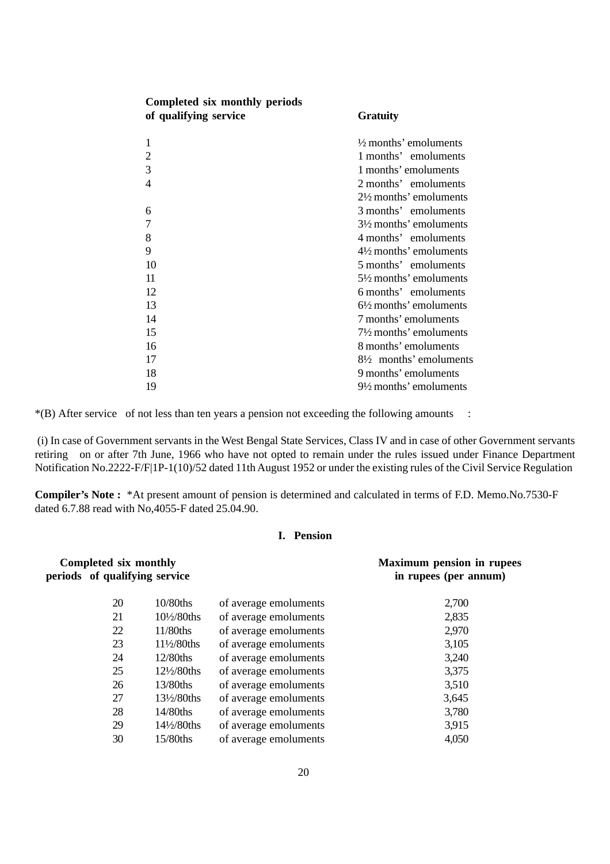| Completed six monthly periods |                                   |
|-------------------------------|-----------------------------------|
| of qualifying service         | <b>Gratuity</b>                   |
| 1                             | $\frac{1}{2}$ months' emoluments  |
| $\overline{2}$                | 1 months' emoluments              |
| 3                             | 1 months' emoluments              |
| $\overline{4}$                | 2 months' emoluments              |
|                               | $2\frac{1}{2}$ months' emoluments |
| 6                             | 3 months' emoluments              |
| $\overline{7}$                | $3\frac{1}{2}$ months' emoluments |
| 8                             | 4 months' emoluments              |
| 9                             | $4\frac{1}{2}$ months' emoluments |
| 10                            | 5 months' emoluments              |
| 11                            | $5\frac{1}{2}$ months' emoluments |
| 12                            | 6 months' emoluments              |
| 13                            | $6\frac{1}{2}$ months' emoluments |
| 14                            | 7 months' emoluments              |
| 15                            | $7\frac{1}{2}$ months' emoluments |
| 16                            | 8 months' emoluments              |
| 17                            | $8\frac{1}{2}$ months' emoluments |
| 18                            | 9 months' emoluments              |
| 19                            | $9\frac{1}{2}$ months' emoluments |

\*(B) After service of not less than ten years a pension not exceeding the following amounts :

 (i) In case of Government servants in the West Bengal State Services, Class IV and in case of other Government servants retiring on or after 7th June, 1966 who have not opted to remain under the rules issued under Finance Department Notification No.2222-F/F|1P-1(10)/52 dated 11th August 1952 or under the existing rules of the Civil Service Regulation

**Compiler's Note :** \*At present amount of pension is determined and calculated in terms of F.D. Memo.No.7530-F dated 6.7.88 read with No,4055-F dated 25.04.90.

#### **I. Pension**

| Completed six monthly<br>periods of qualifying service |                       | <b>Maximum pension in rupees</b><br>in rupees (per annum) |       |
|--------------------------------------------------------|-----------------------|-----------------------------------------------------------|-------|
| 20                                                     | $10/80$ ths           | of average emoluments                                     | 2,700 |
| 21                                                     | $10\frac{1}{2}$ 80ths | of average emoluments                                     | 2,835 |
| 22                                                     | $11/80$ ths           | of average emoluments                                     | 2,970 |
| 23                                                     | 11½/80ths             | of average emoluments                                     | 3,105 |
| 24                                                     | $12/80$ ths           | of average emoluments                                     | 3,240 |
| 25                                                     | $12\frac{1}{2}$ 80ths | of average emoluments                                     | 3,375 |
| 26                                                     | 13/80ths              | of average emoluments                                     | 3,510 |
| 27                                                     | $13\frac{1}{2}80$ ths | of average emoluments                                     | 3,645 |
| 28                                                     | 14/80ths              | of average emoluments                                     | 3,780 |
| 29                                                     | $14\frac{1}{2}80$ ths | of average emoluments                                     | 3,915 |
| 30                                                     | $15/80$ ths           | of average emoluments                                     | 4,050 |
|                                                        |                       |                                                           |       |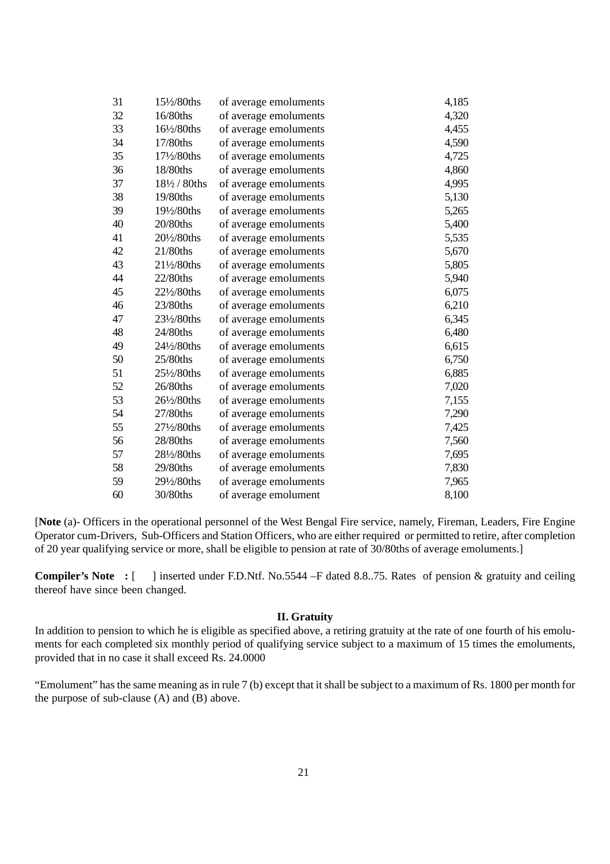| 31 | 15½/80ths     | of average emoluments | 4,185 |
|----|---------------|-----------------------|-------|
| 32 | 16/80ths      | of average emoluments | 4,320 |
| 33 | 16½/80ths     | of average emoluments | 4,455 |
| 34 | 17/80ths      | of average emoluments | 4,590 |
| 35 | 171/2/80ths   | of average emoluments | 4,725 |
| 36 | 18/80ths      | of average emoluments | 4,860 |
| 37 | 181/2 / 80ths | of average emoluments | 4,995 |
| 38 | 19/80ths      | of average emoluments | 5,130 |
| 39 | 191/2/80ths   | of average emoluments | 5,265 |
| 40 | 20/80ths      | of average emoluments | 5,400 |
| 41 | 201/2/80ths   | of average emoluments | 5,535 |
| 42 | 21/80ths      | of average emoluments | 5,670 |
| 43 | 211/2/80ths   | of average emoluments | 5,805 |
| 44 | 22/80ths      | of average emoluments | 5,940 |
| 45 | 221/2/80ths   | of average emoluments | 6,075 |
| 46 | 23/80ths      | of average emoluments | 6,210 |
| 47 | 231/2/80ths   | of average emoluments | 6,345 |
| 48 | 24/80ths      | of average emoluments | 6,480 |
| 49 | 241/2/80ths   | of average emoluments | 6,615 |
| 50 | 25/80ths      | of average emoluments | 6,750 |
| 51 | 251/2/80ths   | of average emoluments | 6,885 |
| 52 | 26/80ths      | of average emoluments | 7,020 |
| 53 | 26½/80ths     | of average emoluments | 7,155 |
| 54 | 27/80ths      | of average emoluments | 7,290 |
| 55 | 271/2/80ths   | of average emoluments | 7,425 |
| 56 | 28/80ths      | of average emoluments | 7,560 |
| 57 | 281/2/80ths   | of average emoluments | 7,695 |
| 58 | 29/80ths      | of average emoluments | 7,830 |
| 59 | 291/2/80ths   | of average emoluments | 7,965 |
| 60 | 30/80ths      | of average emolument  | 8,100 |

[**Note** (a)- Officers in the operational personnel of the West Bengal Fire service, namely, Fireman, Leaders, Fire Engine Operator cum-Drivers, Sub-Officers and Station Officers, who are either required or permitted to retire, after completion of 20 year qualifying service or more, shall be eligible to pension at rate of 30/80ths of average emoluments.]

**Compiler's Note** : [ ] inserted under F.D.Ntf. No.5544 –F dated 8.8..75. Rates of pension & gratuity and ceiling thereof have since been changed.

#### **II. Gratuity**

In addition to pension to which he is eligible as specified above, a retiring gratuity at the rate of one fourth of his emoluments for each completed six monthly period of qualifying service subject to a maximum of 15 times the emoluments, provided that in no case it shall exceed Rs. 24.0000

"Emolument" has the same meaning as in rule 7 (b) except that it shall be subject to a maximum of Rs. 1800 per month for the purpose of sub-clause (A) and (B) above.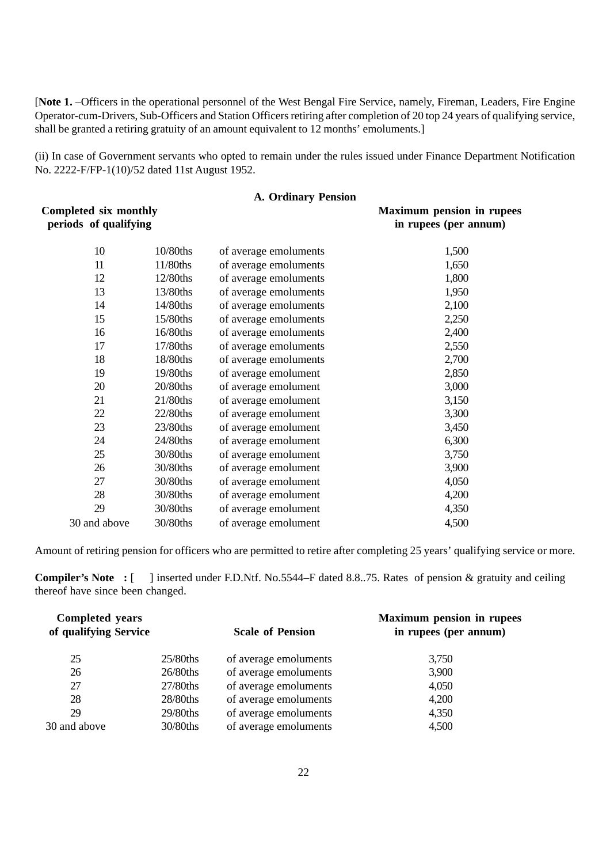[**Note 1.** –Officers in the operational personnel of the West Bengal Fire Service, namely, Fireman, Leaders, Fire Engine Operator-cum-Drivers, Sub-Officers and Station Officers retiring after completion of 20 top 24 years of qualifying service, shall be granted a retiring gratuity of an amount equivalent to 12 months' emoluments.]

(ii) In case of Government servants who opted to remain under the rules issued under Finance Department Notification No. 2222-F/FP-1(10)/52 dated 11st August 1952.

|                                                       |          | <b>A. Ordinary Pension</b> |                                                           |
|-------------------------------------------------------|----------|----------------------------|-----------------------------------------------------------|
| <b>Completed six monthly</b><br>periods of qualifying |          |                            | <b>Maximum pension in rupees</b><br>in rupees (per annum) |
| 10                                                    | 10/80ths | of average emoluments      | 1,500                                                     |
| 11                                                    | 11/80ths | of average emoluments      | 1,650                                                     |
| 12                                                    | 12/80ths | of average emoluments      | 1,800                                                     |
| 13                                                    | 13/80ths | of average emoluments      | 1,950                                                     |
| 14                                                    | 14/80ths | of average emoluments      | 2,100                                                     |
| 15                                                    | 15/80ths | of average emoluments      | 2,250                                                     |
| 16                                                    | 16/80ths | of average emoluments      | 2,400                                                     |
| 17                                                    | 17/80ths | of average emoluments      | 2,550                                                     |
| 18                                                    | 18/80ths | of average emoluments      | 2,700                                                     |
| 19                                                    | 19/80ths | of average emolument       | 2,850                                                     |
| 20                                                    | 20/80ths | of average emolument       | 3,000                                                     |
| 21                                                    | 21/80ths | of average emolument       | 3,150                                                     |
| 22                                                    | 22/80ths | of average emolument       | 3,300                                                     |
| 23                                                    | 23/80ths | of average emolument       | 3,450                                                     |
| 24                                                    | 24/80ths | of average emolument       | 6,300                                                     |
| 25                                                    | 30/80ths | of average emolument       | 3,750                                                     |
| 26                                                    | 30/80ths | of average emolument       | 3,900                                                     |
| 27                                                    | 30/80ths | of average emolument       | 4,050                                                     |
| 28                                                    | 30/80ths | of average emolument       | 4,200                                                     |
| 29                                                    | 30/80ths | of average emolument       | 4,350                                                     |
| 30 and above                                          | 30/80ths | of average emolument       | 4,500                                                     |

Amount of retiring pension for officers who are permitted to retire after completing 25 years' qualifying service or more.

**Compiler's Note** : [ ] inserted under F.D.Ntf. No.5544–F dated 8.8..75. Rates of pension & gratuity and ceiling thereof have since been changed.

| <b>Scale of Pension</b> |                       | <b>Maximum pension in rupees</b><br>in rupees (per annum) |  |
|-------------------------|-----------------------|-----------------------------------------------------------|--|
| $25/80$ ths             | of average emoluments | 3,750                                                     |  |
| 26/80ths                | of average emoluments | 3,900                                                     |  |
| 27/80ths                | of average emoluments | 4,050                                                     |  |
| 28/80ths                | of average emoluments | 4,200                                                     |  |
| 29/80ths                | of average emoluments | 4,350                                                     |  |
| 30/80ths                | of average emoluments | 4,500                                                     |  |
|                         | of qualifying Service |                                                           |  |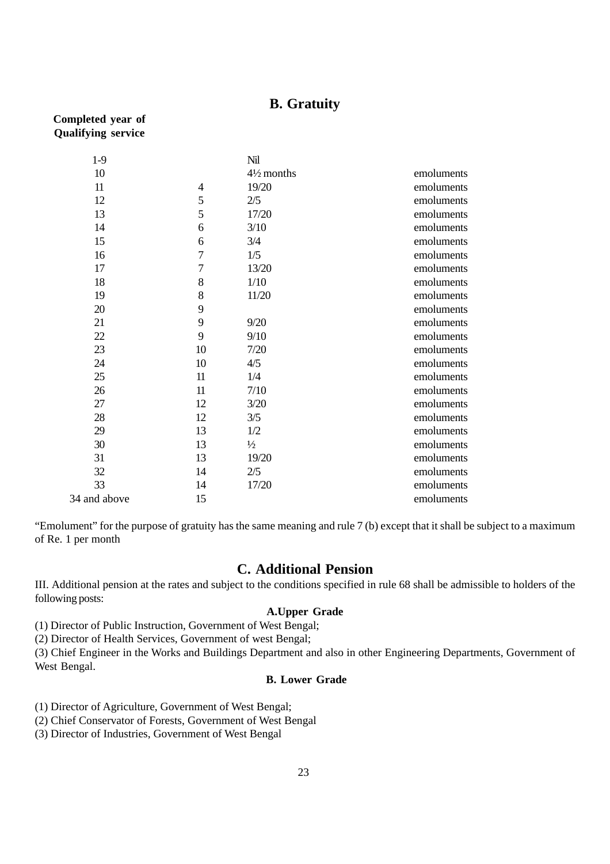#### **B. Gratuity**

#### **Completed year of Qualifying service**

| $1-9$        |                | Nil                   |            |
|--------------|----------------|-----------------------|------------|
| 10           |                | $4\frac{1}{2}$ months | emoluments |
| 11           | $\overline{4}$ | 19/20                 | emoluments |
| 12           | 5              | 2/5                   | emoluments |
| 13           | 5              | 17/20                 | emoluments |
| 14           | 6              | 3/10                  | emoluments |
| 15           | 6              | 3/4                   | emoluments |
| 16           | $\overline{7}$ | 1/5                   | emoluments |
| 17           | $\overline{7}$ | 13/20                 | emoluments |
| 18           | 8              | 1/10                  | emoluments |
| 19           | 8              | 11/20                 | emoluments |
| 20           | 9              |                       | emoluments |
| 21           | 9              | 9/20                  | emoluments |
| 22           | 9              | 9/10                  | emoluments |
| 23           | 10             | 7/20                  | emoluments |
| 24           | 10             | 4/5                   | emoluments |
| 25           | 11             | 1/4                   | emoluments |
| 26           | 11             | 7/10                  | emoluments |
| 27           | 12             | 3/20                  | emoluments |
| 28           | 12             | 3/5                   | emoluments |
| 29           | 13             | 1/2                   | emoluments |
| 30           | 13             | $\frac{1}{2}$         | emoluments |
| 31           | 13             | 19/20                 | emoluments |
| 32           | 14             | 2/5                   | emoluments |
| 33           | 14             | 17/20                 | emoluments |
| 34 and above | 15             |                       | emoluments |

"Emolument" for the purpose of gratuity has the same meaning and rule 7 (b) except that it shall be subject to a maximum of Re. 1 per month

#### **C. Additional Pension**

III. Additional pension at the rates and subject to the conditions specified in rule 68 shall be admissible to holders of the following posts:

#### **A.Upper Grade**

(1) Director of Public Instruction, Government of West Bengal;

(2) Director of Health Services, Government of west Bengal;

(3) Chief Engineer in the Works and Buildings Department and also in other Engineering Departments, Government of West Bengal.

#### **B. Lower Grade**

(1) Director of Agriculture, Government of West Bengal;

(2) Chief Conservator of Forests, Government of West Bengal

(3) Director of Industries, Government of West Bengal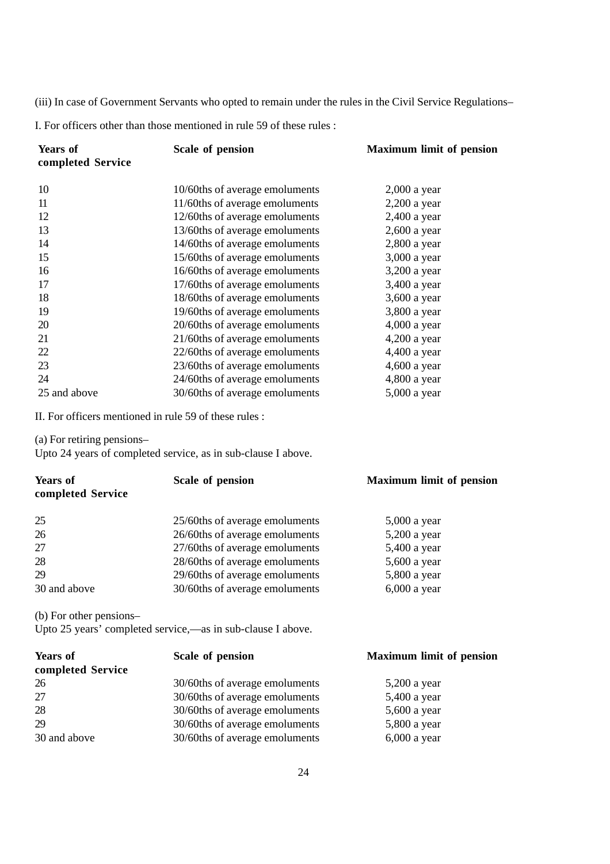(iii) In case of Government Servants who opted to remain under the rules in the Civil Service Regulations–

I. For officers other than those mentioned in rule 59 of these rules :

| <b>Years of</b>            | Scale of pension                                              | <b>Maximum limit of pension</b> |
|----------------------------|---------------------------------------------------------------|---------------------------------|
| completed Service          |                                                               |                                 |
|                            |                                                               |                                 |
| 10                         | 10/60ths of average emoluments                                | $2,000$ a year                  |
| 11                         | 11/60ths of average emoluments                                | $2,200$ a year                  |
| 12                         | 12/60ths of average emoluments                                | $2,400$ a year                  |
| 13                         | 13/60ths of average emoluments                                | 2,600 a year                    |
| 14                         | 14/60ths of average emoluments                                | 2,800 a year                    |
| 15                         | 15/60ths of average emoluments                                | 3,000 a year                    |
| 16                         | 16/60ths of average emoluments                                | 3,200 a year                    |
| 17                         | 17/60ths of average emoluments                                | 3,400 a year                    |
| 18                         | 18/60ths of average emoluments                                | 3,600 a year                    |
| 19                         | 19/60ths of average emoluments                                | 3,800 a year                    |
| 20                         | 20/60ths of average emoluments                                | $4,000$ a year                  |
| 21                         | 21/60ths of average emoluments                                | $4,200$ a year                  |
| 22                         | 22/60ths of average emoluments                                | 4,400 a year                    |
| 23                         | 23/60ths of average emoluments                                | $4,600$ a year                  |
| 24                         | 24/60ths of average emoluments                                | 4,800 a year                    |
| 25 and above               | 30/60ths of average emoluments                                | 5,000 a year                    |
|                            | II. For officers mentioned in rule 59 of these rules :        |                                 |
| (a) For retiring pensions- | Upto 24 years of completed service, as in sub-clause I above. |                                 |
| <b>Years of</b>            | <b>Scale of pension</b>                                       | <b>Maximum limit of pension</b> |
| completed Service          |                                                               |                                 |
|                            |                                                               |                                 |
|                            |                                                               |                                 |
| 25                         | 25/60ths of average emoluments                                | 5,000 a year                    |
| 26                         | 26/60ths of average emoluments                                | 5,200 a year                    |
| 27                         | 27/60ths of average emoluments                                | 5,400 a year                    |
| 28                         | 28/60ths of average emoluments                                | 5,600 a year                    |
| 29                         | 29/60ths of average emoluments                                | 5,800 a year                    |
| 30 and above               | 30/60ths of average emoluments                                | $6,000$ a year                  |
| (b) For other pensions-    |                                                               |                                 |
|                            | Upto 25 years' completed service,—as in sub-clause I above.   |                                 |
| <b>Years of</b>            | Scale of pension                                              | <b>Maximum limit of pension</b> |
| completed Service          |                                                               |                                 |
| 26                         | 30/60ths of average emoluments                                | 5,200 a year                    |
| 27                         | 30/60ths of average emoluments                                | 5,400 a year                    |
| 28                         | 30/60ths of average emoluments                                | 5,600 a year                    |
| 29                         | 30/60ths of average emoluments                                | 5,800 a year                    |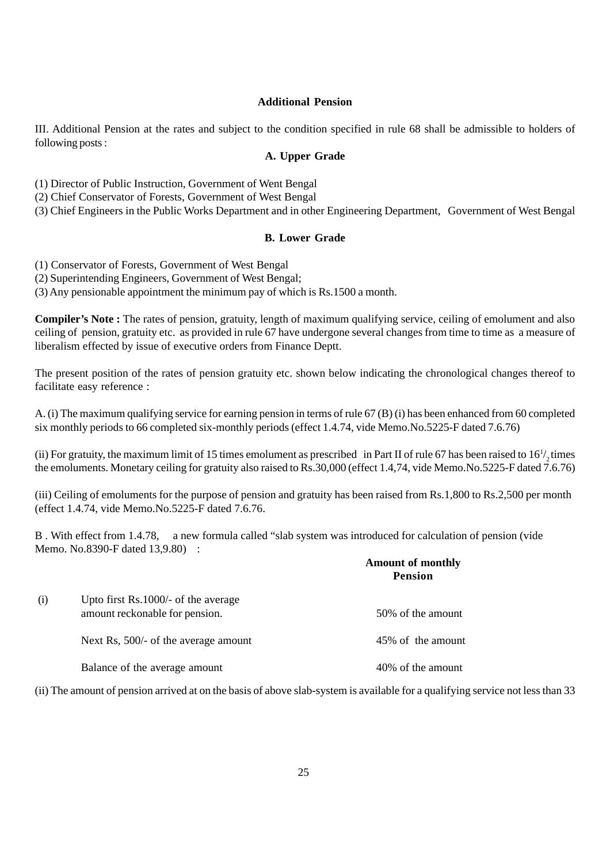#### **Additional Pension**

III. Additional Pension at the rates and subject to the condition specified in rule 68 shall be admissible to holders of following posts :

#### **A. Upper Grade**

(1) Director of Public Instruction, Government of Went Bengal

(2) Chief Conservator of Forests, Government of West Bengal

(3) Chief Engineers in the Public Works Department and in other Engineering Department, Government of West Bengal

#### **B. Lower Grade**

(1) Conservator of Forests, Government of West Bengal

(2) Superintending Engineers, Government of West Bengal;

(3) Any pensionable appointment the minimum pay of which is Rs.1500 a month.

**Compiler's Note :** The rates of pension, gratuity, length of maximum qualifying service, ceiling of emolument and also ceiling of pension, gratuity etc. as provided in rule 67 have undergone several changes from time to time as a measure of liberalism effected by issue of executive orders from Finance Deptt.

The present position of the rates of pension gratuity etc. shown below indicating the chronological changes thereof to facilitate easy reference :

A. (i) The maximum qualifying service for earning pension in terms of rule 67 (B) (i) has been enhanced from 60 completed six monthly periods to 66 completed six-monthly periods (effect 1.4.74, vide Memo.No.5225-F dated 7.6.76)

(ii) For gratuity, the maximum limit of 15 times emolument as prescribed in Part II of rule 67 has been raised to  $16<sup>1</sup>/<sub>2</sub>$  times the emoluments. Monetary ceiling for gratuity also raised to Rs.30,000 (effect 1.4,74, vide Memo.No.5225-F dated 7.6.76)

(iii) Ceiling of emoluments for the purpose of pension and gratuity has been raised from Rs.1,800 to Rs.2,500 per month (effect 1.4.74, vide Memo.No.5225-F dated 7.6.76.

B . With effect from 1.4.78, a new formula called "slab system was introduced for calculation of pension (vide Memo. No.8390-F dated 13,9.80) :

|     |                                                                         | <b>Amount of monthly</b><br><b>Pension</b> |
|-----|-------------------------------------------------------------------------|--------------------------------------------|
| (i) | Upto first $Rs.1000/-$ of the average<br>amount reckonable for pension. | 50% of the amount                          |
|     | Next Rs, 500/- of the average amount                                    | 45% of the amount                          |
|     | Balance of the average amount                                           | 40% of the amount                          |

(ii) The amount of pension arrived at on the basis of above slab-system is available for a qualifying service not less than 33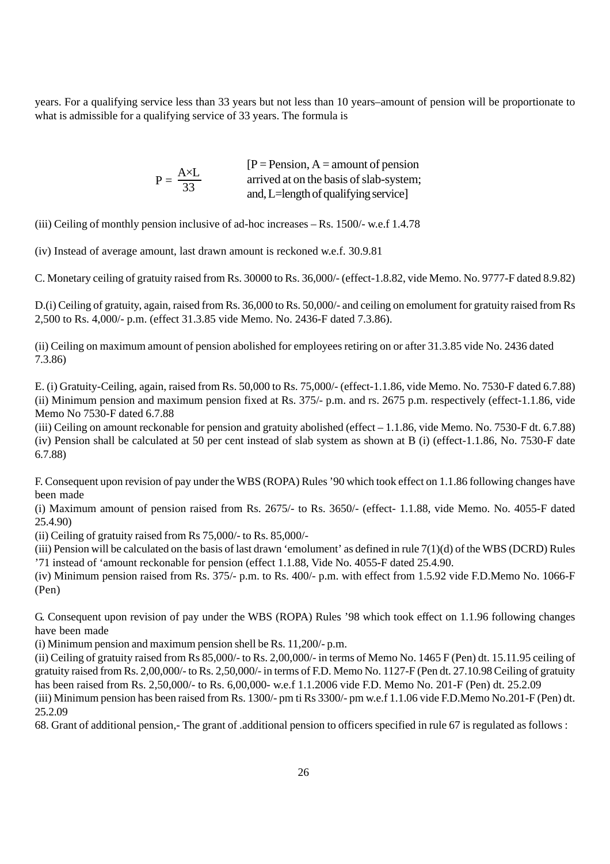years. For a qualifying service less than 33 years but not less than 10 years–amount of pension will be proportionate to what is admissible for a qualifying service of 33 years. The formula is

|                             | $[P = \text{Pension}, A = \text{amount of pension}]$ |
|-----------------------------|------------------------------------------------------|
| $P = \frac{A \times L}{33}$ | arrived at on the basis of slab-system;              |
|                             | and, L=length of qualifying service]                 |

(iii) Ceiling of monthly pension inclusive of ad-hoc increases – Rs. 1500/- w.e.f 1.4.78

(iv) Instead of average amount, last drawn amount is reckoned w.e.f. 30.9.81

C. Monetary ceiling of gratuity raised from Rs. 30000 to Rs. 36,000/- (effect-1.8.82, vide Memo. No. 9777-F dated 8.9.82)

D.(i) Ceiling of gratuity, again, raised from Rs. 36,000 to Rs. 50,000/- and ceiling on emolument for gratuity raised from Rs 2,500 to Rs. 4,000/- p.m. (effect 31.3.85 vide Memo. No. 2436-F dated 7.3.86).

(ii) Ceiling on maximum amount of pension abolished for employees retiring on or after 31.3.85 vide No. 2436 dated 7.3.86)

E. (i) Gratuity-Ceiling, again, raised from Rs. 50,000 to Rs. 75,000/- (effect-1.1.86, vide Memo. No. 7530-F dated 6.7.88) (ii) Minimum pension and maximum pension fixed at Rs. 375/- p.m. and rs. 2675 p.m. respectively (effect-1.1.86, vide Memo No 7530-F dated 6.7.88

(iii) Ceiling on amount reckonable for pension and gratuity abolished (effect – 1.1.86, vide Memo. No. 7530-F dt. 6.7.88) (iv) Pension shall be calculated at 50 per cent instead of slab system as shown at B (i) (effect-1.1.86, No. 7530-F date 6.7.88)

F. Consequent upon revision of pay under the WBS (ROPA) Rules '90 which took effect on 1.1.86 following changes have been made

(i) Maximum amount of pension raised from Rs. 2675/- to Rs. 3650/- (effect- 1.1.88, vide Memo. No. 4055-F dated 25.4.90)

(ii) Ceiling of gratuity raised from Rs 75,000/- to Rs. 85,000/-

(iii) Pension will be calculated on the basis of last drawn 'emolument' as defined in rule  $7(1)(d)$  of the WBS (DCRD) Rules '71 instead of 'amount reckonable for pension (effect 1.1.88, Vide No. 4055-F dated 25.4.90.

(iv) Minimum pension raised from Rs. 375/- p.m. to Rs. 400/- p.m. with effect from 1.5.92 vide F.D.Memo No. 1066-F (Pen)

G. Consequent upon revision of pay under the WBS (ROPA) Rules '98 which took effect on 1.1.96 following changes have been made

(i) Minimum pension and maximum pension shell be Rs. 11,200/- p.m.

(ii) Ceiling of gratuity raised from Rs 85,000/- to Rs. 2,00,000/- in terms of Memo No. 1465 F (Pen) dt. 15.11.95 ceiling of gratuity raised from Rs. 2,00,000/- to Rs. 2,50,000/- in terms of F.D. Memo No. 1127-F (Pen dt. 27.10.98 Ceiling of gratuity has been raised from Rs. 2,50,000/- to Rs. 6,00,000- w.e.f 1.1.2006 vide F.D. Memo No. 201-F (Pen) dt. 25.2.09

(iii) Minimum pension has been raised from Rs. 1300/- pm ti Rs 3300/- pm w.e.f 1.1.06 vide F.D.Memo No.201-F (Pen) dt. 25.2.09

68. Grant of additional pension,- The grant of .additional pension to officers specified in rule 67 is regulated as follows :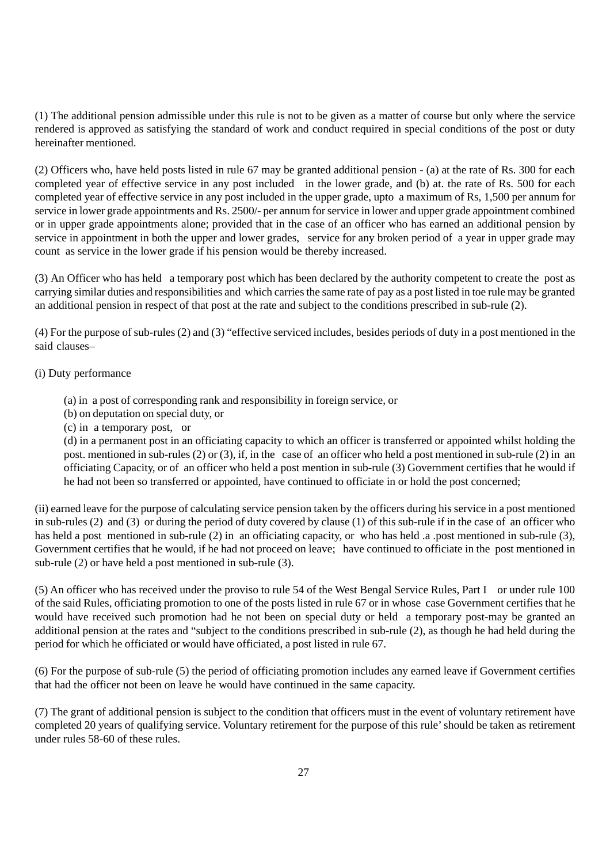(1) The additional pension admissible under this rule is not to be given as a matter of course but only where the service rendered is approved as satisfying the standard of work and conduct required in special conditions of the post or duty hereinafter mentioned.

(2) Officers who, have held posts listed in rule 67 may be granted additional pension - (a) at the rate of Rs. 300 for each completed year of effective service in any post included in the lower grade, and (b) at. the rate of Rs. 500 for each completed year of effective service in any post included in the upper grade, upto a maximum of Rs, 1,500 per annum for service in lower grade appointments and Rs. 2500/- per annum for service in lower and upper grade appointment combined or in upper grade appointments alone; provided that in the case of an officer who has earned an additional pension by service in appointment in both the upper and lower grades, service for any broken period of a year in upper grade may count as service in the lower grade if his pension would be thereby increased.

(3) An Officer who has held a temporary post which has been declared by the authority competent to create the post as carrying similar duties and responsibilities and which carries the same rate of pay as a post listed in toe rule may be granted an additional pension in respect of that post at the rate and subject to the conditions prescribed in sub-rule (2).

(4) For the purpose of sub-rules (2) and (3) "effective serviced includes, besides periods of duty in a post mentioned in the said clauses–

#### (i) Duty performance

- (a) in a post of corresponding rank and responsibility in foreign service, or
- (b) on deputation on special duty, or
- (c) in a temporary post, or

(d) in a permanent post in an officiating capacity to which an officer is transferred or appointed whilst holding the post. mentioned in sub-rules (2) or (3), if, in the case of an officer who held a post mentioned in sub-rule (2) in an officiating Capacity, or of an officer who held a post mention in sub-rule (3) Government certifies that he would if he had not been so transferred or appointed, have continued to officiate in or hold the post concerned;

(ii) earned leave for the purpose of calculating service pension taken by the officers during his service in a post mentioned in sub-rules (2) and (3) or during the period of duty covered by clause (1) of this sub-rule if in the case of an officer who has held a post mentioned in sub-rule (2) in an officiating capacity, or who has held .a .post mentioned in sub-rule (3), Government certifies that he would, if he had not proceed on leave; have continued to officiate in the post mentioned in sub-rule (2) or have held a post mentioned in sub-rule (3).

(5) An officer who has received under the proviso to rule 54 of the West Bengal Service Rules, Part I or under rule 100 of the said Rules, officiating promotion to one of the posts listed in rule 67 or in whose case Government certifies that he would have received such promotion had he not been on special duty or held a temporary post-may be granted an additional pension at the rates and "subject to the conditions prescribed in sub-rule (2), as though he had held during the period for which he officiated or would have officiated, a post listed in rule 67.

(6) For the purpose of sub-rule (5) the period of officiating promotion includes any earned leave if Government certifies that had the officer not been on leave he would have continued in the same capacity.

(7) The grant of additional pension is subject to the condition that officers must in the event of voluntary retirement have completed 20 years of qualifying service. Voluntary retirement for the purpose of this rule' should be taken as retirement under rules 58-60 of these rules.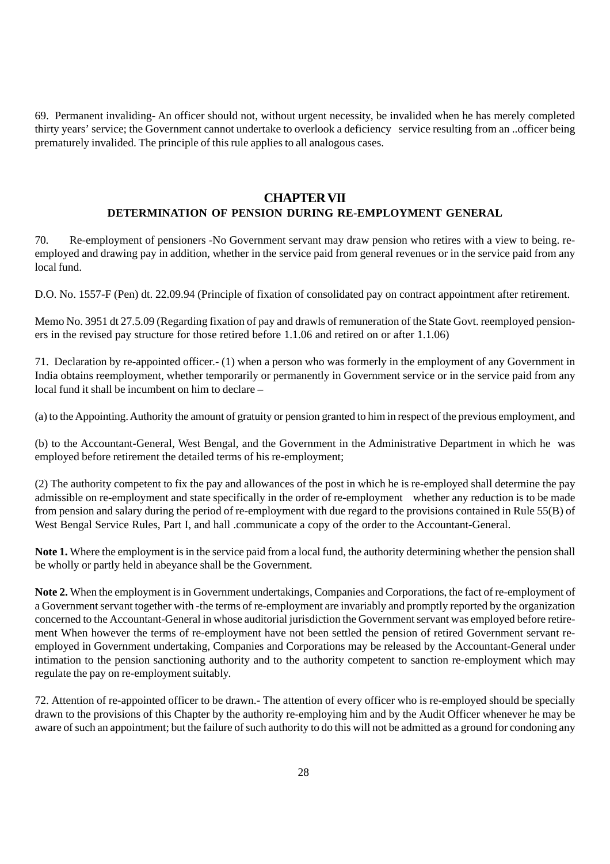69. Permanent invaliding- An officer should not, without urgent necessity, be invalided when he has merely completed thirty years' service; the Government cannot undertake to overlook a deficiency service resulting from an ..officer being prematurely invalided. The principle of this rule applies to all analogous cases.

#### **CHAPTER VII DETERMINATION OF PENSION DURING RE-EMPLOYMENT GENERAL**

70. Re-employment of pensioners -No Government servant may draw pension who retires with a view to being. reemployed and drawing pay in addition, whether in the service paid from general revenues or in the service paid from any local fund.

D.O. No. 1557-F (Pen) dt. 22.09.94 (Principle of fixation of consolidated pay on contract appointment after retirement.

Memo No. 3951 dt 27.5.09 (Regarding fixation of pay and drawls of remuneration of the State Govt. reemployed pensioners in the revised pay structure for those retired before 1.1.06 and retired on or after 1.1.06)

71. Declaration by re-appointed officer.- (1) when a person who was formerly in the employment of any Government in India obtains reemployment, whether temporarily or permanently in Government service or in the service paid from any local fund it shall be incumbent on him to declare –

(a) to the Appointing. Authority the amount of gratuity or pension granted to him in respect of the previous employment, and

(b) to the Accountant-General, West Bengal, and the Government in the Administrative Department in which he was employed before retirement the detailed terms of his re-employment;

(2) The authority competent to fix the pay and allowances of the post in which he is re-employed shall determine the pay admissible on re-employment and state specifically in the order of re-employment whether any reduction is to be made from pension and salary during the period of re-employment with due regard to the provisions contained in Rule 55(B) of West Bengal Service Rules, Part I, and hall .communicate a copy of the order to the Accountant-General.

**Note 1.** Where the employment is in the service paid from a local fund, the authority determining whether the pension shall be wholly or partly held in abeyance shall be the Government.

**Note 2.** When the employment is in Government undertakings, Companies and Corporations, the fact of re-employment of a Government servant together with -the terms of re-employment are invariably and promptly reported by the organization concerned to the Accountant-General in whose auditorial jurisdiction the Government servant was employed before retirement When however the terms of re-employment have not been settled the pension of retired Government servant reemployed in Government undertaking, Companies and Corporations may be released by the Accountant-General under intimation to the pension sanctioning authority and to the authority competent to sanction re-employment which may regulate the pay on re-employment suitably.

72. Attention of re-appointed officer to be drawn.- The attention of every officer who is re-employed should be specially drawn to the provisions of this Chapter by the authority re-employing him and by the Audit Officer whenever he may be aware of such an appointment; but the failure of such authority to do this will not be admitted as a ground for condoning any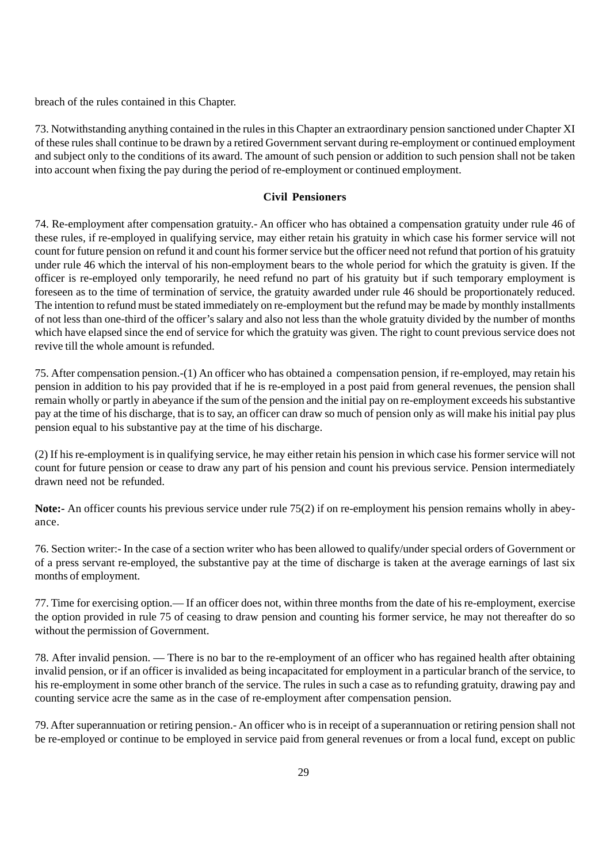breach of the rules contained in this Chapter.

73. Notwithstanding anything contained in the rules in this Chapter an extraordinary pension sanctioned under Chapter XI of these rules shall continue to be drawn by a retired Government servant during re-employment or continued employment and subject only to the conditions of its award. The amount of such pension or addition to such pension shall not be taken into account when fixing the pay during the period of re-employment or continued employment.

## **Civil Pensioners**

74. Re-employment after compensation gratuity.- An officer who has obtained a compensation gratuity under rule 46 of these rules, if re-employed in qualifying service, may either retain his gratuity in which case his former service will not count for future pension on refund it and count his former service but the officer need not refund that portion of his gratuity under rule 46 which the interval of his non-employment bears to the whole period for which the gratuity is given. If the officer is re-employed only temporarily, he need refund no part of his gratuity but if such temporary employment is foreseen as to the time of termination of service, the gratuity awarded under rule 46 should be proportionately reduced. The intention to refund must be stated immediately on re-employment but the refund may be made by monthly installments of not less than one-third of the officer's salary and also not less than the whole gratuity divided by the number of months which have elapsed since the end of service for which the gratuity was given. The right to count previous service does not revive till the whole amount is refunded.

75. After compensation pension.-(1) An officer who has obtained a compensation pension, if re-employed, may retain his pension in addition to his pay provided that if he is re-employed in a post paid from general revenues, the pension shall remain wholly or partly in abeyance if the sum of the pension and the initial pay on re-employment exceeds his substantive pay at the time of his discharge, that is to say, an officer can draw so much of pension only as will make his initial pay plus pension equal to his substantive pay at the time of his discharge.

(2) If his re-employment is in qualifying service, he may either retain his pension in which case his former service will not count for future pension or cease to draw any part of his pension and count his previous service. Pension intermediately drawn need not be refunded.

**Note:-** An officer counts his previous service under rule 75(2) if on re-employment his pension remains wholly in abeyance.

76. Section writer:- In the case of a section writer who has been allowed to qualify/under special orders of Government or of a press servant re-employed, the substantive pay at the time of discharge is taken at the average earnings of last six months of employment.

77. Time for exercising option.— If an officer does not, within three months from the date of his re-employment, exercise the option provided in rule 75 of ceasing to draw pension and counting his former service, he may not thereafter do so without the permission of Government.

78. After invalid pension. — There is no bar to the re-employment of an officer who has regained health after obtaining invalid pension, or if an officer is invalided as being incapacitated for employment in a particular branch of the service, to his re-employment in some other branch of the service. The rules in such a case as to refunding gratuity, drawing pay and counting service acre the same as in the case of re-employment after compensation pension.

79. After superannuation or retiring pension.- An officer who is in receipt of a superannuation or retiring pension shall not be re-employed or continue to be employed in service paid from general revenues or from a local fund, except on public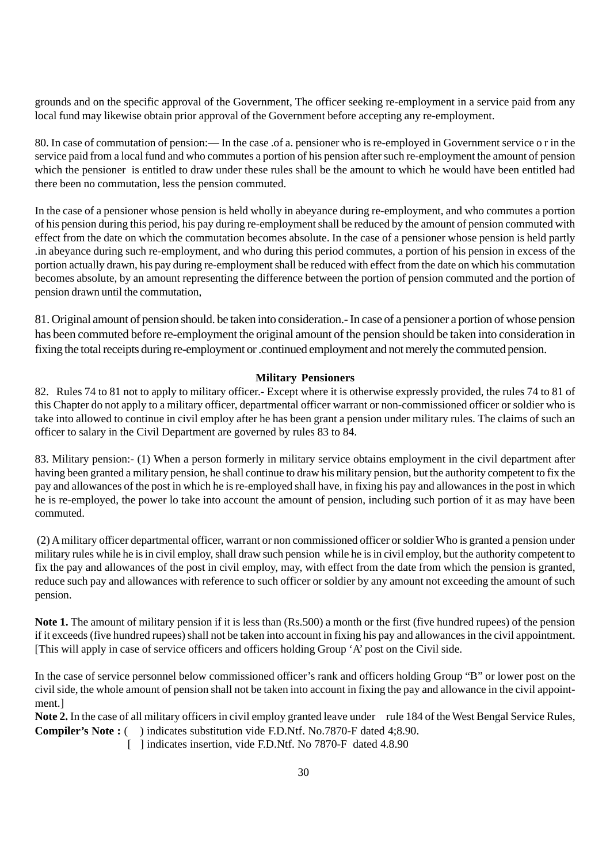grounds and on the specific approval of the Government, The officer seeking re-employment in a service paid from any local fund may likewise obtain prior approval of the Government before accepting any re-employment.

80. In case of commutation of pension:— In the case .of a. pensioner who is re-employed in Government service o r in the service paid from a local fund and who commutes a portion of his pension after such re-employment the amount of pension which the pensioner is entitled to draw under these rules shall be the amount to which he would have been entitled had there been no commutation, less the pension commuted.

In the case of a pensioner whose pension is held wholly in abeyance during re-employment, and who commutes a portion of his pension during this period, his pay during re-employment shall be reduced by the amount of pension commuted with effect from the date on which the commutation becomes absolute. In the case of a pensioner whose pension is held partly .in abeyance during such re-employment, and who during this period commutes, a portion of his pension in excess of the portion actually drawn, his pay during re-employment shall be reduced with effect from the date on which his commutation becomes absolute, by an amount representing the difference between the portion of pension commuted and the portion of pension drawn until the commutation,

81. Original amount of pension should. be taken into consideration.- In case of a pensioner a portion of whose pension has been commuted before re-employment the original amount of the pension should be taken into consideration in fixing the total receipts during re-employment or .continued employment and not merely the commuted pension.

## **Military Pensioners**

82. Rules 74 to 81 not to apply to military officer.- Except where it is otherwise expressly provided, the rules 74 to 81 of this Chapter do not apply to a military officer, departmental officer warrant or non-commissioned officer or soldier who is take into allowed to continue in civil employ after he has been grant a pension under military rules. The claims of such an officer to salary in the Civil Department are governed by rules 83 to 84.

83. Military pension:- (1) When a person formerly in military service obtains employment in the civil department after having been granted a military pension, he shall continue to draw his military pension, but the authority competent to fix the pay and allowances of the post in which he is re-employed shall have, in fixing his pay and allowances in the post in which he is re-employed, the power lo take into account the amount of pension, including such portion of it as may have been commuted.

 (2) A military officer departmental officer, warrant or non commissioned officer or soldier Who is granted a pension under military rules while he is in civil employ, shall draw such pension while he is in civil employ, but the authority competent to fix the pay and allowances of the post in civil employ, may, with effect from the date from which the pension is granted, reduce such pay and allowances with reference to such officer or soldier by any amount not exceeding the amount of such pension.

**Note 1.** The amount of military pension if it is less than (Rs.500) a month or the first (five hundred rupees) of the pension if it exceeds (five hundred rupees) shall not be taken into account in fixing his pay and allowances in the civil appointment. [This will apply in case of service officers and officers holding Group 'A' post on the Civil side.

In the case of service personnel below commissioned officer's rank and officers holding Group "B" or lower post on the civil side, the whole amount of pension shall not be taken into account in fixing the pay and allowance in the civil appointment.]

**Note 2.** In the case of all military officers in civil employ granted leave under rule 184 of the West Bengal Service Rules, **Compiler's Note :** ( ) indicates substitution vide F.D.Ntf. No.7870-F dated 4;8.90.

[ ] indicates insertion, vide F.D.Ntf. No 7870-F dated 4.8.90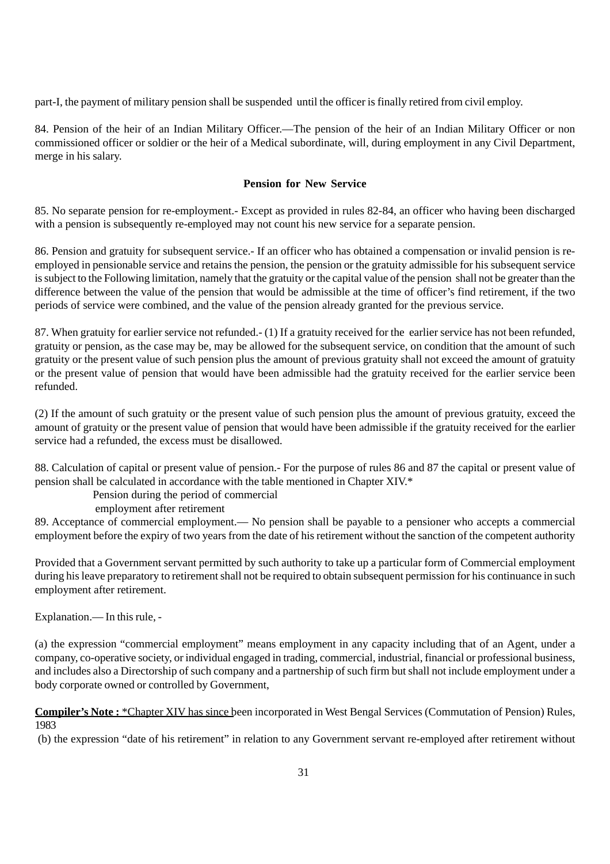part-I, the payment of military pension shall be suspended until the officer is finally retired from civil employ.

84. Pension of the heir of an Indian Military Officer.—The pension of the heir of an Indian Military Officer or non commissioned officer or soldier or the heir of a Medical subordinate, will, during employment in any Civil Department, merge in his salary.

## **Pension for New Service**

85. No separate pension for re-employment.- Except as provided in rules 82-84, an officer who having been discharged with a pension is subsequently re-employed may not count his new service for a separate pension.

86. Pension and gratuity for subsequent service.- If an officer who has obtained a compensation or invalid pension is reemployed in pensionable service and retains the pension, the pension or the gratuity admissible for his subsequent service is subject to the Following limitation, namely that the gratuity or the capital value of the pension shall not be greater than the difference between the value of the pension that would be admissible at the time of officer's find retirement, if the two periods of service were combined, and the value of the pension already granted for the previous service.

87. When gratuity for earlier service not refunded.- (1) If a gratuity received for the earlier service has not been refunded, gratuity or pension, as the case may be, may be allowed for the subsequent service, on condition that the amount of such gratuity or the present value of such pension plus the amount of previous gratuity shall not exceed the amount of gratuity or the present value of pension that would have been admissible had the gratuity received for the earlier service been refunded.

(2) If the amount of such gratuity or the present value of such pension plus the amount of previous gratuity, exceed the amount of gratuity or the present value of pension that would have been admissible if the gratuity received for the earlier service had a refunded, the excess must be disallowed.

88. Calculation of capital or present value of pension.- For the purpose of rules 86 and 87 the capital or present value of pension shall be calculated in accordance with the table mentioned in Chapter XIV.\*

# Pension during the period of commercial

employment after retirement

89. Acceptance of commercial employment.— No pension shall be payable to a pensioner who accepts a commercial employment before the expiry of two years from the date of his retirement without the sanction of the competent authority

Provided that a Government servant permitted by such authority to take up a particular form of Commercial employment during his leave preparatory to retirement shall not be required to obtain subsequent permission for his continuance in such employment after retirement.

Explanation.— In this rule, -

(a) the expression "commercial employment" means employment in any capacity including that of an Agent, under a company, co-operative society, or individual engaged in trading, commercial, industrial, financial or professional business, and includes also a Directorship of such company and a partnership of such firm but shall not include employment under a body corporate owned or controlled by Government,

**Compiler's Note :** \*Chapter XIV has since been incorporated in West Bengal Services (Commutation of Pension) Rules, 1983

(b) the expression "date of his retirement" in relation to any Government servant re-employed after retirement without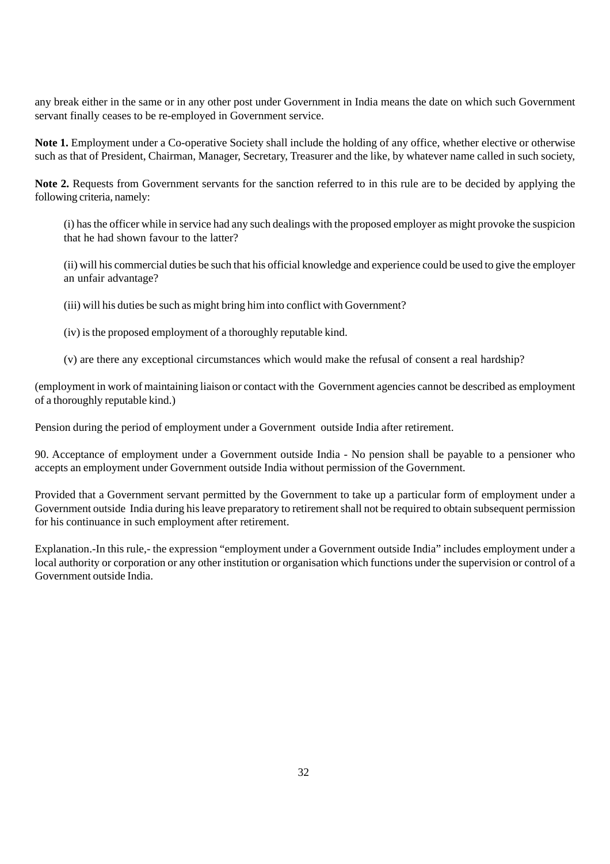any break either in the same or in any other post under Government in India means the date on which such Government servant finally ceases to be re-employed in Government service.

**Note 1.** Employment under a Co-operative Society shall include the holding of any office, whether elective or otherwise such as that of President, Chairman, Manager, Secretary, Treasurer and the like, by whatever name called in such society,

**Note 2.** Requests from Government servants for the sanction referred to in this rule are to be decided by applying the following criteria, namely:

(i) has the officer while in service had any such dealings with the proposed employer as might provoke the suspicion that he had shown favour to the latter?

(ii) will his commercial duties be such that his official knowledge and experience could be used to give the employer an unfair advantage?

(iii) will his duties be such as might bring him into conflict with Government?

(iv) is the proposed employment of a thoroughly reputable kind.

(v) are there any exceptional circumstances which would make the refusal of consent a real hardship?

(employment in work of maintaining liaison or contact with the Government agencies cannot be described as employment of a thoroughly reputable kind.)

Pension during the period of employment under a Government outside India after retirement.

90. Acceptance of employment under a Government outside India - No pension shall be payable to a pensioner who accepts an employment under Government outside India without permission of the Government.

Provided that a Government servant permitted by the Government to take up a particular form of employment under a Government outside India during his leave preparatory to retirement shall not be required to obtain subsequent permission for his continuance in such employment after retirement.

Explanation.-In this rule,- the expression "employment under a Government outside India" includes employment under a local authority or corporation or any other institution or organisation which functions under the supervision or control of a Government outside India.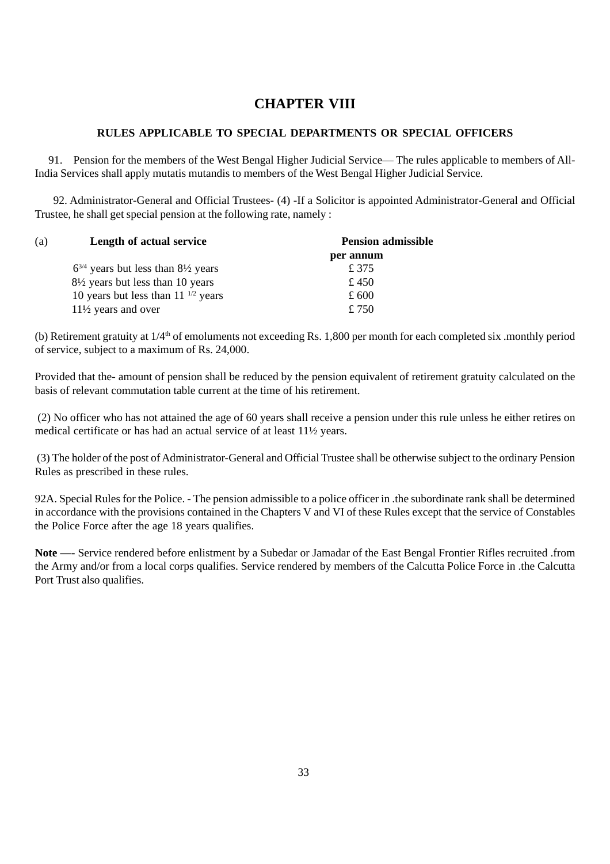# **CHAPTER VIII**

# **RULES APPLICABLE TO SPECIAL DEPARTMENTS OR SPECIAL OFFICERS**

 91. Pension for the members of the West Bengal Higher Judicial Service— The rules applicable to members of All-India Services shall apply mutatis mutandis to members of the West Bengal Higher Judicial Service.

92. Administrator-General and Official Trustees- (4) -If a Solicitor is appointed Administrator-General and Official Trustee, he shall get special pension at the following rate, namely :

| (a) | Length of actual service                           | <b>Pension admissible</b> |  |
|-----|----------------------------------------------------|---------------------------|--|
|     |                                                    | per annum                 |  |
|     | $6^{3/4}$ years but less than $8\frac{1}{2}$ years | £ 375                     |  |
|     | $8\frac{1}{2}$ years but less than 10 years        | £450                      |  |
|     | 10 years but less than $11^{-1/2}$ years           | £ 600                     |  |
|     | $11\frac{1}{2}$ years and over                     | £750                      |  |

(b) Retirement gratuity at  $1/4<sup>th</sup>$  of emoluments not exceeding Rs. 1,800 per month for each completed six .monthly period of service, subject to a maximum of Rs. 24,000.

Provided that the- amount of pension shall be reduced by the pension equivalent of retirement gratuity calculated on the basis of relevant commutation table current at the time of his retirement.

 (2) No officer who has not attained the age of 60 years shall receive a pension under this rule unless he either retires on medical certificate or has had an actual service of at least 11½ years.

 (3) The holder of the post of Administrator-General and Official Trustee shall be otherwise subject to the ordinary Pension Rules as prescribed in these rules.

92A. Special Rules for the Police. - The pension admissible to a police officer in .the subordinate rank shall be determined in accordance with the provisions contained in the Chapters V and VI of these Rules except that the service of Constables the Police Force after the age 18 years qualifies.

**Note —-** Service rendered before enlistment by a Subedar or Jamadar of the East Bengal Frontier Rifles recruited .from the Army and/or from a local corps qualifies. Service rendered by members of the Calcutta Police Force in .the Calcutta Port Trust also qualifies.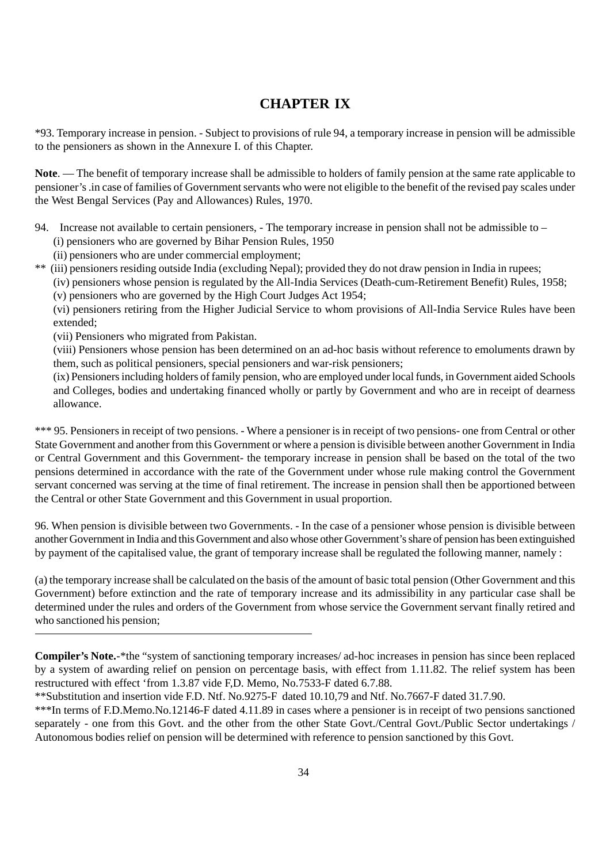# **CHAPTER IX**

\*93. Temporary increase in pension. - Subject to provisions of rule 94, a temporary increase in pension will be admissible to the pensioners as shown in the Annexure I. of this Chapter.

**Note**. — The benefit of temporary increase shall be admissible to holders of family pension at the same rate applicable to pensioner's .in case of families of Government servants who were not eligible to the benefit of the revised pay scales under the West Bengal Services (Pay and Allowances) Rules, 1970.

- 94. Increase not available to certain pensioners, The temporary increase in pension shall not be admissible to (i) pensioners who are governed by Bihar Pension Rules, 1950
	- (ii) pensioners who are under commercial employment;
- \*\* (iii) pensioners residing outside India (excluding Nepal); provided they do not draw pension in India in rupees;
	- (iv) pensioners whose pension is regulated by the All-India Services (Death-cum-Retirement Benefit) Rules, 1958; (v) pensioners who are governed by the High Court Judges Act 1954;

(vi) pensioners retiring from the Higher Judicial Service to whom provisions of All-India Service Rules have been extended;

(vii) Pensioners who migrated from Pakistan.

(viii) Pensioners whose pension has been determined on an ad-hoc basis without reference to emoluments drawn by them, such as political pensioners, special pensioners and war-risk pensioners;

(ix) Pensioners including holders of family pension, who are employed under local funds, in Government aided Schools and Colleges, bodies and undertaking financed wholly or partly by Government and who are in receipt of dearness allowance.

\*\*\* 95. Pensioners in receipt of two pensions. - Where a pensioner is in receipt of two pensions- one from Central or other State Government and another from this Government or where a pension is divisible between another Government in India or Central Government and this Government- the temporary increase in pension shall be based on the total of the two pensions determined in accordance with the rate of the Government under whose rule making control the Government servant concerned was serving at the time of final retirement. The increase in pension shall then be apportioned between the Central or other State Government and this Government in usual proportion.

96. When pension is divisible between two Governments. - In the case of a pensioner whose pension is divisible between another Government in India and this Government and also whose other Government's share of pension has been extinguished by payment of the capitalised value, the grant of temporary increase shall be regulated the following manner, namely :

(a) the temporary increase shall be calculated on the basis of the amount of basic total pension (Other Government and this Government) before extinction and the rate of temporary increase and its admissibility in any particular case shall be determined under the rules and orders of the Government from whose service the Government servant finally retired and who sanctioned his pension;

**Compiler's Note.**-\*the "system of sanctioning temporary increases/ ad-hoc increases in pension has since been replaced by a system of awarding relief on pension on percentage basis, with effect from 1.11.82. The relief system has been restructured with effect 'from 1.3.87 vide F,D. Memo, No.7533-F dated 6.7.88.

<sup>\*\*</sup>Substitution and insertion vide F.D. Ntf. No.9275-F dated 10.10,79 and Ntf. No.7667-F dated 31.7.90.

<sup>\*\*\*</sup>In terms of F.D.Memo.No.12146-F dated 4.11.89 in cases where a pensioner is in receipt of two pensions sanctioned separately - one from this Govt. and the other from the other State Govt./Central Govt./Public Sector undertakings / Autonomous bodies relief on pension will be determined with reference to pension sanctioned by this Govt.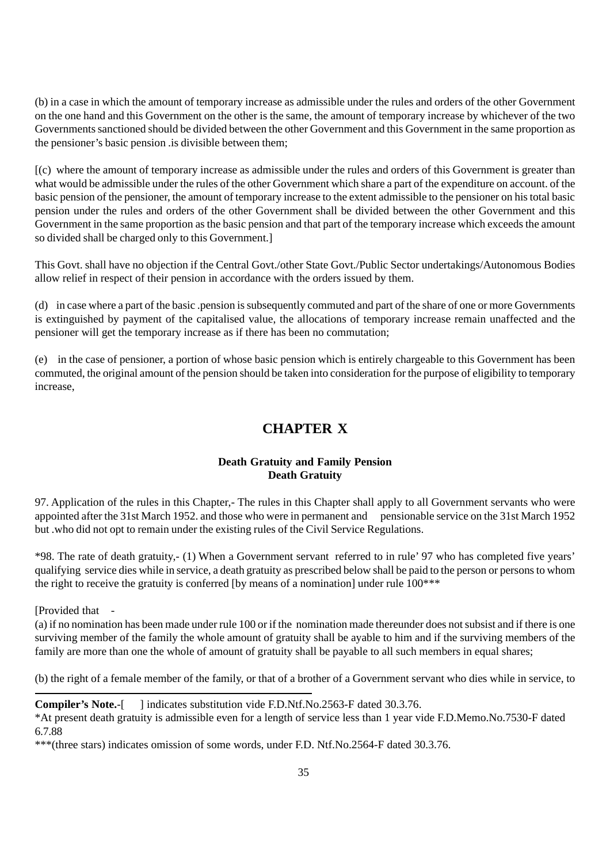(b) in a case in which the amount of temporary increase as admissible under the rules and orders of the other Government on the one hand and this Government on the other is the same, the amount of temporary increase by whichever of the two Governments sanctioned should be divided between the other Government and this Government in the same proportion as the pensioner's basic pension .is divisible between them;

[(c) where the amount of temporary increase as admissible under the rules and orders of this Government is greater than what would be admissible under the rules of the other Government which share a part of the expenditure on account. of the basic pension of the pensioner, the amount of temporary increase to the extent admissible to the pensioner on his total basic pension under the rules and orders of the other Government shall be divided between the other Government and this Government in the same proportion as the basic pension and that part of the temporary increase which exceeds the amount so divided shall be charged only to this Government.]

This Govt. shall have no objection if the Central Govt./other State Govt./Public Sector undertakings/Autonomous Bodies allow relief in respect of their pension in accordance with the orders issued by them.

(d) in case where a part of the basic .pension is subsequently commuted and part of the share of one or more Governments is extinguished by payment of the capitalised value, the allocations of temporary increase remain unaffected and the pensioner will get the temporary increase as if there has been no commutation;

(e) in the case of pensioner, a portion of whose basic pension which is entirely chargeable to this Government has been commuted, the original amount of the pension should be taken into consideration for the purpose of eligibility to temporary increase,

# **CHAPTER X**

# **Death Gratuity and Family Pension Death Gratuity**

97. Application of the rules in this Chapter,- The rules in this Chapter shall apply to all Government servants who were appointed after the 31st March 1952. and those who were in permanent and pensionable service on the 31st March 1952 but .who did not opt to remain under the existing rules of the Civil Service Regulations.

\*98. The rate of death gratuity,- (1) When a Government servant referred to in rule' 97 who has completed five years' qualifying service dies while in service, a death gratuity as prescribed below shall be paid to the person or persons to whom the right to receive the gratuity is conferred [by means of a nomination] under rule  $100***$ 

[Provided that

(a) if no nomination has been made under rule 100 or if the nomination made thereunder does not subsist and if there is one surviving member of the family the whole amount of gratuity shall be ayable to him and if the surviving members of the family are more than one the whole of amount of gratuity shall be payable to all such members in equal shares;

(b) the right of a female member of the family, or that of a brother of a Government servant who dies while in service, to

**Compiler's Note.**-[ ] indicates substitution vide F.D.Ntf.No.2563-F dated 30.3.76.

\*At present death gratuity is admissible even for a length of service less than 1 year vide F.D.Memo.No.7530-F dated 6.7.88

\*\*\*(three stars) indicates omission of some words, under F.D. Ntf.No.2564-F dated 30.3.76.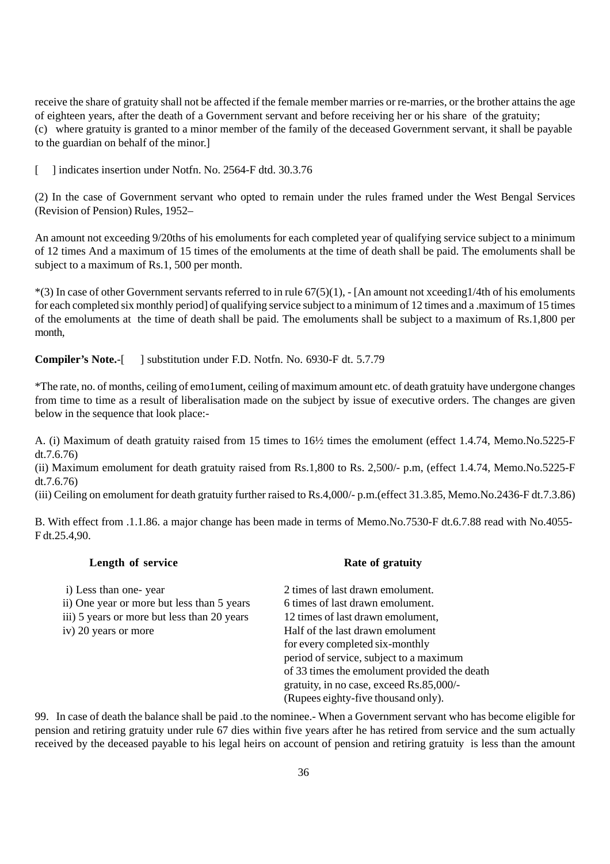receive the share of gratuity shall not be affected if the female member marries or re-marries, or the brother attains the age of eighteen years, after the death of a Government servant and before receiving her or his share of the gratuity; (c) where gratuity is granted to a minor member of the family of the deceased Government servant, it shall be payable to the guardian on behalf of the minor.]

[ ] indicates insertion under Notfn. No. 2564-F dtd. 30.3.76

(2) In the case of Government servant who opted to remain under the rules framed under the West Bengal Services (Revision of Pension) Rules, 1952–

An amount not exceeding 9/20ths of his emoluments for each completed year of qualifying service subject to a minimum of 12 times And a maximum of 15 times of the emoluments at the time of death shall be paid. The emoluments shall be subject to a maximum of Rs.1, 500 per month.

 $*(3)$  In case of other Government servants referred to in rule  $67(5)(1)$ , - [An amount not xceeding1/4th of his emoluments for each completed six monthly period] of qualifying service subject to a minimum of 12 times and a .maximum of 15 times of the emoluments at the time of death shall be paid. The emoluments shall be subject to a maximum of Rs.1,800 per month,

**Compiler's Note.**-[ ] substitution under F.D. Notfn. No. 6930-F dt. 5.7.79

\*The rate, no. of months, ceiling of emo1ument, ceiling of maximum amount etc. of death gratuity have undergone changes from time to time as a result of liberalisation made on the subject by issue of executive orders. The changes are given below in the sequence that look place:-

A. (i) Maximum of death gratuity raised from 15 times to 16½ times the emolument (effect 1.4.74, Memo.No.5225-F dt.7.6.76)

(ii) Maximum emolument for death gratuity raised from Rs.1,800 to Rs. 2,500/- p.m, (effect 1.4.74, Memo.No.5225-F dt.7.6.76)

(iii) Ceiling on emolument for death gratuity further raised to Rs.4,000/- p.m.(effect 31.3.85, Memo.No.2436-F dt.7.3.86)

B. With effect from .1.1.86. a major change has been made in terms of Memo.No.7530-F dt.6.7.88 read with No.4055- F dt.25.4,90.

| Length of service                           | Rate of gratuity                             |
|---------------------------------------------|----------------------------------------------|
| i) Less than one-year                       | 2 times of last drawn emolument.             |
| ii) One year or more but less than 5 years  | 6 times of last drawn emolument.             |
| iii) 5 years or more but less than 20 years | 12 times of last drawn emolument,            |
| iv) 20 years or more                        | Half of the last drawn emolument             |
|                                             | for every completed six-monthly              |
|                                             | period of service, subject to a maximum      |
|                                             | of 33 times the emolument provided the death |
|                                             | gratuity, in no case, exceed Rs.85,000/-     |
|                                             | (Rupees eighty-five thousand only).          |

99. In case of death the balance shall be paid .to the nominee.- When a Government servant who has become eligible for pension and retiring gratuity under rule 67 dies within five years after he has retired from service and the sum actually received by the deceased payable to his legal heirs on account of pension and retiring gratuity is less than the amount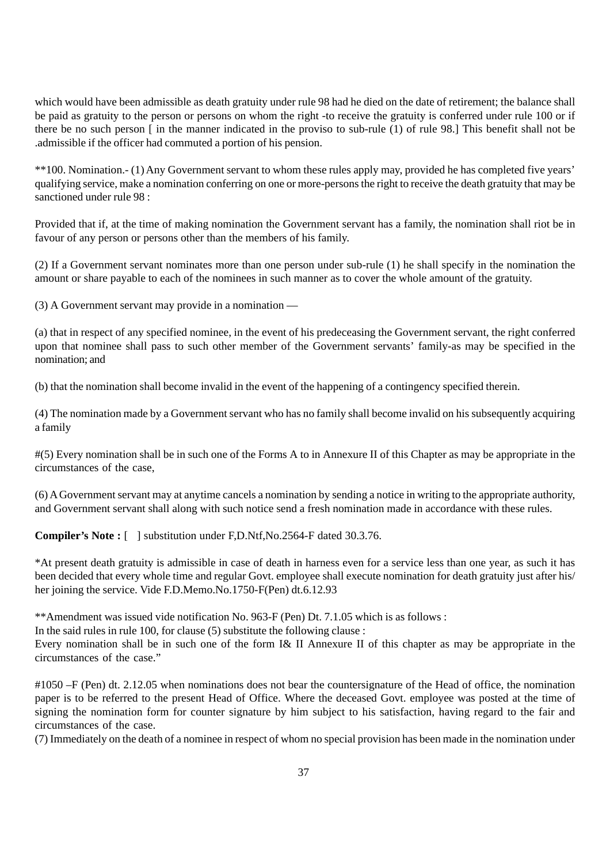which would have been admissible as death gratuity under rule 98 had he died on the date of retirement; the balance shall be paid as gratuity to the person or persons on whom the right -to receive the gratuity is conferred under rule 100 or if there be no such person [ in the manner indicated in the proviso to sub-rule (1) of rule 98.] This benefit shall not be .admissible if the officer had commuted a portion of his pension.

\*\*100. Nomination.- (1) Any Government servant to whom these rules apply may, provided he has completed five years' qualifying service, make a nomination conferring on one or more-persons the right to receive the death gratuity that may be sanctioned under rule 98 :

Provided that if, at the time of making nomination the Government servant has a family, the nomination shall riot be in favour of any person or persons other than the members of his family.

(2) If a Government servant nominates more than one person under sub-rule (1) he shall specify in the nomination the amount or share payable to each of the nominees in such manner as to cover the whole amount of the gratuity.

(3) A Government servant may provide in a nomination —

(a) that in respect of any specified nominee, in the event of his predeceasing the Government servant, the right conferred upon that nominee shall pass to such other member of the Government servants' family-as may be specified in the nomination; and

(b) that the nomination shall become invalid in the event of the happening of a contingency specified therein.

(4) The nomination made by a Government servant who has no family shall become invalid on his subsequently acquiring a family

#(5) Every nomination shall be in such one of the Forms A to in Annexure II of this Chapter as may be appropriate in the circumstances of the case,

(6) A Government servant may at anytime cancels a nomination by sending a notice in writing to the appropriate authority, and Government servant shall along with such notice send a fresh nomination made in accordance with these rules.

**Compiler's Note :** [ ] substitution under F,D.Ntf,No.2564-F dated 30.3.76.

\*At present death gratuity is admissible in case of death in harness even for a service less than one year, as such it has been decided that every whole time and regular Govt. employee shall execute nomination for death gratuity just after his/ her joining the service. Vide F.D.Memo.No.1750-F(Pen) dt.6.12.93

\*\*Amendment was issued vide notification No. 963-F (Pen) Dt. 7.1.05 which is as follows :

In the said rules in rule 100, for clause (5) substitute the following clause :

Every nomination shall be in such one of the form I& II Annexure II of this chapter as may be appropriate in the circumstances of the case."

#1050 –F (Pen) dt. 2.12.05 when nominations does not bear the countersignature of the Head of office, the nomination paper is to be referred to the present Head of Office. Where the deceased Govt. employee was posted at the time of signing the nomination form for counter signature by him subject to his satisfaction, having regard to the fair and circumstances of the case.

(7) Immediately on the death of a nominee in respect of whom no special provision has been made in the nomination under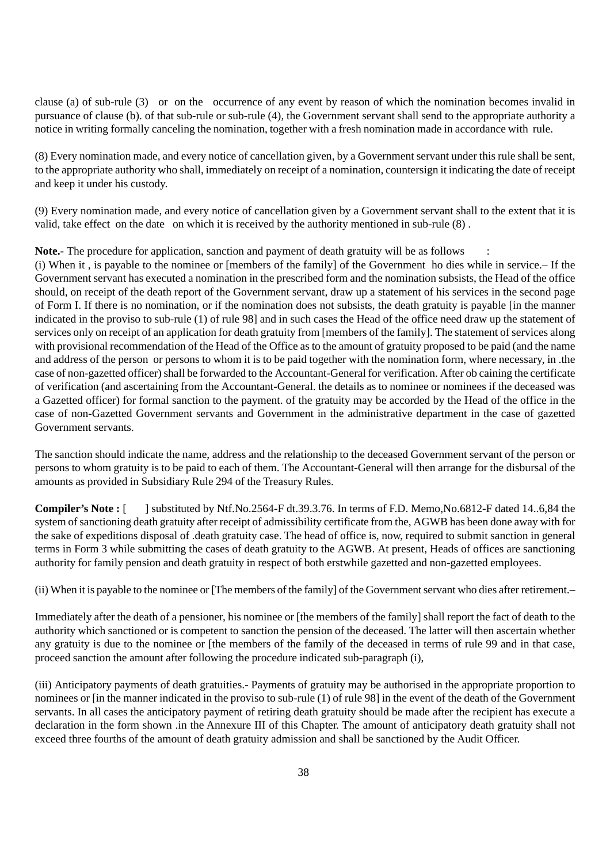clause (a) of sub-rule (3) or on the occurrence of any event by reason of which the nomination becomes invalid in pursuance of clause (b). of that sub-rule or sub-rule (4), the Government servant shall send to the appropriate authority a notice in writing formally canceling the nomination, together with a fresh nomination made in accordance with rule.

(8) Every nomination made, and every notice of cancellation given, by a Government servant under this rule shall be sent, to the appropriate authority who shall, immediately on receipt of a nomination, countersign it indicating the date of receipt and keep it under his custody.

(9) Every nomination made, and every notice of cancellation given by a Government servant shall to the extent that it is valid, take effect on the date on which it is received by the authority mentioned in sub-rule (8) .

**Note.-** The procedure for application, sanction and payment of death gratuity will be as follows :

(i) When it , is payable to the nominee or [members of the family] of the Government ho dies while in service.– If the Government servant has executed a nomination in the prescribed form and the nomination subsists, the Head of the office should, on receipt of the death report of the Government servant, draw up a statement of his services in the second page of Form I. If there is no nomination, or if the nomination does not subsists, the death gratuity is payable [in the manner indicated in the proviso to sub-rule (1) of rule 98] and in such cases the Head of the office need draw up the statement of services only on receipt of an application for death gratuity from [members of the family]. The statement of services along with provisional recommendation of the Head of the Office as to the amount of gratuity proposed to be paid (and the name and address of the person or persons to whom it is to be paid together with the nomination form, where necessary, in .the case of non-gazetted officer) shall be forwarded to the Accountant-General for verification. After ob caining the certificate of verification (and ascertaining from the Accountant-General. the details as to nominee or nominees if the deceased was a Gazetted officer) for formal sanction to the payment. of the gratuity may be accorded by the Head of the office in the case of non-Gazetted Government servants and Government in the administrative department in the case of gazetted Government servants.

The sanction should indicate the name, address and the relationship to the deceased Government servant of the person or persons to whom gratuity is to be paid to each of them. The Accountant-General will then arrange for the disbursal of the amounts as provided in Subsidiary Rule 294 of the Treasury Rules.

**Compiler's Note :** [ ] substituted by Ntf.No.2564-F dt.39.3.76. In terms of F.D. Memo,No.6812-F dated 14..6,84 the system of sanctioning death gratuity after receipt of admissibility certificate from the, AGWB has been done away with for the sake of expeditions disposal of .death gratuity case. The head of office is, now, required to submit sanction in general terms in Form 3 while submitting the cases of death gratuity to the AGWB. At present, Heads of offices are sanctioning authority for family pension and death gratuity in respect of both erstwhile gazetted and non-gazetted employees.

(ii) When it is payable to the nominee or [The members of the family] of the Government servant who dies after retirement.–

Immediately after the death of a pensioner, his nominee or [the members of the family] shall report the fact of death to the authority which sanctioned or is competent to sanction the pension of the deceased. The latter will then ascertain whether any gratuity is due to the nominee or [the members of the family of the deceased in terms of rule 99 and in that case, proceed sanction the amount after following the procedure indicated sub-paragraph (i),

(iii) Anticipatory payments of death gratuities.- Payments of gratuity may be authorised in the appropriate proportion to nominees or [in the manner indicated in the proviso to sub-rule (1) of rule 98] in the event of the death of the Government servants. In all cases the anticipatory payment of retiring death gratuity should be made after the recipient has execute a declaration in the form shown .in the Annexure III of this Chapter. The amount of anticipatory death gratuity shall not exceed three fourths of the amount of death gratuity admission and shall be sanctioned by the Audit Officer.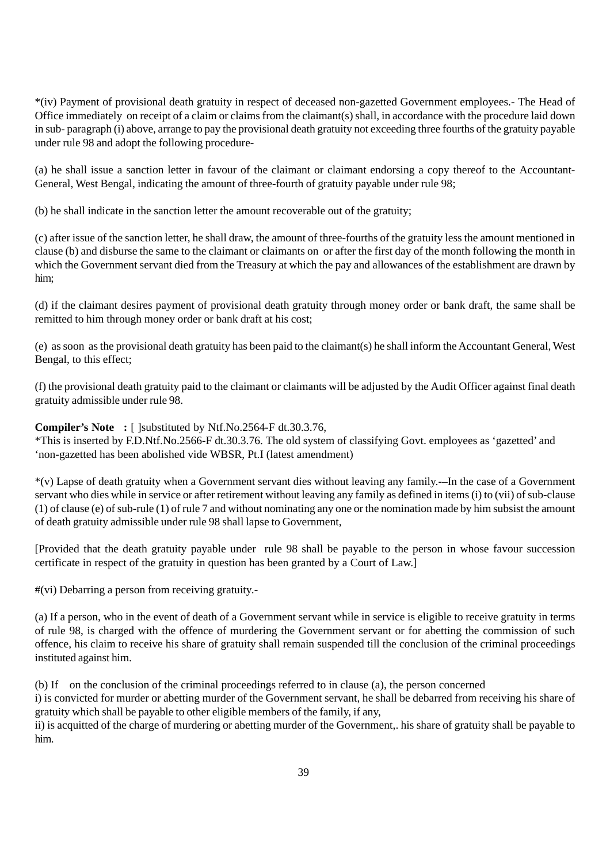\*(iv) Payment of provisional death gratuity in respect of deceased non-gazetted Government employees.- The Head of Office immediately on receipt of a claim or claims from the claimant(s) shall, in accordance with the procedure laid down in sub- paragraph (i) above, arrange to pay the provisional death gratuity not exceeding three fourths of the gratuity payable under rule 98 and adopt the following procedure-

(a) he shall issue a sanction letter in favour of the claimant or claimant endorsing a copy thereof to the Accountant-General, West Bengal, indicating the amount of three-fourth of gratuity payable under rule 98;

(b) he shall indicate in the sanction letter the amount recoverable out of the gratuity;

(c) after issue of the sanction letter, he shall draw, the amount of three-fourths of the gratuity less the amount mentioned in clause (b) and disburse the same to the claimant or claimants on or after the first day of the month following the month in which the Government servant died from the Treasury at which the pay and allowances of the establishment are drawn by him;

(d) if the claimant desires payment of provisional death gratuity through money order or bank draft, the same shall be remitted to him through money order or bank draft at his cost;

(e) as soon as the provisional death gratuity has been paid to the claimant(s) he shall inform the Accountant General, West Bengal, to this effect;

(f) the provisional death gratuity paid to the claimant or claimants will be adjusted by the Audit Officer against final death gratuity admissible under rule 98.

**Compiler's Note :** [ ]substituted by Ntf.No.2564-F dt.30.3.76,

\*This is inserted by F.D.Ntf.No.2566-F dt.30.3.76. The old system of classifying Govt. employees as 'gazetted' and 'non-gazetted has been abolished vide WBSR, Pt.I (latest amendment)

\*(v) Lapse of death gratuity when a Government servant dies without leaving any family.-–In the case of a Government servant who dies while in service or after retirement without leaving any family as defined in items (i) to (vii) of sub-clause (1) of clause (e) of sub-rule (1) of rule 7 and without nominating any one or the nomination made by him subsist the amount of death gratuity admissible under rule 98 shall lapse to Government,

[Provided that the death gratuity payable under rule 98 shall be payable to the person in whose favour succession certificate in respect of the gratuity in question has been granted by a Court of Law.]

#(vi) Debarring a person from receiving gratuity.-

(a) If a person, who in the event of death of a Government servant while in service is eligible to receive gratuity in terms of rule 98, is charged with the offence of murdering the Government servant or for abetting the commission of such offence, his claim to receive his share of gratuity shall remain suspended till the conclusion of the criminal proceedings instituted against him.

(b) If on the conclusion of the criminal proceedings referred to in clause (a), the person concerned

i) is convicted for murder or abetting murder of the Government servant, he shall be debarred from receiving his share of gratuity which shall be payable to other eligible members of the family, if any,

ii) is acquitted of the charge of murdering or abetting murder of the Government,. his share of gratuity shall be payable to him.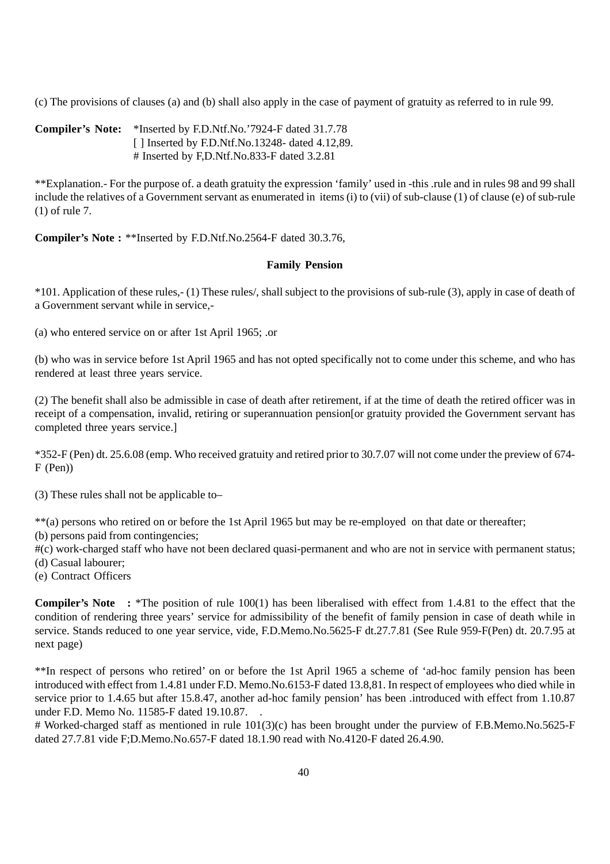(c) The provisions of clauses (a) and (b) shall also apply in the case of payment of gratuity as referred to in rule 99.

**Compiler's Note:** \*Inserted by F.D.Ntf.No.'7924-F dated 31.7.78 [ ] Inserted by F.D.Ntf.No.13248- dated 4.12,89. # Inserted by F,D.Ntf.No.833-F dated 3.2.81

\*\*Explanation.- For the purpose of. a death gratuity the expression 'family' used in -this .rule and in rules 98 and 99 shall include the relatives of a Government servant as enumerated in items (i) to (vii) of sub-clause (1) of clause (e) of sub-rule (1) of rule 7.

**Compiler's Note :** \*\*Inserted by F.D.Ntf.No.2564-F dated 30.3.76,

## **Family Pension**

\*101. Application of these rules,- (1) These rules/, shall subject to the provisions of sub-rule (3), apply in case of death of a Government servant while in service,-

(a) who entered service on or after 1st April 1965; .or

(b) who was in service before 1st April 1965 and has not opted specifically not to come under this scheme, and who has rendered at least three years service.

(2) The benefit shall also be admissible in case of death after retirement, if at the time of death the retired officer was in receipt of a compensation, invalid, retiring or superannuation pension[or gratuity provided the Government servant has completed three years service.]

\*352-F (Pen) dt. 25.6.08 (emp. Who received gratuity and retired prior to 30.7.07 will not come under the preview of 674- F (Pen))

(3) These rules shall not be applicable to–

\*\*(a) persons who retired on or before the 1st April 1965 but may be re-employed on that date or thereafter;

(b) persons paid from contingencies;

#(c) work-charged staff who have not been declared quasi-permanent and who are not in service with permanent status; (d) Casual labourer;

(e) Contract Officers

**Compiler's Note :** \*The position of rule 100(1) has been liberalised with effect from 1.4.81 to the effect that the condition of rendering three years' service for admissibility of the benefit of family pension in case of death while in service. Stands reduced to one year service, vide, F.D.Memo.No.5625-F dt.27.7.81 (See Rule 959-F(Pen) dt. 20.7.95 at next page)

\*\*In respect of persons who retired' on or before the 1st April 1965 a scheme of 'ad-hoc family pension has been introduced with effect from 1.4.81 under F.D. Memo.No.6153-F dated 13.8,81. In respect of employees who died while in service prior to 1.4.65 but after 15.8.47, another ad-hoc family pension' has been .introduced with effect from 1.10.87 under F.D. Memo No. 11585-F dated 19.10.87. .

# Worked-charged staff as mentioned in rule 101(3)(c) has been brought under the purview of F.B.Memo.No.5625-F dated 27.7.81 vide F;D.Memo.No.657-F dated 18.1.90 read with No.4120-F dated 26.4.90.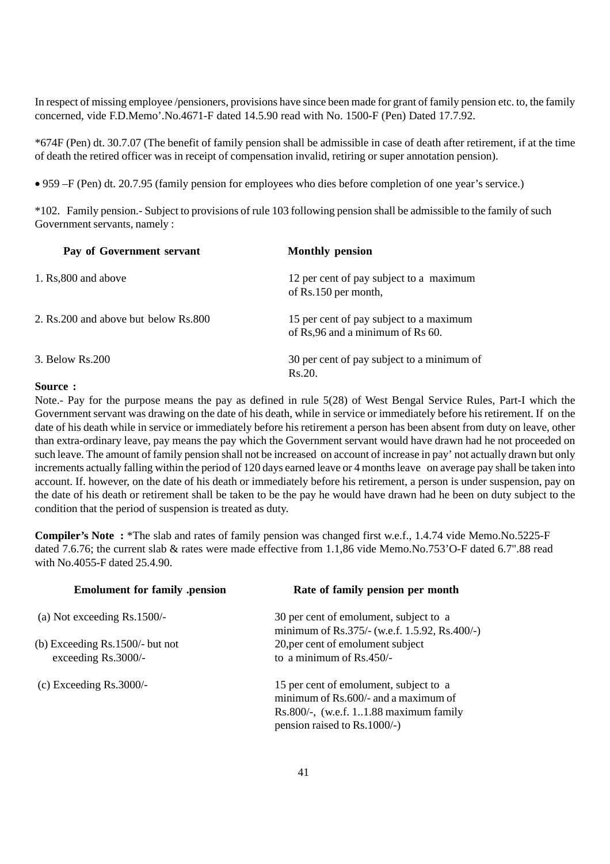In respect of missing employee /pensioners, provisions have since been made for grant of family pension etc. to, the family concerned, vide F.D.Memo'.No.4671-F dated 14.5.90 read with No. 1500-F (Pen) Dated 17.7.92.

\*674F (Pen) dt. 30.7.07 (The benefit of family pension shall be admissible in case of death after retirement, if at the time of death the retired officer was in receipt of compensation invalid, retiring or super annotation pension).

• 959 –F (Pen) dt. 20.7.95 (family pension for employees who dies before completion of one year's service.)

\*102. Family pension.- Subject to provisions of rule 103 following pension shall be admissible to the family of such Government servants, namely :

| Pay of Government servant              | <b>Monthly pension</b>                                                      |
|----------------------------------------|-----------------------------------------------------------------------------|
| 1. Rs,800 and above                    | 12 per cent of pay subject to a maximum<br>of Rs.150 per month,             |
| 2. Rs. 200 and above but below Rs. 800 | 15 per cent of pay subject to a maximum<br>of Rs,96 and a minimum of Rs 60. |
| 3. Below Rs. 200                       | 30 per cent of pay subject to a minimum of<br>Rs.20.                        |

#### **Source :**

Note.- Pay for the purpose means the pay as defined in rule 5(28) of West Bengal Service Rules, Part-I which the Government servant was drawing on the date of his death, while in service or immediately before his retirement. If on the date of his death while in service or immediately before his retirement a person has been absent from duty on leave, other than extra-ordinary leave, pay means the pay which the Government servant would have drawn had he not proceeded on such leave. The amount of family pension shall not be increased on account of increase in pay' not actually drawn but only increments actually falling within the period of 120 days earned leave or 4 months leave on average pay shall be taken into account. If. however, on the date of his death or immediately before his retirement, a person is under suspension, pay on the date of his death or retirement shall be taken to be the pay he would have drawn had he been on duty subject to the condition that the period of suspension is treated as duty.

**Compiler's Note :** \*The slab and rates of family pension was changed first w.e.f., 1.4.74 vide Memo.No.5225-F dated 7.6.76; the current slab & rates were made effective from 1.1,86 vide Memo.No.753'O-F dated 6.7".88 read with No. 4055-F dated 25.4.90.

| <b>Emolument for family .pension</b> | Rate of family pension per month                                                                                                                           |
|--------------------------------------|------------------------------------------------------------------------------------------------------------------------------------------------------------|
| (a) Not exceeding $Rs.1500/-$        | 30 per cent of emolument, subject to a<br>minimum of Rs.375/- (w.e.f. 1.5.92, Rs.400/-)                                                                    |
| (b) Exceeding $Rs.1500/-$ but not    | 20, per cent of emolument subject                                                                                                                          |
| exceeding Rs.3000/-                  | to a minimum of Rs.450/-                                                                                                                                   |
| (c) Exceeding $Rs.3000/-$            | 15 per cent of emolument, subject to a<br>minimum of Rs.600/- and a maximum of<br>Rs.800/-, (w.e.f. $11.88$ maximum family<br>pension raised to Rs.1000/-) |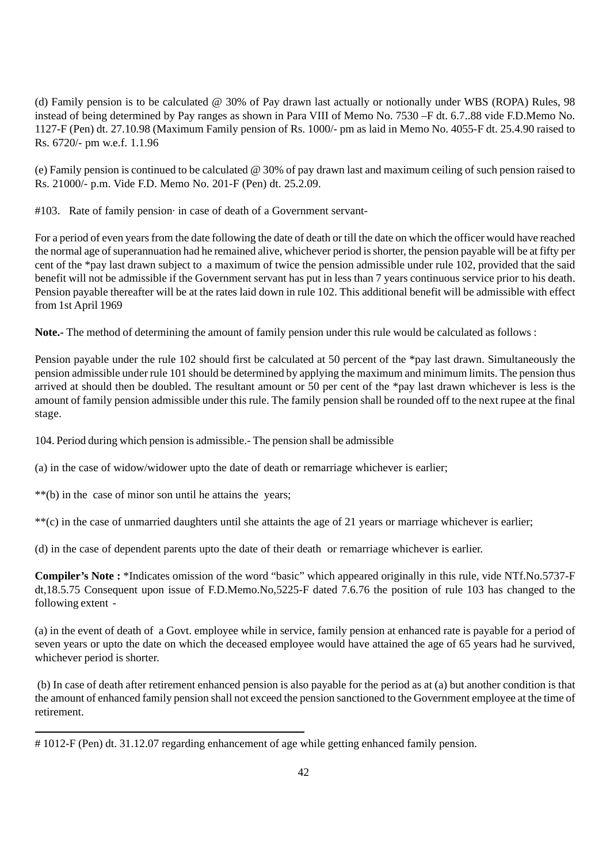(d) Family pension is to be calculated @ 30% of Pay drawn last actually or notionally under WBS (ROPA) Rules, 98 instead of being determined by Pay ranges as shown in Para VIII of Memo No. 7530 –F dt. 6.7..88 vide F.D.Memo No. 1127-F (Pen) dt. 27.10.98 (Maximum Family pension of Rs. 1000/- pm as laid in Memo No. 4055-F dt. 25.4.90 raised to Rs. 6720/- pm w.e.f. 1.1.96

(e) Family pension is continued to be calculated @ 30% of pay drawn last and maximum ceiling of such pension raised to Rs. 21000/- p.m. Vide F.D. Memo No. 201-F (Pen) dt. 25.2.09.

#103. Rate of family pension· in case of death of a Government servant-

For a period of even years from the date following the date of death or till the date on which the officer would have reached the normal age of superannuation had he remained alive, whichever period is shorter, the pension payable will be at fifty per cent of the \*pay last drawn subject to a maximum of twice the pension admissible under rule 102, provided that the said benefit will not be admissible if the Government servant has put in less than 7 years continuous service prior to his death. Pension payable thereafter will be at the rates laid down in rule 102. This additional benefit will be admissible with effect from 1st April 1969

**Note.-** The method of determining the amount of family pension under this rule would be calculated as follows :

Pension payable under the rule 102 should first be calculated at 50 percent of the \*pay last drawn. Simultaneously the pension admissible under rule 101 should be determined by applying the maximum and minimum limits. The pension thus arrived at should then be doubled. The resultant amount or 50 per cent of the \*pay last drawn whichever is less is the amount of family pension admissible under this rule. The family pension shall be rounded off to the next rupee at the final stage.

104. Period during which pension is admissible.- The pension shall be admissible

(a) in the case of widow/widower upto the date of death or remarriage whichever is earlier;

\*\*(b) in the case of minor son until he attains the years;

\*\*(c) in the case of unmarried daughters until she attaints the age of 21 years or marriage whichever is earlier;

(d) in the case of dependent parents upto the date of their death or remarriage whichever is earlier.

**Compiler's Note :** \*Indicates omission of the word "basic" which appeared originally in this rule, vide NTf.No.5737-F dt,18.5.75 Consequent upon issue of F.D.Memo.No,5225-F dated 7.6.76 the position of rule 103 has changed to the following extent -

(a) in the event of death of a Govt. employee while in service, family pension at enhanced rate is payable for a period of seven years or upto the date on which the deceased employee would have attained the age of 65 years had he survived, whichever period is shorter.

 (b) In case of death after retirement enhanced pension is also payable for the period as at (a) but another condition is that the amount of enhanced family pension shall not exceed the pension sanctioned to the Government employee at the time of retirement.

<sup># 1012-</sup>F (Pen) dt. 31.12.07 regarding enhancement of age while getting enhanced family pension.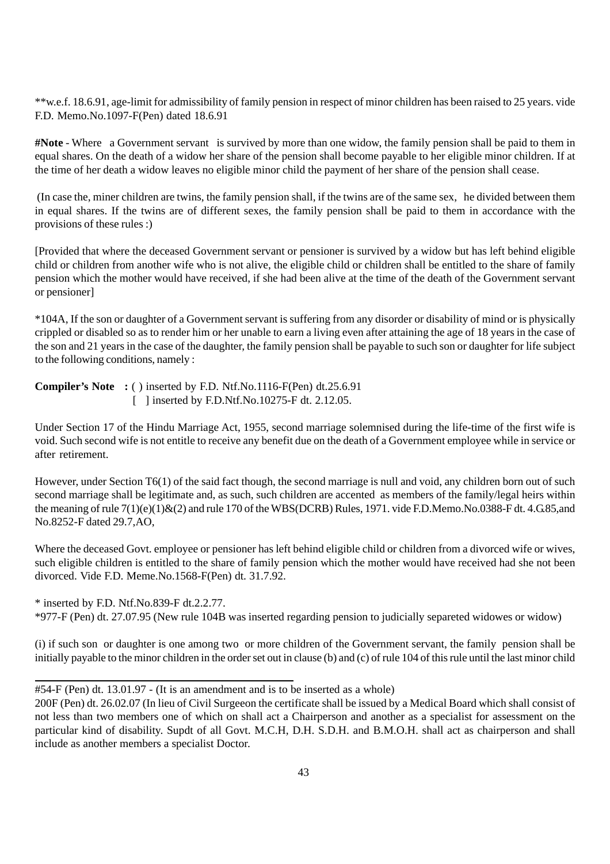\*\*w.e.f. 18.6.91, age-limit for admissibility of family pension in respect of minor children has been raised to 25 years. vide F.D. Memo.No.1097-F(Pen) dated 18.6.91

**#Note** - Where a Government servant is survived by more than one widow, the family pension shall be paid to them in equal shares. On the death of a widow her share of the pension shall become payable to her eligible minor children. If at the time of her death a widow leaves no eligible minor child the payment of her share of the pension shall cease.

 (In case the, miner children are twins, the family pension shall, if the twins are of the same sex, he divided between them in equal shares. If the twins are of different sexes, the family pension shall be paid to them in accordance with the provisions of these rules :)

[Provided that where the deceased Government servant or pensioner is survived by a widow but has left behind eligible child or children from another wife who is not alive, the eligible child or children shall be entitled to the share of family pension which the mother would have received, if she had been alive at the time of the death of the Government servant or pensioner]

\*104A, If the son or daughter of a Government servant is suffering from any disorder or disability of mind or is physically crippled or disabled so as to render him or her unable to earn a living even after attaining the age of 18 years in the case of the son and 21 years in the case of the daughter, the family pension shall be payable to such son or daughter for life subject to the following conditions, namely :

**Compiler's Note :** ( ) inserted by F.D. Ntf.No.1116-F(Pen) dt.25.6.91 [ ] inserted by F.D.Ntf.No.10275-F dt. 2.12.05.

Under Section 17 of the Hindu Marriage Act, 1955, second marriage solemnised during the life-time of the first wife is void. Such second wife is not entitle to receive any benefit due on the death of a Government employee while in service or after retirement.

However, under Section T6(1) of the said fact though, the second marriage is null and void, any children born out of such second marriage shall be legitimate and, as such, such children are accented as members of the family/legal heirs within the meaning of rule 7(1)(e)(1)&(2) and rule 170 of the WBS(DCRB) Rules, 1971. vide F.D.Memo.No.0388-F dt. 4.G.85,and No.8252-F dated 29.7,AO,

Where the deceased Govt. employee or pensioner has left behind eligible child or children from a divorced wife or wives, such eligible children is entitled to the share of family pension which the mother would have received had she not been divorced. Vide F.D. Meme.No.1568-F(Pen) dt. 31.7.92.

\* inserted by F.D. Ntf.No.839-F dt.2.2.77.

\*977-F (Pen) dt. 27.07.95 (New rule 104B was inserted regarding pension to judicially separeted widowes or widow)

(i) if such son or daughter is one among two or more children of the Government servant, the family pension shall be initially payable to the minor children in the order set out in clause (b) and (c) of rule 104 of this rule until the last minor child

<sup>#54-</sup>F (Pen) dt. 13.01.97 - (It is an amendment and is to be inserted as a whole)

<sup>200</sup>F (Pen) dt. 26.02.07 (In lieu of Civil Surgeeon the certificate shall be issued by a Medical Board which shall consist of not less than two members one of which on shall act a Chairperson and another as a specialist for assessment on the particular kind of disability. Supdt of all Govt. M.C.H, D.H. S.D.H. and B.M.O.H. shall act as chairperson and shall include as another members a specialist Doctor.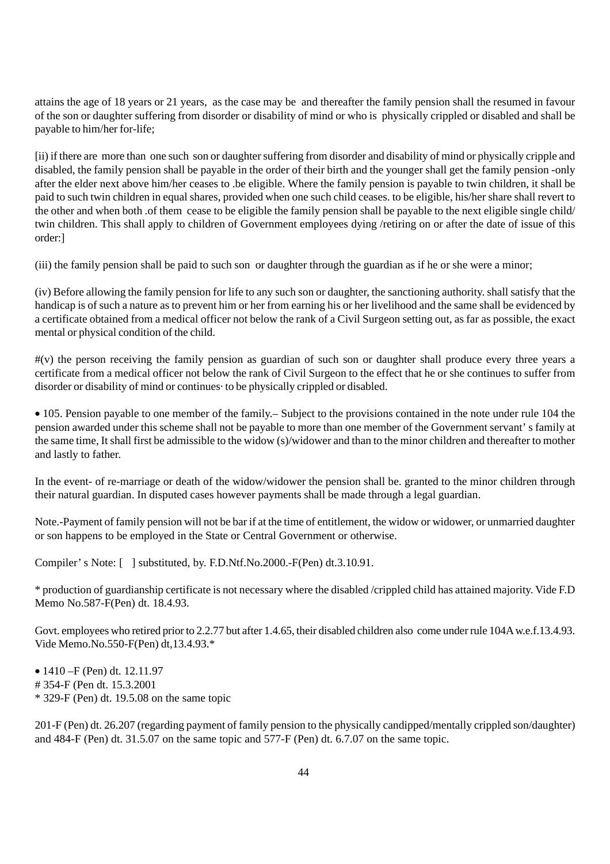attains the age of 18 years or 21 years, as the case may be and thereafter the family pension shall the resumed in favour of the son or daughter suffering from disorder or disability of mind or who is physically crippled or disabled and shall be payable to him/her for-life;

[ii) if there are more than one such son or daughter suffering from disorder and disability of mind or physically cripple and disabled, the family pension shall be payable in the order of their birth and the younger shall get the family pension -only after the elder next above him/her ceases to .be eligible. Where the family pension is payable to twin children, it shall be paid to such twin children in equal shares, provided when one such child ceases. to be eligible, his/her share shall revert to the other and when both .of them cease to be eligible the family pension shall be payable to the next eligible single child/ twin children. This shall apply to children of Government employees dying /retiring on or after the date of issue of this order:]

(iii) the family pension shall be paid to such son or daughter through the guardian as if he or she were a minor;

(iv) Before allowing the family pension for life to any such son or daughter, the sanctioning authority. shall satisfy that the handicap is of such a nature as to prevent him or her from earning his or her livelihood and the same shall be evidenced by a certificate obtained from a medical officer not below the rank of a Civil Surgeon setting out, as far as possible, the exact mental or physical condition of the child.

#(v) the person receiving the family pension as guardian of such son or daughter shall produce every three years a certificate from a medical officer not below the rank of Civil Surgeon to the effect that he or she continues to suffer from disorder or disability of mind or continues· to be physically crippled or disabled.

• 105. Pension payable to one member of the family.– Subject to the provisions contained in the note under rule 104 the pension awarded under this scheme shall not be payable to more than one member of the Government servant' s family at the same time, It shall first be admissible to the widow (s)/widower and than to the minor children and thereafter to mother and lastly to father.

In the event- of re-marriage or death of the widow/widower the pension shall be. granted to the minor children through their natural guardian. In disputed cases however payments shall be made through a legal guardian.

Note.-Payment of family pension will not be bar if at the time of entitlement, the widow or widower, or unmarried daughter or son happens to be employed in the State or Central Government or otherwise.

Compiler' s Note: [ ] substituted, by. F.D.Ntf.No.2000.-F(Pen) dt.3.10.91.

\* production of guardianship certificate is not necessary where the disabled /crippled child has attained majority. Vide F.D Memo No.587-F(Pen) dt. 18.4.93.

Govt. employees who retired prior to 2.2.77 but after 1.4.65, their disabled children also come under rule 104A w.e.f.13.4.93. Vide Memo.No.550-F(Pen) dt,13.4.93.\*

• 1410 – F (Pen) dt. 12.11.97 # 354-F (Pen dt. 15.3.2001 \* 329-F (Pen) dt. 19.5.08 on the same topic

201-F (Pen) dt. 26.207 (regarding payment of family pension to the physically candipped/mentally crippled son/daughter) and 484-F (Pen) dt. 31.5.07 on the same topic and 577-F (Pen) dt. 6.7.07 on the same topic.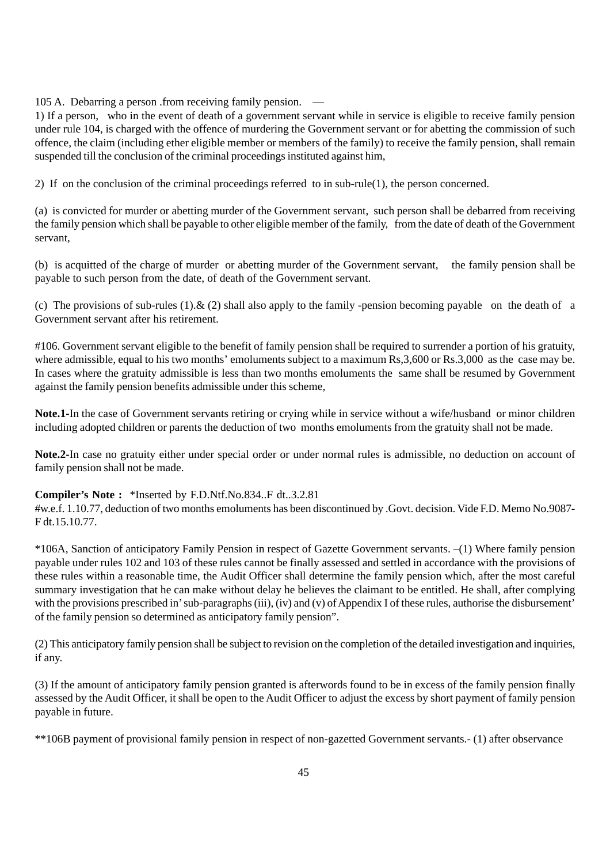105 A. Debarring a person .from receiving family pension. —

1) If a person, who in the event of death of a government servant while in service is eligible to receive family pension under rule 104, is charged with the offence of murdering the Government servant or for abetting the commission of such offence, the claim (including ether eligible member or members of the family) to receive the family pension, shall remain suspended till the conclusion of the criminal proceedings instituted against him,

2) If on the conclusion of the criminal proceedings referred to in sub-rule(1), the person concerned.

(a) is convicted for murder or abetting murder of the Government servant, such person shall be debarred from receiving the family pension which shall be payable to other eligible member of the family, from the date of death of the Government servant,

(b) is acquitted of the charge of murder or abetting murder of the Government servant, the family pension shall be payable to such person from the date, of death of the Government servant.

(c) The provisions of sub-rules  $(1)$ .  $\& (2)$  shall also apply to the family -pension becoming payable on the death of a Government servant after his retirement.

#106. Government servant eligible to the benefit of family pension shall be required to surrender a portion of his gratuity, where admissible, equal to his two months' emoluments subject to a maximum Rs, 3,600 or Rs. 3,000 as the case may be. In cases where the gratuity admissible is less than two months emoluments the same shall be resumed by Government against the family pension benefits admissible under this scheme,

**Note.1-**In the case of Government servants retiring or crying while in service without a wife/husband or minor children including adopted children or parents the deduction of two months emoluments from the gratuity shall not be made.

**Note.2-**In case no gratuity either under special order or under normal rules is admissible, no deduction on account of family pension shall not be made.

#### **Compiler's Note :** \*Inserted by F.D.Ntf.No.834..F dt..3.2.81

#w.e.f. 1.10.77, deduction of two months emoluments has been discontinued by .Govt. decision. Vide F.D. Memo No.9087- F dt.15.10.77.

\*106A, Sanction of anticipatory Family Pension in respect of Gazette Government servants. –(1) Where family pension payable under rules 102 and 103 of these rules cannot be finally assessed and settled in accordance with the provisions of these rules within a reasonable time, the Audit Officer shall determine the family pension which, after the most careful summary investigation that he can make without delay he believes the claimant to be entitled. He shall, after complying with the provisions prescribed in' sub-paragraphs (iii), (iv) and (v) of Appendix I of these rules, authorise the disbursement' of the family pension so determined as anticipatory family pension".

(2) This anticipatory family pension shall be subject to revision on the completion of the detailed investigation and inquiries, if any.

(3) If the amount of anticipatory family pension granted is afterwords found to be in excess of the family pension finally assessed by the Audit Officer, it shall be open to the Audit Officer to adjust the excess by short payment of family pension payable in future.

\*\*106B payment of provisional family pension in respect of non-gazetted Government servants.- (1) after observance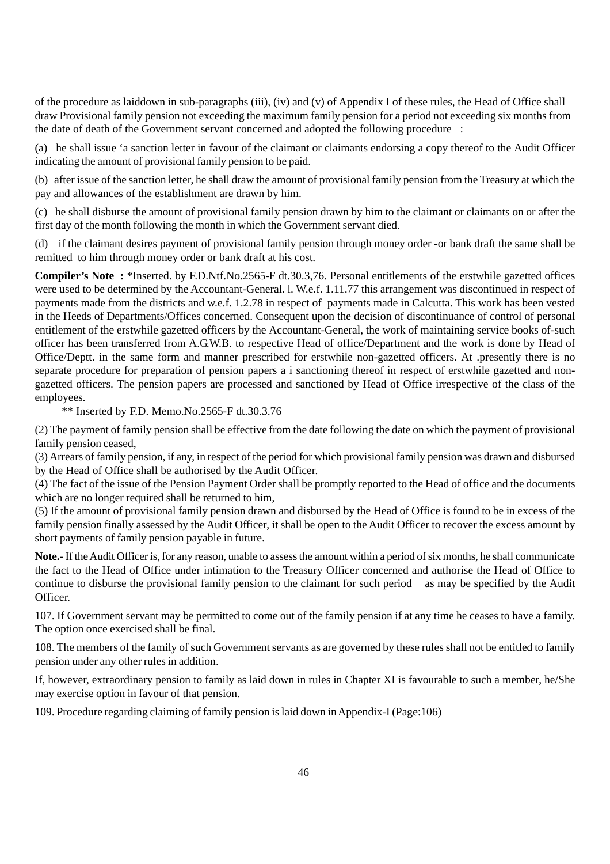of the procedure as laiddown in sub-paragraphs (iii), (iv) and (v) of Appendix I of these rules, the Head of Office shall draw Provisional family pension not exceeding the maximum family pension for a period not exceeding six months from the date of death of the Government servant concerned and adopted the following procedure :

(a) he shall issue 'a sanction letter in favour of the claimant or claimants endorsing a copy thereof to the Audit Officer indicating the amount of provisional family pension to be paid.

(b) after issue of the sanction letter, he shall draw the amount of provisional family pension from the Treasury at which the pay and allowances of the establishment are drawn by him.

(c) he shall disburse the amount of provisional family pension drawn by him to the claimant or claimants on or after the first day of the month following the month in which the Government servant died.

(d) if the claimant desires payment of provisional family pension through money order -or bank draft the same shall be remitted to him through money order or bank draft at his cost.

**Compiler's Note :** \*Inserted. by F.D.Ntf.No.2565-F dt.30.3,76. Personal entitlements of the erstwhile gazetted offices were used to be determined by the Accountant-General. l. W.e.f. 1.11.77 this arrangement was discontinued in respect of payments made from the districts and w.e.f. 1.2.78 in respect of payments made in Calcutta. This work has been vested in the Heeds of Departments/Offices concerned. Consequent upon the decision of discontinuance of control of personal entitlement of the erstwhile gazetted officers by the Accountant-General, the work of maintaining service books of-such officer has been transferred from A.G.W.B. to respective Head of office/Department and the work is done by Head of Office/Deptt. in the same form and manner prescribed for erstwhile non-gazetted officers. At .presently there is no separate procedure for preparation of pension papers a i sanctioning thereof in respect of erstwhile gazetted and nongazetted officers. The pension papers are processed and sanctioned by Head of Office irrespective of the class of the employees.

\*\* Inserted by F.D. Memo.No.2565-F dt.30.3.76

(2) The payment of family pension shall be effective from the date following the date on which the payment of provisional family pension ceased,

(3) Arrears of family pension, if any, in respect of the period for which provisional family pension was drawn and disbursed by the Head of Office shall be authorised by the Audit Officer.

(4) The fact of the issue of the Pension Payment Order shall be promptly reported to the Head of office and the documents which are no longer required shall be returned to him,

(5) If the amount of provisional family pension drawn and disbursed by the Head of Office is found to be in excess of the family pension finally assessed by the Audit Officer, it shall be open to the Audit Officer to recover the excess amount by short payments of family pension payable in future.

**Note.**- If the Audit Officer is, for any reason, unable to assess the amount within a period of six months, he shall communicate the fact to the Head of Office under intimation to the Treasury Officer concerned and authorise the Head of Office to continue to disburse the provisional family pension to the claimant for such period as may be specified by the Audit Officer.

107. If Government servant may be permitted to come out of the family pension if at any time he ceases to have a family. The option once exercised shall be final.

108. The members of the family of such Government servants as are governed by these rules shall not be entitled to family pension under any other rules in addition.

If, however, extraordinary pension to family as laid down in rules in Chapter XI is favourable to such a member, he/She may exercise option in favour of that pension.

109. Procedure regarding claiming of family pension is laid down in Appendix-I (Page:106)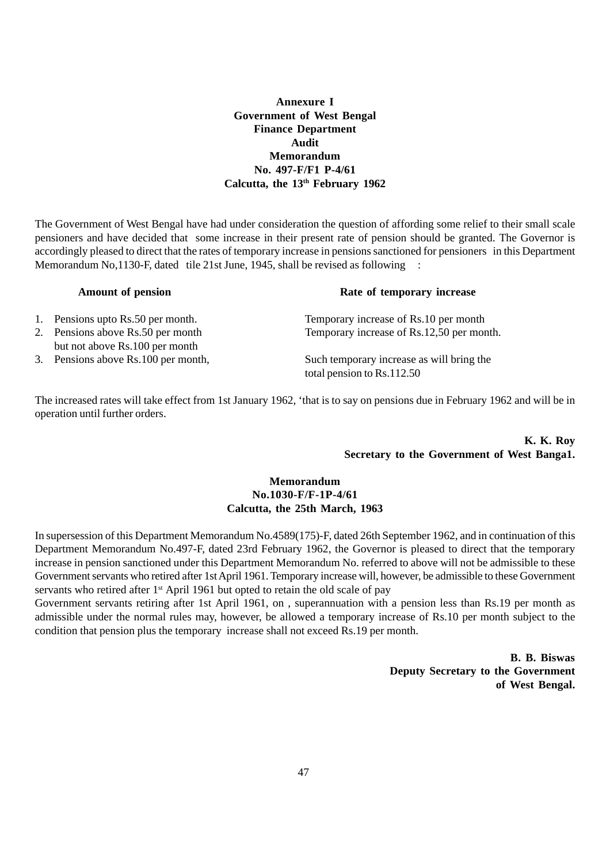# **Annexure I Government of West Bengal Finance Department Audit Memorandum No. 497-F/F1 P-4/61 Calcutta, the 13th February 1962**

The Government of West Bengal have had under consideration the question of affording some relief to their small scale pensioners and have decided that some increase in their present rate of pension should be granted. The Governor is accordingly pleased to direct that the rates of temporary increase in pensions sanctioned for pensioners in this Department Memorandum No, 1130-F, dated tile 21st June, 1945, shall be revised as following

| Hanouille of pendrom                                                | <i>rate of temporary mercase</i>                                        |  |  |
|---------------------------------------------------------------------|-------------------------------------------------------------------------|--|--|
| 1. Pensions upto Rs.50 per month.                                   | Temporary increase of Rs.10 per month                                   |  |  |
| 2. Pensions above Rs.50 per month<br>but not above Rs.100 per month | Temporary increase of Rs.12,50 per month.                               |  |  |
| 3. Pensions above Rs.100 per month,                                 | Such temporary increase as will bring the<br>total pension to Rs.112.50 |  |  |

 **Amount of pension Rate of temporary increase**

The increased rates will take effect from 1st January 1962, 'that is to say on pensions due in February 1962 and will be in operation until further orders.

> **K. K. Roy Secretary to the Government of West Banga1.**

#### **Memorandum No.1030-F/F-1P-4/61 Calcutta, the 25th March, 1963**

In supersession of this Department Memorandum No.4589(175)-F, dated 26th September 1962, and in continuation of this Department Memorandum No.497-F, dated 23rd February 1962, the Governor is pleased to direct that the temporary increase in pension sanctioned under this Department Memorandum No. referred to above will not be admissible to these Government servants who retired after 1st April 1961. Temporary increase will, however, be admissible to these Government servants who retired after  $1<sup>st</sup>$  April 1961 but opted to retain the old scale of pay

Government servants retiring after 1st April 1961, on , superannuation with a pension less than Rs.19 per month as admissible under the normal rules may, however, be allowed a temporary increase of Rs.10 per month subject to the condition that pension plus the temporary increase shall not exceed Rs.19 per month.

> **B. B. Biswas Deputy Secretary to the Government of West Bengal.**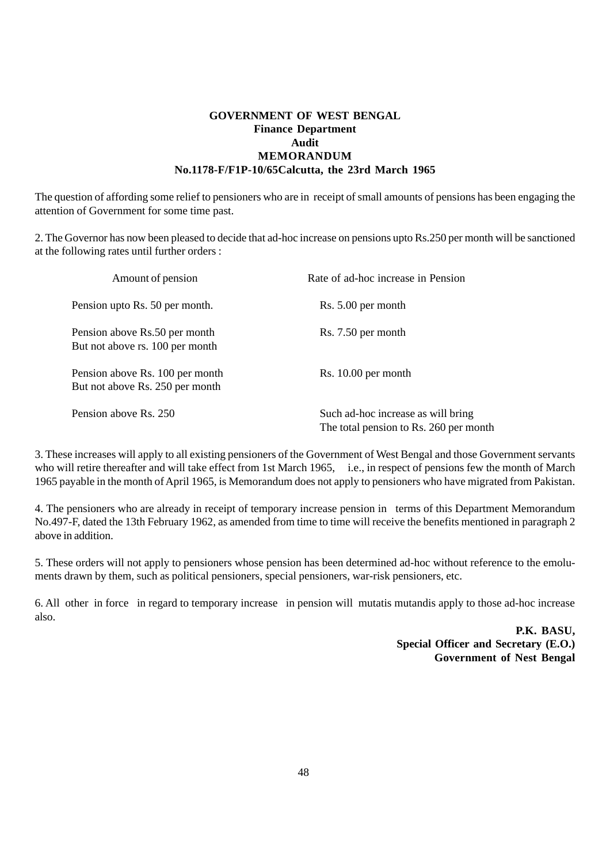#### **GOVERNMENT OF WEST BENGAL Finance Department Audit MEMORANDUM No.1178-F/F1P-10/65Calcutta, the 23rd March 1965**

The question of affording some relief to pensioners who are in receipt of small amounts of pensions has been engaging the attention of Government for some time past.

2. The Governor has now been pleased to decide that ad-hoc increase on pensions upto Rs.250 per month will be sanctioned at the following rates until further orders :

| Amount of pension                                                  | Rate of ad-hoc increase in Pension                                           |  |  |
|--------------------------------------------------------------------|------------------------------------------------------------------------------|--|--|
| Pension upto Rs. 50 per month.                                     | Rs. 5.00 per month                                                           |  |  |
| Pension above Rs.50 per month<br>But not above rs. 100 per month   | Rs. 7.50 per month                                                           |  |  |
| Pension above Rs. 100 per month<br>But not above Rs. 250 per month | $Rs. 10.00$ per month                                                        |  |  |
| Pension above Rs. 250                                              | Such ad-hoc increase as will bring<br>The total pension to Rs. 260 per month |  |  |

3. These increases will apply to all existing pensioners of the Government of West Bengal and those Government servants who will retire thereafter and will take effect from 1st March 1965, i.e., in respect of pensions few the month of March 1965 payable in the month of April 1965, is Memorandum does not apply to pensioners who have migrated from Pakistan.

4. The pensioners who are already in receipt of temporary increase pension in terms of this Department Memorandum No.497-F, dated the 13th February 1962, as amended from time to time will receive the benefits mentioned in paragraph 2 above in addition.

5. These orders will not apply to pensioners whose pension has been determined ad-hoc without reference to the emoluments drawn by them, such as political pensioners, special pensioners, war-risk pensioners, etc.

6. All other in force in regard to temporary increase in pension will mutatis mutandis apply to those ad-hoc increase also.

> **P.K. BASU, Special Officer and Secretary (E.O.) Government of Nest Bengal**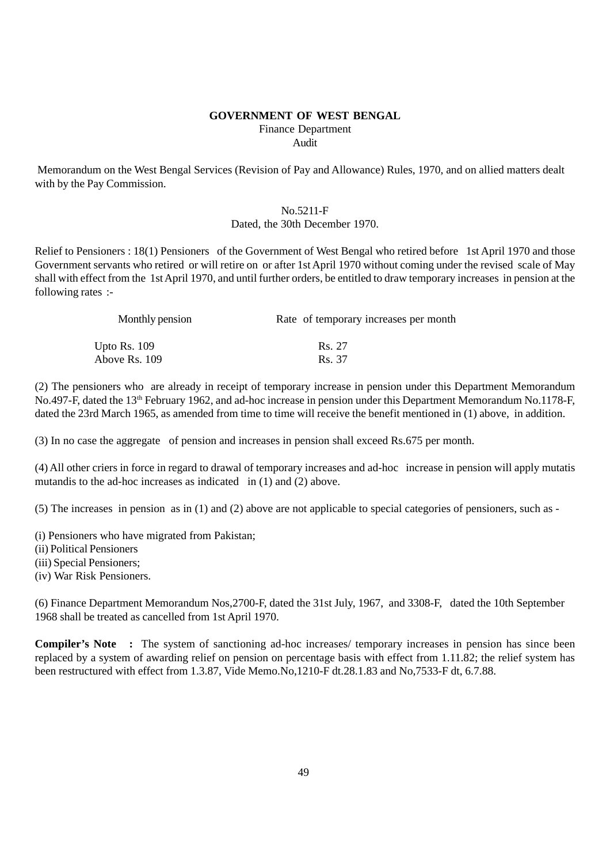#### **GOVERNMENT OF WEST BENGAL** Finance Department Audit

 Memorandum on the West Bengal Services (Revision of Pay and Allowance) Rules, 1970, and on allied matters dealt with by the Pay Commission.

#### No.5211-F Dated, the 30th December 1970.

Relief to Pensioners : 18(1) Pensioners of the Government of West Bengal who retired before 1st April 1970 and those Government servants who retired or will retire on or after 1st April 1970 without coming under the revised scale of May shall with effect from the 1st April 1970, and until further orders, be entitled to draw temporary increases in pension at the following rates :-

| Monthly pension | Rate of temporary increases per month |  |  |
|-----------------|---------------------------------------|--|--|
| Upto Rs. 109    | Rs. 27                                |  |  |
| Above Rs. 109   | Rs. 37                                |  |  |

(2) The pensioners who are already in receipt of temporary increase in pension under this Department Memorandum No.497-F, dated the 13<sup>th</sup> February 1962, and ad-hoc increase in pension under this Department Memorandum No.1178-F, dated the 23rd March 1965, as amended from time to time will receive the benefit mentioned in (1) above, in addition.

(3) In no case the aggregate of pension and increases in pension shall exceed Rs.675 per month.

(4) All other criers in force in regard to drawal of temporary increases and ad-hoc increase in pension will apply mutatis mutandis to the ad-hoc increases as indicated in (1) and (2) above.

(5) The increases in pension as in (1) and (2) above are not applicable to special categories of pensioners, such as -

- (i) Pensioners who have migrated from Pakistan;
- (ii) Political Pensioners
- (iii) Special Pensioners;
- (iv) War Risk Pensioners.

(6) Finance Department Memorandum Nos,2700-F, dated the 31st July, 1967, and 3308-F, dated the 10th September 1968 shall be treated as cancelled from 1st April 1970.

**Compiler's Note** : The system of sanctioning ad-hoc increases/ temporary increases in pension has since been replaced by a system of awarding relief on pension on percentage basis with effect from 1.11.82; the relief system has been restructured with effect from 1.3.87, Vide Memo.No,1210-F dt.28.1.83 and No,7533-F dt, 6.7.88.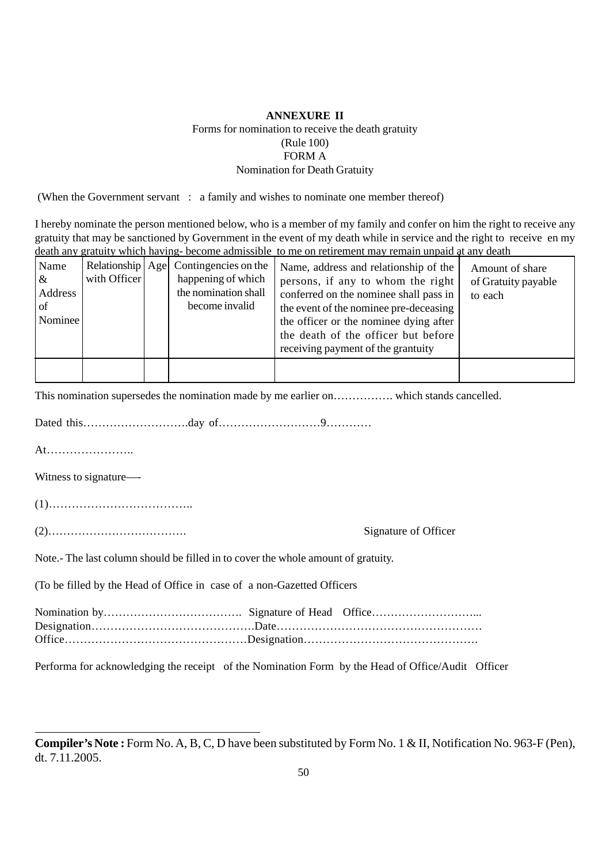# **ANNEXURE II** Forms for nomination to receive the death gratuity (Rule 100) FORM A

# Nomination for Death Gratuity

(When the Government servant : a family and wishes to nominate one member thereof)

I hereby nominate the person mentioned below, who is a member of my family and confer on him the right to receive any gratuity that may be sanctioned by Government in the event of my death while in service and the right to receive en my death any gratuity which having- become admissible to me on retirement may remain unpaid at any death

| Name<br>$\&$<br>Address<br>. of<br>Nominee | with Officer | Relationship Age Contingencies on the<br>happening of which<br>the nomination shall<br>become invalid | Name, address and relationship of the<br>persons, if any to whom the right<br>conferred on the nominee shall pass in<br>the event of the nominee pre-deceasing<br>the officer or the nominee dying after<br>the death of the officer but before<br>receiving payment of the grantuity | Amount of share<br>of Gratuity payable<br>to each |
|--------------------------------------------|--------------|-------------------------------------------------------------------------------------------------------|---------------------------------------------------------------------------------------------------------------------------------------------------------------------------------------------------------------------------------------------------------------------------------------|---------------------------------------------------|
|                                            |              |                                                                                                       |                                                                                                                                                                                                                                                                                       |                                                   |

This nomination supersedes the nomination made by me earlier on……………. which stands cancelled.

Dated this……………………….day of………………………9…………

At…………………..

Witness to signature—-

(1)………………………………..

(2)………………………………. Signature of Officer

Note.- The last column should be filled in to cover the whole amount of gratuity.

(To be filled by the Head of Office in case of a non-Gazetted Officers

Performa for acknowledging the receipt of the Nomination Form by the Head of Office/Audit Officer

**Compiler's Note :** Form No. A, B, C, D have been substituted by Form No. 1 & II, Notification No. 963-F (Pen), dt. 7.11.2005.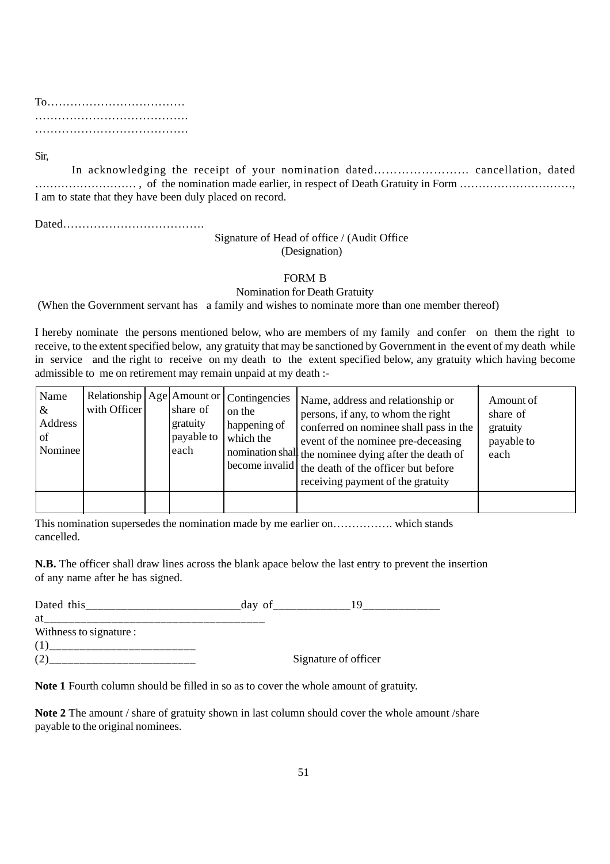To……………………………… …………………………………. ………………………………….

Sir,

In acknowledging the receipt of your nomination dated…………………… cancellation, dated ……………………… , of the nomination made earlier, in respect of Death Gratuity in Form …………………………, I am to state that they have been duly placed on record.

Dated……………………………….

## Signature of Head of office / (Audit Office (Designation)

#### FORM B

#### Nomination for Death Gratuity

(When the Government servant has a family and wishes to nominate more than one member thereof)

I hereby nominate the persons mentioned below, who are members of my family and confer on them the right to receive, to the extent specified below, any gratuity that may be sanctioned by Government in the event of my death while in service and the right to receive on my death to the extent specified below, any gratuity which having become admissible to me on retirement may remain unpaid at my death :-

| Name<br>$\alpha$<br>Address<br>of<br>Nominee | with Officer | share of<br>gratuity<br>payable to $\vert$<br>each | Relationship   Age   Amount or   Contingencies<br>on the<br>happening of<br>which the | Name, address and relationship or<br>persons, if any, to whom the right<br>conferred on nominee shall pass in the<br>event of the nominee pre-deceasing<br>momination shall the nominee dying after the death of<br>become invalid $\vert$ the death of the officer but before<br>receiving payment of the gratuity | Amount of<br>share of<br>gratuity<br>payable to<br>each |
|----------------------------------------------|--------------|----------------------------------------------------|---------------------------------------------------------------------------------------|---------------------------------------------------------------------------------------------------------------------------------------------------------------------------------------------------------------------------------------------------------------------------------------------------------------------|---------------------------------------------------------|
|                                              |              |                                                    |                                                                                       |                                                                                                                                                                                                                                                                                                                     |                                                         |

This nomination supersedes the nomination made by me earlier on……………. which stands cancelled.

**N.B.** The officer shall draw lines across the blank apace below the last entry to prevent the insertion of any name after he has signed.

| Dated this              | day of |                      |
|-------------------------|--------|----------------------|
| at                      |        |                      |
| Withness to signature : |        |                      |
|                         |        |                      |
|                         |        | Signature of officer |

**Note 1** Fourth column should be filled in so as to cover the whole amount of gratuity.

**Note 2** The amount / share of gratuity shown in last column should cover the whole amount /share payable to the original nominees.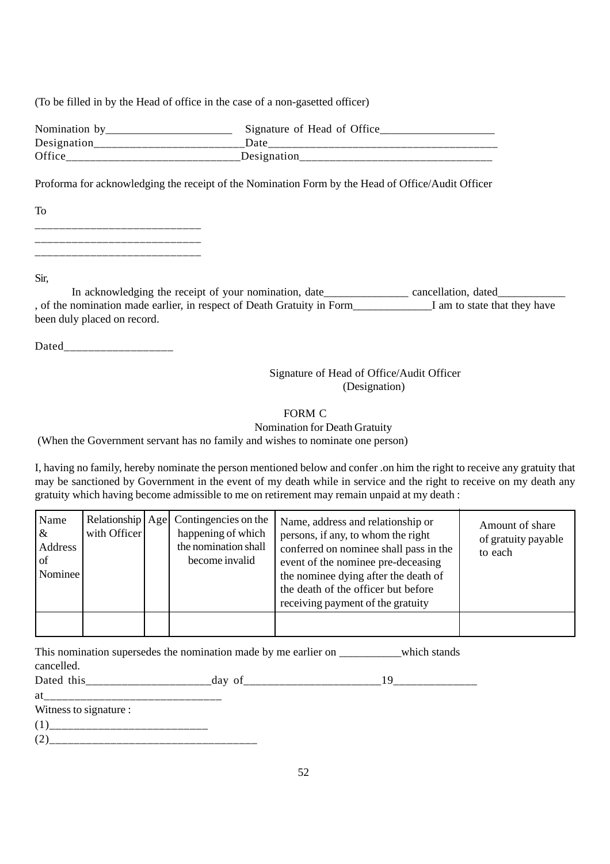(To be filled in by the Head of office in the case of a non-gasetted officer)

| Nomination by | Signature of Head of Office |
|---------------|-----------------------------|
| Designation   | Date                        |
| Office        | Designation                 |

Proforma for acknowledging the receipt of the Nomination Form by the Head of Office/Audit Officer

| To         |  |
|------------|--|
| __________ |  |
|            |  |

Sir,

In acknowledging the receipt of your nomination, date\_\_\_\_\_\_\_\_\_\_\_\_\_\_\_\_ cancellation, dated\_\_\_\_\_\_\_\_\_\_ , of the nomination made earlier, in respect of Death Gratuity in Form\_\_\_\_\_\_\_\_\_\_\_\_\_\_I am to state that they have been duly placed on record.

Dated\_\_\_\_\_\_\_\_\_\_\_\_\_\_\_\_\_\_

# Signature of Head of Office/Audit Officer (Designation)

# FORM C

Nomination for Death Gratuity

(When the Government servant has no family and wishes to nominate one person)

I, having no family, hereby nominate the person mentioned below and confer .on him the right to receive any gratuity that may be sanctioned by Government in the event of my death while in service and the right to receive on my death any gratuity which having become admissible to me on retirement may remain unpaid at my death :

| Name<br>&<br>Address<br>of<br>Nominee | with Officer | Relationship   Age   Contingencies on the<br>happening of which<br>the nomination shall<br>become invalid | Name, address and relationship or<br>persons, if any, to whom the right<br>conferred on nominee shall pass in the<br>event of the nominee pre-deceasing<br>the nominee dying after the death of<br>the death of the officer but before<br>receiving payment of the gratuity | Amount of share<br>of gratuity payable<br>to each |
|---------------------------------------|--------------|-----------------------------------------------------------------------------------------------------------|-----------------------------------------------------------------------------------------------------------------------------------------------------------------------------------------------------------------------------------------------------------------------------|---------------------------------------------------|
|                                       |              |                                                                                                           |                                                                                                                                                                                                                                                                             |                                                   |

| This nomination supersedes the nomination made by me earlier on | which stands |
|-----------------------------------------------------------------|--------------|
| cancelled.                                                      |              |

Dated this\_\_\_\_\_\_\_\_\_\_\_\_\_\_\_\_\_\_\_\_\_day of\_\_\_\_\_\_\_\_\_\_\_\_\_\_\_\_\_\_\_\_\_\_\_19\_\_\_\_\_\_\_\_\_\_\_\_\_\_

| $W_{\text{itmore to signature}}$ |  |
|----------------------------------|--|

- Witness to signature :
- (1)\_\_\_\_\_\_\_\_\_\_\_\_\_\_\_\_\_\_\_\_\_\_\_\_\_\_
- $(2)$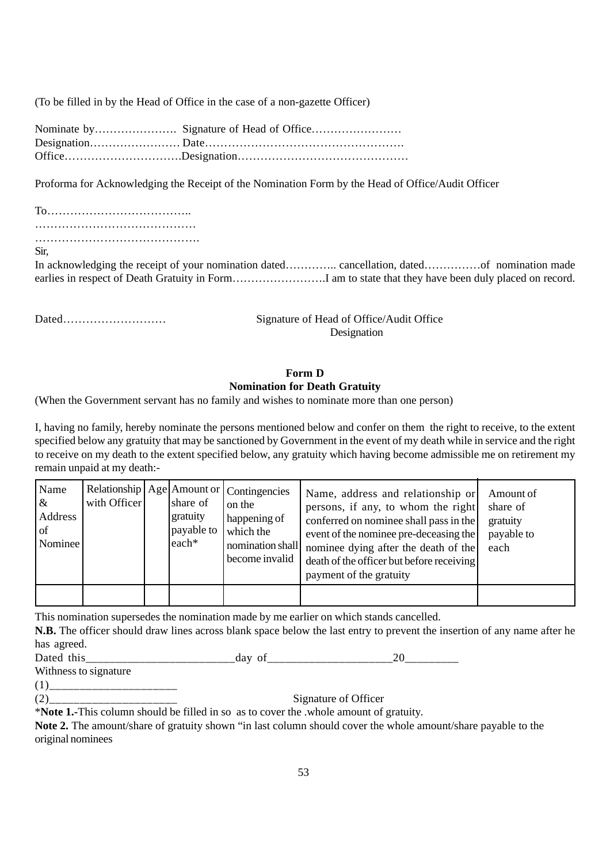(To be filled in by the Head of Office in the case of a non-gazette Officer)

Proforma for Acknowledging the Receipt of the Nomination Form by the Head of Office/Audit Officer

To……………………………….. …………………………………… …………………………………….

Sir,

In acknowledging the receipt of your nomination dated………….. cancellation, dated……………of nomination made earlies in respect of Death Gratuity in Form…………………….I am to state that they have been duly placed on record.

Dated……………………… Signature of Head of Office/Audit Office Designation

# **Form D Nomination for Death Gratuity**

(When the Government servant has no family and wishes to nominate more than one person)

I, having no family, hereby nominate the persons mentioned below and confer on them the right to receive, to the extent specified below any gratuity that may be sanctioned by Government in the event of my death while in service and the right to receive on my death to the extent specified below, any gratuity which having become admissible me on retirement my remain unpaid at my death:-

| Name<br>$\alpha$<br>Address<br>of<br>Nominee | with Officer | share of<br>gratuity<br>payable to<br>$leach*$ | Relationship   Age   Amount or   Contingencies<br>on the<br>happening of<br>which the<br>nomination shall<br>become invalid | Name, address and relationship or<br>persons, if any, to whom the right<br>conferred on nominee shall pass in the<br>event of the nominee pre-deceasing the<br>nominee dying after the death of the<br>death of the officer but before receiving<br>payment of the gratuity | Amount of<br>share of<br>gratuity<br>payable to<br>each |
|----------------------------------------------|--------------|------------------------------------------------|-----------------------------------------------------------------------------------------------------------------------------|-----------------------------------------------------------------------------------------------------------------------------------------------------------------------------------------------------------------------------------------------------------------------------|---------------------------------------------------------|
|                                              |              |                                                |                                                                                                                             |                                                                                                                                                                                                                                                                             |                                                         |

This nomination supersedes the nomination made by me earlier on which stands cancelled.

**N.B.** The officer should draw lines across blank space below the last entry to prevent the insertion of any name after he has agreed.

Dated this day of 20

Withness to signature

(1)\_\_\_\_\_\_\_\_\_\_\_\_\_\_\_\_\_\_\_\_\_

(2)\_\_\_\_\_\_\_\_\_\_\_\_\_\_\_\_\_\_\_\_\_ Signature of Officer

\***Note 1.-**This column should be filled in so as to cover the .whole amount of gratuity.

**Note 2.** The amount/share of gratuity shown "in last column should cover the whole amount/share payable to the original nominees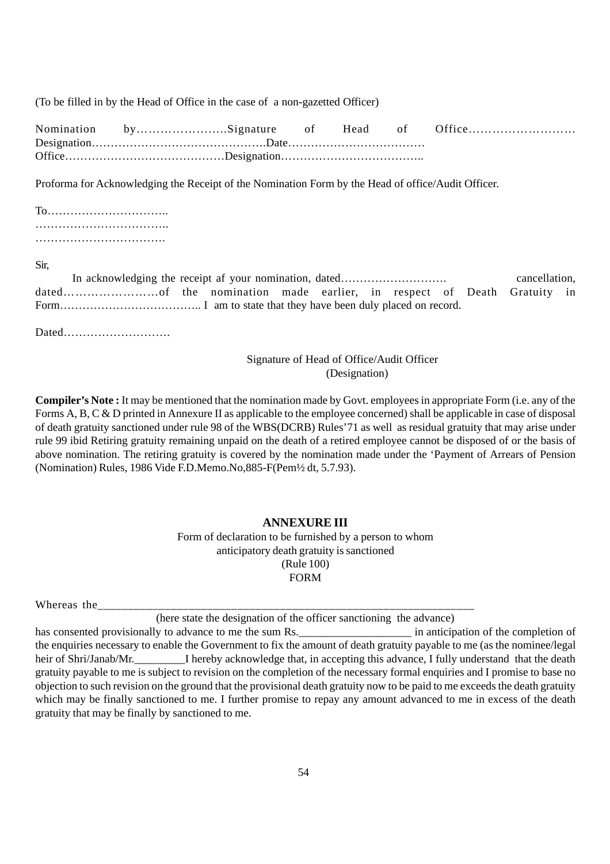(To be filled in by the Head of Office in the case of a non-gazetted Officer)

|  |  |  | Nomination bySignature of Head of Office |
|--|--|--|------------------------------------------|
|  |  |  |                                          |
|  |  |  |                                          |

Proforma for Acknowledging the Receipt of the Nomination Form by the Head of office/Audit Officer.

#### Sir,

| In acknowledging the receipt af your nomination, dated |  |  |  |  | cancellation. |  |
|--------------------------------------------------------|--|--|--|--|---------------|--|
|                                                        |  |  |  |  |               |  |
|                                                        |  |  |  |  |               |  |

Dated……………………….

# Signature of Head of Office/Audit Officer (Designation)

**Compiler's Note :** It may be mentioned that the nomination made by Govt. employees in appropriate Form (i.e. any of the Forms A, B, C & D printed in Annexure II as applicable to the employee concerned) shall be applicable in case of disposal of death gratuity sanctioned under rule 98 of the WBS(DCRB) Rules'71 as well as residual gratuity that may arise under rule 99 ibid Retiring gratuity remaining unpaid on the death of a retired employee cannot be disposed of or the basis of above nomination. The retiring gratuity is covered by the nomination made under the 'Payment of Arrears of Pension (Nomination) Rules, 1986 Vide F.D.Memo.No,885-F(Pem½ dt, 5.7.93).

# **ANNEXURE III**

Form of declaration to be furnished by a person to whom anticipatory death gratuity is sanctioned (Rule 100) FORM

| <b>TT 71</b><br>Wh.<br>-i cas | -11 V<br>________ |  |
|-------------------------------|-------------------|--|
|                               |                   |  |

(here state the designation of the officer sanctioning the advance)

has consented provisionally to advance to me the sum Rs. \_\_\_\_\_\_\_\_\_\_\_\_\_\_\_\_\_\_\_\_\_\_\_ in anticipation of the completion of the enquiries necessary to enable the Government to fix the amount of death gratuity payable to me (as the nominee/legal heir of Shri/Janab/Mr. I hereby acknowledge that, in accepting this advance, I fully understand that the death gratuity payable to me is subject to revision on the completion of the necessary formal enquiries and I promise to base no objection to such revision on the ground that the provisional death gratuity now to be paid to me exceeds the death gratuity which may be finally sanctioned to me. I further promise to repay any amount advanced to me in excess of the death gratuity that may be finally by sanctioned to me.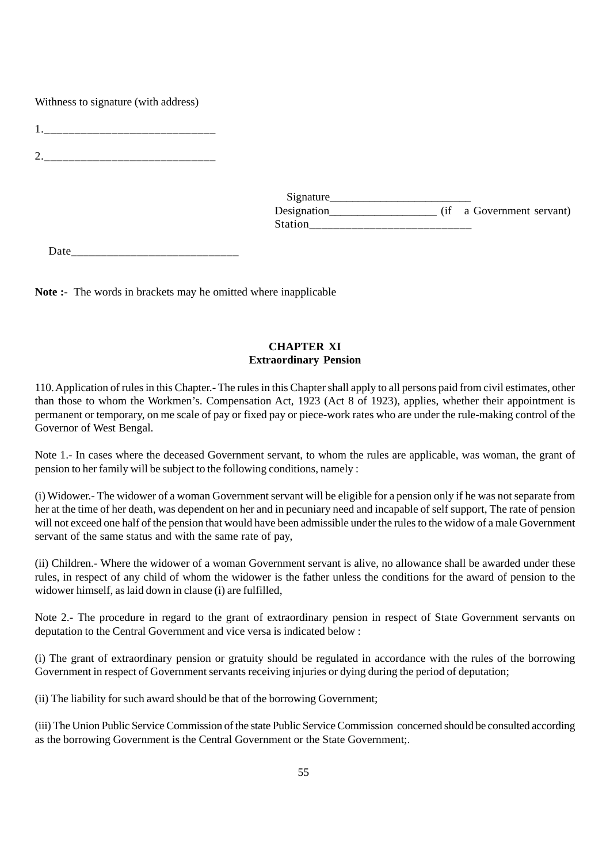Withness to signature (with address)

1.

 $2.$ 

| Signature      |                           |
|----------------|---------------------------|
| Designation    | (if a Government servant) |
| <b>Station</b> |                           |

Date\_\_\_\_\_\_\_\_\_\_\_\_\_\_\_\_\_\_\_\_\_\_\_\_\_\_\_\_

**Note :-** The words in brackets may he omitted where inapplicable

# **CHAPTER XI Extraordinary Pension**

110. Application of rules in this Chapter.- The rules in this Chapter shall apply to all persons paid from civil estimates, other than those to whom the Workmen's. Compensation Act, 1923 (Act 8 of 1923), applies, whether their appointment is permanent or temporary, on me scale of pay or fixed pay or piece-work rates who are under the rule-making control of the Governor of West Bengal.

Note 1.- In cases where the deceased Government servant, to whom the rules are applicable, was woman, the grant of pension to her family will be subject to the following conditions, namely :

(i) Widower.- The widower of a woman Government servant will be eligible for a pension only if he was not separate from her at the time of her death, was dependent on her and in pecuniary need and incapable of self support, The rate of pension will not exceed one half of the pension that would have been admissible under the rules to the widow of a male Government servant of the same status and with the same rate of pay,

(ii) Children.- Where the widower of a woman Government servant is alive, no allowance shall be awarded under these rules, in respect of any child of whom the widower is the father unless the conditions for the award of pension to the widower himself, as laid down in clause (i) are fulfilled,

Note 2.- The procedure in regard to the grant of extraordinary pension in respect of State Government servants on deputation to the Central Government and vice versa is indicated below :

(i) The grant of extraordinary pension or gratuity should be regulated in accordance with the rules of the borrowing Government in respect of Government servants receiving injuries or dying during the period of deputation;

(ii) The liability for such award should be that of the borrowing Government;

(iii) The Union Public Service Commission of the state Public Service Commission concerned should be consulted according as the borrowing Government is the Central Government or the State Government;.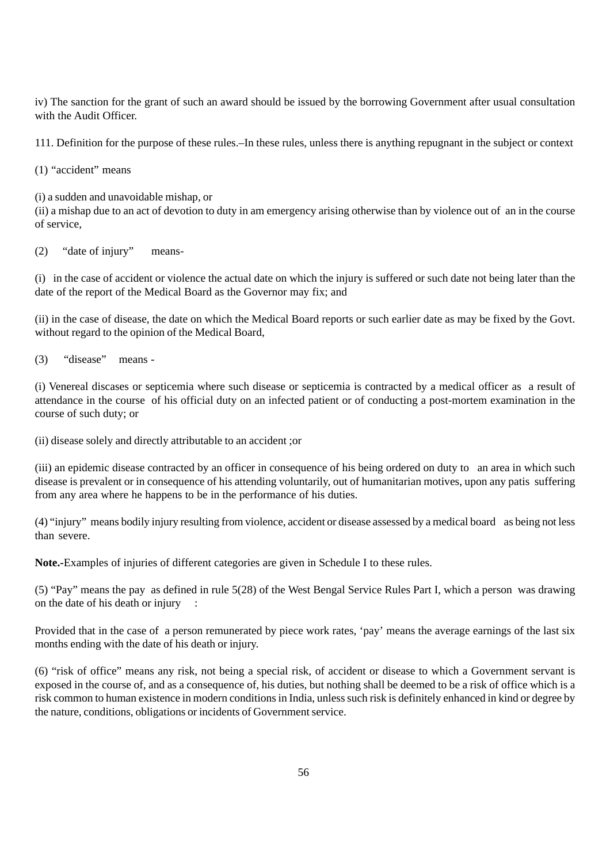iv) The sanction for the grant of such an award should be issued by the borrowing Government after usual consultation with the Audit Officer.

111. Definition for the purpose of these rules.–In these rules, unless there is anything repugnant in the subject or context

(1) "accident" means

(i) a sudden and unavoidable mishap, or

(ii) a mishap due to an act of devotion to duty in am emergency arising otherwise than by violence out of an in the course of service,

(2) "date of injury" means-

(i) in the case of accident or violence the actual date on which the injury is suffered or such date not being later than the date of the report of the Medical Board as the Governor may fix; and

(ii) in the case of disease, the date on which the Medical Board reports or such earlier date as may be fixed by the Govt. without regard to the opinion of the Medical Board,

(3) "disease" means -

(i) Venereal discases or septicemia where such disease or septicemia is contracted by a medical officer as a result of attendance in the course of his official duty on an infected patient or of conducting a post-mortem examination in the course of such duty; or

(ii) disease solely and directly attributable to an accident ;or

(iii) an epidemic disease contracted by an officer in consequence of his being ordered on duty to an area in which such disease is prevalent or in consequence of his attending voluntarily, out of humanitarian motives, upon any patis suffering from any area where he happens to be in the performance of his duties.

(4) "injury" means bodily injury resulting from violence, accident or disease assessed by a medical board as being not less than severe.

**Note.-**Examples of injuries of different categories are given in Schedule I to these rules.

(5) "Pay" means the pay as defined in rule 5(28) of the West Bengal Service Rules Part I, which a person was drawing on the date of his death or injury :

Provided that in the case of a person remunerated by piece work rates, 'pay' means the average earnings of the last six months ending with the date of his death or injury.

(6) "risk of office" means any risk, not being a special risk, of accident or disease to which a Government servant is exposed in the course of, and as a consequence of, his duties, but nothing shall be deemed to be a risk of office which is a risk common to human existence in modern conditions in India, unless such risk is definitely enhanced in kind or degree by the nature, conditions, obligations or incidents of Government service.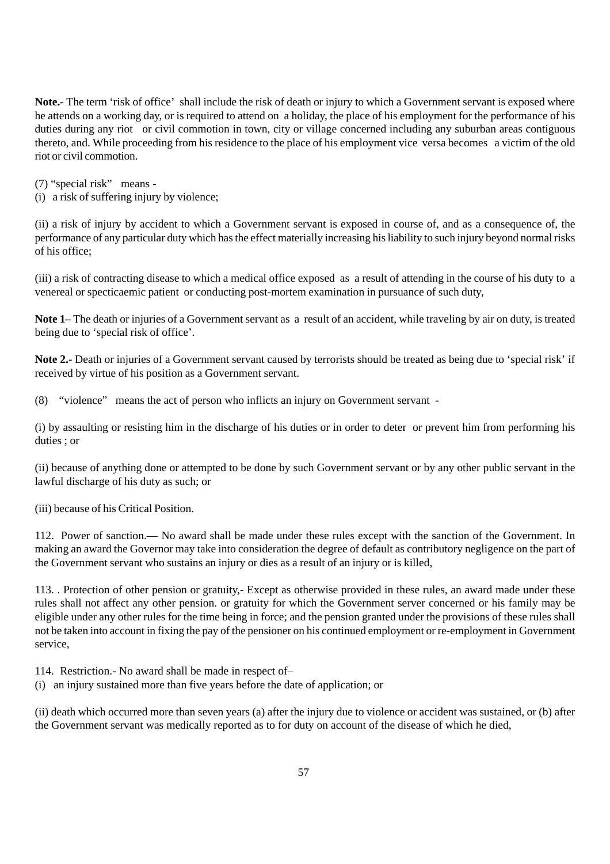**Note.-** The term 'risk of office' shall include the risk of death or injury to which a Government servant is exposed where he attends on a working day, or is required to attend on a holiday, the place of his employment for the performance of his duties during any riot or civil commotion in town, city or village concerned including any suburban areas contiguous thereto, and. While proceeding from his residence to the place of his employment vice versa becomes a victim of the old riot or civil commotion.

(7) "special risk" means -

(i) a risk of suffering injury by violence;

(ii) a risk of injury by accident to which a Government servant is exposed in course of, and as a consequence of, the performance of any particular duty which has the effect materially increasing his liability to such injury beyond normal risks of his office;

(iii) a risk of contracting disease to which a medical office exposed as a result of attending in the course of his duty to a venereal or specticaemic patient or conducting post-mortem examination in pursuance of such duty,

**Note 1–** The death or injuries of a Government servant as a result of an accident, while traveling by air on duty, is treated being due to 'special risk of office'.

**Note 2.-** Death or injuries of a Government servant caused by terrorists should be treated as being due to 'special risk' if received by virtue of his position as a Government servant.

(8) "violence" means the act of person who inflicts an injury on Government servant -

(i) by assaulting or resisting him in the discharge of his duties or in order to deter or prevent him from performing his duties ; or

(ii) because of anything done or attempted to be done by such Government servant or by any other public servant in the lawful discharge of his duty as such; or

(iii) because of his Critical Position.

112. Power of sanction.— No award shall be made under these rules except with the sanction of the Government. In making an award the Governor may take into consideration the degree of default as contributory negligence on the part of the Government servant who sustains an injury or dies as a result of an injury or is killed,

113. . Protection of other pension or gratuity,- Except as otherwise provided in these rules, an award made under these rules shall not affect any other pension. or gratuity for which the Government server concerned or his family may be eligible under any other rules for the time being in force; and the pension granted under the provisions of these rules shall not be taken into account in fixing the pay of the pensioner on his continued employment or re-employment in Government service,

114. Restriction.- No award shall be made in respect of–

(i) an injury sustained more than five years before the date of application; or

(ii) death which occurred more than seven years (a) after the injury due to violence or accident was sustained, or (b) after the Government servant was medically reported as to for duty on account of the disease of which he died,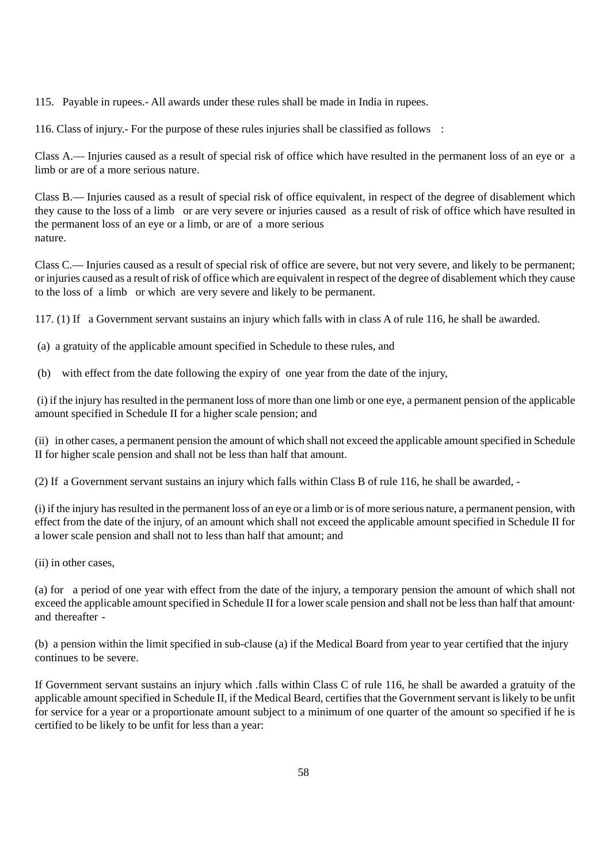115. Payable in rupees.- All awards under these rules shall be made in India in rupees.

116. Class of injury.- For the purpose of these rules injuries shall be classified as follows :

Class A.— Injuries caused as a result of special risk of office which have resulted in the permanent loss of an eye or a limb or are of a more serious nature.

Class B.— Injuries caused as a result of special risk of office equivalent, in respect of the degree of disablement which they cause to the loss of a limb or are very severe or injuries caused as a result of risk of office which have resulted in the permanent loss of an eye or a limb, or are of a more serious nature.

Class C.— Injuries caused as a result of special risk of office are severe, but not very severe, and likely to be permanent; or injuries caused as a result of risk of office which are equivalent in respect of the degree of disablement which they cause to the loss of a limb or which are very severe and likely to be permanent.

117. (1) If a Government servant sustains an injury which falls with in class A of rule 116, he shall be awarded.

(a) a gratuity of the applicable amount specified in Schedule to these rules, and

(b) with effect from the date following the expiry of one year from the date of the injury,

 (i) if the injury has resulted in the permanent loss of more than one limb or one eye, a permanent pension of the applicable amount specified in Schedule II for a higher scale pension; and

(ii) in other cases, a permanent pension the amount of which shall not exceed the applicable amount specified in Schedule II for higher scale pension and shall not be less than half that amount.

(2) If a Government servant sustains an injury which falls within Class B of rule 116, he shall be awarded, -

(i) if the injury has resulted in the permanent loss of an eye or a limb or is of more serious nature, a permanent pension, with effect from the date of the injury, of an amount which shall not exceed the applicable amount specified in Schedule II for a lower scale pension and shall not to less than half that amount; and

(ii) in other cases,

(a) for a period of one year with effect from the date of the injury, a temporary pension the amount of which shall not exceed the applicable amount specified in Schedule II for a lower scale pension and shall not be less than half that amount· and thereafter -

(b) a pension within the limit specified in sub-clause (a) if the Medical Board from year to year certified that the injury continues to be severe.

If Government servant sustains an injury which .falls within Class C of rule 116, he shall be awarded a gratuity of the applicable amount specified in Schedule II, if the Medical Beard, certifies that the Government servant is likely to be unfit for service for a year or a proportionate amount subject to a minimum of one quarter of the amount so specified if he is certified to be likely to be unfit for less than a year: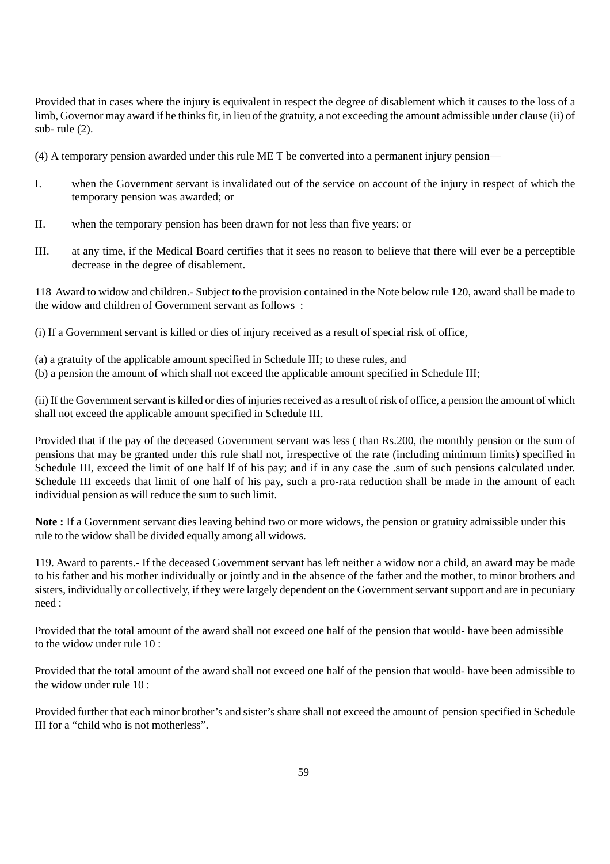Provided that in cases where the injury is equivalent in respect the degree of disablement which it causes to the loss of a limb, Governor may award if he thinks fit, in lieu of the gratuity, a not exceeding the amount admissible under clause (ii) of sub- rule (2).

(4) A temporary pension awarded under this rule ME T be converted into a permanent injury pension—

- I. when the Government servant is invalidated out of the service on account of the injury in respect of which the temporary pension was awarded; or
- II. when the temporary pension has been drawn for not less than five years: or
- III. at any time, if the Medical Board certifies that it sees no reason to believe that there will ever be a perceptible decrease in the degree of disablement.

118 Award to widow and children.- Subject to the provision contained in the Note below rule 120, award shall be made to the widow and children of Government servant as follows :

(i) If a Government servant is killed or dies of injury received as a result of special risk of office,

- (a) a gratuity of the applicable amount specified in Schedule III; to these rules, and
- (b) a pension the amount of which shall not exceed the applicable amount specified in Schedule III;

(ii) If the Government servant is killed or dies of injuries received as a result of risk of office, a pension the amount of which shall not exceed the applicable amount specified in Schedule III.

Provided that if the pay of the deceased Government servant was less ( than Rs.200, the monthly pension or the sum of pensions that may be granted under this rule shall not, irrespective of the rate (including minimum limits) specified in Schedule III, exceed the limit of one half If of his pay; and if in any case the .sum of such pensions calculated under. Schedule III exceeds that limit of one half of his pay, such a pro-rata reduction shall be made in the amount of each individual pension as will reduce the sum to such limit.

**Note :** If a Government servant dies leaving behind two or more widows, the pension or gratuity admissible under this rule to the widow shall be divided equally among all widows.

119. Award to parents.- If the deceased Government servant has left neither a widow nor a child, an award may be made to his father and his mother individually or jointly and in the absence of the father and the mother, to minor brothers and sisters, individually or collectively, if they were largely dependent on the Government servant support and are in pecuniary need :

Provided that the total amount of the award shall not exceed one half of the pension that would- have been admissible to the widow under rule  $10<sup>o</sup>$ 

Provided that the total amount of the award shall not exceed one half of the pension that would- have been admissible to the widow under rule 10 :

Provided further that each minor brother's and sister's share shall not exceed the amount of pension specified in Schedule III for a "child who is not motherless".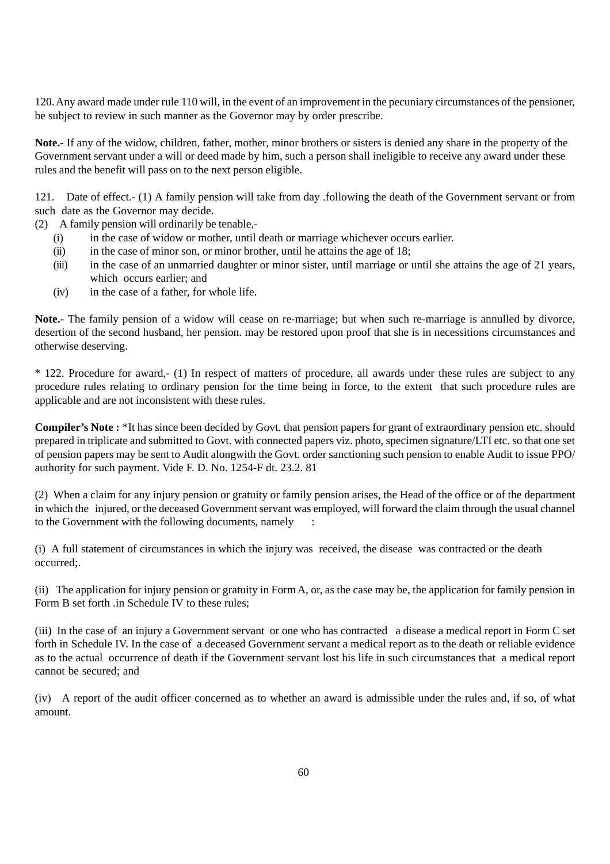120. Any award made under rule 110 will, in the event of an improvement in the pecuniary circumstances of the pensioner, be subject to review in such manner as the Governor may by order prescribe.

**Note.-** If any of the widow, children, father, mother, minor brothers or sisters is denied any share in the property of the Government servant under a will or deed made by him, such a person shall ineligible to receive any award under these rules and the benefit will pass on to the next person eligible.

121. Date of effect.- (1) A family pension will take from day .following the death of the Government servant or from such date as the Governor may decide.

- (2) A family pension will ordinarily be tenable,-
	- (i) in the case of widow or mother, until death or marriage whichever occurs earlier.
	- (ii) in the case of minor son, or minor brother, until he attains the age of 18;
	- (iii) in the case of an unmarried daughter or minor sister, until marriage or until she attains the age of 21 years, which occurs earlier; and
	- (iv) in the case of a father, for whole life.

**Note.-** The family pension of a widow will cease on re-marriage; but when such re-marriage is annulled by divorce, desertion of the second husband, her pension. may be restored upon proof that she is in necessitions circumstances and otherwise deserving.

\* 122. Procedure for award,- (1) In respect of matters of procedure, all awards under these rules are subject to any procedure rules relating to ordinary pension for the time being in force, to the extent that such procedure rules are applicable and are not inconsistent with these rules.

**Compiler's Note :** \*It has since been decided by Govt. that pension papers for grant of extraordinary pension etc. should prepared in triplicate and submitted to Govt. with connected papers viz. photo, specimen signature/LTI etc. so that one set of pension papers may be sent to Audit alongwith the Govt. order sanctioning such pension to enable Audit to issue PPO/ authority for such payment. Vide F. D. No. 1254-F dt. 23.2. 81

(2) When a claim for any injury pension or gratuity or family pension arises, the Head of the office or of the department in which the injured, or the deceased Government servant was employed, will forward the claim through the usual channel to the Government with the following documents, namely :

(i) A full statement of circumstances in which the injury was received, the disease was contracted or the death occurred;.

(ii) The application for injury pension or gratuity in Form A, or, as the case may be, the application for family pension in Form B set forth .in Schedule IV to these rules;

(iii) In the case of an injury a Government servant or one who has contracted a disease a medical report in Form C set forth in Schedule IV. In the case of a deceased Government servant a medical report as to the death or reliable evidence as to the actual occurrence of death if the Government servant lost his life in such circumstances that a medical report cannot be secured; and

(iv) A report of the audit officer concerned as to whether an award is admissible under the rules and, if so, of what amount.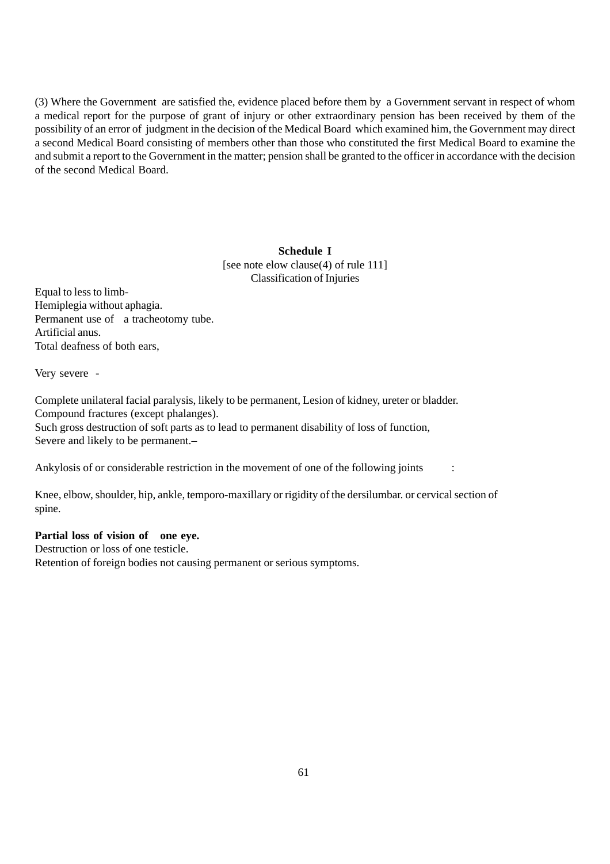(3) Where the Government are satisfied the, evidence placed before them by a Government servant in respect of whom a medical report for the purpose of grant of injury or other extraordinary pension has been received by them of the possibility of an error of judgment in the decision of the Medical Board which examined him, the Government may direct a second Medical Board consisting of members other than those who constituted the first Medical Board to examine the and submit a report to the Government in the matter; pension shall be granted to the officer in accordance with the decision of the second Medical Board.

#### **Schedule I**

[see note elow clause(4) of rule 111] Classification of Injuries

Equal to less to limb-Hemiplegia without aphagia. Permanent use of a tracheotomy tube. Artificial anus. Total deafness of both ears,

Very severe -

Complete unilateral facial paralysis, likely to be permanent, Lesion of kidney, ureter or bladder. Compound fractures (except phalanges). Such gross destruction of soft parts as to lead to permanent disability of loss of function, Severe and likely to be permanent.–

Ankylosis of or considerable restriction in the movement of one of the following joints :

Knee, elbow, shoulder, hip, ankle, temporo-maxillary or rigidity of the dersilumbar. or cervical section of spine.

#### **Partial loss of vision of one eye.**

Destruction or loss of one testicle. Retention of foreign bodies not causing permanent or serious symptoms.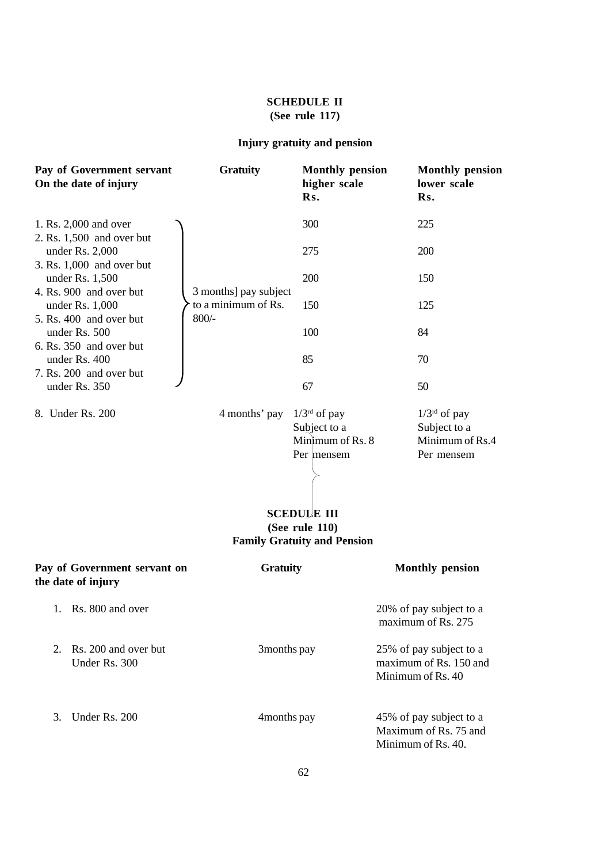# **SCHEDULE II (See rule 117)**

# **Injury gratuity and pension**

| Pay of Government servant<br>On the date of injury | <b>Gratuity</b>                | <b>Monthly pension</b><br>higher scale<br>Rs.                                                                                                     | <b>Monthly pension</b><br>lower scale<br>Rs.                           |
|----------------------------------------------------|--------------------------------|---------------------------------------------------------------------------------------------------------------------------------------------------|------------------------------------------------------------------------|
| 1. Rs. 2,000 and over<br>2. Rs. 1,500 and over but |                                | 300                                                                                                                                               | 225                                                                    |
| under Rs. $2,000$<br>3. Rs. 1,000 and over but     |                                | 275                                                                                                                                               | 200                                                                    |
| under Rs. 1,500<br>4. Rs. 900 and over but         | 3 months] pay subject          | 200                                                                                                                                               | 150                                                                    |
| under Rs. $1,000$<br>5. Rs. 400 and over but       | to a minimum of Rs.<br>$800/-$ | 150                                                                                                                                               | 125                                                                    |
| under Rs. 500<br>6. Rs. 350 and over but           |                                | 100                                                                                                                                               | 84                                                                     |
| under Rs. 400<br>7. Rs. 200 and over but           |                                | 85                                                                                                                                                | 70                                                                     |
| under Rs. 350                                      |                                | 67                                                                                                                                                | 50                                                                     |
| 8. Under Rs. 200                                   | 4 months' pay                  | $1/3^{rd}$ of pay<br>Subject to a<br>Minimum of Rs. 8<br>Per mensem<br><b>SCEDULE III</b><br>(See rule 110)<br><b>Family Gratuity and Pension</b> | $1/3^{rd}$ of pay<br>Subject to a<br>Minimum of Rs.4<br>Per mensem     |
| Pay of Government servant on<br>the date of injury | <b>Gratuity</b>                |                                                                                                                                                   | <b>Monthly pension</b>                                                 |
| 1. Rs. 800 and over                                |                                |                                                                                                                                                   | 20% of pay subject to a<br>maximum of Rs. 275                          |
| Rs. 200 and over but<br>2.<br>Under Rs. 300        | 3months pay                    |                                                                                                                                                   | 25% of pay subject to a<br>maximum of Rs. 150 and<br>Minimum of Rs. 40 |
| Under Rs. 200<br>3.                                | 4months pay                    |                                                                                                                                                   | 45% of pay subject to a<br>Maximum of Rs. 75 and<br>Minimum of Rs. 40. |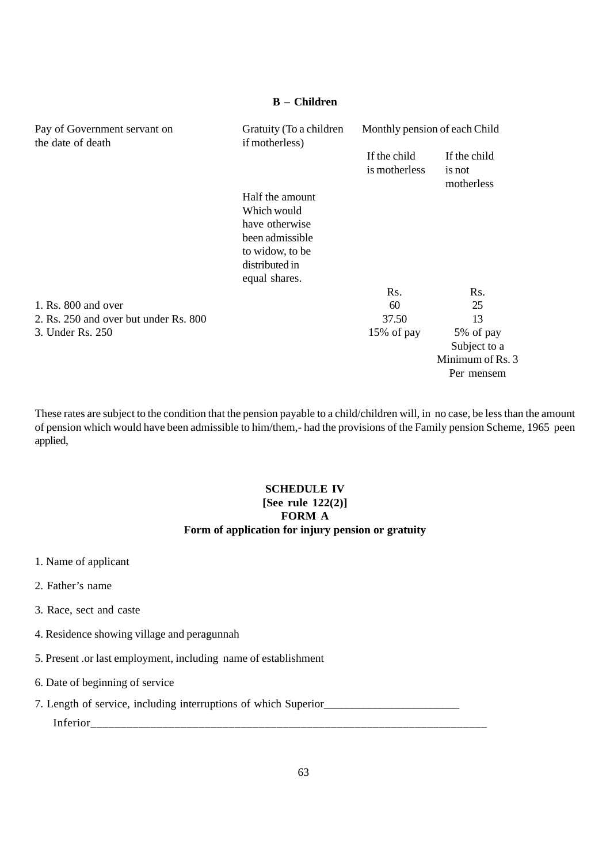# **B – Children**

| Pay of Government servant on<br>the date of death | Gratuity (To a children<br>if motherless) | Monthly pension of each Child |                                      |
|---------------------------------------------------|-------------------------------------------|-------------------------------|--------------------------------------|
|                                                   |                                           | If the child<br>is motherless | If the child<br>is not<br>motherless |
|                                                   | Half the amount                           |                               |                                      |
|                                                   | Which would                               |                               |                                      |
|                                                   | have otherwise                            |                               |                                      |
|                                                   | been admissible                           |                               |                                      |
|                                                   | to widow, to be                           |                               |                                      |
|                                                   | distributed in                            |                               |                                      |
|                                                   | equal shares.                             |                               |                                      |
|                                                   |                                           | Rs.                           | Rs.                                  |
| 1. Rs. 800 and over                               |                                           | 60                            | 25                                   |
| 2. Rs. 250 and over but under Rs. 800             |                                           | 37.50                         | 13                                   |
| 3. Under Rs. 250                                  |                                           | 15% of pay                    | 5% of pay                            |
|                                                   |                                           |                               | Subject to a                         |
|                                                   |                                           |                               | Minimum of Rs. 3                     |
|                                                   |                                           |                               | Per mensem                           |

These rates are subject to the condition that the pension payable to a child/children will, in no case, be less than the amount of pension which would have been admissible to him/them,- had the provisions of the Family pension Scheme, 1965 peen applied,

# **SCHEDULE IV [See rule 122(2)] FORM A Form of application for injury pension or gratuity**

- 1. Name of applicant
- 2. Father's name
- 3. Race, sect and caste
- 4. Residence showing village and peragunnah
- 5. Present .or last employment, including name of establishment
- 6. Date of beginning of service
- 7. Length of service, including interruptions of which Superior\_\_\_\_\_\_\_\_\_\_\_\_\_\_\_\_\_\_\_\_\_\_\_\_ Inferior\_\_\_\_\_\_\_\_\_\_\_\_\_\_\_\_\_\_\_\_\_\_\_\_\_\_\_\_\_\_\_\_\_\_\_\_\_\_\_\_\_\_\_\_\_\_\_\_\_\_\_\_\_\_\_\_\_\_\_\_\_\_\_\_\_\_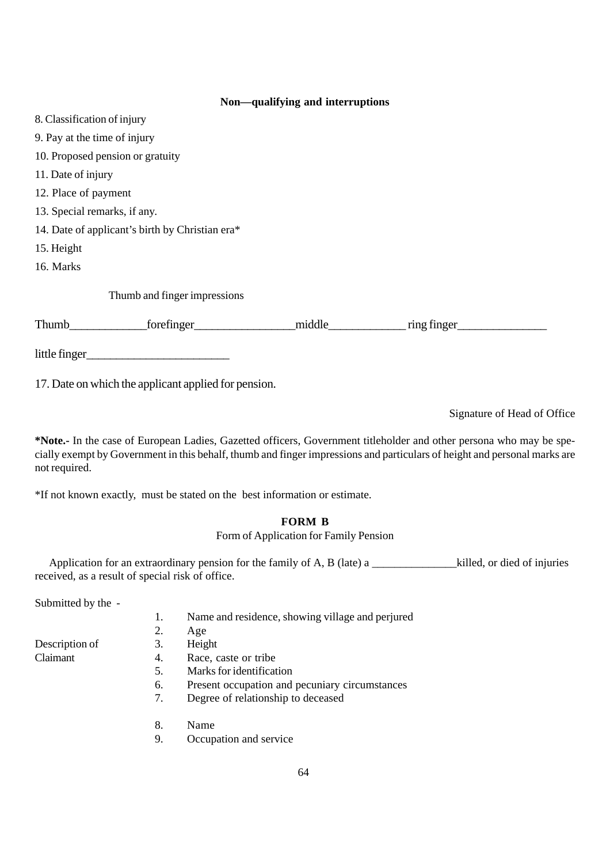#### **Non—qualifying and interruptions**

| 8. Classification of injury      |                                                 |  |                  |  |
|----------------------------------|-------------------------------------------------|--|------------------|--|
| 9. Pay at the time of injury     |                                                 |  |                  |  |
| 10. Proposed pension or gratuity |                                                 |  |                  |  |
| 11. Date of injury               |                                                 |  |                  |  |
| 12. Place of payment             |                                                 |  |                  |  |
| 13. Special remarks, if any.     |                                                 |  |                  |  |
|                                  | 14. Date of applicant's birth by Christian era* |  |                  |  |
| 15. Height                       |                                                 |  |                  |  |
| 16. Marks                        |                                                 |  |                  |  |
|                                  | Thumb and finger impressions                    |  |                  |  |
| Thumb                            | $f$ orefinger                                   |  | middle<br>middle |  |
| little finger                    |                                                 |  |                  |  |

17. Date on which the applicant applied for pension.

Signature of Head of Office

**\*Note.-** In the case of European Ladies, Gazetted officers, Government titleholder and other persona who may be specially exempt by Government in this behalf, thumb and finger impressions and particulars of height and personal marks are not required.

\*If not known exactly, must be stated on the best information or estimate.

# **FORM B**

# Form of Application for Family Pension

Application for an extraordinary pension for the family of A, B (late) a \_\_\_\_\_\_\_\_\_\_\_\_\_\_\_killed, or died of injuries received, as a result of special risk of office.

Submitted by the -

| Name and residence, showing village and perjured |
|--------------------------------------------------|
| 2. Age                                           |

|                | $\cdots$ |
|----------------|----------|
| Description of | Height   |

- 
- Claimant 4. Race, caste or tribe
	- 5. Marks for identification
	- 6. Present occupation and pecuniary circumstances
	- 7. Degree of relationship to deceased
	- 8. Name
	- 9. Occupation and service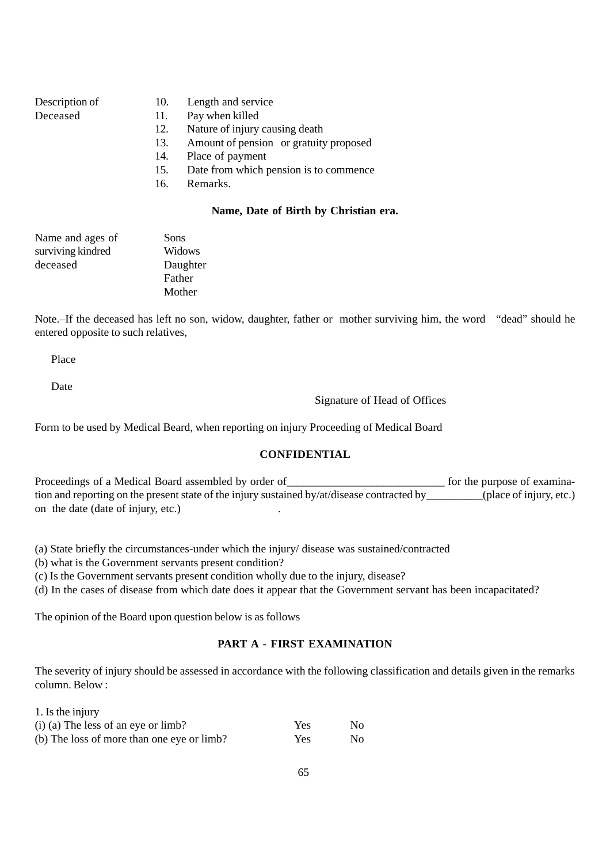| Description of |  |
|----------------|--|
| Dogoood        |  |

- 10. Length and service
- Deceased 11. Pay when killed
	- 12. Nature of injury causing death
	- 13. Amount of pension or gratuity proposed
	- 14. Place of payment
	- 15. Date from which pension is to commence
	- 16. Remarks.

#### **Name, Date of Birth by Christian era.**

| Name and ages of  | Sons     |
|-------------------|----------|
| surviving kindred | Widows   |
| deceased          | Daughter |
|                   | Father   |
|                   | Mother   |

Note.–If the deceased has left no son, widow, daughter, father or mother surviving him, the word "dead" should he entered opposite to such relatives,

Place

Date

1. Is the injury

Signature of Head of Offices

Form to be used by Medical Beard, when reporting on injury Proceeding of Medical Board

#### **CONFIDENTIAL**

Proceedings of a Medical Board assembled by order of\_\_\_\_\_\_\_\_\_\_\_\_\_\_\_\_\_\_\_\_\_\_\_\_\_\_\_\_\_\_\_\_\_\_ for the purpose of examination and reporting on the present state of the injury sustained by/at/disease contracted by\_\_\_\_\_\_\_\_\_\_(place of injury, etc.) on the date (date of injury, etc.) .

(a) State briefly the circumstances-under which the injury/ disease was sustained/contracted

(b) what is the Government servants present condition?

(c) Is the Government servants present condition wholly due to the injury, disease?

(d) In the cases of disease from which date does it appear that the Government servant has been incapacitated?

The opinion of the Board upon question below is as follows

### **PART A - FIRST EXAMINATION**

The severity of injury should be assessed in accordance with the following classification and details given in the remarks column. Below :

| 1. Is the injury                           |      |    |
|--------------------------------------------|------|----|
| $(i)$ (a) The less of an eye or limb?      | Yes. | No |
| (b) The loss of more than one eye or limb? | Yes. | No |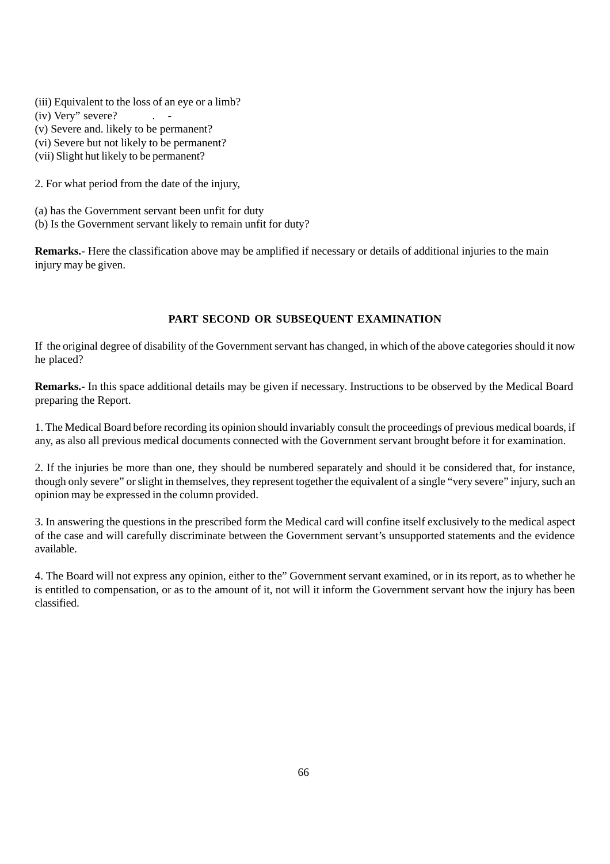- (iii) Equivalent to the loss of an eye or a limb?
- $(iv)$  Very" severe?  $\qquad \qquad$ .
- (v) Severe and. likely to be permanent?
- (vi) Severe but not likely to be permanent?
- (vii) Slight hut likely to be permanent?

2. For what period from the date of the injury,

(a) has the Government servant been unfit for duty (b) Is the Government servant likely to remain unfit for duty?

**Remarks.-** Here the classification above may be amplified if necessary or details of additional injuries to the main injury may be given.

## **PART SECOND OR SUBSEQUENT EXAMINATION**

If the original degree of disability of the Government servant has changed, in which of the above categories should it now he placed?

**Remarks.**- In this space additional details may be given if necessary. Instructions to be observed by the Medical Board preparing the Report.

1. The Medical Board before recording its opinion should invariably consult the proceedings of previous medical boards, if any, as also all previous medical documents connected with the Government servant brought before it for examination.

2. If the injuries be more than one, they should be numbered separately and should it be considered that, for instance, though only severe" or slight in themselves, they represent together the equivalent of a single "very severe" injury, such an opinion may be expressed in the column provided.

3. In answering the questions in the prescribed form the Medical card will confine itself exclusively to the medical aspect of the case and will carefully discriminate between the Government servant's unsupported statements and the evidence available.

4. The Board will not express any opinion, either to the" Government servant examined, or in its report, as to whether he is entitled to compensation, or as to the amount of it, not will it inform the Government servant how the injury has been classified.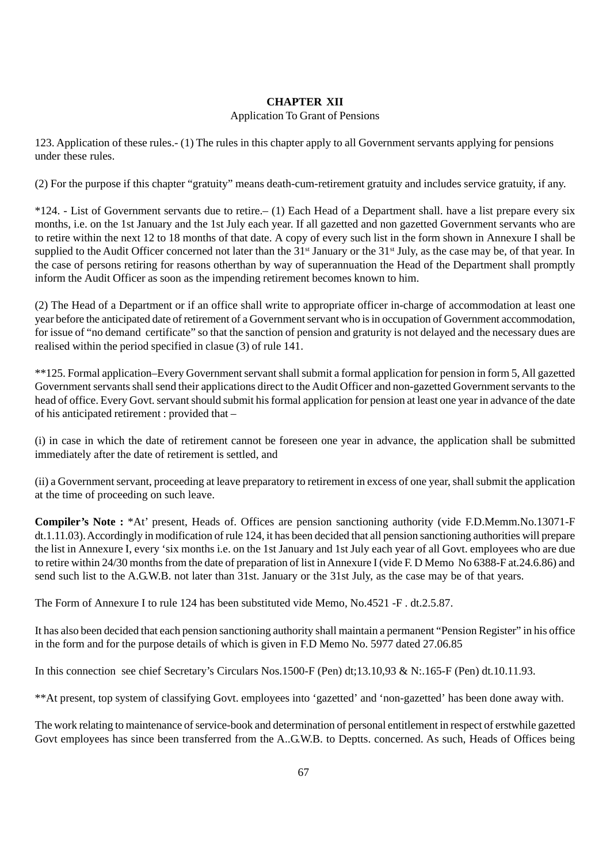# **CHAPTER XII**

### Application To Grant of Pensions

123. Application of these rules.- (1) The rules in this chapter apply to all Government servants applying for pensions under these rules.

(2) For the purpose if this chapter "gratuity" means death-cum-retirement gratuity and includes service gratuity, if any.

\*124. - List of Government servants due to retire.– (1) Each Head of a Department shall. have a list prepare every six months, i.e. on the 1st January and the 1st July each year. If all gazetted and non gazetted Government servants who are to retire within the next 12 to 18 months of that date. A copy of every such list in the form shown in Annexure I shall be supplied to the Audit Officer concerned not later than the  $31<sup>st</sup>$  January or the  $31<sup>st</sup>$  July, as the case may be, of that year. In the case of persons retiring for reasons otherthan by way of superannuation the Head of the Department shall promptly inform the Audit Officer as soon as the impending retirement becomes known to him.

(2) The Head of a Department or if an office shall write to appropriate officer in-charge of accommodation at least one year before the anticipated date of retirement of a Government servant who is in occupation of Government accommodation, for issue of "no demand certificate" so that the sanction of pension and graturity is not delayed and the necessary dues are realised within the period specified in clasue (3) of rule 141.

\*\*125. Formal application–Every Government servant shall submit a formal application for pension in form 5, All gazetted Government servants shall send their applications direct to the Audit Officer and non-gazetted Government servants to the head of office. Every Govt. servant should submit his formal application for pension at least one year in advance of the date of his anticipated retirement : provided that –

(i) in case in which the date of retirement cannot be foreseen one year in advance, the application shall be submitted immediately after the date of retirement is settled, and

(ii) a Government servant, proceeding at leave preparatory to retirement in excess of one year, shall submit the application at the time of proceeding on such leave.

**Compiler's Note :** \*At' present, Heads of. Offices are pension sanctioning authority (vide F.D.Memm.No.13071-F dt.1.11.03). Accordingly in modification of rule 124, it has been decided that all pension sanctioning authorities will prepare the list in Annexure I, every 'six months i.e. on the 1st January and 1st July each year of all Govt. employees who are due to retire within 24/30 months from the date of preparation of list in Annexure I (vide F. D Memo No 6388-F at.24.6.86) and send such list to the A.G.W.B. not later than 31st. January or the 31st July, as the case may be of that years.

The Form of Annexure I to rule 124 has been substituted vide Memo, No.4521 -F . dt.2.5.87.

It has also been decided that each pension sanctioning authority shall maintain a permanent "Pension Register" in his office in the form and for the purpose details of which is given in F.D Memo No. 5977 dated 27.06.85

In this connection see chief Secretary's Circulars Nos.1500-F (Pen) dt;13.10,93 & N:.165-F (Pen) dt.10.11.93.

\*\*At present, top system of classifying Govt. employees into 'gazetted' and 'non-gazetted' has been done away with.

The work relating to maintenance of service-book and determination of personal entitlement in respect of erstwhile gazetted Govt employees has since been transferred from the A..G.W.B. to Deptts. concerned. As such, Heads of Offices being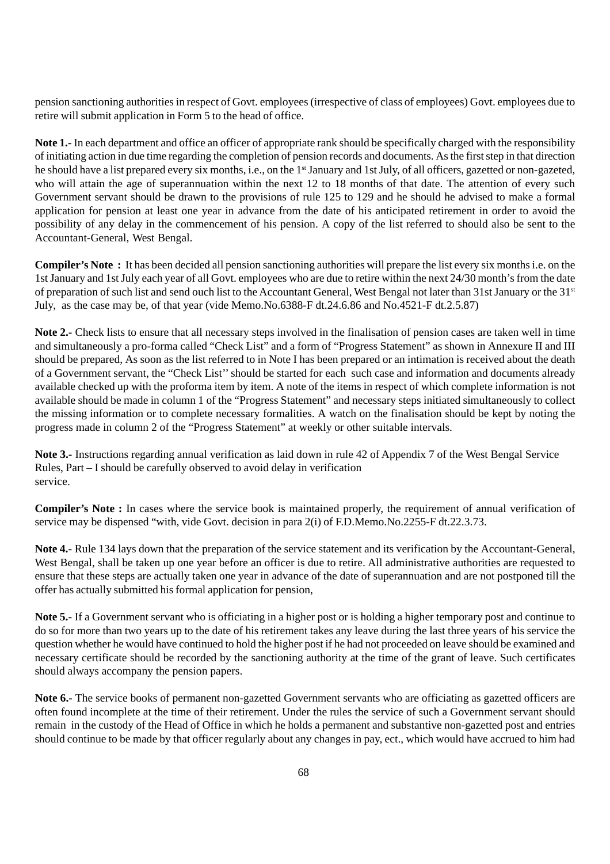pension sanctioning authorities in respect of Govt. employees (irrespective of class of employees) Govt. employees due to retire will submit application in Form 5 to the head of office.

**Note 1.-** In each department and office an officer of appropriate rank should be specifically charged with the responsibility of initiating action in due time regarding the completion of pension records and documents. As the first step in that direction he should have a list prepared every six months, i.e., on the 1<sup>st</sup> January and 1st July, of all officers, gazetted or non-gazeted, who will attain the age of superannuation within the next 12 to 18 months of that date. The attention of every such Government servant should be drawn to the provisions of rule 125 to 129 and he should he advised to make a formal application for pension at least one year in advance from the date of his anticipated retirement in order to avoid the possibility of any delay in the commencement of his pension. A copy of the list referred to should also be sent to the Accountant-General, West Bengal.

**Compiler's Note :** It has been decided all pension sanctioning authorities will prepare the list every six months i.e. on the 1st January and 1st July each year of all Govt. employees who are due to retire within the next 24/30 month's from the date of preparation of such list and send ouch list to the Accountant General, West Bengal not later than 31st January or the 31st July, as the case may be, of that year (vide Memo.No.6388-F dt.24.6.86 and No.4521-F dt.2.5.87)

**Note 2.-** Check lists to ensure that all necessary steps involved in the finalisation of pension cases are taken well in time and simultaneously a pro-forma called "Check List" and a form of "Progress Statement" as shown in Annexure II and III should be prepared, As soon as the list referred to in Note I has been prepared or an intimation is received about the death of a Government servant, the "Check List'' should be started for each such case and information and documents already available checked up with the proforma item by item. A note of the items in respect of which complete information is not available should be made in column 1 of the "Progress Statement" and necessary steps initiated simultaneously to collect the missing information or to complete necessary formalities. A watch on the finalisation should be kept by noting the progress made in column 2 of the "Progress Statement" at weekly or other suitable intervals.

**Note 3.-** Instructions regarding annual verification as laid down in rule 42 of Appendix 7 of the West Bengal Service Rules, Part – I should be carefully observed to avoid delay in verification service.

**Compiler's Note :** In cases where the service book is maintained properly, the requirement of annual verification of service may be dispensed "with, vide Govt. decision in para 2(i) of F.D.Memo.No.2255-F dt.22.3.73.

**Note 4.-** Rule 134 lays down that the preparation of the service statement and its verification by the Accountant-General, West Bengal, shall be taken up one year before an officer is due to retire. All administrative authorities are requested to ensure that these steps are actually taken one year in advance of the date of superannuation and are not postponed till the offer has actually submitted his formal application for pension,

**Note 5.-** If a Government servant who is officiating in a higher post or is holding a higher temporary post and continue to do so for more than two years up to the date of his retirement takes any leave during the last three years of his service the question whether he would have continued to hold the higher post if he had not proceeded on leave should be examined and necessary certificate should be recorded by the sanctioning authority at the time of the grant of leave. Such certificates should always accompany the pension papers.

**Note 6.-** The service books of permanent non-gazetted Government servants who are officiating as gazetted officers are often found incomplete at the time of their retirement. Under the rules the service of such a Government servant should remain in the custody of the Head of Office in which he holds a permanent and substantive non-gazetted post and entries should continue to be made by that officer regularly about any changes in pay, ect., which would have accrued to him had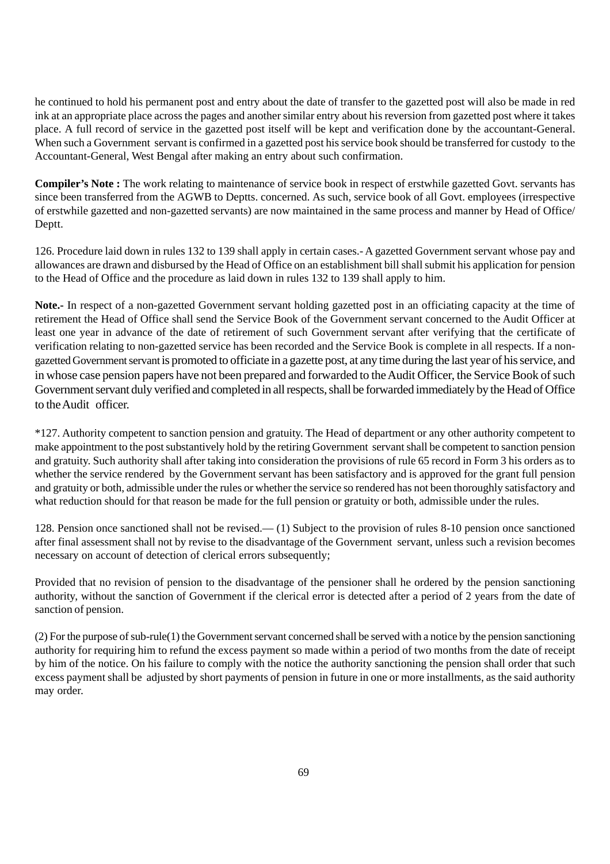he continued to hold his permanent post and entry about the date of transfer to the gazetted post will also be made in red ink at an appropriate place across the pages and another similar entry about his reversion from gazetted post where it takes place. A full record of service in the gazetted post itself will be kept and verification done by the accountant-General. When such a Government servant is confirmed in a gazetted post his service book should be transferred for custody to the Accountant-General, West Bengal after making an entry about such confirmation.

**Compiler's Note :** The work relating to maintenance of service book in respect of erstwhile gazetted Govt. servants has since been transferred from the AGWB to Deptts. concerned. As such, service book of all Govt. employees (irrespective of erstwhile gazetted and non-gazetted servants) are now maintained in the same process and manner by Head of Office/ Deptt.

126. Procedure laid down in rules 132 to 139 shall apply in certain cases.- A gazetted Government servant whose pay and allowances are drawn and disbursed by the Head of Office on an establishment bill shall submit his application for pension to the Head of Office and the procedure as laid down in rules 132 to 139 shall apply to him.

**Note.-** In respect of a non-gazetted Government servant holding gazetted post in an officiating capacity at the time of retirement the Head of Office shall send the Service Book of the Government servant concerned to the Audit Officer at least one year in advance of the date of retirement of such Government servant after verifying that the certificate of verification relating to non-gazetted service has been recorded and the Service Book is complete in all respects. If a nongazetted Government servant is promoted to officiate in a gazette post, at any time during the last year of his service, and in whose case pension papers have not been prepared and forwarded to the Audit Officer, the Service Book of such Government servant duly verified and completed in all respects, shall be forwarded immediately by the Head of Office to the Audit officer.

\*127. Authority competent to sanction pension and gratuity. The Head of department or any other authority competent to make appointment to the post substantively hold by the retiring Government servant shall be competent to sanction pension and gratuity. Such authority shall after taking into consideration the provisions of rule 65 record in Form 3 his orders as to whether the service rendered by the Government servant has been satisfactory and is approved for the grant full pension and gratuity or both, admissible under the rules or whether the service so rendered has not been thoroughly satisfactory and what reduction should for that reason be made for the full pension or gratuity or both, admissible under the rules.

128. Pension once sanctioned shall not be revised.— (1) Subject to the provision of rules 8-10 pension once sanctioned after final assessment shall not by revise to the disadvantage of the Government servant, unless such a revision becomes necessary on account of detection of clerical errors subsequently;

Provided that no revision of pension to the disadvantage of the pensioner shall he ordered by the pension sanctioning authority, without the sanction of Government if the clerical error is detected after a period of 2 years from the date of sanction of pension.

(2) For the purpose of sub-rule(1) the Government servant concerned shall be served with a notice by the pension sanctioning authority for requiring him to refund the excess payment so made within a period of two months from the date of receipt by him of the notice. On his failure to comply with the notice the authority sanctioning the pension shall order that such excess payment shall be adjusted by short payments of pension in future in one or more installments, as the said authority may order.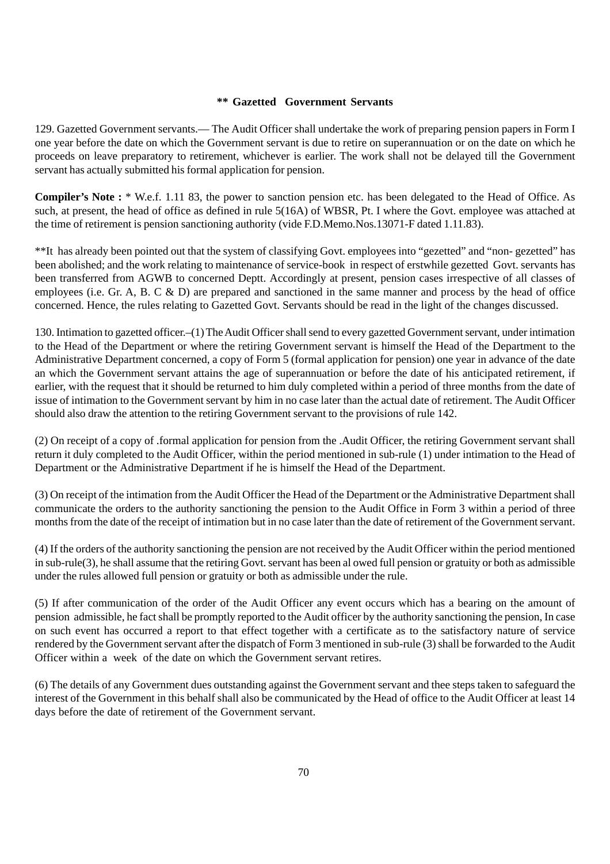#### **\*\* Gazetted Government Servants**

129. Gazetted Government servants.— The Audit Officer shall undertake the work of preparing pension papers in Form I one year before the date on which the Government servant is due to retire on superannuation or on the date on which he proceeds on leave preparatory to retirement, whichever is earlier. The work shall not be delayed till the Government servant has actually submitted his formal application for pension.

**Compiler's Note :** \* W.e.f. 1.11 83, the power to sanction pension etc. has been delegated to the Head of Office. As such, at present, the head of office as defined in rule 5(16A) of WBSR, Pt. I where the Govt. employee was attached at the time of retirement is pension sanctioning authority (vide F.D.Memo.Nos.13071-F dated 1.11.83).

\*\*It has already been pointed out that the system of classifying Govt. employees into "gezetted" and "non- gezetted" has been abolished; and the work relating to maintenance of service-book in respect of erstwhile gezetted Govt. servants has been transferred from AGWB to concerned Deptt. Accordingly at present, pension cases irrespective of all classes of employees (i.e. Gr. A, B. C & D) are prepared and sanctioned in the same manner and process by the head of office concerned. Hence, the rules relating to Gazetted Govt. Servants should be read in the light of the changes discussed.

130. Intimation to gazetted officer.–(1) The Audit Officer shall send to every gazetted Government servant, under intimation to the Head of the Department or where the retiring Government servant is himself the Head of the Department to the Administrative Department concerned, a copy of Form 5 (formal application for pension) one year in advance of the date an which the Government servant attains the age of superannuation or before the date of his anticipated retirement, if earlier, with the request that it should be returned to him duly completed within a period of three months from the date of issue of intimation to the Government servant by him in no case later than the actual date of retirement. The Audit Officer should also draw the attention to the retiring Government servant to the provisions of rule 142.

(2) On receipt of a copy of .formal application for pension from the .Audit Officer, the retiring Government servant shall return it duly completed to the Audit Officer, within the period mentioned in sub-rule (1) under intimation to the Head of Department or the Administrative Department if he is himself the Head of the Department.

(3) On receipt of the intimation from the Audit Officer the Head of the Department or the Administrative Department shall communicate the orders to the authority sanctioning the pension to the Audit Office in Form 3 within a period of three months from the date of the receipt of intimation but in no case later than the date of retirement of the Government servant.

(4) If the orders of the authority sanctioning the pension are not received by the Audit Officer within the period mentioned in sub-rule(3), he shall assume that the retiring Govt. servant has been al owed full pension or gratuity or both as admissible under the rules allowed full pension or gratuity or both as admissible under the rule.

(5) If after communication of the order of the Audit Officer any event occurs which has a bearing on the amount of pension admissible, he fact shall be promptly reported to the Audit officer by the authority sanctioning the pension, In case on such event has occurred a report to that effect together with a certificate as to the satisfactory nature of service rendered by the Government servant after the dispatch of Form 3 mentioned in sub-rule (3) shall be forwarded to the Audit Officer within a week of the date on which the Government servant retires.

(6) The details of any Government dues outstanding against the Government servant and thee steps taken to safeguard the interest of the Government in this behalf shall also be communicated by the Head of office to the Audit Officer at least 14 days before the date of retirement of the Government servant.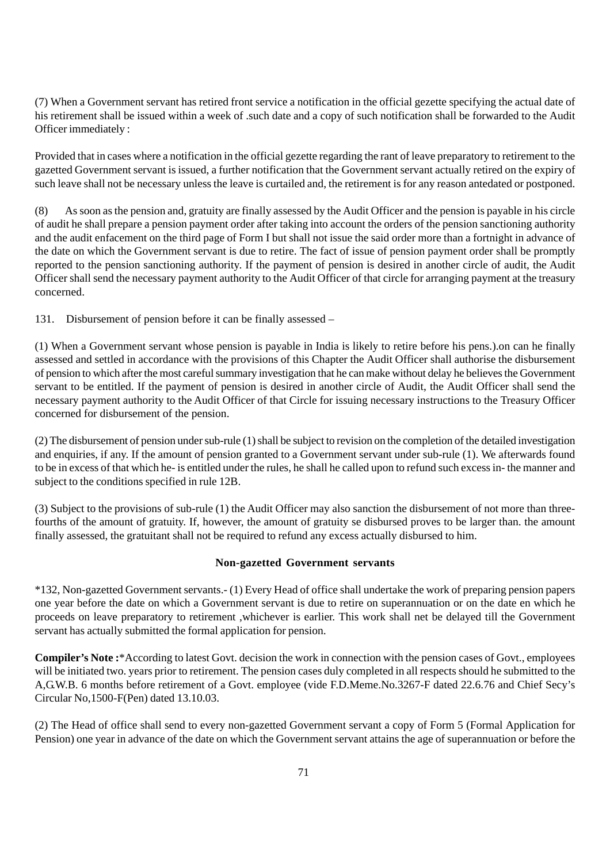(7) When a Government servant has retired front service a notification in the official gezette specifying the actual date of his retirement shall be issued within a week of .such date and a copy of such notification shall be forwarded to the Audit Officer immediately :

Provided that in cases where a notification in the official gezette regarding the rant of leave preparatory to retirement to the gazetted Government servant is issued, a further notification that the Government servant actually retired on the expiry of such leave shall not be necessary unless the leave is curtailed and, the retirement is for any reason antedated or postponed.

(8) As soon as the pension and, gratuity are finally assessed by the Audit Officer and the pension is payable in his circle of audit he shall prepare a pension payment order after taking into account the orders of the pension sanctioning authority and the audit enfacement on the third page of Form I but shall not issue the said order more than a fortnight in advance of the date on which the Government servant is due to retire. The fact of issue of pension payment order shall be promptly reported to the pension sanctioning authority. If the payment of pension is desired in another circle of audit, the Audit Officer shall send the necessary payment authority to the Audit Officer of that circle for arranging payment at the treasury concerned.

131. Disbursement of pension before it can be finally assessed –

(1) When a Government servant whose pension is payable in India is likely to retire before his pens.).on can he finally assessed and settled in accordance with the provisions of this Chapter the Audit Officer shall authorise the disbursement of pension to which after the most careful summary investigation that he can make without delay he believes the Government servant to be entitled. If the payment of pension is desired in another circle of Audit, the Audit Officer shall send the necessary payment authority to the Audit Officer of that Circle for issuing necessary instructions to the Treasury Officer concerned for disbursement of the pension.

(2) The disbursement of pension under sub-rule (1) shall be subject to revision on the completion of the detailed investigation and enquiries, if any. If the amount of pension granted to a Government servant under sub-rule (1). We afterwards found to be in excess of that which he- is entitled under the rules, he shall he called upon to refund such excess in- the manner and subject to the conditions specified in rule 12B.

(3) Subject to the provisions of sub-rule (1) the Audit Officer may also sanction the disbursement of not more than threefourths of the amount of gratuity. If, however, the amount of gratuity se disbursed proves to be larger than. the amount finally assessed, the gratuitant shall not be required to refund any excess actually disbursed to him.

#### **Non-gazetted Government servants**

\*132, Non-gazetted Government servants.- (1) Every Head of office shall undertake the work of preparing pension papers one year before the date on which a Government servant is due to retire on superannuation or on the date en which he proceeds on leave preparatory to retirement ,whichever is earlier. This work shall net be delayed till the Government servant has actually submitted the formal application for pension.

**Compiler's Note :**\*According to latest Govt. decision the work in connection with the pension cases of Govt., employees will be initiated two. years prior to retirement. The pension cases duly completed in all respects should he submitted to the A,G.W.B. 6 months before retirement of a Govt. employee (vide F.D.Meme.No.3267-F dated 22.6.76 and Chief Secy's Circular No,1500-F(Pen) dated 13.10.03.

(2) The Head of office shall send to every non-gazetted Government servant a copy of Form 5 (Formal Application for Pension) one year in advance of the date on which the Government servant attains the age of superannuation or before the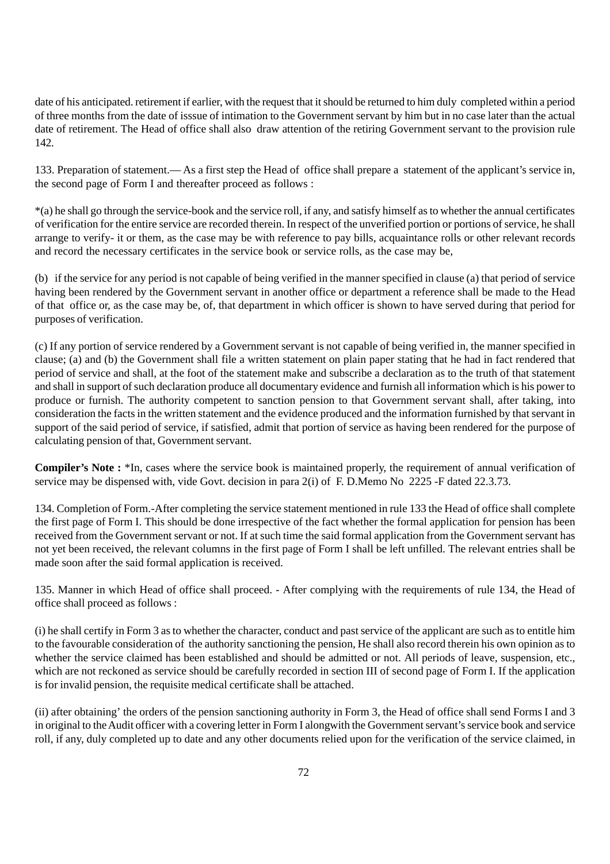date of his anticipated. retirement if earlier, with the request that it should be returned to him duly completed within a period of three months from the date of isssue of intimation to the Government servant by him but in no case later than the actual date of retirement. The Head of office shall also draw attention of the retiring Government servant to the provision rule 142.

133. Preparation of statement.— As a first step the Head of office shall prepare a statement of the applicant's service in, the second page of Form I and thereafter proceed as follows :

\*(a) he shall go through the service-book and the service roll, if any, and satisfy himself as to whether the annual certificates of verification for the entire service are recorded therein. In respect of the unverified portion or portions of service, he shall arrange to verify- it or them, as the case may be with reference to pay bills, acquaintance rolls or other relevant records and record the necessary certificates in the service book or service rolls, as the case may be,

(b) if the service for any period is not capable of being verified in the manner specified in clause (a) that period of service having been rendered by the Government servant in another office or department a reference shall be made to the Head of that office or, as the case may be, of, that department in which officer is shown to have served during that period for purposes of verification.

(c) If any portion of service rendered by a Government servant is not capable of being verified in, the manner specified in clause; (a) and (b) the Government shall file a written statement on plain paper stating that he had in fact rendered that period of service and shall, at the foot of the statement make and subscribe a declaration as to the truth of that statement and shall in support of such declaration produce all documentary evidence and furnish all information which is his power to produce or furnish. The authority competent to sanction pension to that Government servant shall, after taking, into consideration the facts in the written statement and the evidence produced and the information furnished by that servant in support of the said period of service, if satisfied, admit that portion of service as having been rendered for the purpose of calculating pension of that, Government servant.

**Compiler's Note :** \*In, cases where the service book is maintained properly, the requirement of annual verification of service may be dispensed with, vide Govt. decision in para 2(i) of F. D.Memo No 2225 -F dated 22.3.73.

134. Completion of Form.-After completing the service statement mentioned in rule 133 the Head of office shall complete the first page of Form I. This should be done irrespective of the fact whether the formal application for pension has been received from the Government servant or not. If at such time the said formal application from the Government servant has not yet been received, the relevant columns in the first page of Form I shall be left unfilled. The relevant entries shall be made soon after the said formal application is received.

135. Manner in which Head of office shall proceed. - After complying with the requirements of rule 134, the Head of office shall proceed as follows :

(i) he shall certify in Form 3 as to whether the character, conduct and past service of the applicant are such as to entitle him to the favourable consideration of the authority sanctioning the pension, He shall also record therein his own opinion as to whether the service claimed has been established and should be admitted or not. All periods of leave, suspension, etc., which are not reckoned as service should be carefully recorded in section III of second page of Form I. If the application is for invalid pension, the requisite medical certificate shall be attached.

(ii) after obtaining' the orders of the pension sanctioning authority in Form 3, the Head of office shall send Forms I and 3 in original to the Audit officer with a covering letter in Form I alongwith the Government servant's service book and service roll, if any, duly completed up to date and any other documents relied upon for the verification of the service claimed, in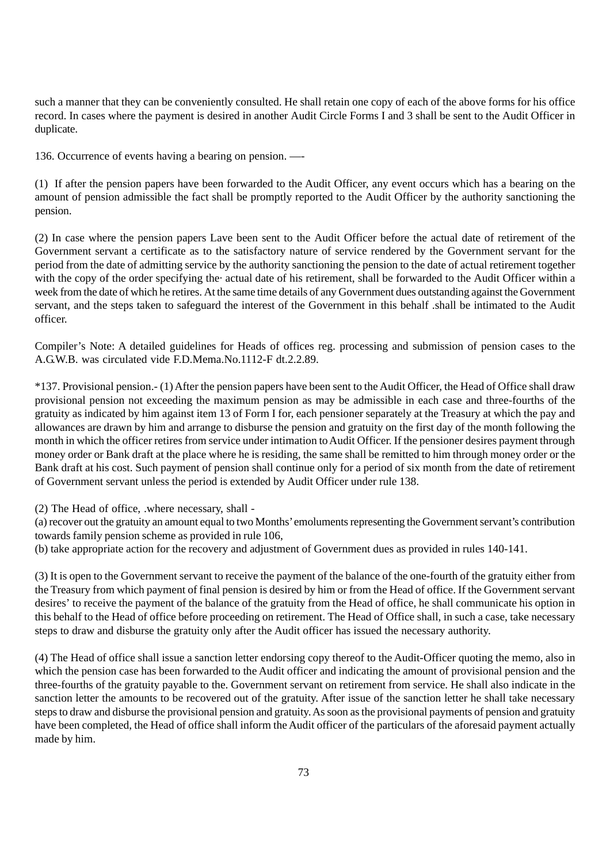such a manner that they can be conveniently consulted. He shall retain one copy of each of the above forms for his office record. In cases where the payment is desired in another Audit Circle Forms I and 3 shall be sent to the Audit Officer in duplicate.

136. Occurrence of events having a bearing on pension. —-

(1) If after the pension papers have been forwarded to the Audit Officer, any event occurs which has a bearing on the amount of pension admissible the fact shall be promptly reported to the Audit Officer by the authority sanctioning the pension.

(2) In case where the pension papers Lave been sent to the Audit Officer before the actual date of retirement of the Government servant a certificate as to the satisfactory nature of service rendered by the Government servant for the period from the date of admitting service by the authority sanctioning the pension to the date of actual retirement together with the copy of the order specifying the· actual date of his retirement, shall be forwarded to the Audit Officer within a week from the date of which he retires. At the same time details of any Government dues outstanding against the Government servant, and the steps taken to safeguard the interest of the Government in this behalf .shall be intimated to the Audit officer.

Compiler's Note: A detailed guidelines for Heads of offices reg. processing and submission of pension cases to the A.G.W.B. was circulated vide F.D.Mema.No.1112-F dt.2.2.89.

\*137. Provisional pension.- (1) After the pension papers have been sent to the Audit Officer, the Head of Office shall draw provisional pension not exceeding the maximum pension as may be admissible in each case and three-fourths of the gratuity as indicated by him against item 13 of Form I for, each pensioner separately at the Treasury at which the pay and allowances are drawn by him and arrange to disburse the pension and gratuity on the first day of the month following the month in which the officer retires from service under intimation to Audit Officer. If the pensioner desires payment through money order or Bank draft at the place where he is residing, the same shall be remitted to him through money order or the Bank draft at his cost. Such payment of pension shall continue only for a period of six month from the date of retirement of Government servant unless the period is extended by Audit Officer under rule 138.

(2) The Head of office, .where necessary, shall -

(a) recover out the gratuity an amount equal to two Months' emoluments representing the Government servant's contribution towards family pension scheme as provided in rule 106,

(b) take appropriate action for the recovery and adjustment of Government dues as provided in rules 140-141.

(3) It is open to the Government servant to receive the payment of the balance of the one-fourth of the gratuity either from the Treasury from which payment of final pension is desired by him or from the Head of office. If the Government servant desires' to receive the payment of the balance of the gratuity from the Head of office, he shall communicate his option in this behalf to the Head of office before proceeding on retirement. The Head of Office shall, in such a case, take necessary steps to draw and disburse the gratuity only after the Audit officer has issued the necessary authority.

(4) The Head of office shall issue a sanction letter endorsing copy thereof to the Audit-Officer quoting the memo, also in which the pension case has been forwarded to the Audit officer and indicating the amount of provisional pension and the three-fourths of the gratuity payable to the. Government servant on retirement from service. He shall also indicate in the sanction letter the amounts to be recovered out of the gratuity. After issue of the sanction letter he shall take necessary steps to draw and disburse the provisional pension and gratuity. As soon as the provisional payments of pension and gratuity have been completed, the Head of office shall inform the Audit officer of the particulars of the aforesaid payment actually made by him.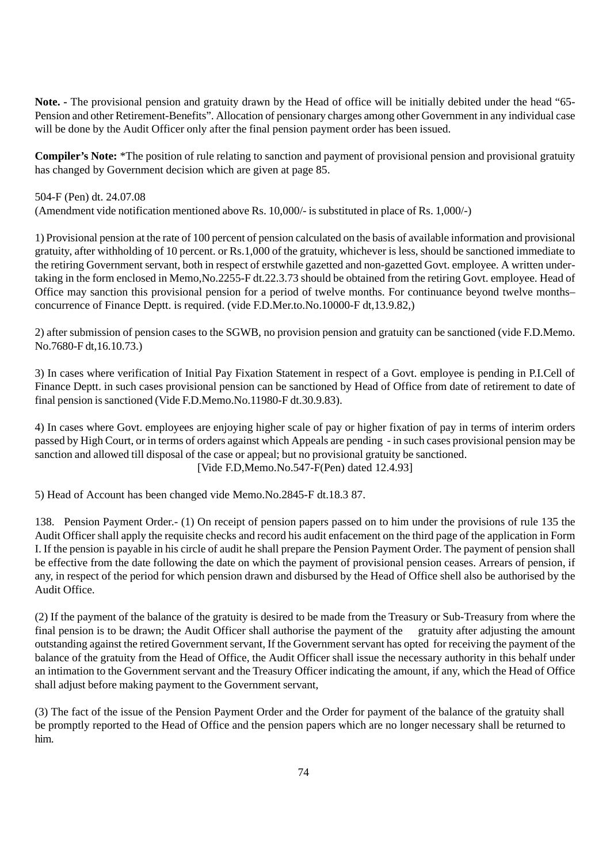**Note. -** The provisional pension and gratuity drawn by the Head of office will be initially debited under the head "65- Pension and other Retirement-Benefits". Allocation of pensionary charges among other Government in any individual case will be done by the Audit Officer only after the final pension payment order has been issued.

**Compiler's Note:** \*The position of rule relating to sanction and payment of provisional pension and provisional gratuity has changed by Government decision which are given at page 85.

504-F (Pen) dt. 24.07.08 (Amendment vide notification mentioned above Rs. 10,000/- is substituted in place of Rs. 1,000/-)

1) Provisional pension at the rate of 100 percent of pension calculated on the basis of available information and provisional gratuity, after withholding of 10 percent. or Rs.1,000 of the gratuity, whichever is less, should be sanctioned immediate to the retiring Government servant, both in respect of erstwhile gazetted and non-gazetted Govt. employee. A written undertaking in the form enclosed in Memo,No.2255-F dt.22.3.73 should be obtained from the retiring Govt. employee. Head of Office may sanction this provisional pension for a period of twelve months. For continuance beyond twelve months– concurrence of Finance Deptt. is required. (vide F.D.Mer.to.No.10000-F dt,13.9.82,)

2) after submission of pension cases to the SGWB, no provision pension and gratuity can be sanctioned (vide F.D.Memo. No.7680-F dt,16.10.73.)

3) In cases where verification of Initial Pay Fixation Statement in respect of a Govt. employee is pending in P.I.Cell of Finance Deptt. in such cases provisional pension can be sanctioned by Head of Office from date of retirement to date of final pension is sanctioned (Vide F.D.Memo.No.11980-F dt.30.9.83).

4) In cases where Govt. employees are enjoying higher scale of pay or higher fixation of pay in terms of interim orders passed by High Court, or in terms of orders against which Appeals are pending - in such cases provisional pension may be sanction and allowed till disposal of the case or appeal; but no provisional gratuity be sanctioned. [Vide F.D,Memo.No.547-F(Pen) dated 12.4.93]

5) Head of Account has been changed vide Memo.No.2845-F dt.18.3 87.

138. Pension Payment Order.- (1) On receipt of pension papers passed on to him under the provisions of rule 135 the Audit Officer shall apply the requisite checks and record his audit enfacement on the third page of the application in Form I. If the pension is payable in his circle of audit he shall prepare the Pension Payment Order. The payment of pension shall be effective from the date following the date on which the payment of provisional pension ceases. Arrears of pension, if any, in respect of the period for which pension drawn and disbursed by the Head of Office shell also be authorised by the Audit Office.

(2) If the payment of the balance of the gratuity is desired to be made from the Treasury or Sub-Treasury from where the final pension is to be drawn; the Audit Officer shall authorise the payment of the gratuity after adjusting the amount outstanding against the retired Government servant, If the Government servant has opted for receiving the payment of the balance of the gratuity from the Head of Office, the Audit Officer shall issue the necessary authority in this behalf under an intimation to the Government servant and the Treasury Officer indicating the amount, if any, which the Head of Office shall adjust before making payment to the Government servant,

(3) The fact of the issue of the Pension Payment Order and the Order for payment of the balance of the gratuity shall be promptly reported to the Head of Office and the pension papers which are no longer necessary shall be returned to him.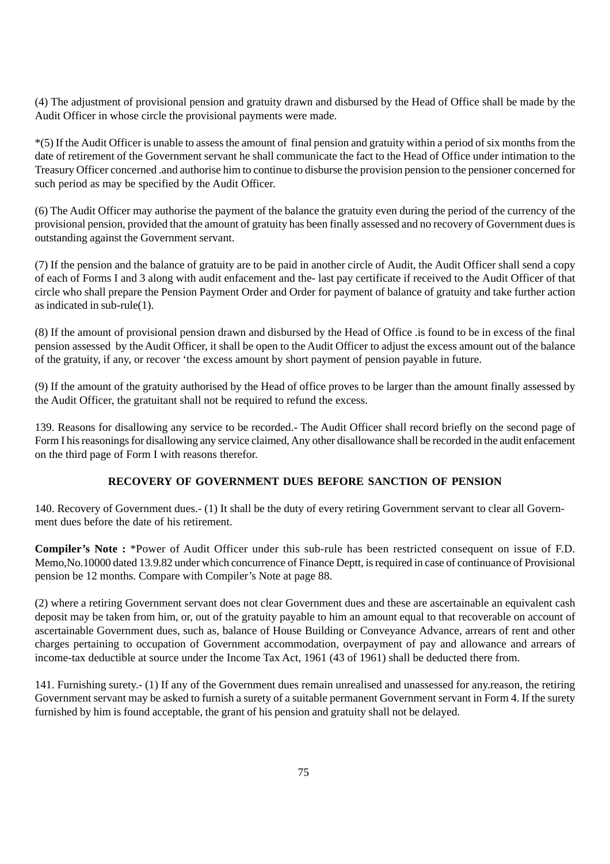(4) The adjustment of provisional pension and gratuity drawn and disbursed by the Head of Office shall be made by the Audit Officer in whose circle the provisional payments were made.

\*(5) If the Audit Officer is unable to assess the amount of final pension and gratuity within a period of six months from the date of retirement of the Government servant he shall communicate the fact to the Head of Office under intimation to the Treasury Officer concerned .and authorise him to continue to disburse the provision pension to the pensioner concerned for such period as may be specified by the Audit Officer.

(6) The Audit Officer may authorise the payment of the balance the gratuity even during the period of the currency of the provisional pension, provided that the amount of gratuity has been finally assessed and no recovery of Government dues is outstanding against the Government servant.

(7) If the pension and the balance of gratuity are to be paid in another circle of Audit, the Audit Officer shall send a copy of each of Forms I and 3 along with audit enfacement and the- last pay certificate if received to the Audit Officer of that circle who shall prepare the Pension Payment Order and Order for payment of balance of gratuity and take further action as indicated in sub-rule(1).

(8) If the amount of provisional pension drawn and disbursed by the Head of Office .is found to be in excess of the final pension assessed by the Audit Officer, it shall be open to the Audit Officer to adjust the excess amount out of the balance of the gratuity, if any, or recover 'the excess amount by short payment of pension payable in future.

(9) If the amount of the gratuity authorised by the Head of office proves to be larger than the amount finally assessed by the Audit Officer, the gratuitant shall not be required to refund the excess.

139. Reasons for disallowing any service to be recorded.- The Audit Officer shall record briefly on the second page of Form I his reasonings for disallowing any service claimed, Any other disallowance shall be recorded in the audit enfacement on the third page of Form I with reasons therefor.

## **RECOVERY OF GOVERNMENT DUES BEFORE SANCTION OF PENSION**

140. Recovery of Government dues.- (1) It shall be the duty of every retiring Government servant to clear all Government dues before the date of his retirement.

**Compiler's Note :** \*Power of Audit Officer under this sub-rule has been restricted consequent on issue of F.D. Memo,No.10000 dated 13.9.82 under which concurrence of Finance Deptt, is required in case of continuance of Provisional pension be 12 months. Compare with Compiler's Note at page 88.

(2) where a retiring Government servant does not clear Government dues and these are ascertainable an equivalent cash deposit may be taken from him, or, out of the gratuity payable to him an amount equal to that recoverable on account of ascertainable Government dues, such as, balance of House Building or Conveyance Advance, arrears of rent and other charges pertaining to occupation of Government accommodation, overpayment of pay and allowance and arrears of income-tax deductible at source under the Income Tax Act, 1961 (43 of 1961) shall be deducted there from.

141. Furnishing surety.- (1) If any of the Government dues remain unrealised and unassessed for any.reason, the retiring Government servant may be asked to furnish a surety of a suitable permanent Government servant in Form 4. If the surety furnished by him is found acceptable, the grant of his pension and gratuity shall not be delayed.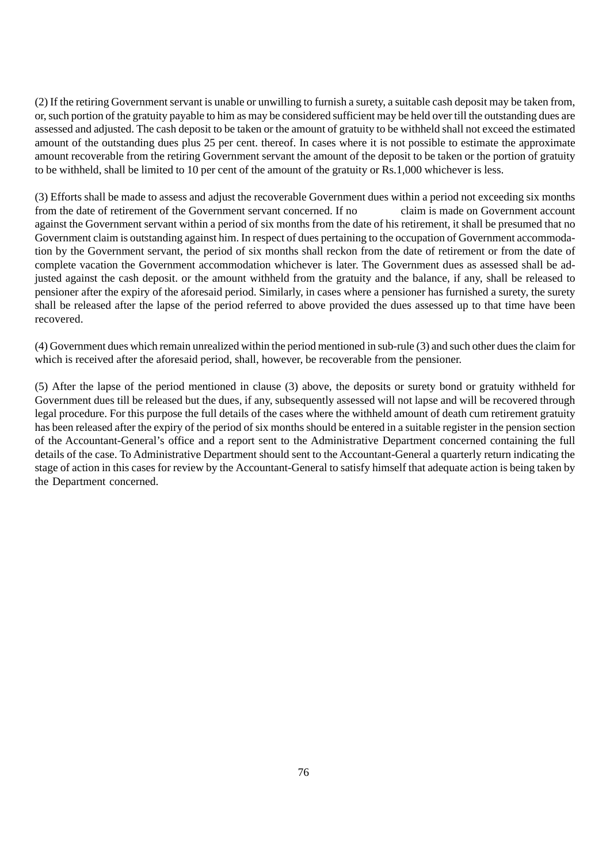(2) If the retiring Government servant is unable or unwilling to furnish a surety, a suitable cash deposit may be taken from, or, such portion of the gratuity payable to him as may be considered sufficient may be held over till the outstanding dues are assessed and adjusted. The cash deposit to be taken or the amount of gratuity to be withheld shall not exceed the estimated amount of the outstanding dues plus 25 per cent. thereof. In cases where it is not possible to estimate the approximate amount recoverable from the retiring Government servant the amount of the deposit to be taken or the portion of gratuity to be withheld, shall be limited to 10 per cent of the amount of the gratuity or Rs.1,000 whichever is less.

(3) Efforts shall be made to assess and adjust the recoverable Government dues within a period not exceeding six months from the date of retirement of the Government servant concerned. If no claim is made on Government account against the Government servant within a period of six months from the date of his retirement, it shall be presumed that no Government claim is outstanding against him. In respect of dues pertaining to the occupation of Government accommodation by the Government servant, the period of six months shall reckon from the date of retirement or from the date of complete vacation the Government accommodation whichever is later. The Government dues as assessed shall be adjusted against the cash deposit. or the amount withheld from the gratuity and the balance, if any, shall be released to pensioner after the expiry of the aforesaid period. Similarly, in cases where a pensioner has furnished a surety, the surety shall be released after the lapse of the period referred to above provided the dues assessed up to that time have been recovered.

(4) Government dues which remain unrealized within the period mentioned in sub-rule (3) and such other dues the claim for which is received after the aforesaid period, shall, however, be recoverable from the pensioner.

(5) After the lapse of the period mentioned in clause (3) above, the deposits or surety bond or gratuity withheld for Government dues till be released but the dues, if any, subsequently assessed will not lapse and will be recovered through legal procedure. For this purpose the full details of the cases where the withheld amount of death cum retirement gratuity has been released after the expiry of the period of six months should be entered in a suitable register in the pension section of the Accountant-General's office and a report sent to the Administrative Department concerned containing the full details of the case. To Administrative Department should sent to the Accountant-General a quarterly return indicating the stage of action in this cases for review by the Accountant-General to satisfy himself that adequate action is being taken by the Department concerned.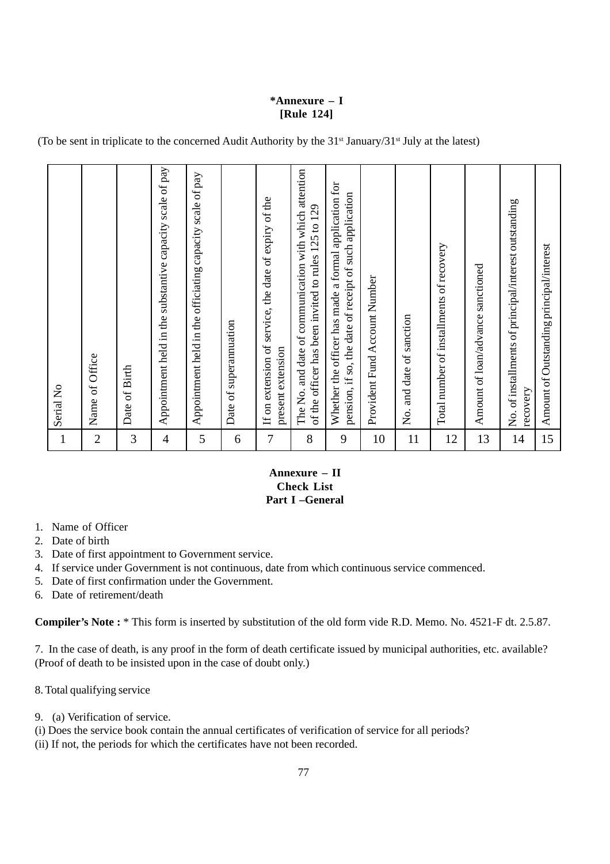## **\*Annexure – I [Rule 124]**

(To be sent in triplicate to the concerned Audit Authority by the 31st January/31st July at the latest)

| $\mathbf{1}$   | Serial No                                                                                                        |
|----------------|------------------------------------------------------------------------------------------------------------------|
| $\overline{2}$ | Name of Office                                                                                                   |
| 3              | Date of Birth                                                                                                    |
| $\overline{4}$ | Appointment held in the substantive capacity scale of pay                                                        |
| 5              | Appointment held in the officiating capacity scale of pay                                                        |
| 6              | Date of superannuation                                                                                           |
| 7              | If on extension of service, the date of expiry of the<br>present extension                                       |
| 8              | The No. and date of communication with which attention<br>of the officer has been invited to rules 125 to 129    |
| 9              | Whether the officer has made a formal application for<br>pension, if so, the date of receipt of such application |
| 10             | Provident Fund Account Number                                                                                    |
| 11             | and date of sanction<br>Σ.                                                                                       |
| 12             | Total number of installments of recovery                                                                         |
| 13             | Amount of loan/advance sanctioned                                                                                |
| 14             | No. of installments of principal/interest outstanding<br>recovery                                                |
| 15             | Amount of Outstanding principal/interest                                                                         |

## **Annexure – II Check List Part I –General**

- 1. Name of Officer
- 2. Date of birth
- 3. Date of first appointment to Government service.
- 4. If service under Government is not continuous, date from which continuous service commenced.
- 5. Date of first confirmation under the Government.
- 6. Date of retirement/death

**Compiler's Note :** \* This form is inserted by substitution of the old form vide R.D. Memo. No. 4521-F dt. 2.5.87.

7. In the case of death, is any proof in the form of death certificate issued by municipal authorities, etc. available? (Proof of death to be insisted upon in the case of doubt only.)

8. Total qualifying service

- 9. (a) Verification of service.
- (i) Does the service book contain the annual certificates of verification of service for all periods?
- (ii) If not, the periods for which the certificates have not been recorded.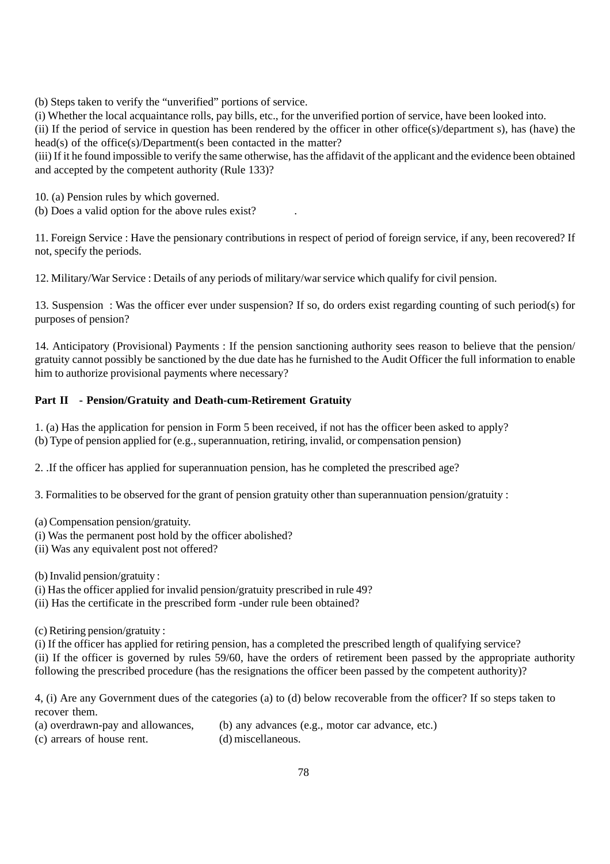(b) Steps taken to verify the "unverified" portions of service.

(i) Whether the local acquaintance rolls, pay bills, etc., for the unverified portion of service, have been looked into.

(ii) If the period of service in question has been rendered by the officer in other office(s)/department s), has (have) the head(s) of the office(s)/Department(s been contacted in the matter?

(iii) If it he found impossible to verify the same otherwise, has the affidavit of the applicant and the evidence been obtained and accepted by the competent authority (Rule 133)?

10. (a) Pension rules by which governed.

(b) Does a valid option for the above rules exist? .

11. Foreign Service : Have the pensionary contributions in respect of period of foreign service, if any, been recovered? If not, specify the periods.

12. Military/War Service : Details of any periods of military/war service which qualify for civil pension.

13. Suspension : Was the officer ever under suspension? If so, do orders exist regarding counting of such period(s) for purposes of pension?

14. Anticipatory (Provisional) Payments : If the pension sanctioning authority sees reason to believe that the pension/ gratuity cannot possibly be sanctioned by the due date has he furnished to the Audit Officer the full information to enable him to authorize provisional payments where necessary?

## **Part II - Pension/Gratuity and Death-cum-Retirement Gratuity**

1. (a) Has the application for pension in Form 5 been received, if not has the officer been asked to apply? (b) Type of pension applied for (e.g., superannuation, retiring, invalid, or compensation pension)

2. .If the officer has applied for superannuation pension, has he completed the prescribed age?

3. Formalities to be observed for the grant of pension gratuity other than superannuation pension/gratuity :

(a) Compensation pension/gratuity.

- (i) Was the permanent post hold by the officer abolished?
- (ii) Was any equivalent post not offered?

(b) Invalid pension/gratuity :

- (i) Has the officer applied for invalid pension/gratuity prescribed in rule 49?
- (ii) Has the certificate in the prescribed form -under rule been obtained?

(c) Retiring pension/gratuity :

(i) If the officer has applied for retiring pension, has a completed the prescribed length of qualifying service? (ii) If the officer is governed by rules 59/60, have the orders of retirement been passed by the appropriate authority following the prescribed procedure (has the resignations the officer been passed by the competent authority)?

4, (i) Are any Government dues of the categories (a) to (d) below recoverable from the officer? If so steps taken to recover them.

- (a) overdrawn-pay and allowances,  $\qquad$  (b) any advances (e.g., motor car advance, etc.)
- (c) arrears of house rent. (d) miscellaneous.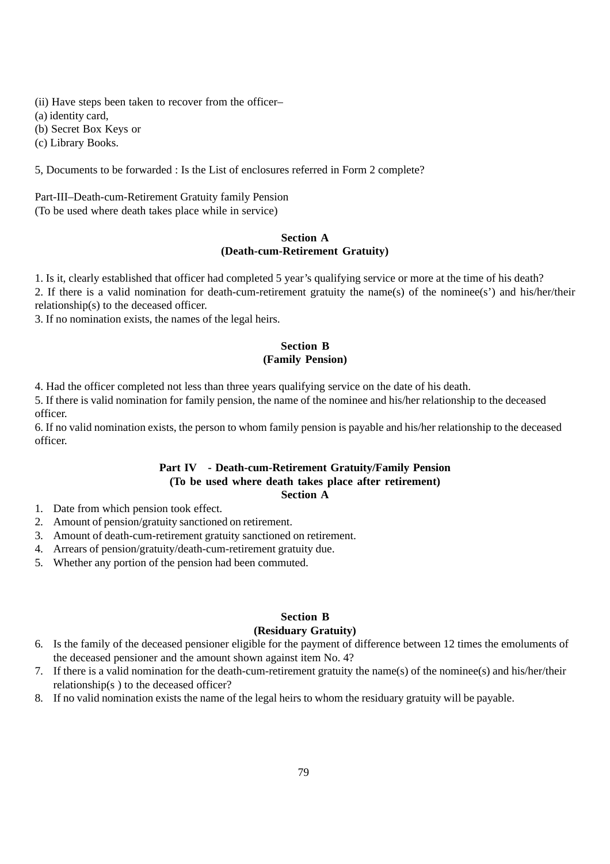(ii) Have steps been taken to recover from the officer–

(a) identity card,

(b) Secret Box Keys or

(c) Library Books.

5, Documents to be forwarded : Is the List of enclosures referred in Form 2 complete?

Part-III–Death-cum-Retirement Gratuity family Pension (To be used where death takes place while in service)

### **Section A (Death-cum-Retirement Gratuity)**

1. Is it, clearly established that officer had completed 5 year's qualifying service or more at the time of his death? 2. If there is a valid nomination for death-cum-retirement gratuity the name(s) of the nominee(s') and his/her/their relationship(s) to the deceased officer.

3. If no nomination exists, the names of the legal heirs.

### **Section B (Family Pension)**

4. Had the officer completed not less than three years qualifying service on the date of his death.

5. If there is valid nomination for family pension, the name of the nominee and his/her relationship to the deceased officer.

6. If no valid nomination exists, the person to whom family pension is payable and his/her relationship to the deceased officer.

#### **Part IV - Death-cum-Retirement Gratuity/Family Pension (To be used where death takes place after retirement) Section A**

- 1. Date from which pension took effect.
- 2. Amount of pension/gratuity sanctioned on retirement.
- 3. Amount of death-cum-retirement gratuity sanctioned on retirement.
- 4. Arrears of pension/gratuity/death-cum-retirement gratuity due.
- 5. Whether any portion of the pension had been commuted.

# **Section B**

#### **(Residuary Gratuity)**

- 6. Is the family of the deceased pensioner eligible for the payment of difference between 12 times the emoluments of the deceased pensioner and the amount shown against item No. 4?
- 7. If there is a valid nomination for the death-cum-retirement gratuity the name(s) of the nominee(s) and his/her/their relationship(s ) to the deceased officer?
- 8. If no valid nomination exists the name of the legal heirs to whom the residuary gratuity will be payable.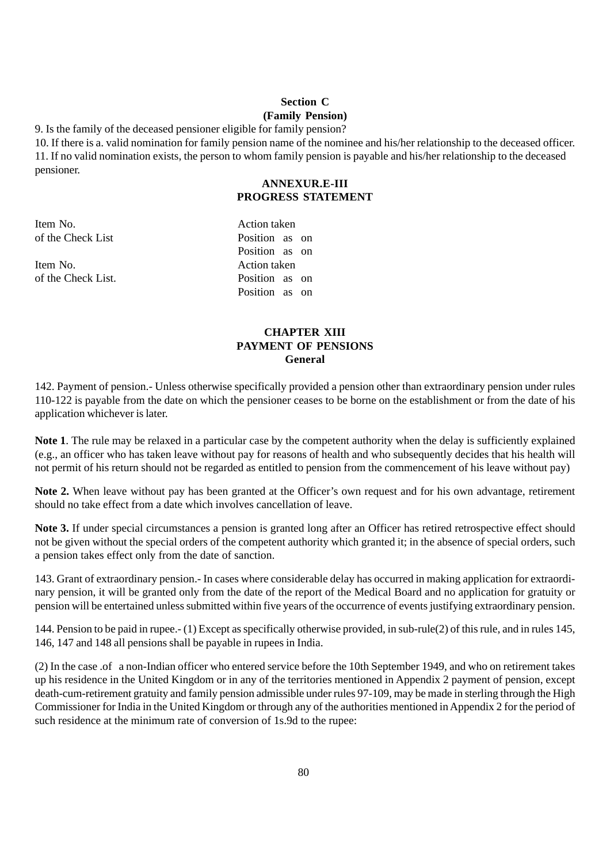## **Section C (Family Pension)**

9. Is the family of the deceased pensioner eligible for family pension?

10. If there is a. valid nomination for family pension name of the nominee and his/her relationship to the deceased officer. 11. If no valid nomination exists, the person to whom family pension is payable and his/her relationship to the deceased pensioner.

## **ANNEXUR.E-III PROGRESS STATEMENT**

Item No. Action taken of the Check List Position as on

Item No. Action taken of the Check List. Position as on

Position as on Position as on

## **CHAPTER XIII PAYMENT OF PENSIONS General**

142. Payment of pension.- Unless otherwise specifically provided a pension other than extraordinary pension under rules 110-122 is payable from the date on which the pensioner ceases to be borne on the establishment or from the date of his application whichever is later.

**Note 1**. The rule may be relaxed in a particular case by the competent authority when the delay is sufficiently explained (e.g., an officer who has taken leave without pay for reasons of health and who subsequently decides that his health will not permit of his return should not be regarded as entitled to pension from the commencement of his leave without pay)

**Note 2.** When leave without pay has been granted at the Officer's own request and for his own advantage, retirement should no take effect from a date which involves cancellation of leave.

**Note 3.** If under special circumstances a pension is granted long after an Officer has retired retrospective effect should not be given without the special orders of the competent authority which granted it; in the absence of special orders, such a pension takes effect only from the date of sanction.

143. Grant of extraordinary pension.- In cases where considerable delay has occurred in making application for extraordinary pension, it will be granted only from the date of the report of the Medical Board and no application for gratuity or pension will be entertained unless submitted within five years of the occurrence of events justifying extraordinary pension.

144. Pension to be paid in rupee.- (1) Except as specifically otherwise provided, in sub-rule(2) of this rule, and in rules 145, 146, 147 and 148 all pensions shall be payable in rupees in India.

(2) In the case .of a non-Indian officer who entered service before the 10th September 1949, and who on retirement takes up his residence in the United Kingdom or in any of the territories mentioned in Appendix 2 payment of pension, except death-cum-retirement gratuity and family pension admissible under rules 97-109, may be made in sterling through the High Commissioner for India in the United Kingdom or through any of the authorities mentioned in Appendix 2 for the period of such residence at the minimum rate of conversion of 1s.9d to the rupee: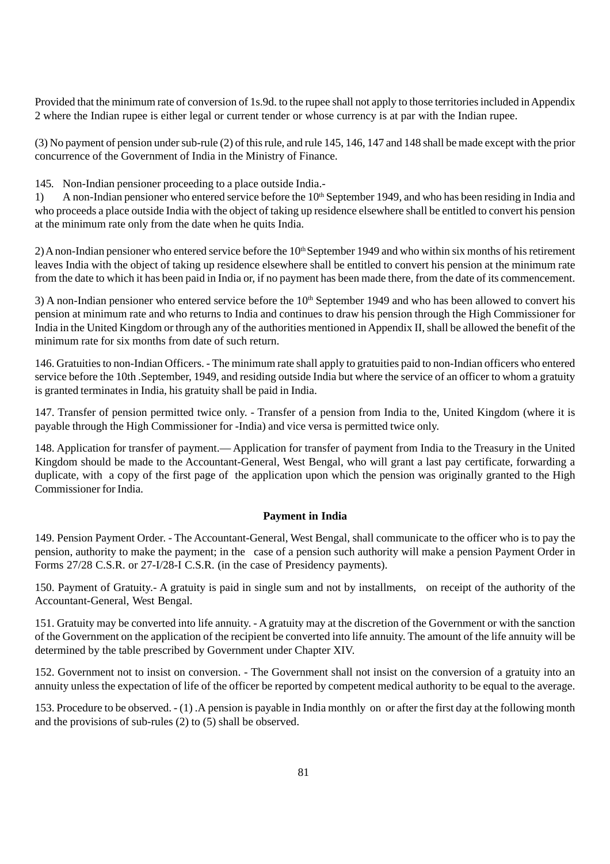Provided that the minimum rate of conversion of 1s.9d. to the rupee shall not apply to those territories included in Appendix 2 where the Indian rupee is either legal or current tender or whose currency is at par with the Indian rupee.

(3) No payment of pension under sub-rule (2) of this rule, and rule 145, 146, 147 and 148 shall be made except with the prior concurrence of the Government of India in the Ministry of Finance.

145. Non-Indian pensioner proceeding to a place outside India.-

1) A non-Indian pensioner who entered service before the 10<sup>th</sup> September 1949, and who has been residing in India and who proceeds a place outside India with the object of taking up residence elsewhere shall be entitled to convert his pension at the minimum rate only from the date when he quits India.

2) A non-Indian pensioner who entered service before the  $10<sup>th</sup>$  September 1949 and who within six months of his retirement leaves India with the object of taking up residence elsewhere shall be entitled to convert his pension at the minimum rate from the date to which it has been paid in India or, if no payment has been made there, from the date of its commencement.

 $3)$  A non-Indian pensioner who entered service before the  $10<sup>th</sup>$  September 1949 and who has been allowed to convert his pension at minimum rate and who returns to India and continues to draw his pension through the High Commissioner for India in the United Kingdom or through any of the authorities mentioned in Appendix II, shall be allowed the benefit of the minimum rate for six months from date of such return.

146. Gratuities to non-Indian Officers. - The minimum rate shall apply to gratuities paid to non-Indian officers who entered service before the 10th .September, 1949, and residing outside India but where the service of an officer to whom a gratuity is granted terminates in India, his gratuity shall be paid in India.

147. Transfer of pension permitted twice only. - Transfer of a pension from India to the, United Kingdom (where it is payable through the High Commissioner for -India) and vice versa is permitted twice only.

148. Application for transfer of payment.— Application for transfer of payment from India to the Treasury in the United Kingdom should be made to the Accountant-General, West Bengal, who will grant a last pay certificate, forwarding a duplicate, with a copy of the first page of the application upon which the pension was originally granted to the High Commissioner for India.

## **Payment in India**

149. Pension Payment Order. - The Accountant-General, West Bengal, shall communicate to the officer who is to pay the pension, authority to make the payment; in the case of a pension such authority will make a pension Payment Order in Forms 27/28 C.S.R. or 27-I/28-I C.S.R. (in the case of Presidency payments).

150. Payment of Gratuity.- A gratuity is paid in single sum and not by installments, on receipt of the authority of the Accountant-General, West Bengal.

151. Gratuity may be converted into life annuity. - A gratuity may at the discretion of the Government or with the sanction of the Government on the application of the recipient be converted into life annuity. The amount of the life annuity will be determined by the table prescribed by Government under Chapter XIV.

152. Government not to insist on conversion. - The Government shall not insist on the conversion of a gratuity into an annuity unless the expectation of life of the officer be reported by competent medical authority to be equal to the average.

153. Procedure to be observed. - (1) .A pension is payable in India monthly on or after the first day at the following month and the provisions of sub-rules (2) to (5) shall be observed.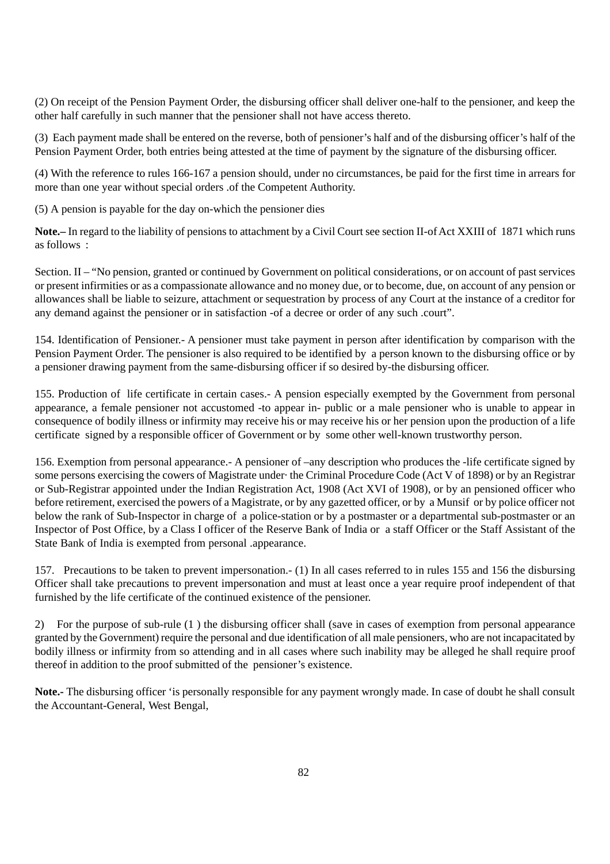(2) On receipt of the Pension Payment Order, the disbursing officer shall deliver one-half to the pensioner, and keep the other half carefully in such manner that the pensioner shall not have access thereto.

(3) Each payment made shall be entered on the reverse, both of pensioner's half and of the disbursing officer's half of the Pension Payment Order, both entries being attested at the time of payment by the signature of the disbursing officer.

(4) With the reference to rules 166-167 a pension should, under no circumstances, be paid for the first time in arrears for more than one year without special orders .of the Competent Authority.

(5) A pension is payable for the day on-which the pensioner dies

**Note.–** In regard to the liability of pensions to attachment by a Civil Court see section II-of Act XXIII of 1871 which runs as follows  $\cdot$ 

Section. II – "No pension, granted or continued by Government on political considerations, or on account of past services or present infirmities or as a compassionate allowance and no money due, or to become, due, on account of any pension or allowances shall be liable to seizure, attachment or sequestration by process of any Court at the instance of a creditor for any demand against the pensioner or in satisfaction -of a decree or order of any such .court".

154. Identification of Pensioner.- A pensioner must take payment in person after identification by comparison with the Pension Payment Order. The pensioner is also required to be identified by a person known to the disbursing office or by a pensioner drawing payment from the same-disbursing officer if so desired by-the disbursing officer.

155. Production of life certificate in certain cases.- A pension especially exempted by the Government from personal appearance, a female pensioner not accustomed -to appear in- public or a male pensioner who is unable to appear in consequence of bodily illness or infirmity may receive his or may receive his or her pension upon the production of a life certificate signed by a responsible officer of Government or by some other well-known trustworthy person.

156. Exemption from personal appearance.- A pensioner of –any description who produces the -life certificate signed by some persons exercising the cowers of Magistrate under· the Criminal Procedure Code (Act V of 1898) or by an Registrar or Sub-Registrar appointed under the Indian Registration Act, 1908 (Act XVI of 1908), or by an pensioned officer who before retirement, exercised the powers of a Magistrate, or by any gazetted officer, or by a Munsif or by police officer not below the rank of Sub-Inspector in charge of a police-station or by a postmaster or a departmental sub-postmaster or an Inspector of Post Office, by a Class I officer of the Reserve Bank of India or a staff Officer or the Staff Assistant of the State Bank of India is exempted from personal .appearance.

157. Precautions to be taken to prevent impersonation.- (1) In all cases referred to in rules 155 and 156 the disbursing Officer shall take precautions to prevent impersonation and must at least once a year require proof independent of that furnished by the life certificate of the continued existence of the pensioner.

2) For the purpose of sub-rule (1 ) the disbursing officer shall (save in cases of exemption from personal appearance granted by the Government) require the personal and due identification of all male pensioners, who are not incapacitated by bodily illness or infirmity from so attending and in all cases where such inability may be alleged he shall require proof thereof in addition to the proof submitted of the pensioner's existence.

**Note.-** The disbursing officer 'is personally responsible for any payment wrongly made. In case of doubt he shall consult the Accountant-General, West Bengal,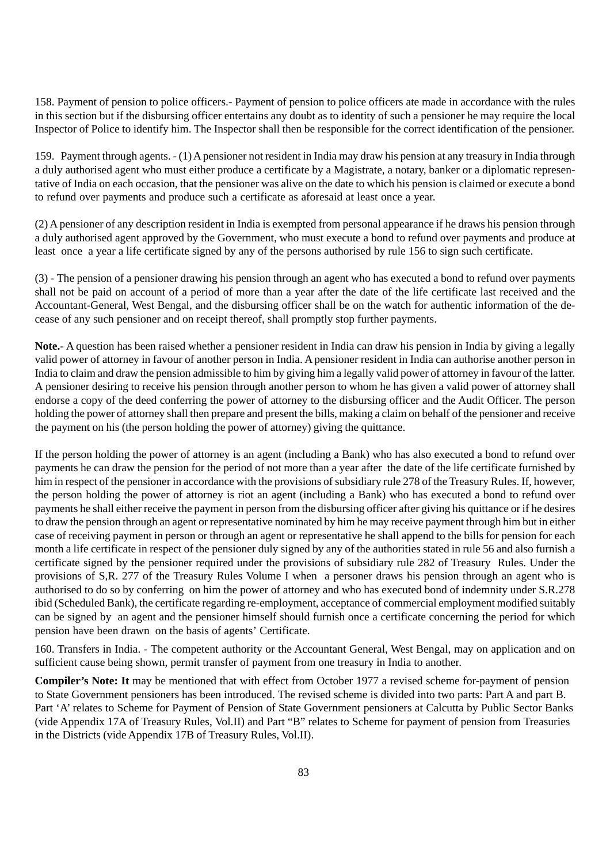158. Payment of pension to police officers.- Payment of pension to police officers ate made in accordance with the rules in this section but if the disbursing officer entertains any doubt as to identity of such a pensioner he may require the local Inspector of Police to identify him. The Inspector shall then be responsible for the correct identification of the pensioner.

159. Payment through agents. - (1) A pensioner not resident in India may draw his pension at any treasury in India through a duly authorised agent who must either produce a certificate by a Magistrate, a notary, banker or a diplomatic representative of India on each occasion, that the pensioner was alive on the date to which his pension is claimed or execute a bond to refund over payments and produce such a certificate as aforesaid at least once a year.

(2) A pensioner of any description resident in India is exempted from personal appearance if he draws his pension through a duly authorised agent approved by the Government, who must execute a bond to refund over payments and produce at least once a year a life certificate signed by any of the persons authorised by rule 156 to sign such certificate.

(3) - The pension of a pensioner drawing his pension through an agent who has executed a bond to refund over payments shall not be paid on account of a period of more than a year after the date of the life certificate last received and the Accountant-General, West Bengal, and the disbursing officer shall be on the watch for authentic information of the decease of any such pensioner and on receipt thereof, shall promptly stop further payments.

**Note.-** A question has been raised whether a pensioner resident in India can draw his pension in India by giving a legally valid power of attorney in favour of another person in India. A pensioner resident in India can authorise another person in India to claim and draw the pension admissible to him by giving him a legally valid power of attorney in favour of the latter. A pensioner desiring to receive his pension through another person to whom he has given a valid power of attorney shall endorse a copy of the deed conferring the power of attorney to the disbursing officer and the Audit Officer. The person holding the power of attorney shall then prepare and present the bills, making a claim on behalf of the pensioner and receive the payment on his (the person holding the power of attorney) giving the quittance.

If the person holding the power of attorney is an agent (including a Bank) who has also executed a bond to refund over payments he can draw the pension for the period of not more than a year after the date of the life certificate furnished by him in respect of the pensioner in accordance with the provisions of subsidiary rule 278 of the Treasury Rules. If, however, the person holding the power of attorney is riot an agent (including a Bank) who has executed a bond to refund over payments he shall either receive the payment in person from the disbursing officer after giving his quittance or if he desires to draw the pension through an agent or representative nominated by him he may receive payment through him but in either case of receiving payment in person or through an agent or representative he shall append to the bills for pension for each month a life certificate in respect of the pensioner duly signed by any of the authorities stated in rule 56 and also furnish a certificate signed by the pensioner required under the provisions of subsidiary rule 282 of Treasury Rules. Under the provisions of S,R. 277 of the Treasury Rules Volume I when a personer draws his pension through an agent who is authorised to do so by conferring on him the power of attorney and who has executed bond of indemnity under S.R.278 ibid (Scheduled Bank), the certificate regarding re-employment, acceptance of commercial employment modified suitably can be signed by an agent and the pensioner himself should furnish once a certificate concerning the period for which pension have been drawn on the basis of agents' Certificate.

160. Transfers in India. - The competent authority or the Accountant General, West Bengal, may on application and on sufficient cause being shown, permit transfer of payment from one treasury in India to another.

**Compiler's Note: It** may be mentioned that with effect from October 1977 a revised scheme for-payment of pension to State Government pensioners has been introduced. The revised scheme is divided into two parts: Part A and part B. Part 'A' relates to Scheme for Payment of Pension of State Government pensioners at Calcutta by Public Sector Banks (vide Appendix 17A of Treasury Rules, Vol.II) and Part "B" relates to Scheme for payment of pension from Treasuries in the Districts (vide Appendix 17B of Treasury Rules, Vol.II).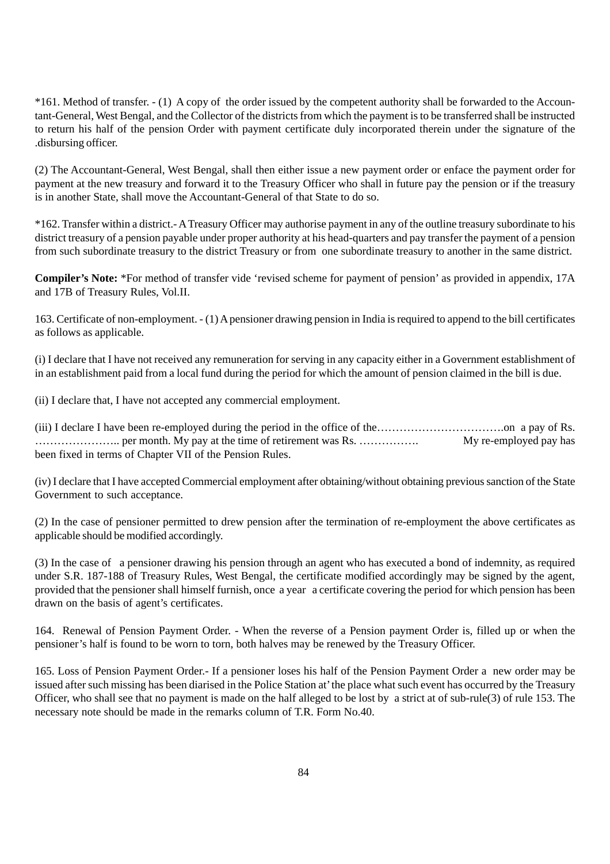\*161. Method of transfer. - (1) A copy of the order issued by the competent authority shall be forwarded to the Accountant-General, West Bengal, and the Collector of the districts from which the payment is to be transferred shall be instructed to return his half of the pension Order with payment certificate duly incorporated therein under the signature of the .disbursing officer.

(2) The Accountant-General, West Bengal, shall then either issue a new payment order or enface the payment order for payment at the new treasury and forward it to the Treasury Officer who shall in future pay the pension or if the treasury is in another State, shall move the Accountant-General of that State to do so.

\*162. Transfer within a district.- A Treasury Officer may authorise payment in any of the outline treasury subordinate to his district treasury of a pension payable under proper authority at his head-quarters and pay transfer the payment of a pension from such subordinate treasury to the district Treasury or from one subordinate treasury to another in the same district.

**Compiler's Note:** \*For method of transfer vide 'revised scheme for payment of pension' as provided in appendix, 17A and 17B of Treasury Rules, Vol.II.

163. Certificate of non-employment. - (1) A pensioner drawing pension in India is required to append to the bill certificates as follows as applicable.

(i) I declare that I have not received any remuneration for serving in any capacity either in a Government establishment of in an establishment paid from a local fund during the period for which the amount of pension claimed in the bill is due.

(ii) I declare that, I have not accepted any commercial employment.

(iii) I declare I have been re-employed during the period in the office of the…………………………….on a pay of Rs. ………………….. per month. My pay at the time of retirement was Rs. ……………. My re-employed pay has been fixed in terms of Chapter VII of the Pension Rules.

(iv) I declare that I have accepted Commercial employment after obtaining/without obtaining previous sanction of the State Government to such acceptance.

(2) In the case of pensioner permitted to drew pension after the termination of re-employment the above certificates as applicable should be modified accordingly.

(3) In the case of a pensioner drawing his pension through an agent who has executed a bond of indemnity, as required under S.R. 187-188 of Treasury Rules, West Bengal, the certificate modified accordingly may be signed by the agent, provided that the pensioner shall himself furnish, once a year a certificate covering the period for which pension has been drawn on the basis of agent's certificates.

164. Renewal of Pension Payment Order. - When the reverse of a Pension payment Order is, filled up or when the pensioner's half is found to be worn to torn, both halves may be renewed by the Treasury Officer.

165. Loss of Pension Payment Order.- If a pensioner loses his half of the Pension Payment Order a new order may be issued after such missing has been diarised in the Police Station at' the place what such event has occurred by the Treasury Officer, who shall see that no payment is made on the half alleged to be lost by a strict at of sub-rule(3) of rule 153. The necessary note should be made in the remarks column of T.R. Form No.40.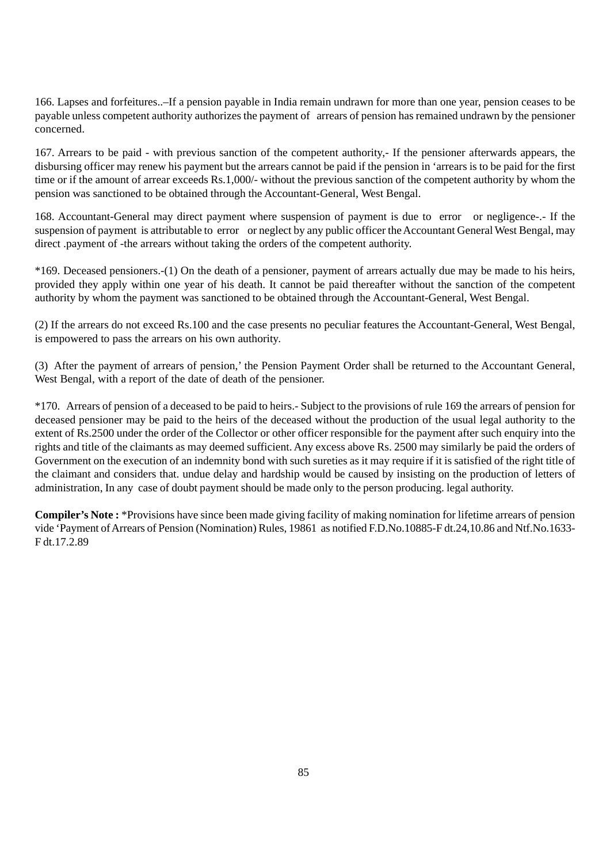166. Lapses and forfeitures..–If a pension payable in India remain undrawn for more than one year, pension ceases to be payable unless competent authority authorizes the payment of arrears of pension has remained undrawn by the pensioner concerned.

167. Arrears to be paid - with previous sanction of the competent authority,- If the pensioner afterwards appears, the disbursing officer may renew his payment but the arrears cannot be paid if the pension in 'arrears is to be paid for the first time or if the amount of arrear exceeds Rs.1,000/- without the previous sanction of the competent authority by whom the pension was sanctioned to be obtained through the Accountant-General, West Bengal.

168. Accountant-General may direct payment where suspension of payment is due to error or negligence-.- If the suspension of payment is attributable to error or neglect by any public officer the Accountant General West Bengal, may direct .payment of -the arrears without taking the orders of the competent authority.

\*169. Deceased pensioners.-(1) On the death of a pensioner, payment of arrears actually due may be made to his heirs, provided they apply within one year of his death. It cannot be paid thereafter without the sanction of the competent authority by whom the payment was sanctioned to be obtained through the Accountant-General, West Bengal.

(2) If the arrears do not exceed Rs.100 and the case presents no peculiar features the Accountant-General, West Bengal, is empowered to pass the arrears on his own authority.

(3) After the payment of arrears of pension,' the Pension Payment Order shall be returned to the Accountant General, West Bengal, with a report of the date of death of the pensioner.

\*170. Arrears of pension of a deceased to be paid to heirs.- Subject to the provisions of rule 169 the arrears of pension for deceased pensioner may be paid to the heirs of the deceased without the production of the usual legal authority to the extent of Rs.2500 under the order of the Collector or other officer responsible for the payment after such enquiry into the rights and title of the claimants as may deemed sufficient. Any excess above Rs. 2500 may similarly be paid the orders of Government on the execution of an indemnity bond with such sureties as it may require if it is satisfied of the right title of the claimant and considers that. undue delay and hardship would be caused by insisting on the production of letters of administration, In any case of doubt payment should be made only to the person producing. legal authority.

**Compiler's Note :** \*Provisions have since been made giving facility of making nomination for lifetime arrears of pension vide 'Payment of Arrears of Pension (Nomination) Rules, 19861 as notified F.D.No.10885-F dt.24,10.86 and Ntf.No.1633- F dt.17.2.89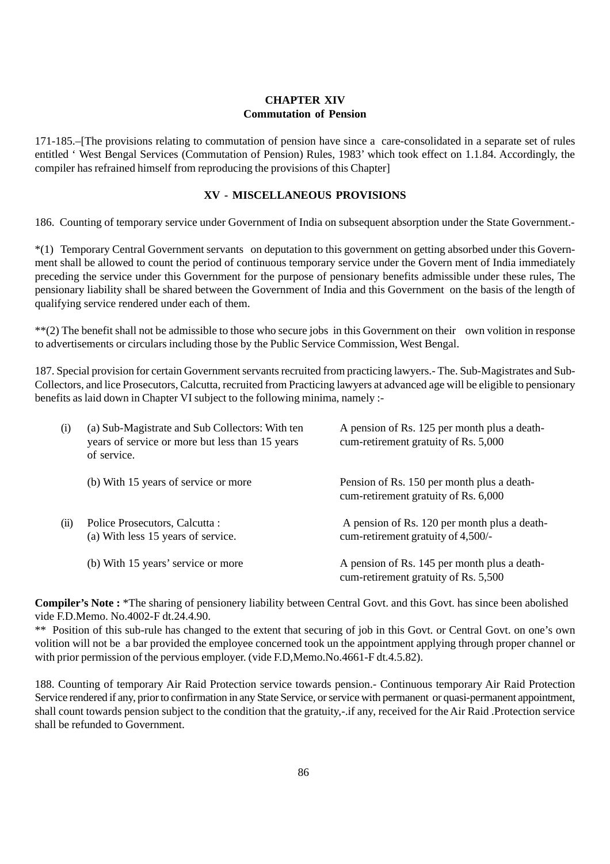#### **CHAPTER XIV Commutation of Pension**

171-185.–[The provisions relating to commutation of pension have since a care-consolidated in a separate set of rules entitled ' West Bengal Services (Commutation of Pension) Rules, 1983' which took effect on 1.1.84. Accordingly, the compiler has refrained himself from reproducing the provisions of this Chapter]

#### **XV - MISCELLANEOUS PROVISIONS**

186. Counting of temporary service under Government of India on subsequent absorption under the State Government.-

\*(1) Temporary Central Government servants on deputation to this government on getting absorbed under this Government shall be allowed to count the period of continuous temporary service under the Govern ment of India immediately preceding the service under this Government for the purpose of pensionary benefits admissible under these rules, The pensionary liability shall be shared between the Government of India and this Government on the basis of the length of qualifying service rendered under each of them.

\*\*(2) The benefit shall not be admissible to those who secure jobs in this Government on their own volition in response to advertisements or circulars including those by the Public Service Commission, West Bengal.

187. Special provision for certain Government servants recruited from practicing lawyers.- The. Sub-Magistrates and Sub-Collectors, and lice Prosecutors, Calcutta, recruited from Practicing lawyers at advanced age will be eligible to pensionary benefits as laid down in Chapter VI subject to the following minima, namely :-

| (i)  | (a) Sub-Magistrate and Sub Collectors: With ten<br>years of service or more but less than 15 years<br>of service. | A pension of Rs. 125 per month plus a death-<br>cum-retirement gratuity of Rs. 5,000 |
|------|-------------------------------------------------------------------------------------------------------------------|--------------------------------------------------------------------------------------|
|      | (b) With 15 years of service or more                                                                              | Pension of Rs. 150 per month plus a death-<br>cum-retirement gratuity of Rs. 6,000   |
| (ii) | Police Prosecutors, Calcutta :<br>(a) With less 15 years of service.                                              | A pension of Rs. 120 per month plus a death-<br>cum-retirement gratuity of 4,500/-   |
|      | (b) With 15 years' service or more                                                                                | A pension of Rs. 145 per month plus a death-<br>cum-retirement gratuity of Rs. 5,500 |

**Compiler's Note :** \*The sharing of pensionery liability between Central Govt. and this Govt. has since been abolished vide F.D.Memo. No.4002-F dt.24.4.90.

\*\* Position of this sub-rule has changed to the extent that securing of job in this Govt. or Central Govt. on one's own volition will not be a bar provided the employee concerned took un the appointment applying through proper channel or with prior permission of the pervious employer. (vide F.D,Memo.No.4661-F dt.4.5.82).

188. Counting of temporary Air Raid Protection service towards pension.- Continuous temporary Air Raid Protection Service rendered if any, prior to confirmation in any State Service, or service with permanent or quasi-permanent appointment, shall count towards pension subject to the condition that the gratuity,-.if any, received for the Air Raid .Protection service shall be refunded to Government.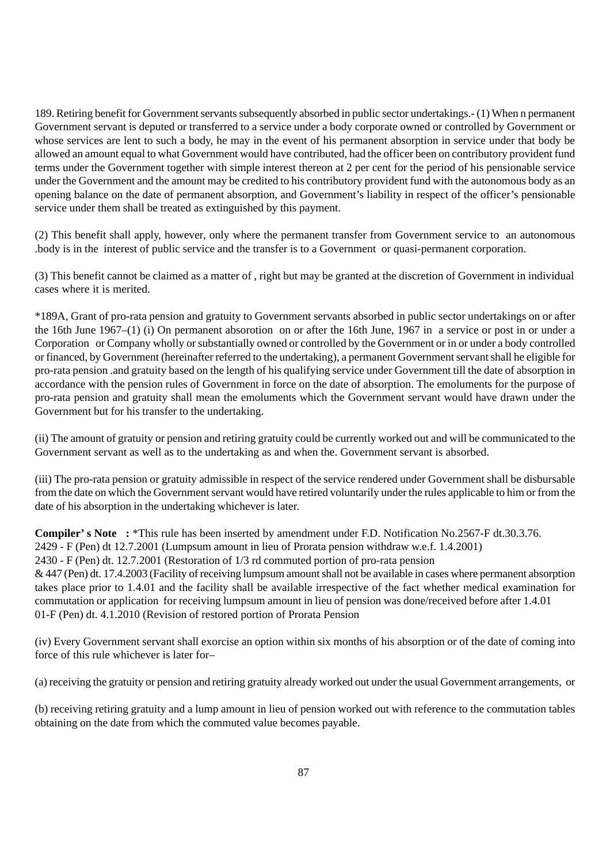189. Retiring benefit for Government servants subsequently absorbed in public sector undertakings.- (1) When n permanent Government servant is deputed or transferred to a service under a body corporate owned or controlled by Government or whose services are lent to such a body, he may in the event of his permanent absorption in service under that body be allowed an amount equal to what Government would have contributed, had the officer been on contributory provident fund terms under the Government together with simple interest thereon at 2 per cent for the period of his pensionable service under the Government and the amount may be credited to his contributory provident fund with the autonomous body as an opening balance on the date of permanent absorption, and Government's liability in respect of the officer's pensionable service under them shall be treated as extinguished by this payment.

(2) This benefit shall apply, however, only where the permanent transfer from Government service to an autonomous .body is in the interest of public service and the transfer is to a Government or quasi-permanent corporation.

(3) This benefit cannot be claimed as a matter of , right but may be granted at the discretion of Government in individual cases where it is merited.

\*189A, Grant of pro-rata pension and gratuity to Government servants absorbed in public sector undertakings on or after the 16th June 1967–(1) (i) On permanent absorotion on or after the 16th June, 1967 in a service or post in or under a Corporation or Company wholly or substantially owned or controlled by the Government or in or under a body controlled or financed, by Government (hereinafter referred to the undertaking), a permanent Government servant shall he eligible for pro-rata pension .and gratuity based on the length of his qualifying service under Government till the date of absorption in accordance with the pension rules of Government in force on the date of absorption. The emoluments for the purpose of pro-rata pension and gratuity shall mean the emoluments which the Government servant would have drawn under the Government but for his transfer to the undertaking.

(ii) The amount of gratuity or pension and retiring gratuity could be currently worked out and will be communicated to the Government servant as well as to the undertaking as and when the. Government servant is absorbed.

(iii) The pro-rata pension or gratuity admissible in respect of the service rendered under Government shall be disbursable from the date on which the Government servant would have retired voluntarily under the rules applicable to him or from the date of his absorption in the undertaking whichever is later.

**Compiler' s Note :** \*This rule has been inserted by amendment under F.D. Notification No.2567-F dt.30.3.76. 2429 - F (Pen) dt 12.7.2001 (Lumpsum amount in lieu of Prorata pension withdraw w.e.f. 1.4.2001) 2430 - F (Pen) dt. 12.7.2001 (Restoration of 1/3 rd commuted portion of pro-rata pension & 447 (Pen) dt. 17.4.2003 (Facility of receiving lumpsum amount shall not be available in cases where permanent absorption takes place prior to 1.4.01 and the facility shall be available irrespective of the fact whether medical examination for commutation or application for receiving lumpsum amount in lieu of pension was done/received before after 1.4.01 01-F (Pen) dt. 4.1.2010 (Revision of restored portion of Prorata Pension

(iv) Every Government servant shall exorcise an option within six months of his absorption or of the date of coming into force of this rule whichever is later for–

(a) receiving the gratuity or pension and retiring gratuity already worked out under the usual Government arrangements, or

(b) receiving retiring gratuity and a lump amount in lieu of pension worked out with reference to the commutation tables obtaining on the date from which the commuted value becomes payable.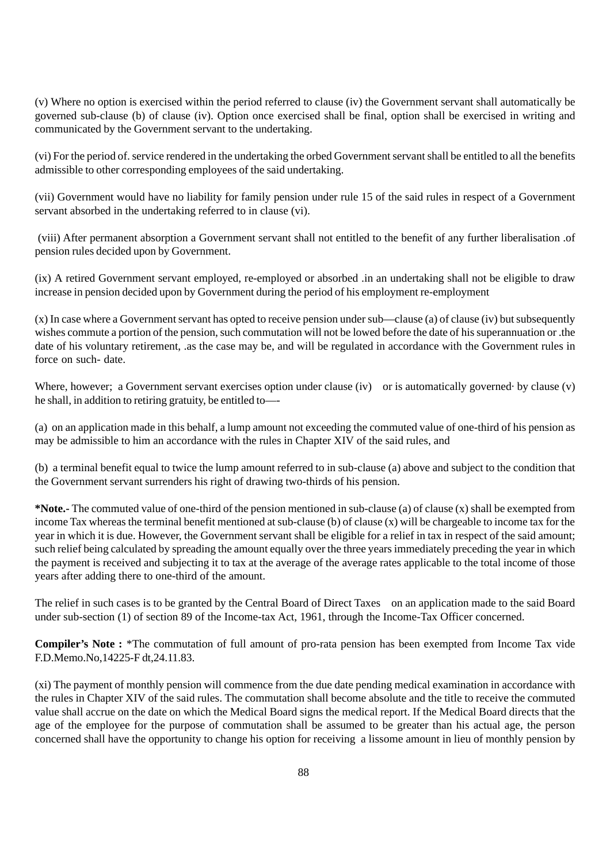(v) Where no option is exercised within the period referred to clause (iv) the Government servant shall automatically be governed sub-clause (b) of clause (iv). Option once exercised shall be final, option shall be exercised in writing and communicated by the Government servant to the undertaking.

(vi) For the period of. service rendered in the undertaking the orbed Government servant shall be entitled to all the benefits admissible to other corresponding employees of the said undertaking.

(vii) Government would have no liability for family pension under rule 15 of the said rules in respect of a Government servant absorbed in the undertaking referred to in clause (vi).

 (viii) After permanent absorption a Government servant shall not entitled to the benefit of any further liberalisation .of pension rules decided upon by Government.

(ix) A retired Government servant employed, re-employed or absorbed .in an undertaking shall not be eligible to draw increase in pension decided upon by Government during the period of his employment re-employment

(x) In case where a Government servant has opted to receive pension under sub—clause (a) of clause (iv) but subsequently wishes commute a portion of the pension, such commutation will not be lowed before the date of his superannuation or .the date of his voluntary retirement, .as the case may be, and will be regulated in accordance with the Government rules in force on such- date.

Where, however; a Government servant exercises option under clause (iv) or is automatically governed by clause (v) he shall, in addition to retiring gratuity, be entitled to—-

(a) on an application made in this behalf, a lump amount not exceeding the commuted value of one-third of his pension as may be admissible to him an accordance with the rules in Chapter XIV of the said rules, and

(b) a terminal benefit equal to twice the lump amount referred to in sub-clause (a) above and subject to the condition that the Government servant surrenders his right of drawing two-thirds of his pension.

**\*Note.-** The commuted value of one-third of the pension mentioned in sub-clause (a) of clause (x) shall be exempted from income Tax whereas the terminal benefit mentioned at sub-clause (b) of clause (x) will be chargeable to income tax for the year in which it is due. However, the Government servant shall be eligible for a relief in tax in respect of the said amount; such relief being calculated by spreading the amount equally over the three years immediately preceding the year in which the payment is received and subjecting it to tax at the average of the average rates applicable to the total income of those years after adding there to one-third of the amount.

The relief in such cases is to be granted by the Central Board of Direct Taxes on an application made to the said Board under sub-section (1) of section 89 of the Income-tax Act, 1961, through the Income-Tax Officer concerned.

**Compiler's Note :** \*The commutation of full amount of pro-rata pension has been exempted from Income Tax vide F.D.Memo.No,14225-F dt,24.11.83.

(xi) The payment of monthly pension will commence from the due date pending medical examination in accordance with the rules in Chapter XIV of the said rules. The commutation shall become absolute and the title to receive the commuted value shall accrue on the date on which the Medical Board signs the medical report. If the Medical Board directs that the age of the employee for the purpose of commutation shall be assumed to be greater than his actual age, the person concerned shall have the opportunity to change his option for receiving a lissome amount in lieu of monthly pension by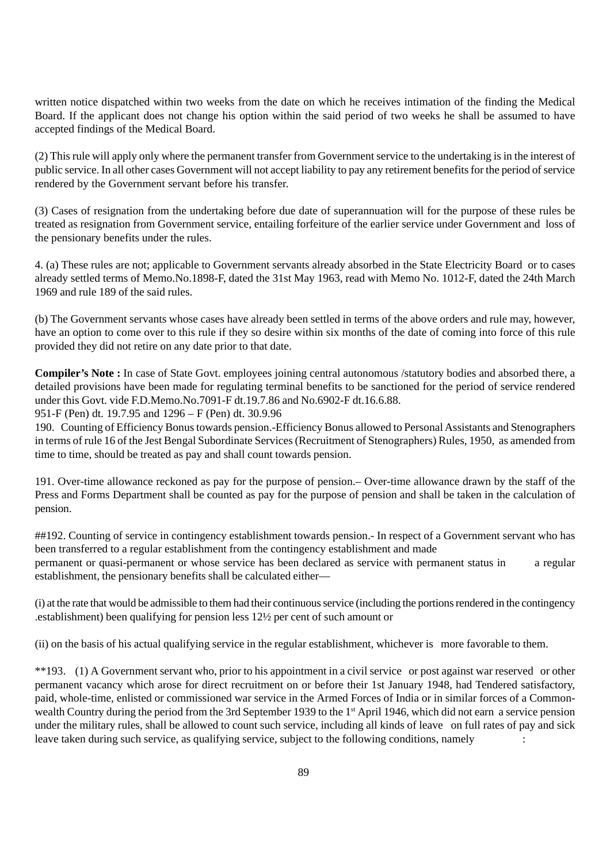written notice dispatched within two weeks from the date on which he receives intimation of the finding the Medical Board. If the applicant does not change his option within the said period of two weeks he shall be assumed to have accepted findings of the Medical Board.

(2) This rule will apply only where the permanent transfer from Government service to the undertaking is in the interest of public service. In all other cases Government will not accept liability to pay any retirement benefits for the period of service rendered by the Government servant before his transfer.

(3) Cases of resignation from the undertaking before due date of superannuation will for the purpose of these rules be treated as resignation from Government service, entailing forfeiture of the earlier service under Government and loss of the pensionary benefits under the rules.

4. (a) These rules are not; applicable to Government servants already absorbed in the State Electricity Board or to cases already settled terms of Memo.No.1898-F, dated the 31st May 1963, read with Memo No. 1012-F, dated the 24th March 1969 and rule 189 of the said rules.

(b) The Government servants whose cases have already been settled in terms of the above orders and rule may, however, have an option to come over to this rule if they so desire within six months of the date of coming into force of this rule provided they did not retire on any date prior to that date.

**Compiler's Note :** In case of State Govt. employees joining central autonomous /statutory bodies and absorbed there, a detailed provisions have been made for regulating terminal benefits to be sanctioned for the period of service rendered under this Govt. vide F.D.Memo.No.7091-F dt.19.7.86 and No.6902-F dt.16.6.88.

951-F (Pen) dt. 19.7.95 and 1296 – F (Pen) dt. 30.9.96

190. Counting of Efficiency Bonus towards pension.-Efficiency Bonus allowed to Personal Assistants and Stenographers in terms of rule 16 of the Jest Bengal Subordinate Services (Recruitment of Stenographers) Rules, 1950, as amended from time to time, should be treated as pay and shall count towards pension.

191. Over-time allowance reckoned as pay for the purpose of pension.– Over-time allowance drawn by the staff of the Press and Forms Department shall be counted as pay for the purpose of pension and shall be taken in the calculation of pension.

##192. Counting of service in contingency establishment towards pension.- In respect of a Government servant who has been transferred to a regular establishment from the contingency establishment and made permanent or quasi-permanent or whose service has been declared as service with permanent status in a regular establishment, the pensionary benefits shall be calculated either—

(i) at the rate that would be admissible to them had their continuous service (including the portions rendered in the contingency .establishment) been qualifying for pension less 12½ per cent of such amount or

(ii) on the basis of his actual qualifying service in the regular establishment, whichever is more favorable to them.

\*\*193. (1) A Government servant who, prior to his appointment in a civil service or post against war reserved or other permanent vacancy which arose for direct recruitment on or before their 1st January 1948, had Tendered satisfactory, paid, whole-time, enlisted or commissioned war service in the Armed Forces of India or in similar forces of a Commonwealth Country during the period from the 3rd September 1939 to the 1<sup>st</sup> April 1946, which did not earn a service pension under the military rules, shall be allowed to count such service, including all kinds of leave on full rates of pay and sick leave taken during such service, as qualifying service, subject to the following conditions, namely :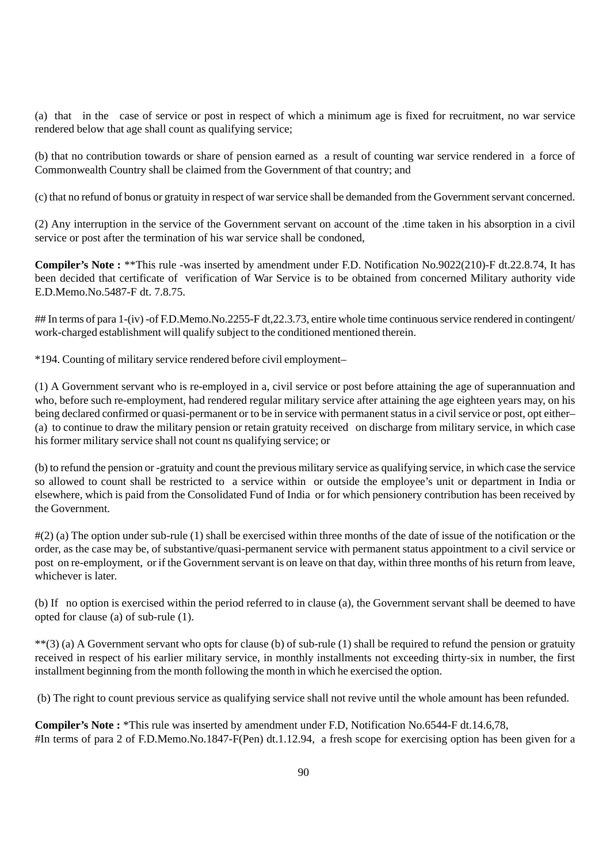(a) that in the case of service or post in respect of which a minimum age is fixed for recruitment, no war service rendered below that age shall count as qualifying service;

(b) that no contribution towards or share of pension earned as a result of counting war service rendered in a force of Commonwealth Country shall be claimed from the Government of that country; and

(c) that no refund of bonus or gratuity in respect of war service shall be demanded from the Government servant concerned.

(2) Any interruption in the service of the Government servant on account of the .time taken in his absorption in a civil service or post after the termination of his war service shall be condoned,

**Compiler's Note :** \*\*This rule -was inserted by amendment under F.D. Notification No.9022(210)-F dt.22.8.74, It has been decided that certificate of verification of War Service is to be obtained from concerned Military authority vide E.D.Memo.No.5487-F dt. 7.8.75.

## In terms of para 1-(iv) -of F.D.Memo.No.2255-F dt, 22.3.73, entire whole time continuous service rendered in contingent/ work-charged establishment will qualify subject to the conditioned mentioned therein.

\*194. Counting of military service rendered before civil employment–

(1) A Government servant who is re-employed in a, civil service or post before attaining the age of superannuation and who, before such re-employment, had rendered regular military service after attaining the age eighteen years may, on his being declared confirmed or quasi-permanent or to be in service with permanent status in a civil service or post, opt either– (a) to continue to draw the military pension or retain gratuity received on discharge from military service, in which case his former military service shall not count ns qualifying service; or

(b) to refund the pension or -gratuity and count the previous military service as qualifying service, in which case the service so allowed to count shall be restricted to a service within or outside the employee's unit or department in India or elsewhere, which is paid from the Consolidated Fund of India or for which pensionery contribution has been received by the Government.

#(2) (a) The option under sub-rule (1) shall be exercised within three months of the date of issue of the notification or the order, as the case may be, of substantive/quasi-permanent service with permanent status appointment to a civil service or post on re-employment, or if the Government servant is on leave on that day, within three months of his return from leave, whichever is later.

(b) If no option is exercised within the period referred to in clause (a), the Government servant shall be deemed to have opted for clause (a) of sub-rule (1).

\*\*(3) (a) A Government servant who opts for clause (b) of sub-rule (1) shall be required to refund the pension or gratuity received in respect of his earlier military service, in monthly installments not exceeding thirty-six in number, the first installment beginning from the month following the month in which he exercised the option.

(b) The right to count previous service as qualifying service shall not revive until the whole amount has been refunded.

**Compiler's Note :** \*This rule was inserted by amendment under F.D, Notification No.6544-F dt.14.6,78, #In terms of para 2 of F.D.Memo.No.1847-F(Pen) dt.1.12.94, a fresh scope for exercising option has been given for a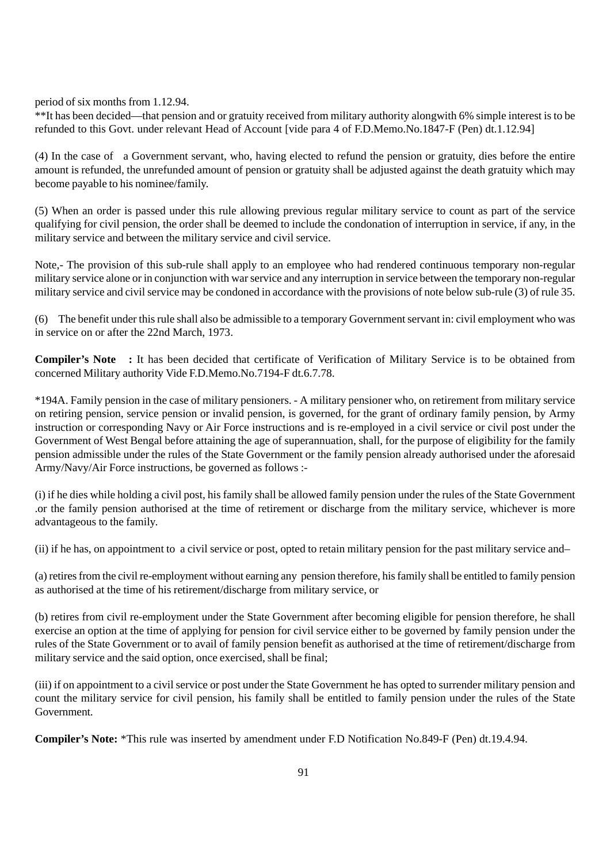period of six months from 1.12.94.

\*\*It has been decided—that pension and or gratuity received from military authority alongwith 6% simple interest is to be refunded to this Govt. under relevant Head of Account [vide para 4 of F.D.Memo.No.1847-F (Pen) dt.1.12.94]

(4) In the case of a Government servant, who, having elected to refund the pension or gratuity, dies before the entire amount is refunded, the unrefunded amount of pension or gratuity shall be adjusted against the death gratuity which may become payable to his nominee/family.

(5) When an order is passed under this rule allowing previous regular military service to count as part of the service qualifying for civil pension, the order shall be deemed to include the condonation of interruption in service, if any, in the military service and between the military service and civil service.

Note,- The provision of this sub-rule shall apply to an employee who had rendered continuous temporary non-regular military service alone or in conjunction with war service and any interruption in service between the temporary non-regular military service and civil service may be condoned in accordance with the provisions of note below sub-rule (3) of rule 35.

(6) The benefit under this rule shall also be admissible to a temporary Government servant in: civil employment who was in service on or after the 22nd March, 1973.

**Compiler's Note :** It has been decided that certificate of Verification of Military Service is to be obtained from concerned Military authority Vide F.D.Memo.No.7194-F dt.6.7.78.

\*194A. Family pension in the case of military pensioners. - A military pensioner who, on retirement from military service on retiring pension, service pension or invalid pension, is governed, for the grant of ordinary family pension, by Army instruction or corresponding Navy or Air Force instructions and is re-employed in a civil service or civil post under the Government of West Bengal before attaining the age of superannuation, shall, for the purpose of eligibility for the family pension admissible under the rules of the State Government or the family pension already authorised under the aforesaid Army/Navy/Air Force instructions, be governed as follows :-

(i) if he dies while holding a civil post, his family shall be allowed family pension under the rules of the State Government .or the family pension authorised at the time of retirement or discharge from the military service, whichever is more advantageous to the family.

(ii) if he has, on appointment to a civil service or post, opted to retain military pension for the past military service and–

(a) retires from the civil re-employment without earning any pension therefore, his family shall be entitled to family pension as authorised at the time of his retirement/discharge from military service, or

(b) retires from civil re-employment under the State Government after becoming eligible for pension therefore, he shall exercise an option at the time of applying for pension for civil service either to be governed by family pension under the rules of the State Government or to avail of family pension benefit as authorised at the time of retirement/discharge from military service and the said option, once exercised, shall be final;

(iii) if on appointment to a civil service or post under the State Government he has opted to surrender military pension and count the military service for civil pension, his family shall be entitled to family pension under the rules of the State Government.

**Compiler's Note:** \*This rule was inserted by amendment under F.D Notification No.849-F (Pen) dt.19.4.94.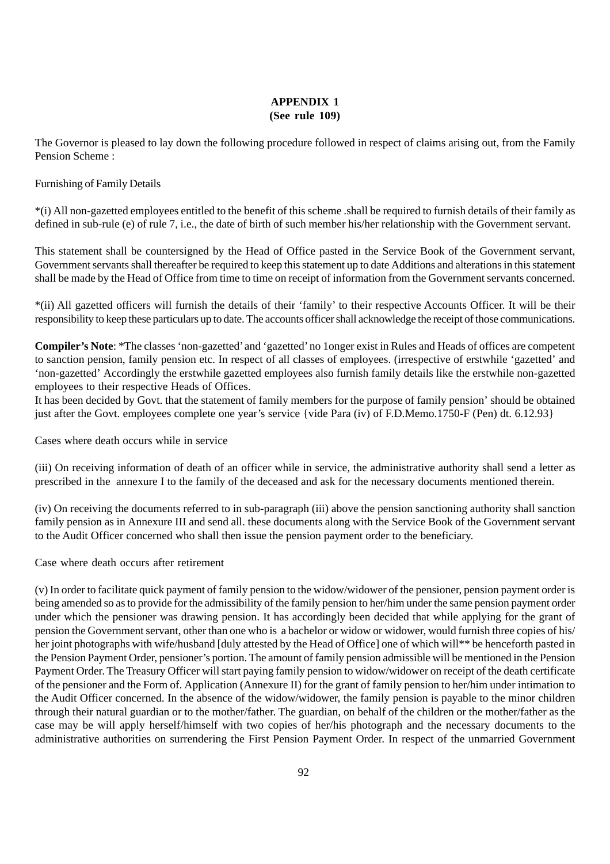### **APPENDIX 1 (See rule 109)**

The Governor is pleased to lay down the following procedure followed in respect of claims arising out, from the Family Pension Scheme :

Furnishing of Family Details

\*(i) All non-gazetted employees entitled to the benefit of this scheme .shall be required to furnish details of their family as defined in sub-rule (e) of rule 7, i.e., the date of birth of such member his/her relationship with the Government servant.

This statement shall be countersigned by the Head of Office pasted in the Service Book of the Government servant, Government servants shall thereafter be required to keep this statement up to date Additions and alterations in this statement shall be made by the Head of Office from time to time on receipt of information from the Government servants concerned.

\*(ii) All gazetted officers will furnish the details of their 'family' to their respective Accounts Officer. It will be their responsibility to keep these particulars up to date. The accounts officer shall acknowledge the receipt of those communications.

**Compiler's Note**: \*The classes 'non-gazetted' and 'gazetted' no 1onger exist in Rules and Heads of offices are competent to sanction pension, family pension etc. In respect of all classes of employees. (irrespective of erstwhile 'gazetted' and 'non-gazetted' Accordingly the erstwhile gazetted employees also furnish family details like the erstwhile non-gazetted employees to their respective Heads of Offices.

It has been decided by Govt. that the statement of family members for the purpose of family pension' should be obtained just after the Govt. employees complete one year's service {vide Para (iv) of F.D.Memo.1750-F (Pen) dt. 6.12.93}

Cases where death occurs while in service

(iii) On receiving information of death of an officer while in service, the administrative authority shall send a letter as prescribed in the annexure I to the family of the deceased and ask for the necessary documents mentioned therein.

(iv) On receiving the documents referred to in sub-paragraph (iii) above the pension sanctioning authority shall sanction family pension as in Annexure III and send all. these documents along with the Service Book of the Government servant to the Audit Officer concerned who shall then issue the pension payment order to the beneficiary.

Case where death occurs after retirement

(v) In order to facilitate quick payment of family pension to the widow/widower of the pensioner, pension payment order is being amended so as to provide for the admissibility of the family pension to her/him under the same pension payment order under which the pensioner was drawing pension. It has accordingly been decided that while applying for the grant of pension the Government servant, other than one who is a bachelor or widow or widower, would furnish three copies of his/ her joint photographs with wife/husband [duly attested by the Head of Office] one of which will\*\* be henceforth pasted in the Pension Payment Order, pensioner's portion. The amount of family pension admissible will be mentioned in the Pension Payment Order. The Treasury Officer will start paying family pension to widow/widower on receipt of the death certificate of the pensioner and the Form of. Application (Annexure II) for the grant of family pension to her/him under intimation to the Audit Officer concerned. In the absence of the widow/widower, the family pension is payable to the minor children through their natural guardian or to the mother/father. The guardian, on behalf of the children or the mother/father as the case may be will apply herself/himself with two copies of her/his photograph and the necessary documents to the administrative authorities on surrendering the First Pension Payment Order. In respect of the unmarried Government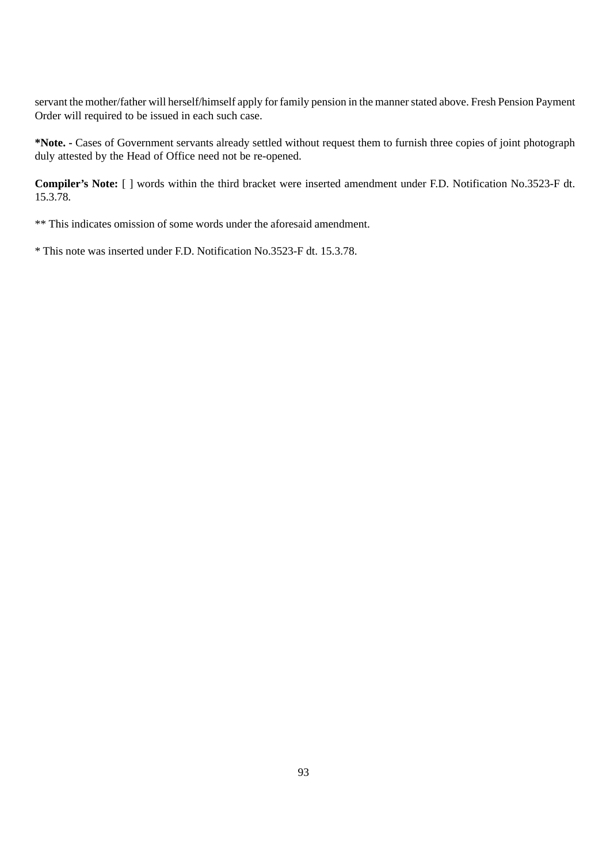servant the mother/father will herself/himself apply for family pension in the manner stated above. Fresh Pension Payment Order will required to be issued in each such case.

**\*Note. -** Cases of Government servants already settled without request them to furnish three copies of joint photograph duly attested by the Head of Office need not be re-opened.

**Compiler's Note:** [ ] words within the third bracket were inserted amendment under F.D. Notification No.3523-F dt. 15.3.78.

\*\* This indicates omission of some words under the aforesaid amendment.

\* This note was inserted under F.D. Notification No.3523-F dt. 15.3.78.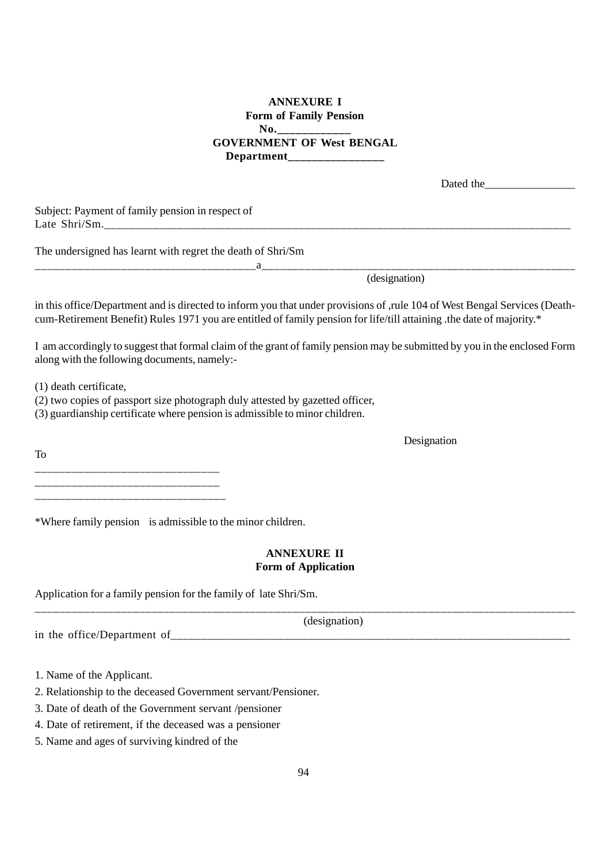## **ANNEXURE I Form of Family Pension** No. **GOVERNMENT OF West BENGAL Department\_\_\_\_\_\_\_\_\_\_\_\_\_\_\_\_**

| Dated the |
|-----------|
|-----------|

Subject: Payment of family pension in respect of Late Shri/Sm.\_\_\_\_\_\_\_\_\_\_\_\_\_\_\_\_\_\_\_\_\_\_\_\_\_\_\_\_\_\_\_\_\_\_\_\_\_\_\_\_\_\_\_\_\_\_\_\_\_\_\_\_\_\_\_\_\_\_\_\_\_\_\_\_\_\_\_\_\_\_\_\_\_\_\_\_\_

The undersigned has learnt with regret the death of Shri/Sm

(designation)

in this office/Department and is directed to inform you that under provisions of ,rule 104 of West Bengal Services (Deathcum-Retirement Benefit) Rules 1971 you are entitled of family pension for life/till attaining .the date of majority.\*

\_\_\_\_\_\_\_\_\_\_\_\_\_\_\_\_\_\_\_\_\_\_\_\_\_\_\_\_\_\_\_\_\_\_\_\_a\_\_\_\_\_\_\_\_\_\_\_\_\_\_\_\_\_\_\_\_\_\_\_\_\_\_\_\_\_\_\_\_\_\_\_\_\_\_\_\_\_\_\_\_\_\_\_\_\_\_\_

I am accordingly to suggest that formal claim of the grant of family pension may be submitted by you in the enclosed Form along with the following documents, namely:-

(1) death certificate,

(2) two copies of passport size photograph duly attested by gazetted officer,

(3) guardianship certificate where pension is admissible to minor children.

To \_\_\_\_\_\_\_\_\_\_\_\_\_\_\_\_\_\_\_\_\_\_\_\_\_\_\_\_\_\_ \_\_\_\_\_\_\_\_\_\_\_\_\_\_\_\_\_\_\_\_\_\_\_\_\_\_\_\_\_\_

\_\_\_\_\_\_\_\_\_\_\_\_\_\_\_\_\_\_\_\_\_\_\_\_\_\_\_\_\_\_\_

\*Where family pension is admissible to the minor children.

## **ANNEXURE II Form of Application**

Application for a family pension for the family of late Shri/Sm.

|                             | (designation)            |
|-----------------------------|--------------------------|
| in the office/Department of | $\overline{\phantom{a}}$ |

1. Name of the Applicant.

2. Relationship to the deceased Government servant/Pensioner.

3. Date of death of the Government servant /pensioner

4. Date of retirement, if the deceased was a pensioner

5. Name and ages of surviving kindred of the

Designation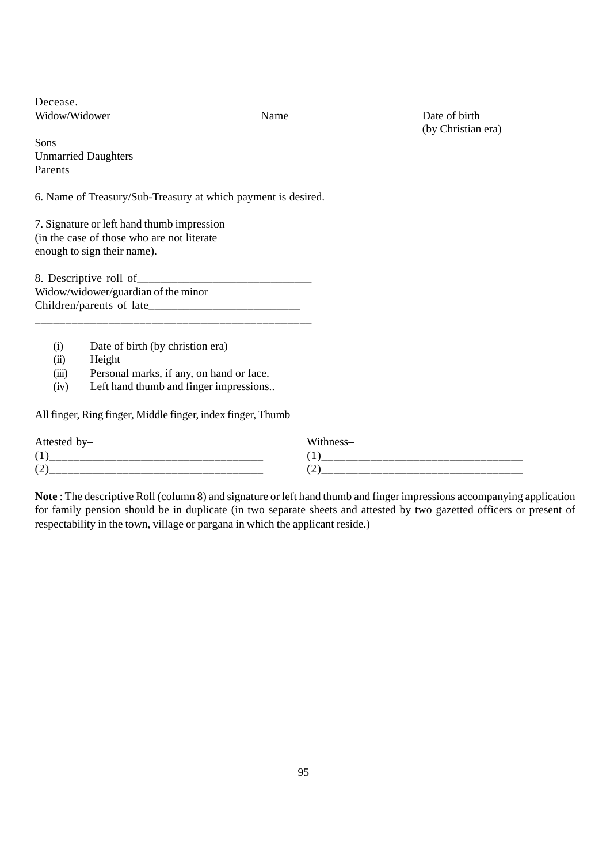Decease. Widow/Widower Name Name Date of birth

(by Christian era)

Sons Unmarried Daughters Parents

6. Name of Treasury/Sub-Treasury at which payment is desired.

7. Signature or left hand thumb impression (in the case of those who are not literate enough to sign their name).

8. Descriptive roll of Widow/widower/guardian of the minor Children/parents of late\_\_\_\_\_\_\_\_\_\_\_\_\_\_\_\_\_\_\_\_\_\_\_\_\_\_

\_\_\_\_\_\_\_\_\_\_\_\_\_\_\_\_\_\_\_\_\_\_\_\_\_\_\_\_\_\_\_\_\_\_\_\_\_\_\_\_\_\_\_\_\_

- (i) Date of birth (by christion era)
- (ii) Height
- (iii) Personal marks, if any, on hand or face.
- (iv) Left hand thumb and finger impressions..

All finger, Ring finger, Middle finger, index finger, Thumb

| Attested by-               | Wä                 |
|----------------------------|--------------------|
| л.                         | л.                 |
| $\sqrt{2}$<br>∼<br>_______ | $\sim$<br>╹<br>___ |

**Note** : The descriptive Roll (column 8) and signature or left hand thumb and finger impressions accompanying application for family pension should be in duplicate (in two separate sheets and attested by two gazetted officers or present of respectability in the town, village or pargana in which the applicant reside.)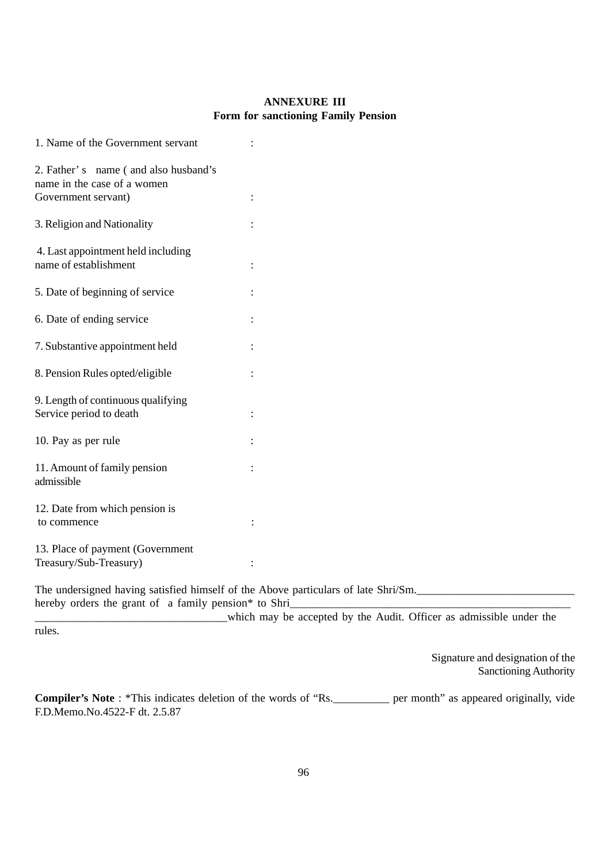## **ANNEXURE III Form for sanctioning Family Pension**

| 1. Name of the Government servant                                                          |                                                                                    |  |
|--------------------------------------------------------------------------------------------|------------------------------------------------------------------------------------|--|
| 2. Father's name (and also husband's<br>name in the case of a women<br>Government servant) | $\ddot{\cdot}$                                                                     |  |
|                                                                                            |                                                                                    |  |
| 3. Religion and Nationality                                                                |                                                                                    |  |
| 4. Last appointment held including<br>name of establishment                                |                                                                                    |  |
| 5. Date of beginning of service                                                            |                                                                                    |  |
| 6. Date of ending service                                                                  |                                                                                    |  |
| 7. Substantive appointment held                                                            |                                                                                    |  |
| 8. Pension Rules opted/eligible                                                            |                                                                                    |  |
| 9. Length of continuous qualifying<br>Service period to death                              |                                                                                    |  |
| 10. Pay as per rule                                                                        |                                                                                    |  |
| 11. Amount of family pension<br>admissible                                                 |                                                                                    |  |
| 12. Date from which pension is<br>to commence                                              |                                                                                    |  |
| 13. Place of payment (Government<br>Treasury/Sub-Treasury)                                 |                                                                                    |  |
| hereby orders the grant of a family pension* to Shri_                                      | The undersigned having satisfied himself of the Above particulars of late Shri/Sm. |  |
| rules.                                                                                     | which may be accepted by the Audit. Officer as admissible under the                |  |

Signature and designation of the Sanctioning Authority

**Compiler's Note** : \*This indicates deletion of the words of "Rs.\_\_\_\_\_\_\_\_\_\_ per month" as appeared originally, vide F.D.Memo.No.4522-F dt. 2.5.87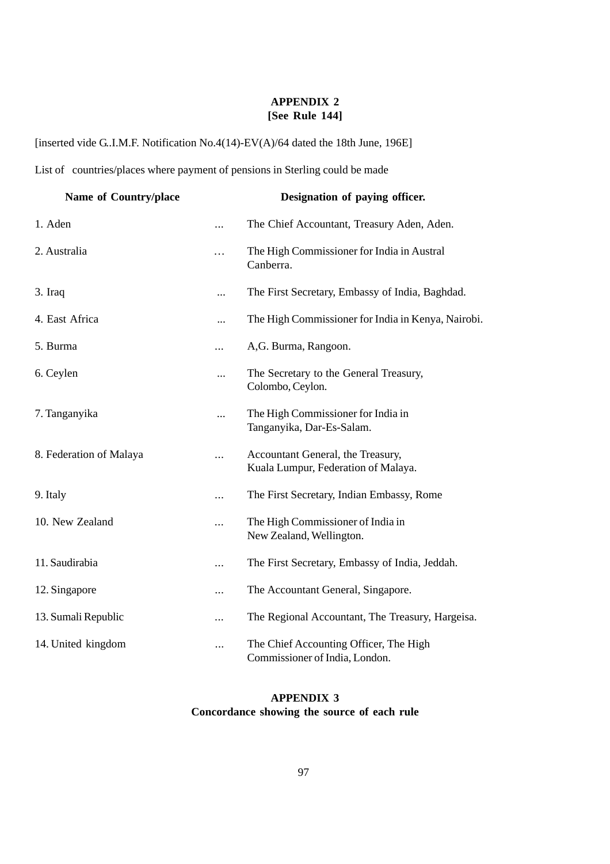## **APPENDIX 2 [See Rule 144]**

[inserted vide G..I.M.F. Notification No.4(14)-EV(A)/64 dated the 18th June, 196E]

List of countries/places where payment of pensions in Sterling could be made

| Name of Country/place   |           | Designation of paying officer.                                           |
|-------------------------|-----------|--------------------------------------------------------------------------|
| 1. Aden                 |           | The Chief Accountant, Treasury Aden, Aden.                               |
| 2. Australia            | .         | The High Commissioner for India in Austral<br>Canberra.                  |
| 3. Iraq                 |           | The First Secretary, Embassy of India, Baghdad.                          |
| 4. East Africa          | $\cdots$  | The High Commissioner for India in Kenya, Nairobi.                       |
| 5. Burma                | $\cdots$  | A,G. Burma, Rangoon.                                                     |
| 6. Ceylen               | $\cdots$  | The Secretary to the General Treasury,<br>Colombo, Ceylon.               |
| 7. Tanganyika           |           | The High Commissioner for India in<br>Tanganyika, Dar-Es-Salam.          |
| 8. Federation of Malaya |           | Accountant General, the Treasury,<br>Kuala Lumpur, Federation of Malaya. |
| 9. Italy                | $\ddotsc$ | The First Secretary, Indian Embassy, Rome                                |
| 10. New Zealand         | .         | The High Commissioner of India in<br>New Zealand, Wellington.            |
| 11. Saudirabia          | $\ddotsc$ | The First Secretary, Embassy of India, Jeddah.                           |
| 12. Singapore           | $\cdots$  | The Accountant General, Singapore.                                       |
| 13. Sumali Republic     |           | The Regional Accountant, The Treasury, Hargeisa.                         |
| 14. United kingdom      |           | The Chief Accounting Officer, The High<br>Commissioner of India, London. |

# **APPENDIX 3 Concordance showing the source of each rule**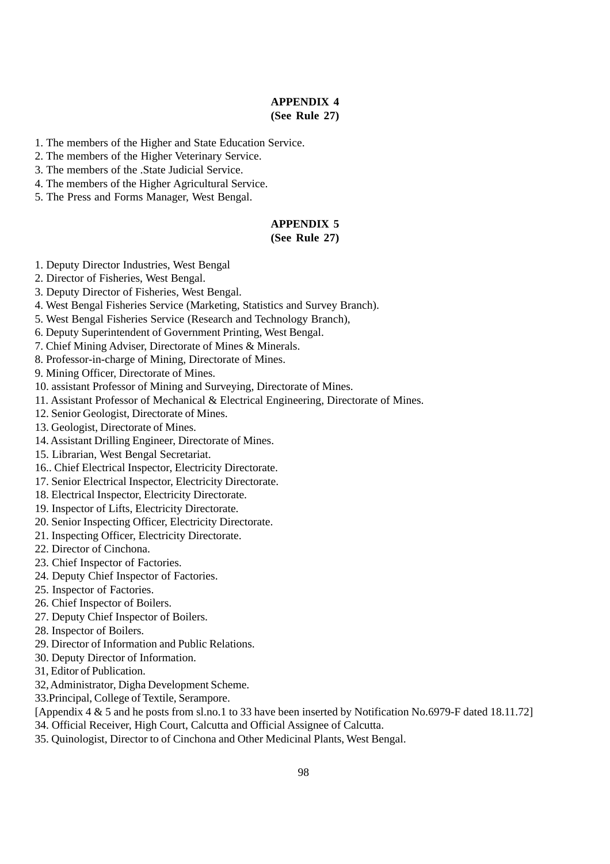### **APPENDIX 4 (See Rule 27)**

- 1. The members of the Higher and State Education Service.
- 2. The members of the Higher Veterinary Service.
- 3. The members of the .State Judicial Service.
- 4. The members of the Higher Agricultural Service.
- 5. The Press and Forms Manager, West Bengal.

# **APPENDIX 5**

### **(See Rule 27)**

- 1. Deputy Director Industries, West Bengal
- 2. Director of Fisheries, West Bengal.
- 3. Deputy Director of Fisheries, West Bengal.
- 4. West Bengal Fisheries Service (Marketing, Statistics and Survey Branch).
- 5. West Bengal Fisheries Service (Research and Technology Branch),
- 6. Deputy Superintendent of Government Printing, West Bengal.
- 7. Chief Mining Adviser, Directorate of Mines & Minerals.
- 8. Professor-in-charge of Mining, Directorate of Mines.
- 9. Mining Officer, Directorate of Mines.
- 10. assistant Professor of Mining and Surveying, Directorate of Mines.
- 11. Assistant Professor of Mechanical & Electrical Engineering, Directorate of Mines.
- 12. Senior Geologist, Directorate of Mines.
- 13. Geologist, Directorate of Mines.
- 14. Assistant Drilling Engineer, Directorate of Mines.
- 15. Librarian, West Bengal Secretariat.
- 16.. Chief Electrical Inspector, Electricity Directorate.
- 17. Senior Electrical Inspector, Electricity Directorate.
- 18. Electrical Inspector, Electricity Directorate.
- 19. Inspector of Lifts, Electricity Directorate.
- 20. Senior Inspecting Officer, Electricity Directorate.
- 21. Inspecting Officer, Electricity Directorate.
- 22. Director of Cinchona.
- 23. Chief Inspector of Factories.
- 24. Deputy Chief Inspector of Factories.
- 25. Inspector of Factories.
- 26. Chief Inspector of Boilers.
- 27. Deputy Chief Inspector of Boilers.
- 28. Inspector of Boilers.
- 29. Director of Information and Public Relations.
- 30. Deputy Director of Information.
- 31, Editor of Publication.
- 32, Administrator, Digha Development Scheme.
- 33.Principal, College of Textile, Serampore.
- [Appendix 4 & 5 and he posts from sl.no.1 to 33 have been inserted by Notification No.6979-F dated 18.11.72]
- 34. Official Receiver, High Court, Calcutta and Official Assignee of Calcutta.
- 35. Quinologist, Director to of Cinchona and Other Medicinal Plants, West Bengal.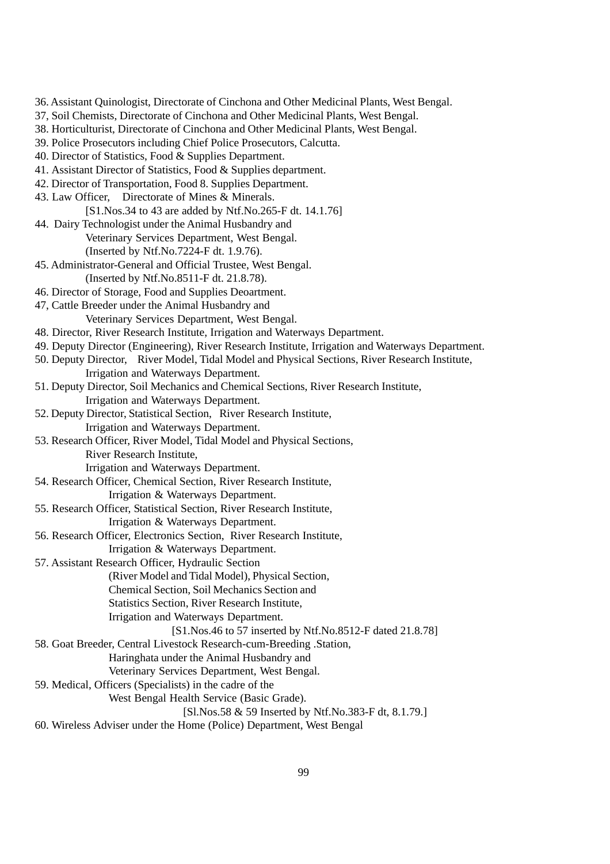- 36. Assistant Quinologist, Directorate of Cinchona and Other Medicinal Plants, West Bengal.
- 37, Soil Chemists, Directorate of Cinchona and Other Medicinal Plants, West Bengal.
- 38. Horticulturist, Directorate of Cinchona and Other Medicinal Plants, West Bengal.
- 39. Police Prosecutors including Chief Police Prosecutors, Calcutta.
- 40. Director of Statistics, Food & Supplies Department.
- 41. Assistant Director of Statistics, Food & Supplies department.
- 42. Director of Transportation, Food 8. Supplies Department.
- 43. Law Officer, Directorate of Mines & Minerals.
	- [S1.Nos.34 to 43 are added by Ntf.No.265-F dt. 14.1.76]
- 44. Dairy Technologist under the Animal Husbandry and Veterinary Services Department, West Bengal. (Inserted by Ntf.No.7224-F dt. 1.9.76).
- 45. Administrator-General and Official Trustee, West Bengal. (Inserted by Ntf.No.8511-F dt. 21.8.78).
- 46. Director of Storage, Food and Supplies Deoartment.
- 47, Cattle Breeder under the Animal Husbandry and Veterinary Services Department, West Bengal.
- 48. Director, River Research Institute, Irrigation and Waterways Department.
- 49. Deputy Director (Engineering), River Research Institute, Irrigation and Waterways Department.
- 50. Deputy Director, River Model, Tidal Model and Physical Sections, River Research Institute,
	- Irrigation and Waterways Department.
- 51. Deputy Director, Soil Mechanics and Chemical Sections, River Research Institute, Irrigation and Waterways Department.
- 52. Deputy Director, Statistical Section, River Research Institute, Irrigation and Waterways Department.
- 53. Research Officer, River Model, Tidal Model and Physical Sections, River Research Institute,
	- Irrigation and Waterways Department.
- 54. Research Officer, Chemical Section, River Research Institute,
	- Irrigation & Waterways Department.
- 55. Research Officer, Statistical Section, River Research Institute, Irrigation & Waterways Department.
- 56. Research Officer, Electronics Section, River Research Institute,
	- Irrigation & Waterways Department.
- 57. Assistant Research Officer, Hydraulic Section
	- (River Model and Tidal Model), Physical Section,
	- Chemical Section, Soil Mechanics Section and
	- Statistics Section, River Research Institute,
	- Irrigation and Waterways Department.
		- [S1.Nos.46 to 57 inserted by Ntf.No.8512-F dated 21.8.78]
- 58. Goat Breeder, Central Livestock Research-cum-Breeding .Station,
	- Haringhata under the Animal Husbandry and
	- Veterinary Services Department, West Bengal.
- 59. Medical, Officers (Specialists) in the cadre of the
	- West Bengal Health Service (Basic Grade).
		- [Sl.Nos.58 & 59 Inserted by Ntf.No.383-F dt, 8.1.79.]
- 60. Wireless Adviser under the Home (Police) Department, West Bengal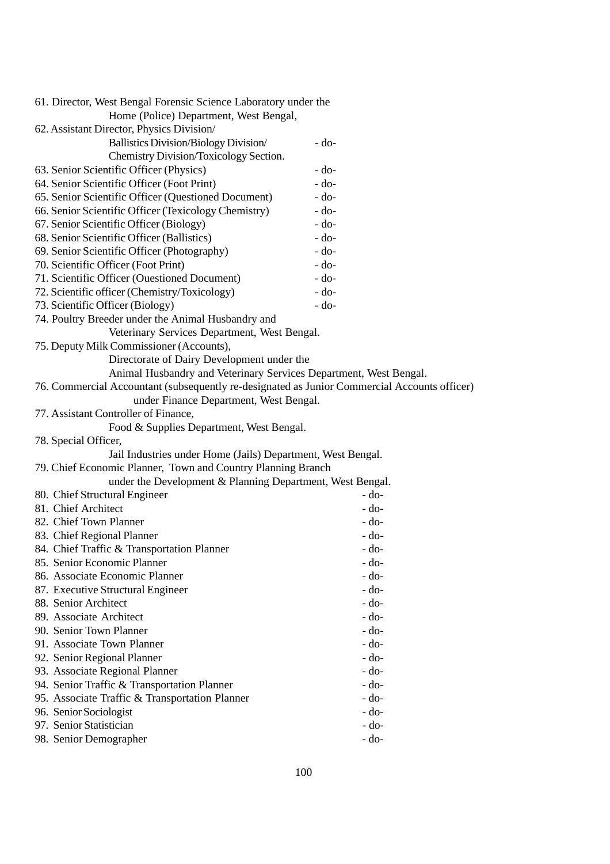| 61. Director, West Bengal Forensic Science Laboratory under the                              |        |
|----------------------------------------------------------------------------------------------|--------|
| Home (Police) Department, West Bengal,                                                       |        |
| 62. Assistant Director, Physics Division/                                                    |        |
| Ballistics Division/Biology Division/                                                        | $-do-$ |
| Chemistry Division/Toxicology Section.                                                       |        |
| 63. Senior Scientific Officer (Physics)                                                      | $-do-$ |
| 64. Senior Scientific Officer (Foot Print)                                                   | $-do-$ |
| 65. Senior Scientific Officer (Questioned Document)                                          | $-do-$ |
| 66. Senior Scientific Officer (Texicology Chemistry)                                         | $-do-$ |
| 67. Senior Scientific Officer (Biology)                                                      | $-do-$ |
| 68. Senior Scientific Officer (Ballistics)                                                   | $-do-$ |
| 69. Senior Scientific Officer (Photography)                                                  | $-do-$ |
| 70. Scientific Officer (Foot Print)                                                          | $-do-$ |
| 71. Scientific Officer (Ouestioned Document)                                                 | $-do-$ |
| 72. Scientific officer (Chemistry/Toxicology)                                                | $-do-$ |
| 73. Scientific Officer (Biology)                                                             | $-do-$ |
| 74. Poultry Breeder under the Animal Husbandry and                                           |        |
| Veterinary Services Department, West Bengal.                                                 |        |
| 75. Deputy Milk Commissioner (Accounts),                                                     |        |
| Directorate of Dairy Development under the                                                   |        |
| Animal Husbandry and Veterinary Services Department, West Bengal.                            |        |
| 76. Commercial Accountant (subsequently re-designated as Junior Commercial Accounts officer) |        |
| under Finance Department, West Bengal.                                                       |        |
| 77. Assistant Controller of Finance,                                                         |        |
| Food & Supplies Department, West Bengal.                                                     |        |
| 78. Special Officer,                                                                         |        |
| Jail Industries under Home (Jails) Department, West Bengal.                                  |        |
| 79. Chief Economic Planner, Town and Country Planning Branch                                 |        |
| under the Development & Planning Department, West Bengal.                                    |        |
| 80. Chief Structural Engineer                                                                | $-do-$ |
| 81. Chief Architect                                                                          | $-do-$ |
| 82. Chief Town Planner                                                                       | $-do-$ |
| 83. Chief Regional Planner                                                                   | $-do-$ |
| 84. Chief Traffic & Transportation Planner                                                   | $-do-$ |
| 85. Senior Economic Planner                                                                  | - do-  |
| 86. Associate Economic Planner                                                               | - do-  |
| 87. Executive Structural Engineer                                                            | $-do-$ |
| 88. Senior Architect                                                                         | - do-  |
| 89. Associate Architect                                                                      | - do-  |
| 90. Senior Town Planner                                                                      | - do-  |
| 91. Associate Town Planner                                                                   | - do-  |
| 92. Senior Regional Planner                                                                  | $-do-$ |
| 93. Associate Regional Planner                                                               | - do-  |
| 94. Senior Traffic & Transportation Planner                                                  | - do-  |
| 95. Associate Traffic & Transportation Planner                                               | - do-  |
| 96. Senior Sociologist                                                                       | - do-  |
| 97. Senior Statistician                                                                      | $-do-$ |
| 98. Senior Demographer                                                                       | - do-  |
|                                                                                              |        |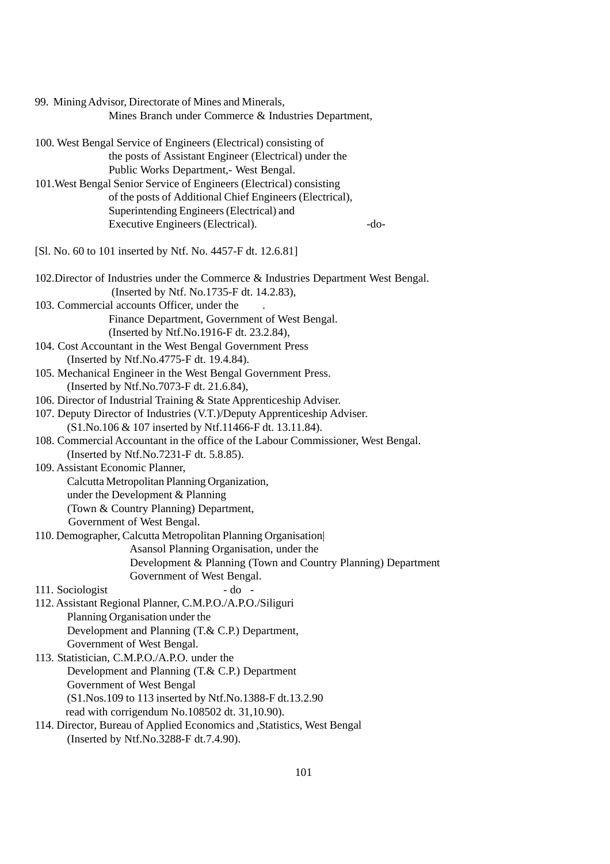| 99. Mining Advisor, Directorate of Mines and Minerals,                              |
|-------------------------------------------------------------------------------------|
| Mines Branch under Commerce & Industries Department,                                |
| 100. West Bengal Service of Engineers (Electrical) consisting of                    |
| the posts of Assistant Engineer (Electrical) under the                              |
| Public Works Department,- West Bengal.                                              |
| 101. West Bengal Senior Service of Engineers (Electrical) consisting                |
| of the posts of Additional Chief Engineers (Electrical),                            |
| Superintending Engineers (Electrical) and                                           |
| Executive Engineers (Electrical).<br>-do-                                           |
| [Sl. No. 60 to 101 inserted by Ntf. No. 4457-F dt. 12.6.81]                         |
| 102. Director of Industries under the Commerce & Industries Department West Bengal. |
| (Inserted by Ntf. No.1735-F dt. 14.2.83),                                           |
| 103. Commercial accounts Officer, under the                                         |
| Finance Department, Government of West Bengal.                                      |
| (Inserted by Ntf.No.1916-F dt. 23.2.84),                                            |
| 104. Cost Accountant in the West Bengal Government Press                            |
| (Inserted by Ntf.No.4775-F dt. 19.4.84).                                            |
| 105. Mechanical Engineer in the West Bengal Government Press.                       |
| (Inserted by Ntf.No.7073-F dt. 21.6.84),                                            |
| 106. Director of Industrial Training & State Apprenticeship Adviser.                |
| 107. Deputy Director of Industries (V.T.)/Deputy Apprenticeship Adviser.            |
| (S1.No.106 & 107 inserted by Ntf.11466-F dt. 13.11.84).                             |
| 108. Commercial Accountant in the office of the Labour Commissioner, West Bengal.   |
| (Inserted by Ntf.No.7231-F dt. 5.8.85).                                             |
| 109. Assistant Economic Planner,                                                    |
| Calcutta Metropolitan Planning Organization,<br>under the Development & Planning    |
| (Town & Country Planning) Department,                                               |
| Government of West Bengal.                                                          |
| 110. Demographer, Calcutta Metropolitan Planning Organisation                       |
| Asansol Planning Organisation, under the                                            |
| Development & Planning (Town and Country Planning) Department                       |
| Government of West Bengal.                                                          |
| $-do$ -<br>111. Sociologist                                                         |
| 112. Assistant Regional Planner, C.M.P.O./A.P.O./Siliguri                           |
| Planning Organisation under the                                                     |
| Development and Planning (T.& C.P.) Department,                                     |
| Government of West Bengal.                                                          |
| 113. Statistician, C.M.P.O./A.P.O. under the                                        |
| Development and Planning (T.& C.P.) Department                                      |
| Government of West Bengal                                                           |
| (S1.Nos.109 to 113 inserted by Ntf.No.1388-F dt.13.2.90)                            |
| read with corrigendum No.108502 dt. 31,10.90).                                      |
| 114. Director, Bureau of Applied Economics and , Statistics, West Bengal            |

(Inserted by Ntf.No.3288-F dt.7.4.90).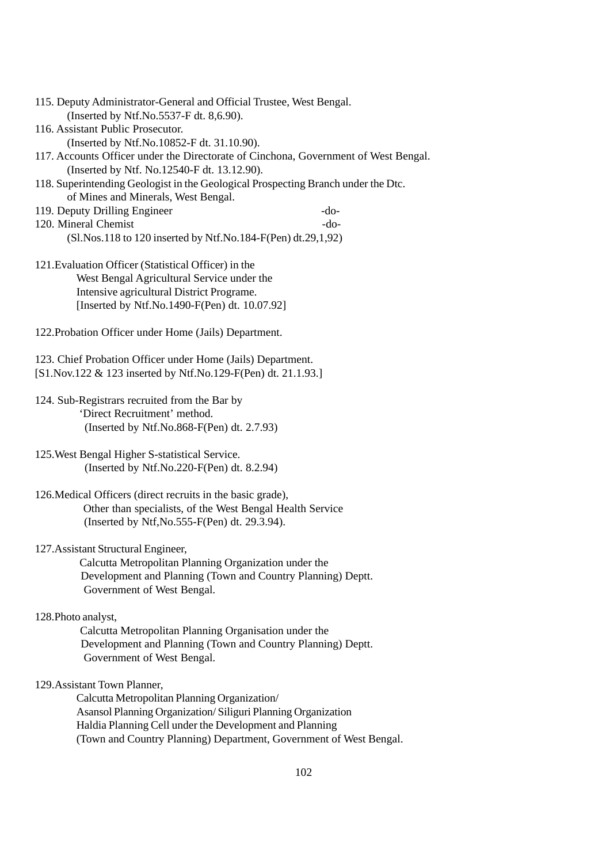| 115. Deputy Administrator-General and Official Trustee, West Bengal.                                                              |        |
|-----------------------------------------------------------------------------------------------------------------------------------|--------|
| (Inserted by Ntf.No.5537-F dt. 8,6.90).                                                                                           |        |
| 116. Assistant Public Prosecutor.                                                                                                 |        |
| (Inserted by Ntf.No.10852-F dt. 31.10.90).<br>117. Accounts Officer under the Directorate of Cinchona, Government of West Bengal. |        |
| (Inserted by Ntf. No.12540-F dt. 13.12.90).                                                                                       |        |
| 118. Superintending Geologist in the Geological Prospecting Branch under the Dtc.<br>of Mines and Minerals, West Bengal.          |        |
| 119. Deputy Drilling Engineer                                                                                                     | $-do-$ |
| 120. Mineral Chemist                                                                                                              | $-do-$ |
| $(Sl.Nos.118$ to 120 inserted by Ntf.No.184-F(Pen) dt.29,1,92)                                                                    |        |
|                                                                                                                                   |        |
| 121. Evaluation Officer (Statistical Officer) in the                                                                              |        |
| West Bengal Agricultural Service under the                                                                                        |        |
| Intensive agricultural District Programe.                                                                                         |        |
| [Inserted by Ntf.No.1490-F(Pen) dt. 10.07.92]                                                                                     |        |
| 122. Probation Officer under Home (Jails) Department.                                                                             |        |
|                                                                                                                                   |        |
| 123. Chief Probation Officer under Home (Jails) Department.                                                                       |        |
| [S1.Nov.122 & 123 inserted by Ntf.No.129-F(Pen) dt. 21.1.93.]                                                                     |        |
|                                                                                                                                   |        |
| 124. Sub-Registrars recruited from the Bar by                                                                                     |        |
| 'Direct Recruitment' method.                                                                                                      |        |
| (Inserted by Ntf.No.868-F(Pen) dt. 2.7.93)                                                                                        |        |
|                                                                                                                                   |        |
| 125. West Bengal Higher S-statistical Service.                                                                                    |        |
| (Inserted by Ntf.No.220-F(Pen) dt. 8.2.94)                                                                                        |        |
|                                                                                                                                   |        |
| 126. Medical Officers (direct recruits in the basic grade),                                                                       |        |
| Other than specialists, of the West Bengal Health Service                                                                         |        |
| (Inserted by Ntf, No. 555-F(Pen) dt. 29.3.94).                                                                                    |        |
|                                                                                                                                   |        |
| 127. Assistant Structural Engineer,                                                                                               |        |
| Calcutta Metropolitan Planning Organization under the                                                                             |        |
| Development and Planning (Town and Country Planning) Deptt.                                                                       |        |
| Government of West Bengal.                                                                                                        |        |
|                                                                                                                                   |        |
| 128. Photo analyst,                                                                                                               |        |
| Calcutta Metropolitan Planning Organisation under the                                                                             |        |
| Development and Planning (Town and Country Planning) Deptt.                                                                       |        |
| Government of West Bengal.                                                                                                        |        |
| 129. Assistant Town Planner,                                                                                                      |        |
| Calcutta Metropolitan Planning Organization/                                                                                      |        |
| Asansol Planning Organization/Siliguri Planning Organization                                                                      |        |
| Haldia Planning Cell under the Development and Planning                                                                           |        |
| (Town and Country Planning) Department, Government of West Bengal.                                                                |        |
|                                                                                                                                   |        |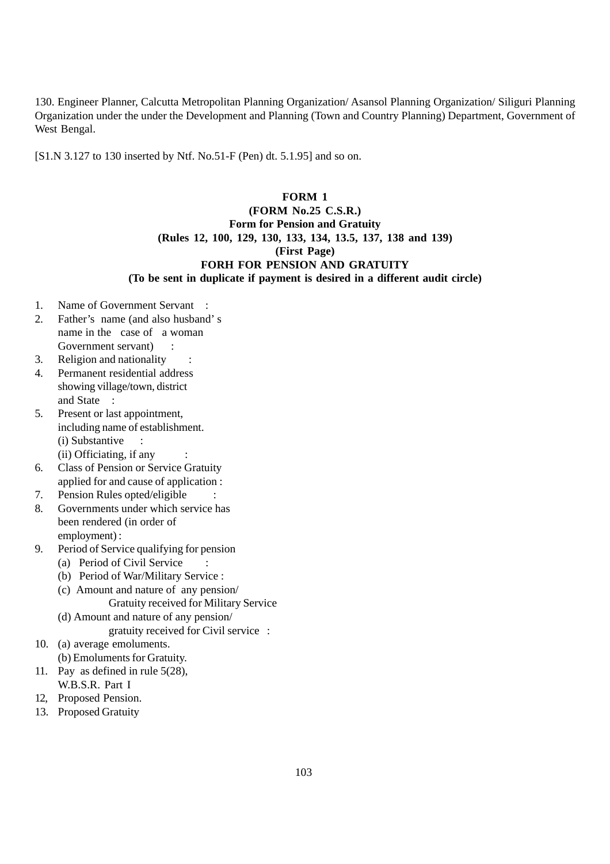130. Engineer Planner, Calcutta Metropolitan Planning Organization/ Asansol Planning Organization/ Siliguri Planning Organization under the under the Development and Planning (Town and Country Planning) Department, Government of West Bengal.

[S1.N 3.127 to 130 inserted by Ntf. No.51-F (Pen) dt. 5.1.95] and so on.

#### **FORM 1**

# **(FORM No.25 C.S.R.) Form for Pension and Gratuity (Rules 12, 100, 129, 130, 133, 134, 13.5, 137, 138 and 139) (First Page) FORH FOR PENSION AND GRATUITY (To be sent in duplicate if payment is desired in a different audit circle)**

- 1. Name of Government Servant :
- 2. Father's name (and also husband' s name in the case of a woman Government servant)
- 3. Religion and nationality :
- 4. Permanent residential address showing village/town, district and State :
- 5. Present or last appointment, including name of establishment. (i) Substantive : (ii) Officiating, if any
- 6. Class of Pension or Service Gratuity applied for and cause of application :
- 7. Pension Rules opted/eligible
- 8. Governments under which service has been rendered (in order of employment) :
- 9. Period of Service qualifying for pension
	- (a) Period of Civil Service
	- (b) Period of War/Military Service :
	- (c) Amount and nature of any pension/ Gratuity received for Military Service
	- (d) Amount and nature of any pension/ gratuity received for Civil service :
- 10. (a) average emoluments.
	- (b) Emoluments for Gratuity.
- 11. Pay as defined in rule 5(28), W.B.S.R. Part I
- 12, Proposed Pension.
- 13. Proposed Gratuity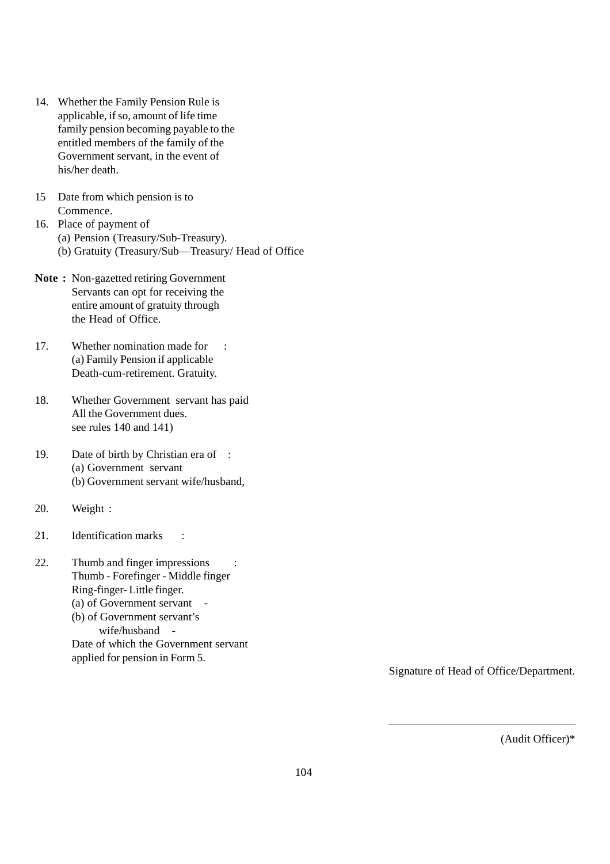- 14. Whether the Family Pension Rule is applicable, if so, amount of life time family pension becoming payable to the entitled members of the family of the Government servant, in the event of his/her death.
- 15 Date from which pension is to Commence.
- 16. Place of payment of (a) Pension (Treasury/Sub-Treasury). (b) Gratuity (Treasury/Sub—Treasury/ Head of Office
- **Note :** Non-gazetted retiring Government Servants can opt for receiving the entire amount of gratuity through the Head of Office.
- 17. Whether nomination made for : (a) Family Pension if applicable Death-cum-retirement. Gratuity.
- 18. Whether Government servant has paid All the Government dues. see rules 140 and 141)
- 19. Date of birth by Christian era of : (a) Government servant (b) Government servant wife/husband,
- 20. Weight :
- 21. Identification marks :
- 22. Thumb and finger impressions : Thumb - Forefinger - Middle finger Ring-finger- Little finger. (a) of Government servant - (b) of Government servant's wife/husband - Date of which the Government servant applied for pension in Form 5.

Signature of Head of Office/Department.

(Audit Officer)\*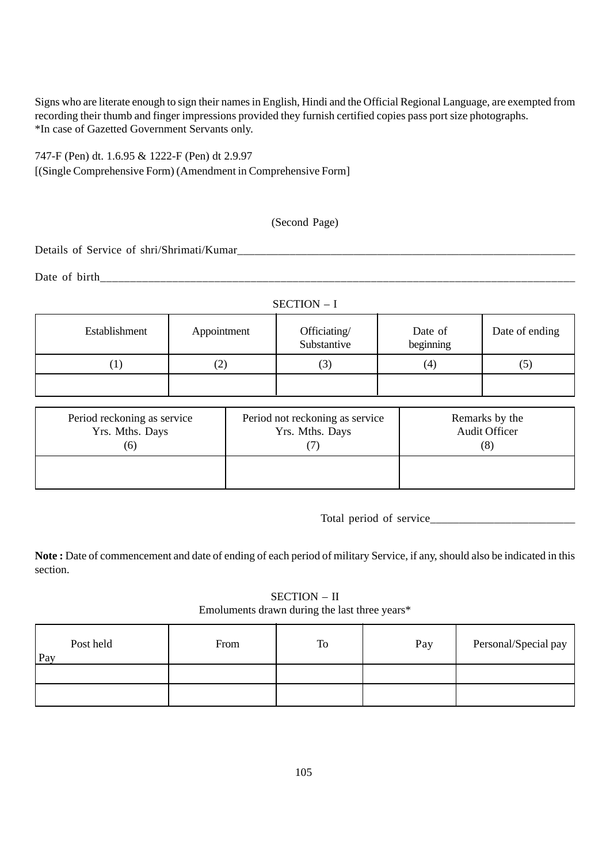Signs who are literate enough to sign their names in English, Hindi and the Official Regional Language, are exempted from recording their thumb and finger impressions provided they furnish certified copies pass port size photographs. \*In case of Gazetted Government Servants only.

747-F (Pen) dt. 1.6.95 & 1222-F (Pen) dt 2.9.97 [(Single Comprehensive Form) (Amendment in Comprehensive Form]

# (Second Page)

Details of Service of shri/Shrimati/Kumar

Date of birth\_\_\_\_\_\_\_\_\_\_\_\_\_\_\_\_\_\_\_\_\_\_\_\_\_\_\_\_\_\_\_\_\_\_\_\_\_\_\_\_\_\_\_\_\_\_\_\_\_\_\_\_\_\_\_\_\_\_\_\_\_\_\_\_\_\_\_\_\_\_\_\_\_\_\_\_\_\_\_

| SECTION - I   |             |                             |                      |                |  |
|---------------|-------------|-----------------------------|----------------------|----------------|--|
| Establishment | Appointment | Officiating/<br>Substantive | Date of<br>beginning | Date of ending |  |
|               | 2)          | (3)                         | (4)                  | (5)            |  |
|               |             |                             |                      |                |  |

| Period reckoning as service<br>Yrs. Mths. Days<br>(6) | Period not reckoning as service<br>Yrs. Mths. Days | Remarks by the<br><b>Audit Officer</b><br>(8) |
|-------------------------------------------------------|----------------------------------------------------|-----------------------------------------------|
|                                                       |                                                    |                                               |

Total period of service

Note: Date of commencement and date of ending of each period of military Service, if any, should also be indicated in this section.

SECTION – II Emoluments drawn during the last three years\*

| Post held<br>Pay | From | To | Pay | Personal/Special pay |
|------------------|------|----|-----|----------------------|
|                  |      |    |     |                      |
|                  |      |    |     |                      |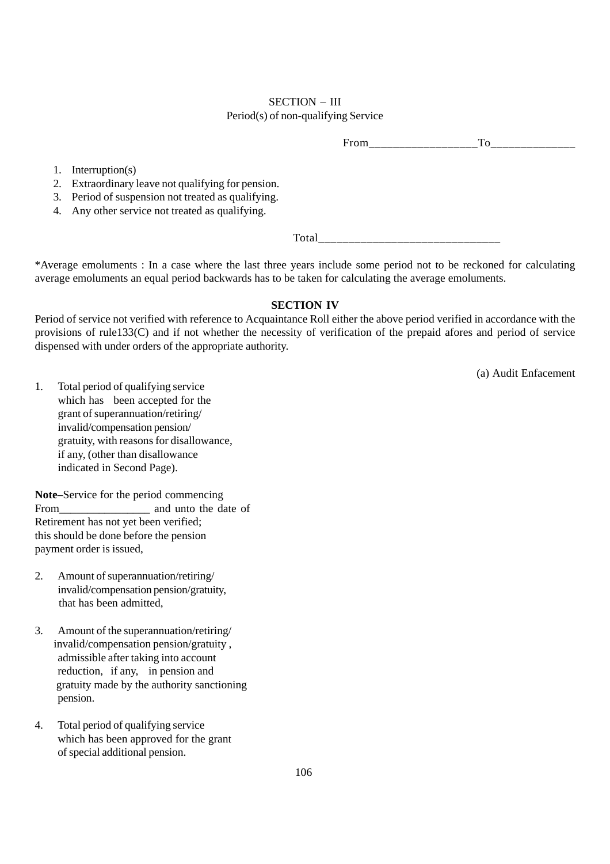#### SECTION – III Period(s) of non-qualifying Service

From To

1. Interruption(s)

2. Extraordinary leave not qualifying for pension.

3. Period of suspension not treated as qualifying.

4. Any other service not treated as qualifying.

Total

\*Average emoluments : In a case where the last three years include some period not to be reckoned for calculating average emoluments an equal period backwards has to be taken for calculating the average emoluments.

#### **SECTION IV**

Period of service not verified with reference to Acquaintance Roll either the above period verified in accordance with the provisions of rule133(C) and if not whether the necessity of verification of the prepaid afores and period of service dispensed with under orders of the appropriate authority.

(a) Audit Enfacement

1. Total period of qualifying service which has been accepted for the grant of superannuation/retiring/ invalid/compensation pension/ gratuity, with reasons for disallowance, if any, (other than disallowance indicated in Second Page).

**Note–**Service for the period commencing From and unto the date of Retirement has not yet been verified; this should be done before the pension payment order is issued,

- 2. Amount of superannuation/retiring/ invalid/compensation pension/gratuity, that has been admitted,
- 3. Amount of the superannuation/retiring/ invalid/compensation pension/gratuity , admissible after taking into account reduction, if any, in pension and gratuity made by the authority sanctioning pension.
- 4. Total period of qualifying service which has been approved for the grant of special additional pension.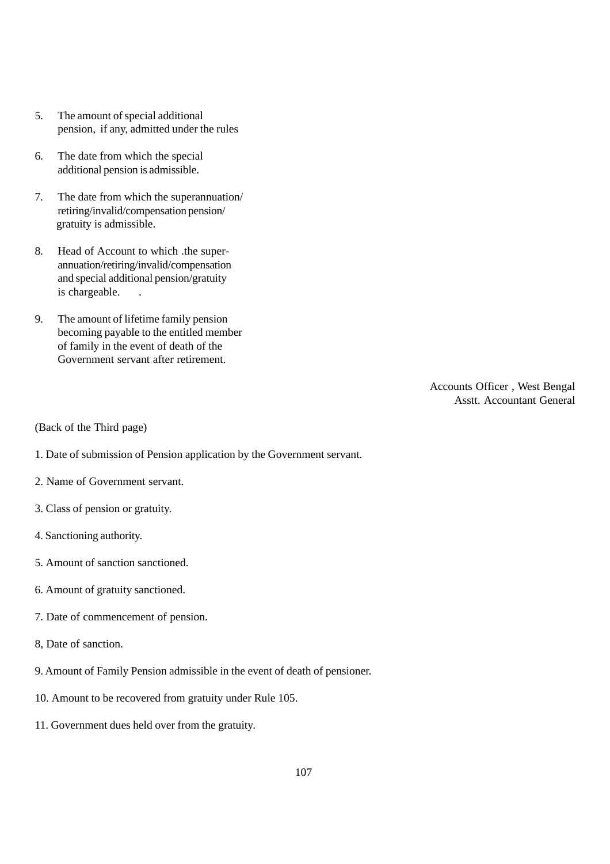- 5. The amount of special additional pension, if any, admitted under the rules
- 6. The date from which the special additional pension is admissible.
- 7. The date from which the superannuation/ retiring/invalid/compensation pension/ gratuity is admissible.
- 8. Head of Account to which .the superannuation/retiring/invalid/compensation and special additional pension/gratuity is chargeable.
- 9. The amount of lifetime family pension becoming payable to the entitled member of family in the event of death of the Government servant after retirement.

Accounts Officer , West Bengal Asstt. Accountant General

(Back of the Third page)

1. Date of submission of Pension application by the Government servant.

- 2. Name of Government servant.
- 3. Class of pension or gratuity.
- 4. Sanctioning authority.
- 5. Amount of sanction sanctioned.
- 6. Amount of gratuity sanctioned.
- 7. Date of commencement of pension.
- 8, Date of sanction.
- 9. Amount of Family Pension admissible in the event of death of pensioner.
- 10. Amount to be recovered from gratuity under Rule 105.
- 11. Government dues held over from the gratuity.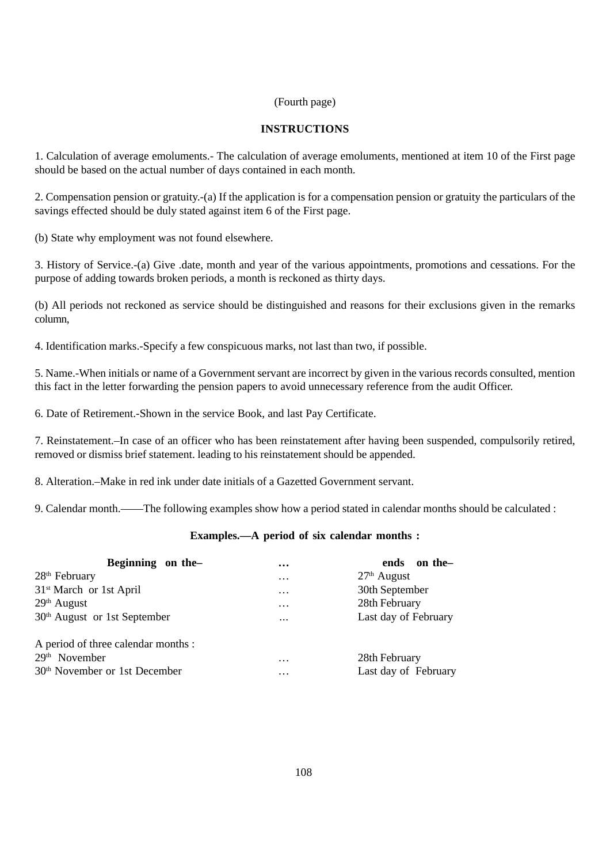#### (Fourth page)

# **INSTRUCTIONS**

1. Calculation of average emoluments.- The calculation of average emoluments, mentioned at item 10 of the First page should be based on the actual number of days contained in each month.

2. Compensation pension or gratuity.-(a) If the application is for a compensation pension or gratuity the particulars of the savings effected should be duly stated against item 6 of the First page.

(b) State why employment was not found elsewhere.

3. History of Service.-(a) Give .date, month and year of the various appointments, promotions and cessations. For the purpose of adding towards broken periods, a month is reckoned as thirty days.

(b) All periods not reckoned as service should be distinguished and reasons for their exclusions given in the remarks column,

4. Identification marks.-Specify a few conspicuous marks, not last than two, if possible.

5. Name.-When initials or name of a Government servant are incorrect by given in the various records consulted, mention this fact in the letter forwarding the pension papers to avoid unnecessary reference from the audit Officer.

6. Date of Retirement.-Shown in the service Book, and last Pay Certificate.

7. Reinstatement.–In case of an officer who has been reinstatement after having been suspended, compulsorily retired, removed or dismiss brief statement. leading to his reinstatement should be appended.

8. Alteration.–Make in red ink under date initials of a Gazetted Government servant.

9. Calendar month.——The following examples show how a period stated in calendar months should be calculated :

# **Examples.—A period of six calendar months :**

| Beginning on the-                         | $\cdots$ | ends on the-         |
|-------------------------------------------|----------|----------------------|
| $28th$ February                           | $\cdots$ | $27th$ August        |
| 31 <sup>st</sup> March or 1st April       | $\cdots$ | 30th September       |
| $29th$ August                             | $\cdots$ | 28th February        |
| $30th$ August or 1st September            | $\cdots$ | Last day of February |
| A period of three calendar months :       |          |                      |
| $29th$ November                           | $\cdots$ | 28th February        |
| 30 <sup>th</sup> November or 1st December | $\cdots$ | Last day of February |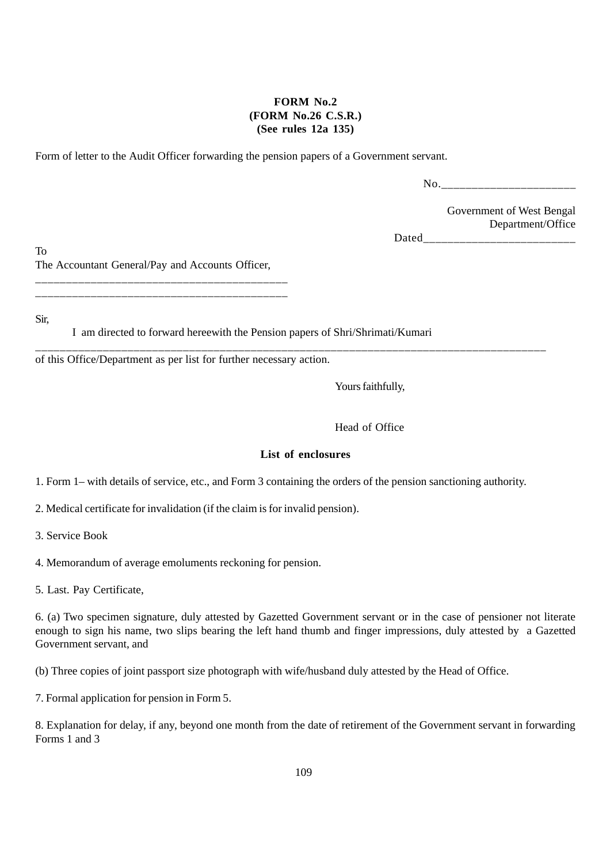# **FORM No.2 (FORM No.26 C.S.R.) (See rules 12a 135)**

Form of letter to the Audit Officer forwarding the pension papers of a Government servant.

No.

Government of West Bengal Department/Office

Dated and the set of  $\sim$ 

To The Accountant General/Pay and Accounts Officer,

\_\_\_\_\_\_\_\_\_\_\_\_\_\_\_\_\_\_\_\_\_\_\_\_\_\_\_\_\_\_\_\_\_\_\_\_\_\_\_\_\_ \_\_\_\_\_\_\_\_\_\_\_\_\_\_\_\_\_\_\_\_\_\_\_\_\_\_\_\_\_\_\_\_\_\_\_\_\_\_\_\_\_

Sir,

I am directed to forward hereewith the Pension papers of Shri/Shrimati/Kumari

of this Office/Department as per list for further necessary action.

Yours faithfully,

Head of Office

#### **List of enclosures**

1. Form 1– with details of service, etc., and Form 3 containing the orders of the pension sanctioning authority.

\_\_\_\_\_\_\_\_\_\_\_\_\_\_\_\_\_\_\_\_\_\_\_\_\_\_\_\_\_\_\_\_\_\_\_\_\_\_\_\_\_\_\_\_\_\_\_\_\_\_\_\_\_\_\_\_\_\_\_\_\_\_\_\_\_\_\_\_\_\_\_\_\_\_\_\_\_\_\_\_\_\_\_

2. Medical certificate for invalidation (if the claim is for invalid pension).

3. Service Book

4. Memorandum of average emoluments reckoning for pension.

5. Last. Pay Certificate,

6. (a) Two specimen signature, duly attested by Gazetted Government servant or in the case of pensioner not literate enough to sign his name, two slips bearing the left hand thumb and finger impressions, duly attested by a Gazetted Government servant, and

(b) Three copies of joint passport size photograph with wife/husband duly attested by the Head of Office.

7. Formal application for pension in Form 5.

8. Explanation for delay, if any, beyond one month from the date of retirement of the Government servant in forwarding Forms 1 and 3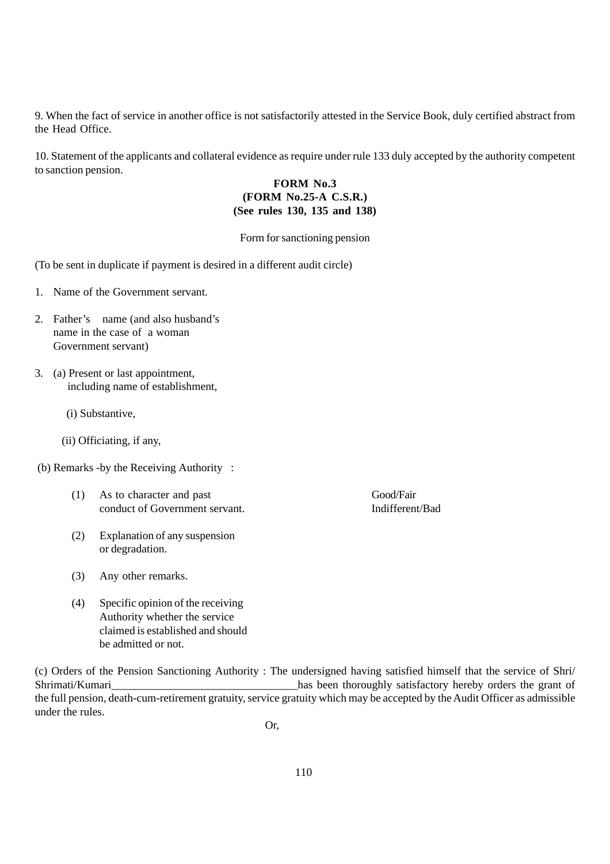9. When the fact of service in another office is not satisfactorily attested in the Service Book, duly certified abstract from the Head Office.

10. Statement of the applicants and collateral evidence as require under rule 133 duly accepted by the authority competent to sanction pension.

# **FORM No.3 (FORM No.25-A C.S.R.) (See rules 130, 135 and 138)**

#### Form for sanctioning pension

(To be sent in duplicate if payment is desired in a different audit circle)

- 1. Name of the Government servant.
- 2. Father's name (and also husband's name in the case of a woman Government servant)
- 3. (a) Present or last appointment, including name of establishment,
	- (i) Substantive,
	- (ii) Officiating, if any,
- (b) Remarks -by the Receiving Authority :
	- (1) As to character and past Good/Fair conduct of Government servant. Indifferent/Bad
	- (2) Explanation of any suspension or degradation.
	- (3) Any other remarks.
	- (4) Specific opinion of the receiving Authority whether the service claimed is established and should be admitted or not.

(c) Orders of the Pension Sanctioning Authority : The undersigned having satisfied himself that the service of Shri/ Shrimati/Kumari<br>has been thoroughly satisfactory hereby orders the grant of the full pension, death-cum-retirement gratuity, service gratuity which may be accepted by the Audit Officer as admissible under the rules.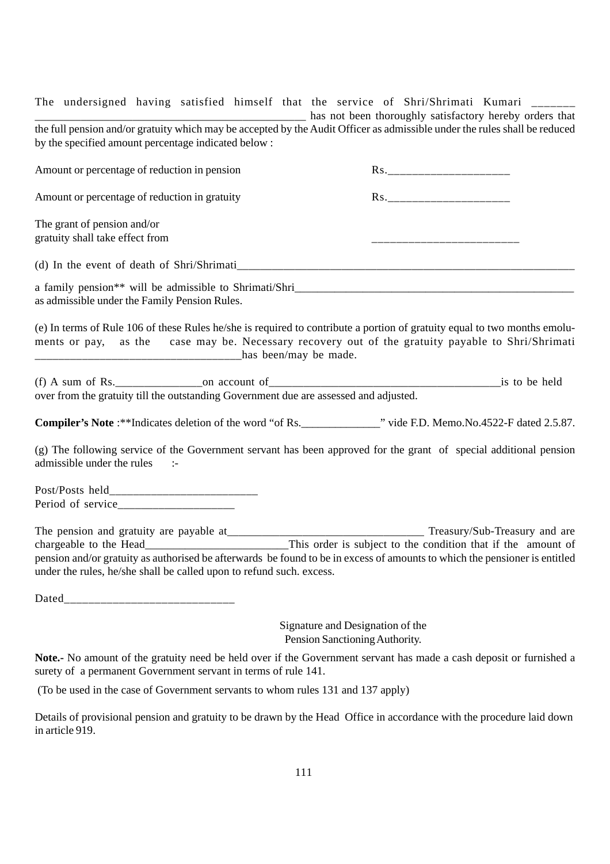The undersigned having satisfied himself that the service of Shri/Shrimati Kumari \_\_\_\_\_\_

\_\_\_\_\_\_\_\_\_\_\_\_\_\_\_\_\_\_\_\_\_\_\_\_\_\_\_\_\_\_\_\_\_\_\_\_\_\_\_\_\_\_\_\_\_\_\_ has not been thoroughly satisfactory hereby orders that the full pension and/or gratuity which may be accepted by the Audit Officer as admissible under the rules shall be reduced by the specified amount percentage indicated below :

| Amount or percentage of reduction in pension                                                                                                                                                                                                                                                                                                                                         |  |
|--------------------------------------------------------------------------------------------------------------------------------------------------------------------------------------------------------------------------------------------------------------------------------------------------------------------------------------------------------------------------------------|--|
| Amount or percentage of reduction in gratuity                                                                                                                                                                                                                                                                                                                                        |  |
| The grant of pension and/or<br>gratuity shall take effect from                                                                                                                                                                                                                                                                                                                       |  |
|                                                                                                                                                                                                                                                                                                                                                                                      |  |
| a family pension** will be admissible to Shrimati/Shri<br>as admissible under the Family Pension Rules.                                                                                                                                                                                                                                                                              |  |
| (e) In terms of Rule 106 of these Rules he/she is required to contribute a portion of gratuity equal to two months emolu-<br>ments or pay, as the case may be. Necessary recovery out of the gratuity payable to Shri/Shrimati                                                                                                                                                       |  |
| over from the gratuity till the outstanding Government due are assessed and adjusted.                                                                                                                                                                                                                                                                                                |  |
|                                                                                                                                                                                                                                                                                                                                                                                      |  |
| (g) The following service of the Government servant has been approved for the grant of special additional pension<br>admissible under the rules<br>$\sim$ 1-                                                                                                                                                                                                                         |  |
|                                                                                                                                                                                                                                                                                                                                                                                      |  |
| The pension and gratuity are payable at<br><u>This order is subject to the condition</u> that if the amount of<br>This order is subject to the condition that if the amount of<br>pension and/or gratuity as authorised be afterwards be found to be in excess of amounts to which the pensioner is entitled<br>under the rules, he/she shall be called upon to refund such. excess. |  |
|                                                                                                                                                                                                                                                                                                                                                                                      |  |

Signature and Designation of the Pension Sanctioning Authority.

**Note.-** No amount of the gratuity need be held over if the Government servant has made a cash deposit or furnished a surety of a permanent Government servant in terms of rule 141.

(To be used in the case of Government servants to whom rules 131 and 137 apply)

Details of provisional pension and gratuity to be drawn by the Head Office in accordance with the procedure laid down in article 919.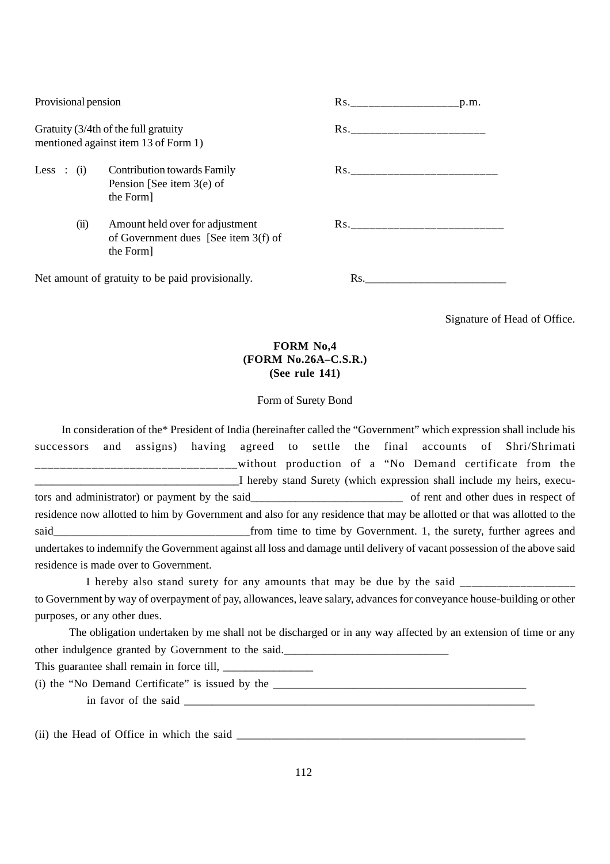| Provisional pension                                                          |                                                                                      | p.m. |
|------------------------------------------------------------------------------|--------------------------------------------------------------------------------------|------|
| Gratuity (3/4th of the full gratuity<br>mentioned against item 13 of Form 1) |                                                                                      |      |
|                                                                              | Less : (i) Contribution towards Family<br>Pension [See item $3(e)$ of<br>the Form    |      |
| (ii)                                                                         | Amount held over for adjustment<br>of Government dues [See item 3(f) of<br>the Form] |      |
| Net amount of gratuity to be paid provisionally.                             |                                                                                      | Rs.  |

Signature of Head of Office.

# **FORM No,4 (FORM No.26A–C.S.R.) (See rule 141)**

#### Form of Surety Bond

 In consideration of the\* President of India (hereinafter called the "Government" which expression shall include his successors and assigns) having agreed to settle the final accounts of Shri/Shrimati \_\_\_\_\_\_\_\_\_\_\_\_without production of a "No Demand certificate from the I hereby stand Surety (which expression shall include my heirs, executors and administrator) or payment by the said\_\_\_\_\_\_\_\_\_\_\_\_\_\_\_\_\_\_\_\_\_\_\_\_\_\_ of rent and other dues in respect of residence now allotted to him by Government and also for any residence that may be allotted or that was allotted to the said\_\_\_\_\_\_\_\_\_\_\_\_\_\_\_\_\_\_\_\_\_\_\_\_\_\_\_\_\_\_\_\_\_\_from time to time by Government. 1, the surety, further agrees and undertakes to indemnify the Government against all loss and damage until delivery of vacant possession of the above said residence is made over to Government.

 I hereby also stand surety for any amounts that may be due by the said \_\_\_\_\_\_\_\_\_\_\_\_\_\_\_\_\_\_\_ to Government by way of overpayment of pay, allowances, leave salary, advances for conveyance house-building or other purposes, or any other dues.

 The obligation undertaken by me shall not be discharged or in any way affected by an extension of time or any other indulgence granted by Government to the said.

This guarantee shall remain in force till, \_\_\_\_\_\_\_\_\_\_\_\_\_\_\_\_

(i) the "No Demand Certificate" is issued by the  $\frac{1}{2}$   $\frac{1}{2}$   $\frac{1}{2}$   $\frac{1}{2}$   $\frac{1}{2}$   $\frac{1}{2}$   $\frac{1}{2}$   $\frac{1}{2}$   $\frac{1}{2}$   $\frac{1}{2}$   $\frac{1}{2}$   $\frac{1}{2}$   $\frac{1}{2}$   $\frac{1}{2}$   $\frac{1}{2}$   $\frac{1}{2}$   $\frac{1}{2}$   $\$ 

in favor of the said

 $(ii)$  the Head of Office in which the said  $\frac{1}{\sqrt{1-\frac{1}{2}}}\$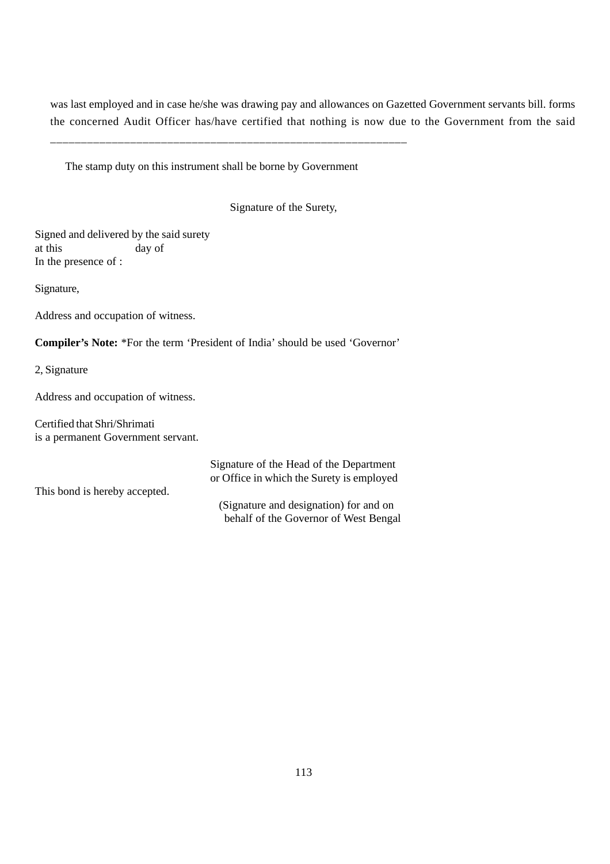was last employed and in case he/she was drawing pay and allowances on Gazetted Government servants bill. forms the concerned Audit Officer has/have certified that nothing is now due to the Government from the said

The stamp duty on this instrument shall be borne by Government

\_\_\_\_\_\_\_\_\_\_\_\_\_\_\_\_\_\_\_\_\_\_\_\_\_\_\_\_\_\_\_\_\_\_\_\_\_\_\_\_\_\_\_\_\_\_\_\_\_\_\_\_\_\_\_\_\_\_

Signature of the Surety,

Signed and delivered by the said surety at this day of In the presence of :

Signature,

Address and occupation of witness.

**Compiler's Note:** \*For the term 'President of India' should be used 'Governor'

2, Signature

Address and occupation of witness.

Certified that Shri/Shrimati is a permanent Government servant.

Signature of the Head of the Department or Office in which the Surety is employed This bond is hereby accepted. (Signature and designation) for and on behalf of the Governor of West Bengal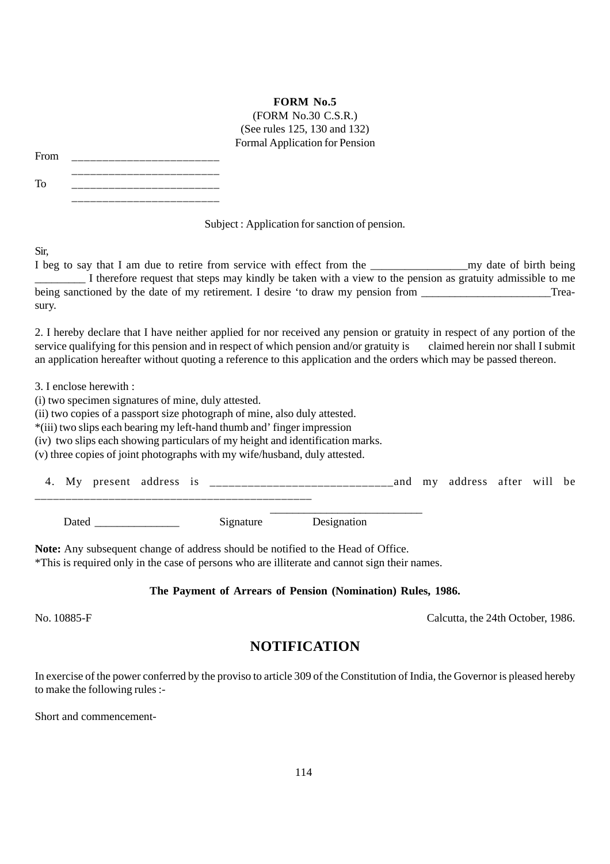# **FORM No.5**

(FORM No.30 C.S.R.) (See rules 125, 130 and 132) Formal Application for Pension

| From | _____________<br>___ |
|------|----------------------|
|      |                      |

To \_\_\_\_\_\_\_\_\_\_\_\_\_\_\_\_\_\_\_\_\_\_\_\_ \_\_\_\_\_\_\_\_\_\_\_\_\_\_\_\_\_\_\_\_\_\_\_\_

Subject : Application for sanction of pension.

Sir,

I beg to say that I am due to retire from service with effect from the my date of birth being I therefore request that steps may kindly be taken with a view to the pension as gratuity admissible to me being sanctioned by the date of my retirement. I desire 'to draw my pension from \_\_\_\_\_\_\_\_\_\_\_\_\_\_\_\_\_\_\_\_\_\_\_\_\_\_\_\_Treasury.

2. I hereby declare that I have neither applied for nor received any pension or gratuity in respect of any portion of the service qualifying for this pension and in respect of which pension and/or gratuity is claimed herein nor shall I submit an application hereafter without quoting a reference to this application and the orders which may be passed thereon.

3. I enclose herewith :

(i) two specimen signatures of mine, duly attested.

(ii) two copies of a passport size photograph of mine, also duly attested.

\*(iii) two slips each bearing my left-hand thumb and' finger impression

(iv) two slips each showing particulars of my height and identification marks.

(v) three copies of joint photographs with my wife/husband, duly attested.

| present<br>M v | address<br>1 C<br>. . | and | mv | address | after | will | be |
|----------------|-----------------------|-----|----|---------|-------|------|----|
|                |                       |     |    |         |       |      |    |

 $\frac{1}{\sqrt{2\pi}}$  , and the contract of the contract of the contract of the contract of the contract of the contract of the contract of the contract of the contract of the contract of the contract of the contract of the cont Dated Signature Designation

**Note:** Any subsequent change of address should be notified to the Head of Office.

\*This is required only in the case of persons who are illiterate and cannot sign their names.

# **The Payment of Arrears of Pension (Nomination) Rules, 1986.**

No. 10885-F Calcutta, the 24th October, 1986.

# **NOTIFICATION**

In exercise of the power conferred by the proviso to article 309 of the Constitution of India, the Governor is pleased hereby to make the following rules :-

Short and commencement-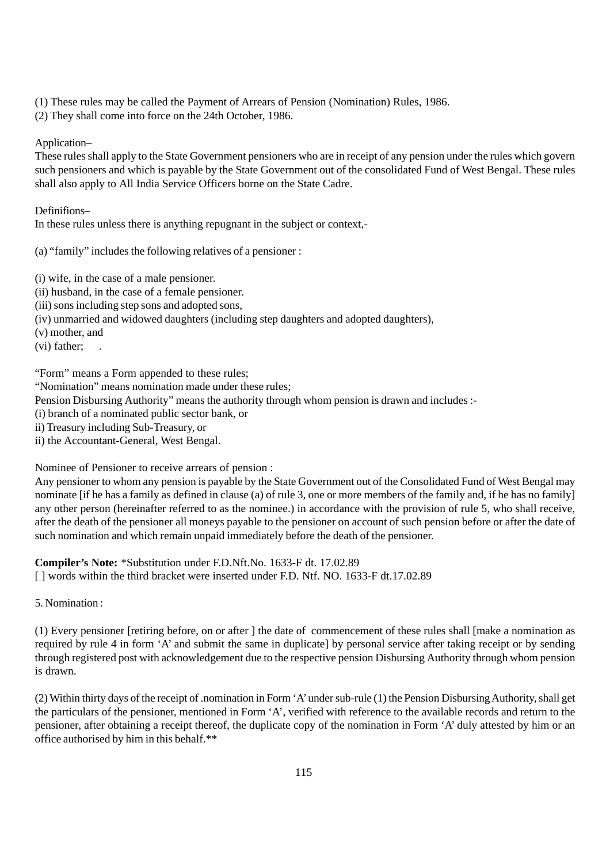- (1) These rules may be called the Payment of Arrears of Pension (Nomination) Rules, 1986.
- (2) They shall come into force on the 24th October, 1986.

#### Application–

These rules shall apply to the State Government pensioners who are in receipt of any pension under the rules which govern such pensioners and which is payable by the State Government out of the consolidated Fund of West Bengal. These rules shall also apply to All India Service Officers borne on the State Cadre.

# Definifions–

In these rules unless there is anything repugnant in the subject or context,-

(a) "family" includes the following relatives of a pensioner :

- (i) wife, in the case of a male pensioner.
- (ii) husband, in the case of a female pensioner.
- (iii) sons including step sons and adopted sons,
- (iv) unmarried and widowed daughters (including step daughters and adopted daughters),
- (v) mother, and
- (vi) father;

"Form" means a Form appended to these rules;

"Nomination" means nomination made under these rules;

Pension Disbursing Authority" means the authority through whom pension is drawn and includes :-

- (i) branch of a nominated public sector bank, or
- ii) Treasury including Sub-Treasury, or
- ii) the Accountant-General, West Bengal.

Nominee of Pensioner to receive arrears of pension :

Any pensioner to whom any pension is payable by the State Government out of the Consolidated Fund of West Bengal may nominate [if he has a family as defined in clause (a) of rule 3, one or more members of the family and, if he has no family] any other person (hereinafter referred to as the nominee.) in accordance with the provision of rule 5, who shall receive, after the death of the pensioner all moneys payable to the pensioner on account of such pension before or after the date of such nomination and which remain unpaid immediately before the death of the pensioner.

**Compiler's Note:** \*Substitution under F.D.Nft.No. 1633-F dt. 17.02.89 [ ] words within the third bracket were inserted under F.D. Ntf. NO. 1633-F dt.17.02.89

5. Nomination :

(1) Every pensioner [retiring before, on or after ] the date of commencement of these rules shall [make a nomination as required by rule 4 in form 'A' and submit the same in duplicate] by personal service after taking receipt or by sending through registered post with acknowledgement due to the respective pension Disbursing Authority through whom pension is drawn.

(2) Within thirty days of the receipt of .nomination in Form 'A' under sub-rule (1) the Pension Disbursing Authority, shall get the particulars of the pensioner, mentioned in Form 'A', verified with reference to the available records and return to the pensioner, after obtaining a receipt thereof, the duplicate copy of the nomination in Form 'A' duly attested by him or an office authorised by him in this behalf.\*\*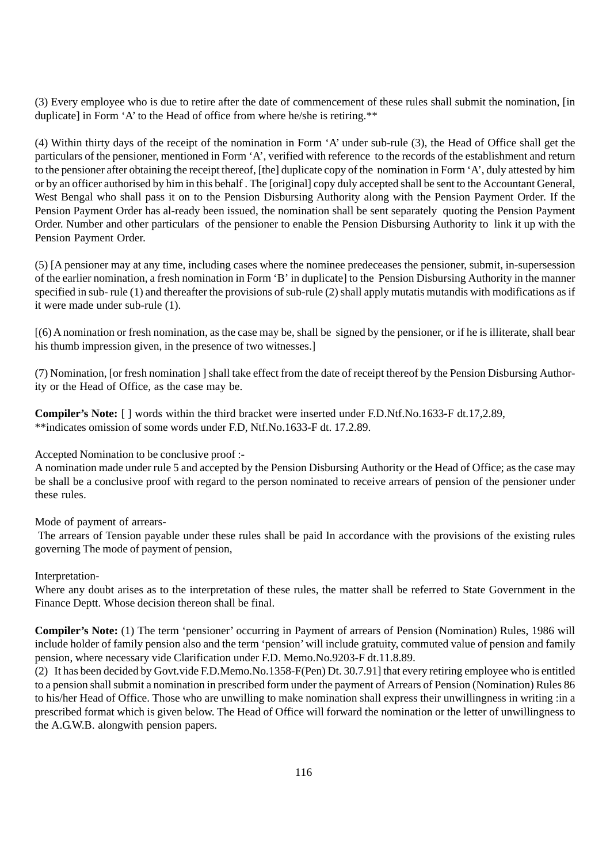(3) Every employee who is due to retire after the date of commencement of these rules shall submit the nomination, [in duplicate] in Form 'A' to the Head of office from where he/she is retiring.\*\*

(4) Within thirty days of the receipt of the nomination in Form 'A' under sub-rule (3), the Head of Office shall get the particulars of the pensioner, mentioned in Form 'A', verified with reference to the records of the establishment and return to the pensioner after obtaining the receipt thereof, [the] duplicate copy of the nomination in Form 'A', duly attested by him or by an officer authorised by him in this behalf . The [original] copy duly accepted shall be sent to the Accountant General, West Bengal who shall pass it on to the Pension Disbursing Authority along with the Pension Payment Order. If the Pension Payment Order has al-ready been issued, the nomination shall be sent separately quoting the Pension Payment Order. Number and other particulars of the pensioner to enable the Pension Disbursing Authority to link it up with the Pension Payment Order.

(5) [A pensioner may at any time, including cases where the nominee predeceases the pensioner, submit, in-supersession of the earlier nomination, a fresh nomination in Form 'B' in duplicate] to the Pension Disbursing Authority in the manner specified in sub- rule (1) and thereafter the provisions of sub-rule (2) shall apply mutatis mutandis with modifications as if it were made under sub-rule (1).

[(6) A nomination or fresh nomination, as the case may be, shall be signed by the pensioner, or if he is illiterate, shall bear his thumb impression given, in the presence of two witnesses.

(7) Nomination, [or fresh nomination ] shall take effect from the date of receipt thereof by the Pension Disbursing Authority or the Head of Office, as the case may be.

**Compiler's Note:** [ ] words within the third bracket were inserted under F.D.Ntf.No.1633-F dt.17,2.89, \*\*indicates omission of some words under F.D, Ntf.No.1633-F dt. 17.2.89.

Accepted Nomination to be conclusive proof :-

A nomination made under rule 5 and accepted by the Pension Disbursing Authority or the Head of Office; as the case may be shall be a conclusive proof with regard to the person nominated to receive arrears of pension of the pensioner under these rules.

Mode of payment of arrears-

 The arrears of Tension payable under these rules shall be paid In accordance with the provisions of the existing rules governing The mode of payment of pension,

Interpretation-

Where any doubt arises as to the interpretation of these rules, the matter shall be referred to State Government in the Finance Deptt. Whose decision thereon shall be final.

**Compiler's Note:** (1) The term 'pensioner' occurring in Payment of arrears of Pension (Nomination) Rules, 1986 will include holder of family pension also and the term 'pension' will include gratuity, commuted value of pension and family pension, where necessary vide Clarification under F.D. Memo.No.9203-F dt.11.8.89.

(2) It has been decided by Govt.vide F.D.Memo.No.1358-F(Pen) Dt. 30.7.91] that every retiring employee who is entitled to a pension shall submit a nomination in prescribed form under the payment of Arrears of Pension (Nomination) Rules 86 to his/her Head of Office. Those who are unwilling to make nomination shall express their unwillingness in writing :in a prescribed format which is given below. The Head of Office will forward the nomination or the letter of unwillingness to the A.G.W.B. alongwith pension papers.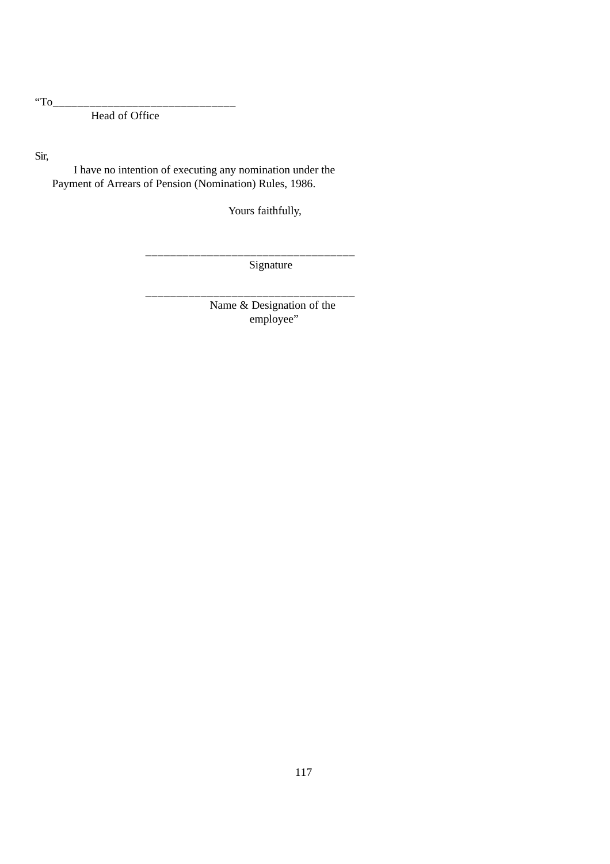"To $_{---}$ 

Head of Office

Sir,

 I have no intention of executing any nomination under the Payment of Arrears of Pension (Nomination) Rules, 1986.

Yours faithfully,

\_\_\_\_\_\_\_\_\_\_\_\_\_\_\_\_\_\_\_\_\_\_\_\_\_\_\_\_\_\_\_\_\_\_

\_\_\_\_\_\_\_\_\_\_\_\_\_\_\_\_\_\_\_\_\_\_\_\_\_\_\_\_\_\_\_\_\_\_

Signature

 Name & Designation of the employee"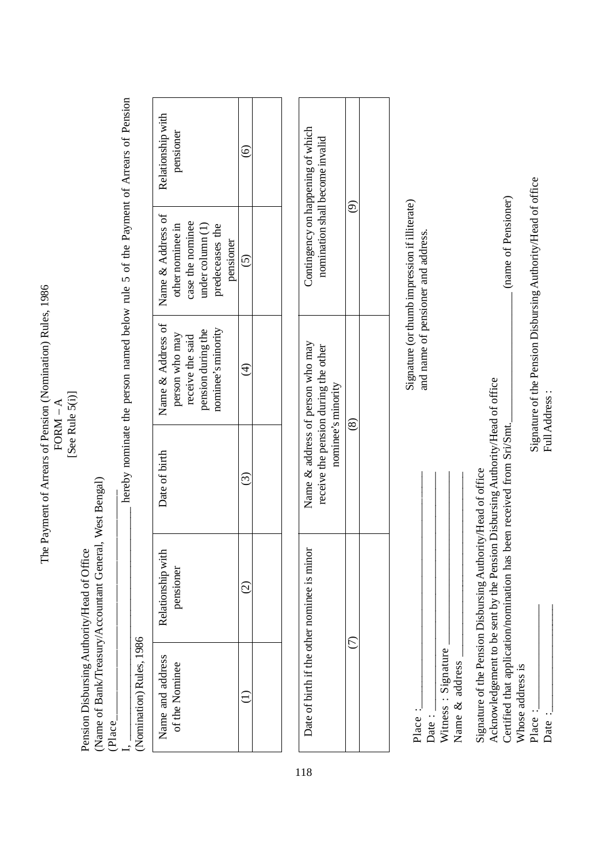The Payment of Arrears of Pension (Nomination) Rules, 1986 The Payment of Arrears of Pension (Nomination) Rules, 1986 [See Rule 5(i)] [See Rule 5(i)]  $FORM - A$ FORM – A

Pension Disbursing Authority/Head of Office Pension Disbursing Authority/Head of Office

(Name of Bank/Treasury/Accountant General, West Bengal) (Name of Bank/Treasury/Accountant General, West Bengal)

 $(Place_1$ (Place\_ ا<br>ب

hereby nominate the person named below rule 5 of the Payment of Arrears of Pension I,  $\Box$   $\Box$   $\Box$  hereby nominate the person named below rule 5 of the Payment of Arrears of Pension  $100<sub>2</sub>$  $\frac{1}{2}$ Ŕ

| Š                  |  |
|--------------------|--|
| dler<br>₹          |  |
| Ξ<br>$\frac{1}{2}$ |  |
| mination           |  |
|                    |  |

| Relationship with<br>pensioner                                                                                                               |  |
|----------------------------------------------------------------------------------------------------------------------------------------------|--|
| Name & Address of   Name & Address of<br>case the nominee<br>other nominee in<br>$\Delta$ inder column $(1)$<br>predeceases the<br>pensioner |  |
| aominee's minority<br>pension during the<br>receive the said<br>person who may                                                               |  |
| Date of birth                                                                                                                                |  |
| Relationship with<br>pensioner                                                                                                               |  |
| Name and address<br>of the Nominee                                                                                                           |  |

| Contingency on happening of which<br>nomination shall become invalid                           |   |  |
|------------------------------------------------------------------------------------------------|---|--|
| Name & address of person who may<br>receive the pension during the other<br>nominee's minority |   |  |
| Date of birth if the other nominee is minor                                                    | t |  |

| Place | Date: | Witness: Signature | Name & address |
|-------|-------|--------------------|----------------|

Signature of the Pension Disbursing Authority/Head of office

Signature of the Pension Disbursing Authority/Head of office

Acknowledgement to be sent by the Pension Disbursing Authority/Head of office

Acknowledgement to be sent by the Pension Disbursing Authority/Head of office

Signature (or thumb impression if illiterate) Signature (or thumb impression if illiterate) and name of pensioner and address. and name of pensioner and address.

Certified that application/nomination has been received from Sri/Smt. Certified that application/nomination has been received from Sri/Smt.

Whose address is Whose address is

Signature of the Pension Disbursing Authority/Head of office Full Address : \_\_\_\_\_\_\_\_\_\_\_\_\_\_\_\_\_\_\_ Signature of the Pension Disbursing Authority/Head of office Full Address :

(name of Pensioner)

Place : Date :

\_\_\_\_\_\_\_\_\_\_\_\_\_\_\_\_\_\_\_\_

118